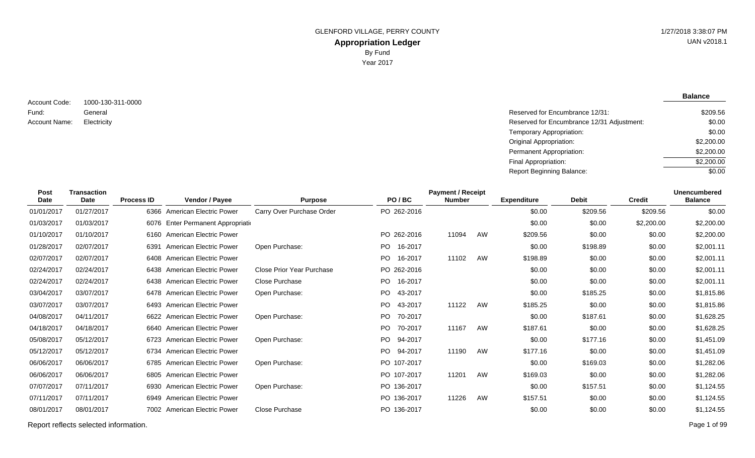**Balance**

1000-130-311-0000 General Account Code: Fund: Account Name:

Reserved for Encumbrance 12/31: Electricity Reserved for Encumbrance 12/31 Adjustment: Temporary Appropriation: Original Appropriation: Permanent Appropriation: Final Appropriation: Report Beginning Balance: \$209.56 \$0.00 \$0.00 \$2,200.00 \$2,200.00 \$2,200.00  $\sqrt{$0.00}$ 

| <b>Post</b><br>Date | Transaction<br>Date | <b>Process ID</b> | Vendor / Payee                     | <b>Purpose</b>            | PO/BC           | <b>Payment / Receipt</b><br><b>Number</b> |    | <b>Expenditure</b> | <b>Debit</b> | <b>Credit</b> | <b>Unencumbered</b><br><b>Balance</b> |
|---------------------|---------------------|-------------------|------------------------------------|---------------------------|-----------------|-------------------------------------------|----|--------------------|--------------|---------------|---------------------------------------|
| 01/01/2017          | 01/27/2017          |                   | 6366 American Electric Power       | Carry Over Purchase Order | PO 262-2016     |                                           |    | \$0.00             | \$209.56     | \$209.56      | \$0.00                                |
| 01/03/2017          | 01/03/2017          |                   | 6076 Enter Permanent Appropriation |                           |                 |                                           |    | \$0.00             | \$0.00       | \$2,200.00    | \$2,200.00                            |
| 01/10/2017          | 01/10/2017          |                   | 6160 American Electric Power       |                           | PO 262-2016     | 11094                                     | AW | \$209.56           | \$0.00       | \$0.00        | \$2,200.00                            |
| 01/28/2017          | 02/07/2017          | 6391              | American Electric Power            | Open Purchase:            | 16-2017<br>PO - |                                           |    | \$0.00             | \$198.89     | \$0.00        | \$2,001.11                            |
| 02/07/2017          | 02/07/2017          |                   | 6408 American Electric Power       |                           | PO -<br>16-2017 | 11102                                     | AW | \$198.89           | \$0.00       | \$0.00        | \$2,001.11                            |
| 02/24/2017          | 02/24/2017          |                   | 6438 American Electric Power       | Close Prior Year Purchase | PO 262-2016     |                                           |    | \$0.00             | \$0.00       | \$0.00        | \$2,001.11                            |
| 02/24/2017          | 02/24/2017          |                   | 6438 American Electric Power       | <b>Close Purchase</b>     | PO 16-2017      |                                           |    | \$0.00             | \$0.00       | \$0.00        | \$2,001.11                            |
| 03/04/2017          | 03/07/2017          |                   | 6478 American Electric Power       | Open Purchase:            | PO.<br>43-2017  |                                           |    | \$0.00             | \$185.25     | \$0.00        | \$1,815.86                            |
| 03/07/2017          | 03/07/2017          |                   | 6493 American Electric Power       |                           | PO.<br>43-2017  | 11122                                     | AW | \$185.25           | \$0.00       | \$0.00        | \$1,815.86                            |
| 04/08/2017          | 04/11/2017          |                   | 6622 American Electric Power       | Open Purchase:            | PO.<br>70-2017  |                                           |    | \$0.00             | \$187.61     | \$0.00        | \$1,628.25                            |
| 04/18/2017          | 04/18/2017          |                   | 6640 American Electric Power       |                           | PO 70-2017      | 11167                                     | AW | \$187.61           | \$0.00       | \$0.00        | \$1,628.25                            |
| 05/08/2017          | 05/12/2017          |                   | 6723 American Electric Power       | Open Purchase:            | PO 94-2017      |                                           |    | \$0.00             | \$177.16     | \$0.00        | \$1,451.09                            |
| 05/12/2017          | 05/12/2017          |                   | 6734 American Electric Power       |                           | PO 94-2017      | 11190                                     | AW | \$177.16           | \$0.00       | \$0.00        | \$1,451.09                            |
| 06/06/2017          | 06/06/2017          |                   | 6785 American Electric Power       | Open Purchase:            | PO 107-2017     |                                           |    | \$0.00             | \$169.03     | \$0.00        | \$1,282.06                            |
| 06/06/2017          | 06/06/2017          |                   | 6805 American Electric Power       |                           | PO 107-2017     | 11201                                     | AW | \$169.03           | \$0.00       | \$0.00        | \$1,282.06                            |
| 07/07/2017          | 07/11/2017          |                   | 6930 American Electric Power       | Open Purchase:            | PO 136-2017     |                                           |    | \$0.00             | \$157.51     | \$0.00        | \$1,124.55                            |
| 07/11/2017          | 07/11/2017          |                   | 6949 American Electric Power       |                           | PO 136-2017     | 11226                                     | AW | \$157.51           | \$0.00       | \$0.00        | \$1,124.55                            |
| 08/01/2017          | 08/01/2017          |                   | 7002 American Electric Power       | <b>Close Purchase</b>     | PO 136-2017     |                                           |    | \$0.00             | \$0.00       | \$0.00        | \$1,124.55                            |
|                     |                     |                   |                                    |                           |                 |                                           |    |                    |              |               |                                       |

Report reflects selected information. Page 1 of 99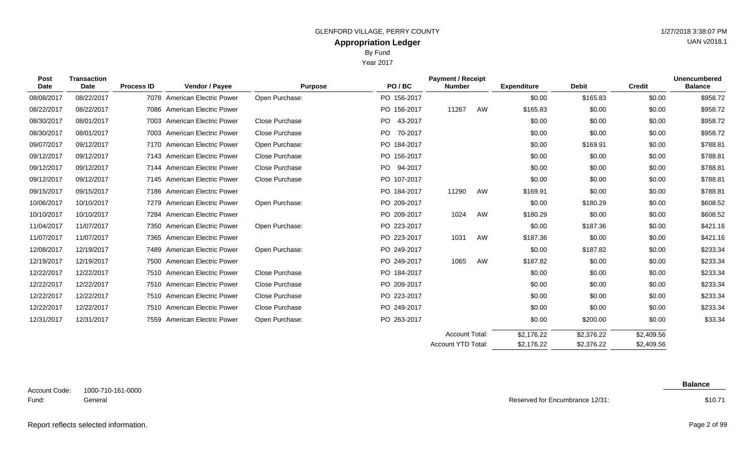| Post<br><b>Date</b> | <b>Transaction</b><br><b>Date</b> | <b>Process ID</b> | Vendor / Payee                 | <b>Purpose</b> | PO/BC          | <b>Payment / Receipt</b><br><b>Number</b> |    | <b>Expenditure</b> | <b>Debit</b> | <b>Credit</b> | <b>Unencumbered</b><br><b>Balance</b> |
|---------------------|-----------------------------------|-------------------|--------------------------------|----------------|----------------|-------------------------------------------|----|--------------------|--------------|---------------|---------------------------------------|
| 08/08/2017          | 08/22/2017                        |                   | 7078 American Electric Power   | Open Purchase: | PO 156-2017    |                                           |    | \$0.00             | \$165.83     | \$0.00        | \$958.72                              |
| 08/22/2017          | 08/22/2017                        |                   | 7086 American Electric Power   |                | PO 156-2017    | 11267                                     | AW | \$165.83           | \$0.00       | \$0.00        | \$958.72                              |
| 08/30/2017          | 08/01/2017                        |                   | 7003 American Electric Power   | Close Purchase | PO 43-2017     |                                           |    | \$0.00             | \$0.00       | \$0.00        | \$958.72                              |
| 08/30/2017          | 08/01/2017                        |                   | 7003 American Electric Power   | Close Purchase | PO.<br>70-2017 |                                           |    | \$0.00             | \$0.00       | \$0.00        | \$958.72                              |
| 09/07/2017          | 09/12/2017                        |                   | 7170 American Electric Power   | Open Purchase: | PO 184-2017    |                                           |    | \$0.00             | \$169.91     | \$0.00        | \$788.81                              |
| 09/12/2017          | 09/12/2017                        |                   | 7143 American Electric Power   | Close Purchase | PO 156-2017    |                                           |    | \$0.00             | \$0.00       | \$0.00        | \$788.81                              |
| 09/12/2017          | 09/12/2017                        |                   | 7144 American Electric Power   | Close Purchase | PO 94-2017     |                                           |    | \$0.00             | \$0.00       | \$0.00        | \$788.81                              |
| 09/12/2017          | 09/12/2017                        |                   | 7145 American Electric Power   | Close Purchase | PO 107-2017    |                                           |    | \$0.00             | \$0.00       | \$0.00        | \$788.81                              |
| 09/15/2017          | 09/15/2017                        |                   | 7186 American Electric Power   |                | PO 184-2017    | 11290                                     | AW | \$169.91           | \$0.00       | \$0.00        | \$788.81                              |
| 10/06/2017          | 10/10/2017                        |                   | 7279 American Electric Power   | Open Purchase: | PO 209-2017    |                                           |    | \$0.00             | \$180.29     | \$0.00        | \$608.52                              |
| 10/10/2017          | 10/10/2017                        | 7284              | <b>American Electric Power</b> |                | PO 209-2017    | 1024                                      | AW | \$180.29           | \$0.00       | \$0.00        | \$608.52                              |
| 11/04/2017          | 11/07/2017                        |                   | 7350 American Electric Power   | Open Purchase: | PO 223-2017    |                                           |    | \$0.00             | \$187.36     | \$0.00        | \$421.16                              |
| 11/07/2017          | 11/07/2017                        |                   | 7365 American Electric Power   |                | PO 223-2017    | 1031                                      | AW | \$187.36           | \$0.00       | \$0.00        | \$421.16                              |
| 12/08/2017          | 12/19/2017                        |                   | 7489 American Electric Power   | Open Purchase: | PO 249-2017    |                                           |    | \$0.00             | \$187.82     | \$0.00        | \$233.34                              |
| 12/19/2017          | 12/19/2017                        |                   | 7500 American Electric Power   |                | PO 249-2017    | 1065                                      | AW | \$187.82           | \$0.00       | \$0.00        | \$233.34                              |
| 12/22/2017          | 12/22/2017                        |                   | 7510 American Electric Power   | Close Purchase | PO 184-2017    |                                           |    | \$0.00             | \$0.00       | \$0.00        | \$233.34                              |
| 12/22/2017          | 12/22/2017                        |                   | 7510 American Electric Power   | Close Purchase | PO 209-2017    |                                           |    | \$0.00             | \$0.00       | \$0.00        | \$233.34                              |
| 12/22/2017          | 12/22/2017                        |                   | 7510 American Electric Power   | Close Purchase | PO 223-2017    |                                           |    | \$0.00             | \$0.00       | \$0.00        | \$233.34                              |
| 12/22/2017          | 12/22/2017                        |                   | 7510 American Electric Power   | Close Purchase | PO 249-2017    |                                           |    | \$0.00             | \$0.00       | \$0.00        | \$233.34                              |
| 12/31/2017          | 12/31/2017                        |                   | 7559 American Electric Power   | Open Purchase: | PO 263-2017    |                                           |    | \$0.00             | \$200.00     | \$0.00        | \$33.34                               |
|                     |                                   |                   |                                |                |                | Account Total:                            |    | \$2,176.22         | \$2,376.22   | \$2,409.56    |                                       |

1000-710-161-0000 General Account Code: Fund:

Reserved for Encumbrance 12/31:

\$2,176.22

Account YTD Total:

**Balance**

\$10.71

\$2,409.56

Report reflects selected information. Page 2 of 99

UAN v2018.1

# Year 2017

\$2,376.22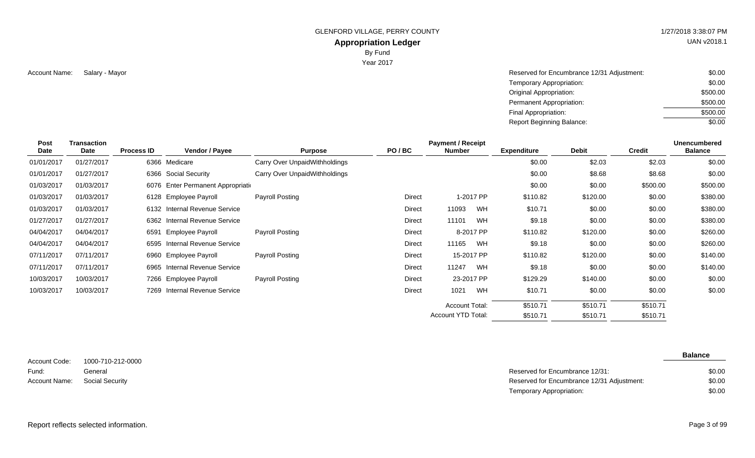GLENFORD VILLAGE, PERRY COUNTY **1/27/2018 3:38:07 PM** 

#### **Appropriation Ledger**

By Fund

Year 2017

Account Name: Salary - Mayor Name and South Account Name and South Account Name and South Account Name: Salary - Mayor South South Account Name: \$0.00 Temporary Appropriation: Original Appropriation: Permanent Appropriation: Final Appropriation: Report Beginning Balance: \$0.00 \$500.00 \$500.00 \$500.00 \$0.00

| <b>Post</b><br>Date | <b>Transaction</b><br>Date | <b>Process ID</b> | Vendor / Payee                     | <b>Purpose</b>                | PO/BC         | <b>Payment / Receipt</b><br><b>Number</b> |            | <b>Expenditure</b> | Debit    | <b>Credit</b> | Unencumbered<br><b>Balance</b> |
|---------------------|----------------------------|-------------------|------------------------------------|-------------------------------|---------------|-------------------------------------------|------------|--------------------|----------|---------------|--------------------------------|
| 01/01/2017          | 01/27/2017                 |                   | 6366 Medicare                      | Carry Over UnpaidWithholdings |               |                                           |            | \$0.00             | \$2.03   | \$2.03        | \$0.00                         |
| 01/01/2017          | 01/27/2017                 |                   | 6366 Social Security               | Carry Over UnpaidWithholdings |               |                                           |            | \$0.00             | \$8.68   | \$8.68        | \$0.00                         |
| 01/03/2017          | 01/03/2017                 |                   | 6076 Enter Permanent Appropriation |                               |               |                                           |            | \$0.00             | \$0.00   | \$500.00      | \$500.00                       |
| 01/03/2017          | 01/03/2017                 |                   | 6128 Employee Payroll              | Payroll Posting               | <b>Direct</b> |                                           | 1-2017 PP  | \$110.82           | \$120.00 | \$0.00        | \$380.00                       |
| 01/03/2017          | 01/03/2017                 |                   | 6132 Internal Revenue Service      |                               | <b>Direct</b> | 11093                                     | WH         | \$10.71            | \$0.00   | \$0.00        | \$380.00                       |
| 01/27/2017          | 01/27/2017                 |                   | 6362 Internal Revenue Service      |                               | Direct        | 11101                                     | <b>WH</b>  | \$9.18             | \$0.00   | \$0.00        | \$380.00                       |
| 04/04/2017          | 04/04/2017                 |                   | 6591 Employee Payroll              | <b>Payroll Posting</b>        | <b>Direct</b> |                                           | 8-2017 PP  | \$110.82           | \$120.00 | \$0.00        | \$260.00                       |
| 04/04/2017          | 04/04/2017                 |                   | 6595 Internal Revenue Service      |                               | Direct        | 11165                                     | WH.        | \$9.18             | \$0.00   | \$0.00        | \$260.00                       |
| 07/11/2017          | 07/11/2017                 |                   | 6960 Employee Payroll              | Payroll Posting               | <b>Direct</b> |                                           | 15-2017 PP | \$110.82           | \$120.00 | \$0.00        | \$140.00                       |
| 07/11/2017          | 07/11/2017                 |                   | 6965 Internal Revenue Service      |                               | <b>Direct</b> | 11247                                     | <b>WH</b>  | \$9.18             | \$0.00   | \$0.00        | \$140.00                       |
| 10/03/2017          | 10/03/2017                 |                   | 7266 Employee Payroll              | Payroll Posting               | Direct        |                                           | 23-2017 PP | \$129.29           | \$140.00 | \$0.00        | \$0.00                         |
| 10/03/2017          | 10/03/2017                 |                   | 7269 Internal Revenue Service      |                               | <b>Direct</b> | 1021                                      | <b>WH</b>  | \$10.71            | \$0.00   | \$0.00        | \$0.00                         |
|                     |                            |                   |                                    |                               |               | <b>Account Total:</b>                     |            | \$510.71           | \$510.71 | \$510.71      |                                |
|                     |                            |                   |                                    |                               |               | Account YTD Total:                        |            | \$510.71           | \$510.71 | \$510.71      |                                |

1000-710-212-0000 General Account Code: Fund: Account Name:

**Balance**

| General         | Reserved for Encumbrance 12/31:            | \$0.00 |
|-----------------|--------------------------------------------|--------|
| Social Security | Reserved for Encumbrance 12/31 Adjustment: | \$0.00 |
|                 | Temporary Appropriation:                   | \$0.00 |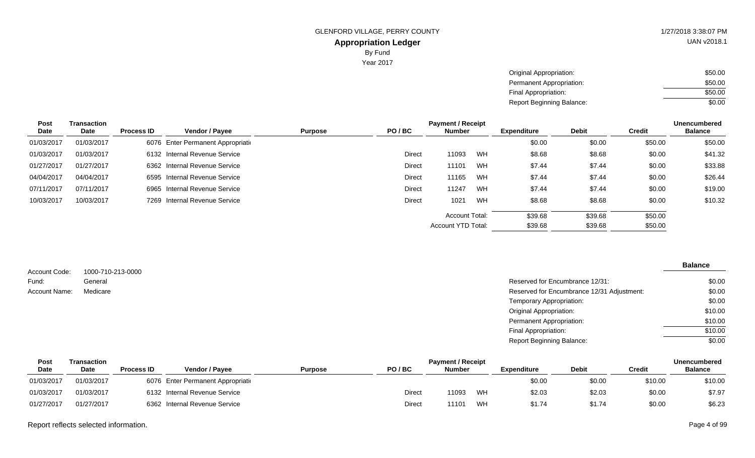| Original Appropriation:   | \$50.00 |
|---------------------------|---------|
| Permanent Appropriation:  | \$50.00 |
| Final Appropriation:      | \$50.00 |
| Report Beginning Balance: | \$0.00  |

| <b>Post</b> | Transaction |                   |                                    |                |         | <b>Payment / Receipt</b> |         |                    |              |               |                |  |
|-------------|-------------|-------------------|------------------------------------|----------------|---------|--------------------------|---------|--------------------|--------------|---------------|----------------|--|
| Date        | Date        | <b>Process ID</b> | Vendor / Payee                     | <b>Purpose</b> | PO/BC   | <b>Number</b>            |         | <b>Expenditure</b> | <b>Debit</b> | <b>Credit</b> | <b>Balance</b> |  |
| 01/03/2017  | 01/03/2017  |                   | 6076 Enter Permanent Appropriation |                |         |                          |         | \$0.00             | \$0.00       | \$50.00       | \$50.00        |  |
| 01/03/2017  | 01/03/2017  |                   | 6132 Internal Revenue Service      |                | Direct  | 11093                    | WH      | \$8.68             | \$8.68       | \$0.00        | \$41.32        |  |
| 01/27/2017  | 01/27/2017  |                   | 6362 Internal Revenue Service      |                | Direct  | 11101                    | WH      | \$7.44             | \$7.44       | \$0.00        | \$33.88        |  |
| 04/04/2017  | 04/04/2017  |                   | 6595 Internal Revenue Service      |                | Direct  | 11165                    | WH      | \$7.44             | \$7.44       | \$0.00        | \$26.44        |  |
| 07/11/2017  | 07/11/2017  |                   | 6965 Internal Revenue Service      |                | Direct  | 11247                    | WH      | \$7.44             | \$7.44       | \$0.00        | \$19.00        |  |
| 10/03/2017  | 10/03/2017  |                   | 7269 Internal Revenue Service      |                | Direct  | 1021                     | WH      | \$8.68             | \$8.68       | \$0.00        | \$10.32        |  |
|             |             |                   |                                    |                |         | <b>Account Total:</b>    |         | \$39.68            | \$39.68      | \$50.00       |                |  |
|             |             |                   | Account YTD Total:                 |                | \$39.68 | \$39.68                  | \$50.00 |                    |              |               |                |  |

| Account Code: | 1000-710-213-0000 |                                            | <b>Balance</b> |
|---------------|-------------------|--------------------------------------------|----------------|
|               |                   | Reserved for Encumbrance 12/31:            | \$0.00         |
| Fund:         | General           |                                            |                |
| Account Name: | Medicare          | Reserved for Encumbrance 12/31 Adjustment: | \$0.00         |
|               |                   | Temporary Appropriation:                   | \$0.00         |
|               |                   | <b>Original Appropriation:</b>             | \$10.00        |
|               |                   | Permanent Appropriation:                   | \$10.00        |
|               |                   | Final Appropriation:                       | \$10.00        |
|               |                   | <b>Report Beginning Balance:</b>           | \$0.00         |

| Post        | <b>Fransaction</b> |                   |                                    |                |               | <b>Unencumbered</b> |    |                    |              |         |                |
|-------------|--------------------|-------------------|------------------------------------|----------------|---------------|---------------------|----|--------------------|--------------|---------|----------------|
| <b>Date</b> | <b>Date</b>        | <b>Process ID</b> | Vendor / Pavee                     | <b>Purpose</b> | PO/BC         | <b>Number</b>       |    | <b>Expenditure</b> | <b>Debit</b> | Credit  | <b>Balance</b> |
| 01/03/2017  | 01/03/2017         |                   | 6076 Enter Permanent Appropriation |                |               |                     |    | \$0.00             | \$0.00       | \$10.00 | \$10.00        |
| 01/03/2017  | 01/03/2017         |                   | 6132 Internal Revenue Service      |                | Direct        | 11093               | WH | \$2.03             | \$2.03       | \$0.00  | \$7.97         |
| 01/27/2017  | 01/27/2017         |                   | 6362 Internal Revenue Service      |                | <b>Direct</b> | 11101               | WH | \$1.74             | \$1.74       | \$0.00  | \$6.23         |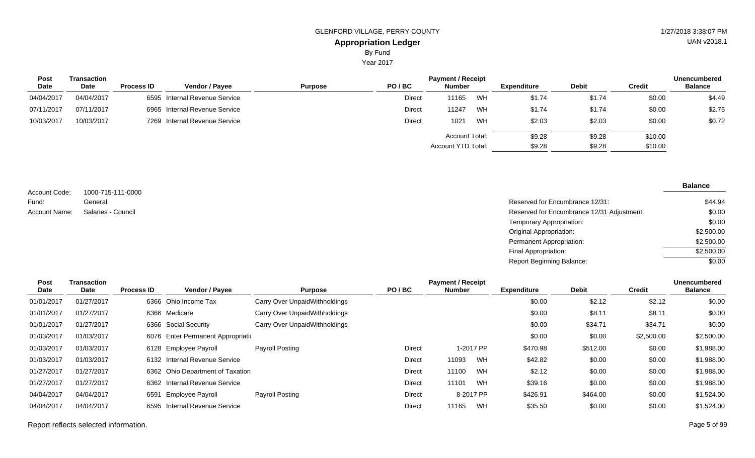Year 2017

| Post        | Transaction |                   |                               | <b>Payment / Receipt</b> |               |                    |    |                    |              |         |                |
|-------------|-------------|-------------------|-------------------------------|--------------------------|---------------|--------------------|----|--------------------|--------------|---------|----------------|
| <b>Date</b> | <b>Date</b> | <b>Process ID</b> | <b>Vendor / Pavee</b>         | <b>Purpose</b>           | PO/BC         | <b>Number</b>      |    | <b>Expenditure</b> | <b>Debit</b> | Credit  | <b>Balance</b> |
| 04/04/2017  | 04/04/2017  |                   | 6595 Internal Revenue Service |                          | Direct        | 11165              | WH | \$1.74             | \$1.74       | \$0.00  | \$4.49         |
| 07/11/2017  | 07/11/2017  |                   | 6965 Internal Revenue Service |                          | <b>Direct</b> | 11247              | WH | \$1.74             | \$1.74       | \$0.00  | \$2.75         |
| 10/03/2017  | 10/03/2017  |                   | 7269 Internal Revenue Service |                          | <b>Direct</b> | 1021               | WH | \$2.03             | \$2.03       | \$0.00  | \$0.72         |
|             |             |                   |                               |                          |               | Account Total:     |    | \$9.28             | \$9.28       | \$10.00 |                |
|             |             |                   |                               |                          |               | Account YTD Total: |    | \$9.28             | \$9.28       | \$10.00 |                |

|                      |                    |                                            | <b>Balance</b> |
|----------------------|--------------------|--------------------------------------------|----------------|
| Account Code:        | 1000-715-111-0000  |                                            |                |
| Fund:                | General            | Reserved for Encumbrance 12/31:            | \$44.94        |
| <b>Account Name:</b> | Salaries - Council | Reserved for Encumbrance 12/31 Adjustment: | \$0.00         |
|                      |                    | Temporary Appropriation:                   | \$0.00         |
|                      |                    | <b>Original Appropriation:</b>             | \$2,500.00     |
|                      |                    | <b>Permanent Appropriation:</b>            | \$2,500.00     |

Final Appropriation: Report Beginning Balance:

| <b>Post</b> | Transaction |                   |                                    |                               |               | <b>Payment / Receipt</b> |           |                    |              |               | <b>Unencumbered</b> |
|-------------|-------------|-------------------|------------------------------------|-------------------------------|---------------|--------------------------|-----------|--------------------|--------------|---------------|---------------------|
| Date        | Date        | <b>Process ID</b> | <b>Vendor / Payee</b>              | <b>Purpose</b>                | PO/BC         | Number                   |           | <b>Expenditure</b> | <b>Debit</b> | <b>Credit</b> | <b>Balance</b>      |
| 01/01/2017  | 01/27/2017  |                   | 6366 Ohio Income Tax               | Carry Over UnpaidWithholdings |               |                          |           | \$0.00             | \$2.12       | \$2.12        | \$0.00              |
| 01/01/2017  | 01/27/2017  |                   | 6366 Medicare                      | Carry Over UnpaidWithholdings |               |                          |           | \$0.00             | \$8.11       | \$8.11        | \$0.00              |
| 01/01/2017  | 01/27/2017  |                   | 6366 Social Security               | Carry Over UnpaidWithholdings |               |                          |           | \$0.00             | \$34.71      | \$34.71       | \$0.00              |
| 01/03/2017  | 01/03/2017  |                   | 6076 Enter Permanent Appropriation |                               |               |                          |           | \$0.00             | \$0.00       | \$2,500.00    | \$2,500.00          |
| 01/03/2017  | 01/03/2017  |                   | 6128 Employee Payroll              | Payroll Posting               | Direct        |                          | 1-2017 PP | \$470.98           | \$512.00     | \$0.00        | \$1,988.00          |
| 01/03/2017  | 01/03/2017  |                   | 6132 Internal Revenue Service      |                               | Direct        | 11093                    | WH        | \$42.82            | \$0.00       | \$0.00        | \$1,988.00          |
| 01/27/2017  | 01/27/2017  |                   | 6362 Ohio Department of Taxation   |                               | Direct        | 11100                    | WH        | \$2.12             | \$0.00       | \$0.00        | \$1,988.00          |
| 01/27/2017  | 01/27/2017  |                   | 6362 Internal Revenue Service      |                               | Direct        | 11101                    | WH        | \$39.16            | \$0.00       | \$0.00        | \$1,988.00          |
| 04/04/2017  | 04/04/2017  | 6591              | Employee Payroll                   | Payroll Posting               | Direct        |                          | 8-2017 PP | \$426.91           | \$464.00     | \$0.00        | \$1,524.00          |
| 04/04/2017  | 04/04/2017  |                   | 6595 Internal Revenue Service      |                               | <b>Direct</b> | 11165                    | WH        | \$35.50            | \$0.00       | \$0.00        | \$1,524.00          |

\$2,500.00 \$2,500.00  $\frac{1}{0.00}$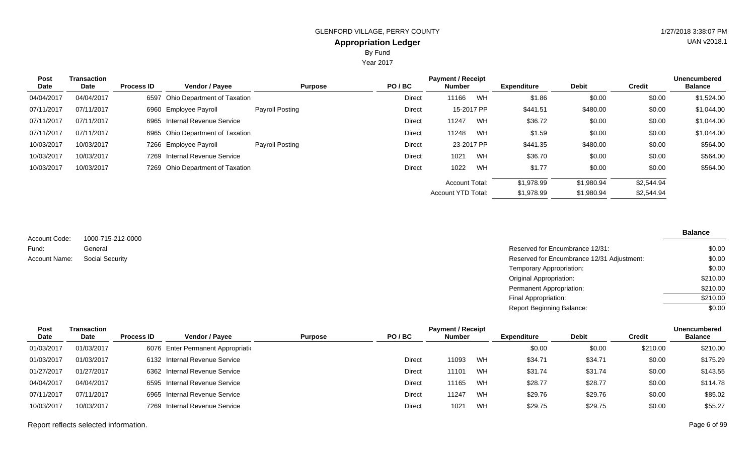Year 2017

| Post<br>Date | Transaction<br>Date | <b>Process ID</b> | Vendor / Payee                   | <b>Purpose</b>  | PO/BC         | <b>Payment / Receipt</b><br><b>Number</b> |    | <b>Expenditure</b> | <b>Debit</b> | <b>Credit</b> | Unencumbered<br><b>Balance</b> |
|--------------|---------------------|-------------------|----------------------------------|-----------------|---------------|-------------------------------------------|----|--------------------|--------------|---------------|--------------------------------|
| 04/04/2017   | 04/04/2017          |                   | 6597 Ohio Department of Taxation |                 | <b>Direct</b> | 11166                                     | WH | \$1.86             | \$0.00       | \$0.00        | \$1,524.00                     |
| 07/11/2017   | 07/11/2017          |                   | 6960 Employee Payroll            | Payroll Posting | Direct        | 15-2017 PP                                |    | \$441.51           | \$480.00     | \$0.00        | \$1,044.00                     |
| 07/11/2017   | 07/11/2017          |                   | 6965 Internal Revenue Service    |                 | Direct        | 11247                                     | WH | \$36.72            | \$0.00       | \$0.00        | \$1,044.00                     |
| 07/11/2017   | 07/11/2017          |                   | 6965 Ohio Department of Taxation |                 | Direct        | 11248                                     | WH | \$1.59             | \$0.00       | \$0.00        | \$1,044.00                     |
| 10/03/2017   | 10/03/2017          |                   | 7266 Employee Payroll            | Payroll Posting | Direct        | 23-2017 PP                                |    | \$441.35           | \$480.00     | \$0.00        | \$564.00                       |
| 10/03/2017   | 10/03/2017          |                   | 7269 Internal Revenue Service    |                 | Direct        | 1021                                      | WH | \$36.70            | \$0.00       | \$0.00        | \$564.00                       |
| 10/03/2017   | 10/03/2017          |                   | 7269 Ohio Department of Taxation |                 | <b>Direct</b> | 1022                                      | WH | \$1.77             | \$0.00       | \$0.00        | \$564.00                       |
|              |                     |                   |                                  |                 |               | <b>Account Total:</b>                     |    | \$1,978.99         | \$1,980.94   | \$2,544.94    |                                |
|              |                     |                   |                                  |                 |               | <b>Account YTD Total:</b>                 |    | \$1,978.99         | \$1,980.94   | \$2,544.94    |                                |

1000-715-212-0000 General Account Code: Fund: Account Name:

| General                | Reserved for Encumbrance 12/31:            | \$0.00   |
|------------------------|--------------------------------------------|----------|
| <b>Social Security</b> | Reserved for Encumbrance 12/31 Adjustment: | \$0.00   |
|                        | Temporary Appropriation:                   | \$0.00   |
|                        | <b>Original Appropriation:</b>             | \$210.00 |
|                        | Permanent Appropriation:                   | \$210.00 |
|                        | Final Appropriation:                       | \$210.00 |
|                        | <b>Report Beginning Balance:</b>           | \$0.00   |

| Post       | Transaction |                   |                                    |                |        | <b>Payment / Receipt</b> |    |                    |              |               | <b>Unencumbered</b> |
|------------|-------------|-------------------|------------------------------------|----------------|--------|--------------------------|----|--------------------|--------------|---------------|---------------------|
| Date       | Date        | <b>Process ID</b> | <b>Vendor / Pavee</b>              | <b>Purpose</b> | PO/BC  | <b>Number</b>            |    | <b>Expenditure</b> | <b>Debit</b> | <b>Credit</b> | <b>Balance</b>      |
| 01/03/2017 | 01/03/2017  |                   | 6076 Enter Permanent Appropriation |                |        |                          |    | \$0.00             | \$0.00       | \$210.00      | \$210.00            |
| 01/03/2017 | 01/03/2017  |                   | 6132 Internal Revenue Service      |                | Direct | 11093                    | WH | \$34.71            | \$34.71      | \$0.00        | \$175.29            |
| 01/27/2017 | 01/27/2017  |                   | 6362 Internal Revenue Service      |                | Direct | 11101                    | WH | \$31.74            | \$31.74      | \$0.00        | \$143.55            |
| 04/04/2017 | 04/04/2017  |                   | 6595 Internal Revenue Service      |                | Direct | 11165                    | WH | \$28.77            | \$28.77      | \$0.00        | \$114.78            |
| 07/11/2017 | 07/11/2017  |                   | 6965 Internal Revenue Service      |                | Direct | 11247                    | WH | \$29.76            | \$29.76      | \$0.00        | \$85.02             |
| 10/03/2017 | 10/03/2017  |                   | 7269 Internal Revenue Service      |                | Direct | 1021                     | WH | \$29.75            | \$29.75      | \$0.00        | \$55.27             |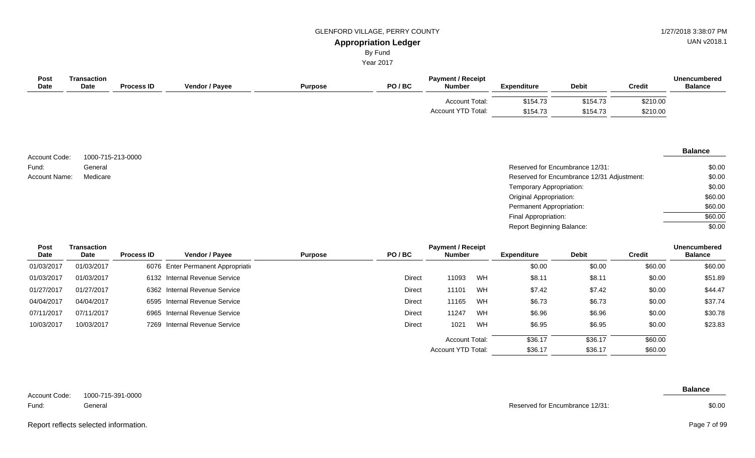# GLENFORD VILLAGE, PERRY COUNTY **1/27/2018 3:38:07 PM**

UAN v2018.1

#### **Appropriation Ledger** By Fund

Year 2017

| Post<br>Transaction<br><b>Date</b><br><b>Date</b> | <b>Process ID</b> | <b>Vendor / Payee</b> | <b>Purpose</b> | PO/BC | <b>Payment / Receipt</b><br><b>Number</b>   | <b>Expenditure</b>   | <b>Debit</b>         | <b>Credit</b>        | <b>Unencumbered</b><br><b>Balance</b> |
|---------------------------------------------------|-------------------|-----------------------|----------------|-------|---------------------------------------------|----------------------|----------------------|----------------------|---------------------------------------|
|                                                   |                   |                       |                |       | <b>Account Total:</b><br>Account YTD Total: | \$154.73<br>\$154.73 | \$154.73<br>\$154.73 | \$210.00<br>\$210.00 |                                       |

| Account Code: | 1000-715-213-0000 |
|---------------|-------------------|
| Fund:         | General           |
| Account Name: | Medicare          |

#### **Balance**

| General  | Reserved for Encumbrance 12/31:            | \$0.00  |
|----------|--------------------------------------------|---------|
| Medicare | Reserved for Encumbrance 12/31 Adjustment: | \$0.00  |
|          | Temporary Appropriation:                   | \$0.00  |
|          | <b>Original Appropriation:</b>             | \$60.00 |
|          | Permanent Appropriation:                   | \$60.00 |
|          | Final Appropriation:                       | \$60.00 |
|          | <b>Report Beginning Balance:</b>           | \$0.00  |

| <b>Post</b> | <b>Transaction</b> |                   |                                    |                |               | <b>Payment / Receipt</b> |    |                    |              |               | <b>Unencumbered</b> |
|-------------|--------------------|-------------------|------------------------------------|----------------|---------------|--------------------------|----|--------------------|--------------|---------------|---------------------|
| Date        | Date               | <b>Process ID</b> | Vendor / Payee                     | <b>Purpose</b> | PO/BC         | <b>Number</b>            |    | <b>Expenditure</b> | <b>Debit</b> | <b>Credit</b> | <b>Balance</b>      |
| 01/03/2017  | 01/03/2017         |                   | 6076 Enter Permanent Appropriation |                |               |                          |    | \$0.00             | \$0.00       | \$60.00       | \$60.00             |
| 01/03/2017  | 01/03/2017         |                   | 6132 Internal Revenue Service      |                | <b>Direct</b> | 11093                    | WH | \$8.11             | \$8.11       | \$0.00        | \$51.89             |
| 01/27/2017  | 01/27/2017         |                   | 6362 Internal Revenue Service      |                | Direct        | 11101                    | WH | \$7.42             | \$7.42       | \$0.00        | \$44.47             |
| 04/04/2017  | 04/04/2017         |                   | 6595 Internal Revenue Service      |                | Direct        | 11165                    | WH | \$6.73             | \$6.73       | \$0.00        | \$37.74             |
| 07/11/2017  | 07/11/2017         |                   | 6965 Internal Revenue Service      |                | <b>Direct</b> | 11247                    | WH | \$6.96             | \$6.96       | \$0.00        | \$30.78             |
| 10/03/2017  | 10/03/2017         |                   | 7269 Internal Revenue Service      |                | Direct        | 1021                     | WH | \$6.95             | \$6.95       | \$0.00        | \$23.83             |
|             |                    |                   |                                    |                |               | <b>Account Total:</b>    |    | \$36.17            | \$36.17      | \$60.00       |                     |
|             |                    |                   |                                    |                |               | Account YTD Total:       |    | \$36.17            | \$36.17      | \$60.00       |                     |

| Account Code: | 1000-715-391-0000 |
|---------------|-------------------|
| Fund:         | General           |

**Balance**

Reserved for Encumbrance 12/31:

Report reflects selected information. Page 7 of 99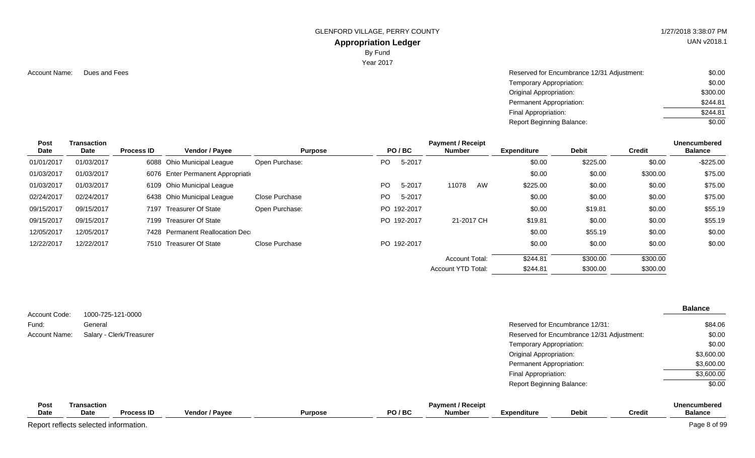GLENFORD VILLAGE, PERRY COUNTY **1/27/2018 3:38:07 PM** 

#### **Appropriation Ledger**

By Fund

Year 2017

Account Name: Dues and Fees **Reserved for Encumbrance 12/31 Adjustment:** \$0.00 Temporary Appropriation: Original Appropriation: Permanent Appropriation: Final Appropriation: Report Beginning Balance: \$0.00 \$300.00 \$244.81 \$244.81 \$0.00

| <b>Post</b><br><b>Date</b> | Transaction<br>Date | <b>Process ID</b> | <b>Vendor / Payee</b>              | <b>Purpose</b> |     | PO/BC       | <b>Payment / Receipt</b><br><b>Number</b> | <b>Expenditure</b> | <b>Debit</b> | <b>Credit</b> | <b>Unencumbered</b><br><b>Balance</b> |
|----------------------------|---------------------|-------------------|------------------------------------|----------------|-----|-------------|-------------------------------------------|--------------------|--------------|---------------|---------------------------------------|
| 01/01/2017                 | 01/03/2017          |                   | 6088 Ohio Municipal League         | Open Purchase: | PO  | 5-2017      |                                           | \$0.00             | \$225.00     | \$0.00        | $-$225.00$                            |
| 01/03/2017                 | 01/03/2017          |                   | 6076 Enter Permanent Appropriation |                |     |             |                                           | \$0.00             | \$0.00       | \$300.00      | \$75.00                               |
| 01/03/2017                 | 01/03/2017          |                   | 6109 Ohio Municipal League         |                | PO  | 5-2017      | 11078<br>AW                               | \$225.00           | \$0.00       | \$0.00        | \$75.00                               |
| 02/24/2017                 | 02/24/2017          |                   | 6438 Ohio Municipal League         | Close Purchase | PO. | 5-2017      |                                           | \$0.00             | \$0.00       | \$0.00        | \$75.00                               |
| 09/15/2017                 | 09/15/2017          |                   | 7197 Treasurer Of State            | Open Purchase: |     | PO 192-2017 |                                           | \$0.00             | \$19.81      | \$0.00        | \$55.19                               |
| 09/15/2017                 | 09/15/2017          |                   | 7199 Treasurer Of State            |                |     | PO 192-2017 | 21-2017 CH                                | \$19.81            | \$0.00       | \$0.00        | \$55.19                               |
| 12/05/2017                 | 12/05/2017          |                   | 7428 Permanent Reallocation Dec    |                |     |             |                                           | \$0.00             | \$55.19      | \$0.00        | \$0.00                                |
| 12/22/2017                 | 12/22/2017          |                   | 7510 Treasurer Of State            | Close Purchase |     | PO 192-2017 |                                           | \$0.00             | \$0.00       | \$0.00        | \$0.00                                |
|                            |                     |                   |                                    |                |     |             | <b>Account Total:</b>                     | \$244.81           | \$300.00     | \$300.00      |                                       |
|                            |                     |                   |                                    |                |     |             | Account YTD Total:                        | \$244.81           | \$300.00     | \$300.00      |                                       |

| Account Code:              | 1000-725-121-0000          |                          |                |                |       |                                           |                                  |                                            |               | <b>Balance</b>                        |
|----------------------------|----------------------------|--------------------------|----------------|----------------|-------|-------------------------------------------|----------------------------------|--------------------------------------------|---------------|---------------------------------------|
| Fund:                      | General                    |                          |                |                |       |                                           |                                  | Reserved for Encumbrance 12/31:            |               | \$84.06                               |
| <b>Account Name:</b>       |                            | Salary - Clerk/Treasurer |                |                |       |                                           |                                  | Reserved for Encumbrance 12/31 Adjustment: |               | \$0.00                                |
|                            |                            |                          |                |                |       |                                           | Temporary Appropriation:         |                                            |               | \$0.00                                |
|                            |                            |                          |                |                |       |                                           | Original Appropriation:          |                                            |               | \$3,600.00                            |
|                            |                            |                          |                |                |       |                                           | Permanent Appropriation:         |                                            |               | \$3,600.00                            |
|                            |                            |                          |                |                |       |                                           | Final Appropriation:             |                                            |               | \$3,600.00                            |
|                            |                            |                          |                |                |       |                                           | <b>Report Beginning Balance:</b> |                                            |               | \$0.00                                |
| <b>Post</b><br><b>Date</b> | <b>Transaction</b><br>Date | <b>Process ID</b>        | Vendor / Payee | <b>Purpose</b> | PO/BC | <b>Payment / Receipt</b><br><b>Number</b> | <b>Expenditure</b>               | <b>Debit</b>                               | <b>Credit</b> | <b>Unencumbered</b><br><b>Balance</b> |

Report reflects selected information. Page 8 of 99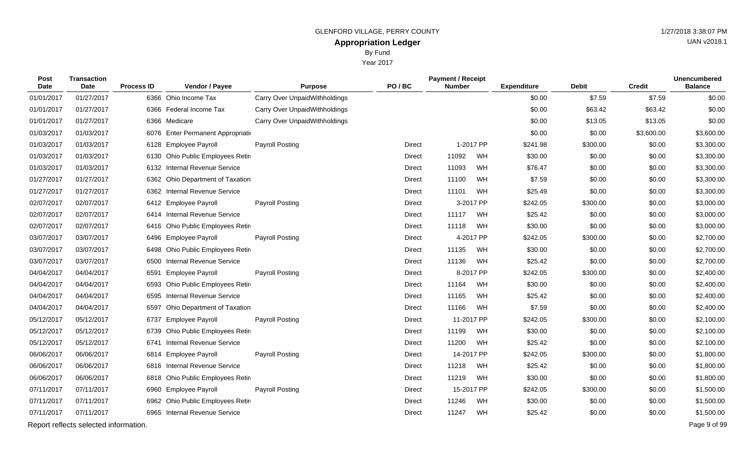|                |                     |                   |                                    |                               | By Fund<br>Year 2017 |                                              |                    |                |               |                                       |
|----------------|---------------------|-------------------|------------------------------------|-------------------------------|----------------------|----------------------------------------------|--------------------|----------------|---------------|---------------------------------------|
| Post<br>Date   | Transaction<br>Date | <b>Process ID</b> | Vendor / Payee                     | <b>Purpose</b>                | PO/BC                | <b>Payment / Receipt</b><br><b>Number</b>    | <b>Expenditure</b> | <b>Debit</b>   | <b>Credit</b> | <b>Unencumbered</b><br><b>Balance</b> |
| 01/01/2017     | 01/27/2017          |                   | 6366 Ohio Income Tax               | Carry Over UnpaidWithholdings |                      |                                              | \$0.00             | \$7.59         | \$7.59        | \$0.00                                |
| 01/01/2017     | 01/27/2017          |                   | 6366 Federal Income Tax            | Carry Over UnpaidWithholdings |                      |                                              | \$0.00             | \$63.42        | \$63.42       | \$0.00                                |
| 01/01/2017     | 01/27/2017          |                   | 6366 Medicare                      | Carry Over UnpaidWithholdings |                      |                                              | \$0.00             | \$13.05        | \$13.05       | \$0.00                                |
| 01/03/2017     | 01/03/2017          |                   | 6076 Enter Permanent Appropriation |                               |                      |                                              | \$0.00             | \$0.00         | \$3,600.00    | \$3,600.00                            |
| 01/03/2017     | 01/03/2017          |                   | 6128 Employee Payroll              | Payroll Posting               | Direct               | 1-2017 PP                                    | \$241.98           | \$300.00       | \$0.00        | \$3,300.00                            |
| $0.4$ $0.2021$ | $0.4$ inninn $47$   |                   | C400 Okin Duklin Frankrissen Dette |                               | $D = -1$             | $\mathbf{M}$<br>$\lambda$ $\lambda$ $\Omega$ | 0.000              | 0 <sub>0</sub> | 0000          | 0.0000                                |

| 01/01/2017 | 01/27/2017                            | 6366 Medicare                           | Carry Over UnpaidWithholdings |               |            |            | \$0.00   | \$13.05  | \$13.05    | \$0.00       |
|------------|---------------------------------------|-----------------------------------------|-------------------------------|---------------|------------|------------|----------|----------|------------|--------------|
| 01/03/2017 | 01/03/2017                            | Enter Permanent Appropriation<br>6076   |                               |               |            |            | \$0.00   | \$0.00   | \$3,600.00 | \$3,600.00   |
| 01/03/2017 | 01/03/2017                            | <b>Employee Payroll</b><br>6128         | Payroll Posting               | <b>Direct</b> |            | 1-2017 PP  | \$241.98 | \$300.00 | \$0.00     | \$3,300.00   |
| 01/03/2017 | 01/03/2017                            | Ohio Public Employees Retir<br>6130     |                               | <b>Direct</b> | 11092      | WH         | \$30.00  | \$0.00   | \$0.00     | \$3,300.00   |
| 01/03/2017 | 01/03/2017                            | <b>Internal Revenue Service</b><br>6132 |                               | <b>Direct</b> | 11093      | WH         | \$76.47  | \$0.00   | \$0.00     | \$3,300.00   |
| 01/27/2017 | 01/27/2017                            | 6362 Ohio Department of Taxation        |                               | <b>Direct</b> | 11100      | WH         | \$7.59   | \$0.00   | \$0.00     | \$3,300.00   |
| 01/27/2017 | 01/27/2017                            | <b>Internal Revenue Service</b><br>6362 |                               | <b>Direct</b> | 11101      | WH         | \$25.49  | \$0.00   | \$0.00     | \$3,300.00   |
| 02/07/2017 | 02/07/2017                            | 6412 Employee Payroll                   | Payroll Posting               | <b>Direct</b> |            | 3-2017 PP  | \$242.05 | \$300.00 | \$0.00     | \$3,000.00   |
| 02/07/2017 | 02/07/2017                            | <b>Internal Revenue Service</b><br>6414 |                               | <b>Direct</b> | 11117      | WH         | \$25.42  | \$0.00   | \$0.00     | \$3,000.00   |
| 02/07/2017 | 02/07/2017                            | Ohio Public Employees Retir<br>6416     |                               | <b>Direct</b> | 11118      | WH         | \$30.00  | \$0.00   | \$0.00     | \$3,000.00   |
| 03/07/2017 | 03/07/2017                            | 6496 Employee Payroll                   | Payroll Posting               | <b>Direct</b> |            | 4-2017 PP  | \$242.05 | \$300.00 | \$0.00     | \$2,700.00   |
| 03/07/2017 | 03/07/2017                            | Ohio Public Employees Retir<br>6498     |                               | <b>Direct</b> | 11135      | WH         | \$30.00  | \$0.00   | \$0.00     | \$2,700.00   |
| 03/07/2017 | 03/07/2017                            | <b>Internal Revenue Service</b><br>6500 |                               | Direct        | 11136      | WH         | \$25.42  | \$0.00   | \$0.00     | \$2,700.00   |
| 04/04/2017 | 04/04/2017                            | <b>Employee Payroll</b><br>6591         | Payroll Posting               | <b>Direct</b> |            | 8-2017 PP  | \$242.05 | \$300.00 | \$0.00     | \$2,400.00   |
| 04/04/2017 | 04/04/2017                            | Ohio Public Employees Retir<br>6593     |                               | <b>Direct</b> | 11164      | WH         | \$30.00  | \$0.00   | \$0.00     | \$2,400.00   |
| 04/04/2017 | 04/04/2017                            | <b>Internal Revenue Service</b><br>6595 |                               | <b>Direct</b> | 11165      | WH         | \$25.42  | \$0.00   | \$0.00     | \$2,400.00   |
| 04/04/2017 | 04/04/2017                            | Ohio Department of Taxation<br>6597     |                               | <b>Direct</b> | 11166      | WH         | \$7.59   | \$0.00   | \$0.00     | \$2,400.00   |
| 05/12/2017 | 05/12/2017                            | <b>Employee Payroll</b><br>6737         | <b>Payroll Posting</b>        | <b>Direct</b> | 11-2017 PP |            | \$242.05 | \$300.00 | \$0.00     | \$2,100.00   |
| 05/12/2017 | 05/12/2017                            | Ohio Public Employees Retir<br>6739     |                               | <b>Direct</b> | 11199      | WH         | \$30.00  | \$0.00   | \$0.00     | \$2,100.00   |
| 05/12/2017 | 05/12/2017                            | <b>Internal Revenue Service</b><br>6741 |                               | <b>Direct</b> | 11200      | WH         | \$25.42  | \$0.00   | \$0.00     | \$2,100.00   |
| 06/06/2017 | 06/06/2017                            | 6814 Employee Payroll                   | <b>Payroll Posting</b>        | Direct        |            | 14-2017 PP | \$242.05 | \$300.00 | \$0.00     | \$1,800.00   |
| 06/06/2017 | 06/06/2017                            | <b>Internal Revenue Service</b><br>6816 |                               | <b>Direct</b> | 11218      | WH         | \$25.42  | \$0.00   | \$0.00     | \$1,800.00   |
| 06/06/2017 | 06/06/2017                            | Ohio Public Employees Retire<br>6818    |                               | <b>Direct</b> | 11219      | WH         | \$30.00  | \$0.00   | \$0.00     | \$1,800.00   |
| 07/11/2017 | 07/11/2017                            | <b>Employee Payroll</b><br>6960         | <b>Payroll Posting</b>        | <b>Direct</b> | 15-2017 PP |            | \$242.05 | \$300.00 | \$0.00     | \$1,500.00   |
| 07/11/2017 | 07/11/2017                            | 6962 Ohio Public Employees Retire       |                               | <b>Direct</b> | 11246      | WH         | \$30.00  | \$0.00   | \$0.00     | \$1,500.00   |
| 07/11/2017 | 07/11/2017                            | 6965 Internal Revenue Service           |                               | <b>Direct</b> | 11247      | WH         | \$25.42  | \$0.00   | \$0.00     | \$1,500.00   |
|            | Report reflects selected information. |                                         |                               |               |            |            |          |          |            | Page 9 of 99 |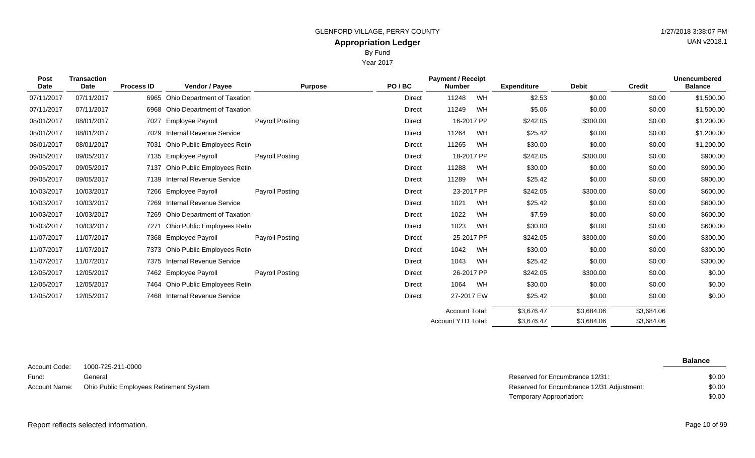Year 2017

| Post<br><b>Date</b> | <b>Transaction</b><br>Date | <b>Process ID</b> | Vendor / Payee                   | <b>Purpose</b>         | PO/BC         | <b>Payment / Receipt</b><br><b>Number</b> |            | <b>Expenditure</b> | <b>Debit</b> | <b>Credit</b> | <b>Unencumbered</b><br><b>Balance</b> |
|---------------------|----------------------------|-------------------|----------------------------------|------------------------|---------------|-------------------------------------------|------------|--------------------|--------------|---------------|---------------------------------------|
| 07/11/2017          | 07/11/2017                 | 6965              | Ohio Department of Taxation      |                        | Direct        | 11248                                     | WH         | \$2.53             | \$0.00       | \$0.00        | \$1,500.00                            |
| 07/11/2017          | 07/11/2017                 |                   | 6968 Ohio Department of Taxation |                        | Direct        | 11249                                     | WH         | \$5.06             | \$0.00       | \$0.00        | \$1,500.00                            |
| 08/01/2017          | 08/01/2017                 | 7027              | <b>Employee Payroll</b>          | <b>Payroll Posting</b> | Direct        |                                           | 16-2017 PP | \$242.05           | \$300.00     | \$0.00        | \$1,200.00                            |
| 08/01/2017          | 08/01/2017                 | 7029              | Internal Revenue Service         |                        | Direct        | 11264                                     | WH         | \$25.42            | \$0.00       | \$0.00        | \$1,200.00                            |
| 08/01/2017          | 08/01/2017                 | 7031              | Ohio Public Employees Retir      |                        | Direct        | 11265                                     | WH         | \$30.00            | \$0.00       | \$0.00        | \$1,200.00                            |
| 09/05/2017          | 09/05/2017                 |                   | 7135 Employee Payroll            | <b>Payroll Posting</b> | Direct        |                                           | 18-2017 PP | \$242.05           | \$300.00     | \$0.00        | \$900.00                              |
| 09/05/2017          | 09/05/2017                 | 7137              | Ohio Public Employees Retir      |                        | Direct        | 11288                                     | WH         | \$30.00            | \$0.00       | \$0.00        | \$900.00                              |
| 09/05/2017          | 09/05/2017                 | 7139              | Internal Revenue Service         |                        | Direct        | 11289                                     | WH         | \$25.42            | \$0.00       | \$0.00        | \$900.00                              |
| 10/03/2017          | 10/03/2017                 |                   | 7266 Employee Payroll            | <b>Payroll Posting</b> | Direct        |                                           | 23-2017 PP | \$242.05           | \$300.00     | \$0.00        | \$600.00                              |
| 10/03/2017          | 10/03/2017                 |                   | 7269 Internal Revenue Service    |                        | <b>Direct</b> | 1021                                      | WH         | \$25.42            | \$0.00       | \$0.00        | \$600.00                              |
| 10/03/2017          | 10/03/2017                 |                   | 7269 Ohio Department of Taxation |                        | Direct        | 1022                                      | WH         | \$7.59             | \$0.00       | \$0.00        | \$600.00                              |
| 10/03/2017          | 10/03/2017                 | 7271              | Ohio Public Employees Retir      |                        | Direct        | 1023                                      | WH         | \$30.00            | \$0.00       | \$0.00        | \$600.00                              |
| 11/07/2017          | 11/07/2017                 |                   | 7368 Employee Payroll            | Payroll Posting        | Direct        |                                           | 25-2017 PP | \$242.05           | \$300.00     | \$0.00        | \$300.00                              |
| 11/07/2017          | 11/07/2017                 |                   | 7373 Ohio Public Employees Retir |                        | Direct        | 1042                                      | WH         | \$30.00            | \$0.00       | \$0.00        | \$300.00                              |
| 11/07/2017          | 11/07/2017                 |                   | 7375 Internal Revenue Service    |                        | Direct        | 1043                                      | WH         | \$25.42            | \$0.00       | \$0.00        | \$300.00                              |
| 12/05/2017          | 12/05/2017                 |                   | 7462 Employee Payroll            | Payroll Posting        | Direct        |                                           | 26-2017 PP | \$242.05           | \$300.00     | \$0.00        | \$0.00                                |
| 12/05/2017          | 12/05/2017                 |                   | 7464 Ohio Public Employees Retir |                        | Direct        | 1064                                      | WH         | \$30.00            | \$0.00       | \$0.00        | \$0.00                                |

12/05/2017 12/05/2017 7468 Internal Revenue Service **Direct** Direct 27-2017 EW \$25.42 \$0.00 \$0.00 \$0.00 \$0.00

1000-725-211-0000 General Ohio Public Employees Retirement System Account Code: Fund: Account Name:

**Balance**

| Reserved for Encumbrance 12/31:            | \$0.00 |
|--------------------------------------------|--------|
| Reserved for Encumbrance 12/31 Adjustment: | \$0.00 |
| Temporary Appropriation:                   | \$0.00 |

\$3,684.06 \$3,684.06 \$3,684.06 \$3,684.06

\$3,676.47 \$3,676.47

Account Total: Account YTD Total:

Report reflects selected information. Page 10 of 99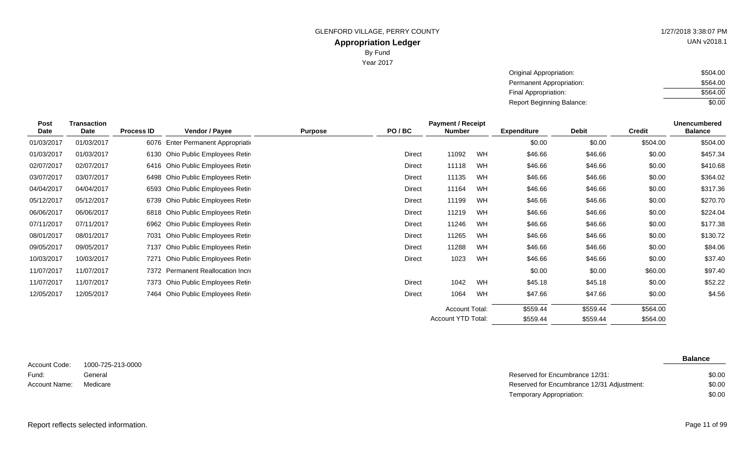Year 2017

| UAN v2018.1 |
|-------------|
|             |

| Original Appropriation:          | \$504.00 |
|----------------------------------|----------|
| Permanent Appropriation:         | \$564.00 |
| Final Appropriation:             | \$564.00 |
| <b>Report Beginning Balance:</b> | \$0.00   |

| <b>Post</b> | <b>Transaction</b> |                   |                                   | <b>Payment / Receipt</b> |               |                    |    |                    | <b>Unencumbered</b> |               |                |
|-------------|--------------------|-------------------|-----------------------------------|--------------------------|---------------|--------------------|----|--------------------|---------------------|---------------|----------------|
| <b>Date</b> | Date               | <b>Process ID</b> | Vendor / Payee                    | <b>Purpose</b>           | PO/BC         | Number             |    | <b>Expenditure</b> | <b>Debit</b>        | <b>Credit</b> | <b>Balance</b> |
| 01/03/2017  | 01/03/2017         | 6076              | Enter Permanent Appropriation     |                          |               |                    |    | \$0.00             | \$0.00              | \$504.00      | \$504.00       |
| 01/03/2017  | 01/03/2017         | 6130              | Ohio Public Employees Retir       |                          | <b>Direct</b> | 11092              | WH | \$46.66            | \$46.66             | \$0.00        | \$457.34       |
| 02/07/2017  | 02/07/2017         |                   | 6416 Ohio Public Employees Retire |                          | <b>Direct</b> | 11118              | WH | \$46.66            | \$46.66             | \$0.00        | \$410.68       |
| 03/07/2017  | 03/07/2017         |                   | 6498 Ohio Public Employees Retire |                          | <b>Direct</b> | 11135              | WH | \$46.66            | \$46.66             | \$0.00        | \$364.02       |
| 04/04/2017  | 04/04/2017         |                   | 6593 Ohio Public Employees Retir  |                          | <b>Direct</b> | 11164              | WH | \$46.66            | \$46.66             | \$0.00        | \$317.36       |
| 05/12/2017  | 05/12/2017         |                   | 6739 Ohio Public Employees Retir  |                          | <b>Direct</b> | 11199              | WH | \$46.66            | \$46.66             | \$0.00        | \$270.70       |
| 06/06/2017  | 06/06/2017         |                   | 6818 Ohio Public Employees Retire |                          | <b>Direct</b> | 11219              | WH | \$46.66            | \$46.66             | \$0.00        | \$224.04       |
| 07/11/2017  | 07/11/2017         |                   | 6962 Ohio Public Employees Retir  |                          | <b>Direct</b> | 11246              | WH | \$46.66            | \$46.66             | \$0.00        | \$177.38       |
| 08/01/2017  | 08/01/2017         | 7031              | Ohio Public Employees Retire      |                          | <b>Direct</b> | 11265              | WH | \$46.66            | \$46.66             | \$0.00        | \$130.72       |
| 09/05/2017  | 09/05/2017         | 7137              | Ohio Public Employees Retire      |                          | <b>Direct</b> | 11288              | WH | \$46.66            | \$46.66             | \$0.00        | \$84.06        |
| 10/03/2017  | 10/03/2017         | 7271              | Ohio Public Employees Retir       |                          | <b>Direct</b> | 1023               | WH | \$46.66            | \$46.66             | \$0.00        | \$37.40        |
| 11/07/2017  | 11/07/2017         |                   | 7372 Permanent Reallocation Incre |                          |               |                    |    | \$0.00             | \$0.00              | \$60.00       | \$97.40        |
| 11/07/2017  | 11/07/2017         |                   | 7373 Ohio Public Employees Retir  |                          | <b>Direct</b> | 1042               | WH | \$45.18            | \$45.18             | \$0.00        | \$52.22        |
| 12/05/2017  | 12/05/2017         |                   | 7464 Ohio Public Employees Retir  |                          | <b>Direct</b> | 1064               | WH | \$47.66            | \$47.66             | \$0.00        | \$4.56         |
|             |                    |                   |                                   |                          |               | Account Total:     |    | \$559.44           | \$559.44            | \$564.00      |                |
|             |                    |                   |                                   |                          |               | Account YTD Total: |    | \$559.44           | \$559.44            | \$564.00      |                |

1000-725-213-0000 General Account Code: Fund: Account Name:

| General  | Reserved for Encumbrance 12/31:            | \$0.00 |
|----------|--------------------------------------------|--------|
| Medicare | Reserved for Encumbrance 12/31 Adjustment: | \$0.00 |
|          | Temporary Appropriation:                   | \$0.00 |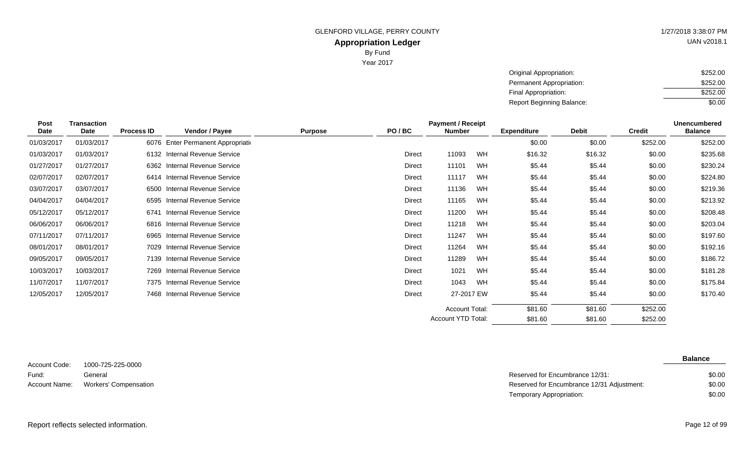Year 2017

| UAN v2018.1 |
|-------------|

| Original Appropriation:          | \$252.00 |
|----------------------------------|----------|
| Permanent Appropriation:         | \$252.00 |
| Final Appropriation:             | \$252.00 |
| <b>Report Beginning Balance:</b> | \$0.00   |

| Post       | <b>Transaction</b> |                   |                                    |                |               | <b>Payment / Receipt</b> |    |                    |              |               | <b>Unencumbered</b> |
|------------|--------------------|-------------------|------------------------------------|----------------|---------------|--------------------------|----|--------------------|--------------|---------------|---------------------|
| Date       | Date               | <b>Process ID</b> | Vendor / Payee                     | <b>Purpose</b> | PO/BC         | <b>Number</b>            |    | <b>Expenditure</b> | <b>Debit</b> | <b>Credit</b> | <b>Balance</b>      |
| 01/03/2017 | 01/03/2017         |                   | 6076 Enter Permanent Appropriation |                |               |                          |    | \$0.00             | \$0.00       | \$252.00      | \$252.00            |
| 01/03/2017 | 01/03/2017         |                   | 6132 Internal Revenue Service      |                | <b>Direct</b> | 11093                    | WH | \$16.32            | \$16.32      | \$0.00        | \$235.68            |
| 01/27/2017 | 01/27/2017         |                   | 6362 Internal Revenue Service      |                | <b>Direct</b> | 11101                    | WH | \$5.44             | \$5.44       | \$0.00        | \$230.24            |
| 02/07/2017 | 02/07/2017         | 6414              | Internal Revenue Service           |                | Direct        | 11117                    | WH | \$5.44             | \$5.44       | \$0.00        | \$224.80            |
| 03/07/2017 | 03/07/2017         | 6500              | <b>Internal Revenue Service</b>    |                | Direct        | 11136                    | WH | \$5.44             | \$5.44       | \$0.00        | \$219.36            |
| 04/04/2017 | 04/04/2017         | 6595              | Internal Revenue Service           |                | <b>Direct</b> | 11165                    | WH | \$5.44             | \$5.44       | \$0.00        | \$213.92            |
| 05/12/2017 | 05/12/2017         | 6741              | <b>Internal Revenue Service</b>    |                | Direct        | 11200                    | WH | \$5.44             | \$5.44       | \$0.00        | \$208.48            |
| 06/06/2017 | 06/06/2017         |                   | 6816 Internal Revenue Service      |                | Direct        | 11218                    | WH | \$5.44             | \$5.44       | \$0.00        | \$203.04            |
| 07/11/2017 | 07/11/2017         | 6965              | Internal Revenue Service           |                | <b>Direct</b> | 11247                    | WH | \$5.44             | \$5.44       | \$0.00        | \$197.60            |
| 08/01/2017 | 08/01/2017         | 7029              | Internal Revenue Service           |                | Direct        | 11264                    | WH | \$5.44             | \$5.44       | \$0.00        | \$192.16            |
| 09/05/2017 | 09/05/2017         | 7139              | Internal Revenue Service           |                | <b>Direct</b> | 11289                    | WH | \$5.44             | \$5.44       | \$0.00        | \$186.72            |
| 10/03/2017 | 10/03/2017         | 7269              | Internal Revenue Service           |                | <b>Direct</b> | 1021                     | WH | \$5.44             | \$5.44       | \$0.00        | \$181.28            |
| 11/07/2017 | 11/07/2017         |                   | 7375 Internal Revenue Service      |                | Direct        | 1043                     | WH | \$5.44             | \$5.44       | \$0.00        | \$175.84            |
| 12/05/2017 | 12/05/2017         |                   | 7468 Internal Revenue Service      |                | <b>Direct</b> | 27-2017 EW               |    | \$5.44             | \$5.44       | \$0.00        | \$170.40            |
|            |                    |                   |                                    |                |               | <b>Account Total:</b>    |    | \$81.60            | \$81.60      | \$252.00      |                     |
|            |                    |                   |                                    |                |               | Account YTD Total:       |    | \$81.60            | \$81.60      | \$252.00      |                     |

1000-725-225-0000 General Account Code: Fund:

| Fund: | General                             | Reserved for Encumbrance 12/31:            | \$0.00 |
|-------|-------------------------------------|--------------------------------------------|--------|
|       | Account Name: Workers' Compensation | Reserved for Encumbrance 12/31 Adjustment: | \$0.00 |
|       |                                     | Temporary Appropriation:                   | \$0.00 |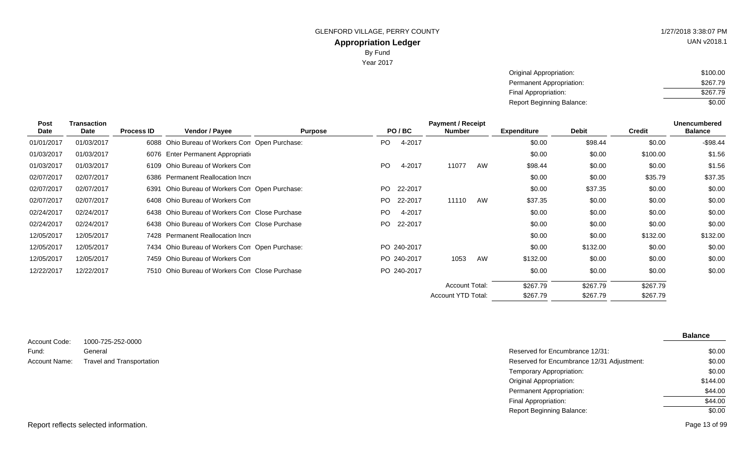UAN v2018.1

Original Appropriation: Permanent Appropriation: Final Appropriation: Report Beginning Balance: \$100.00 \$267.79 \$267.79 \$0.00

| <b>Transaction</b><br><b>Post</b> |            |                   |                                                |                | <b>Payment / Receipt</b> |             |                       |    |                    |              |               | Unencumbered   |
|-----------------------------------|------------|-------------------|------------------------------------------------|----------------|--------------------------|-------------|-----------------------|----|--------------------|--------------|---------------|----------------|
| Date                              | Date       | <b>Process ID</b> | Vendor / Payee                                 | <b>Purpose</b> |                          | PO/BC       | <b>Number</b>         |    | <b>Expenditure</b> | <b>Debit</b> | <b>Credit</b> | <b>Balance</b> |
| 01/01/2017                        | 01/03/2017 |                   | 6088 Ohio Bureau of Workers Con Open Purchase: |                | PO.                      | 4-2017      |                       |    | \$0.00             | \$98.44      | \$0.00        | $-$98.44$      |
| 01/03/2017                        | 01/03/2017 |                   | 6076 Enter Permanent Appropriation             |                |                          |             |                       |    | \$0.00             | \$0.00       | \$100.00      | \$1.56         |
| 01/03/2017                        | 01/03/2017 |                   | 6109 Ohio Bureau of Workers Con                |                | PO.                      | 4-2017      | 11077                 | AW | \$98.44            | \$0.00       | \$0.00        | \$1.56         |
| 02/07/2017                        | 02/07/2017 |                   | 6386 Permanent Reallocation Incre              |                |                          |             |                       |    | \$0.00             | \$0.00       | \$35.79       | \$37.35        |
| 02/07/2017                        | 02/07/2017 | 6391              | Ohio Bureau of Workers Con Open Purchase:      |                | PO.                      | 22-2017     |                       |    | \$0.00             | \$37.35      | \$0.00        | \$0.00         |
| 02/07/2017                        | 02/07/2017 |                   | 6408 Ohio Bureau of Workers Con                |                |                          | PO 22-2017  | 11110                 | AW | \$37.35            | \$0.00       | \$0.00        | \$0.00         |
| 02/24/2017                        | 02/24/2017 |                   | 6438 Ohio Bureau of Workers Con Close Purchase |                | PO.                      | 4-2017      |                       |    | \$0.00             | \$0.00       | \$0.00        | \$0.00         |
| 02/24/2017                        | 02/24/2017 |                   | 6438 Ohio Bureau of Workers Con Close Purchase |                |                          | PO 22-2017  |                       |    | \$0.00             | \$0.00       | \$0.00        | \$0.00         |
| 12/05/2017                        | 12/05/2017 |                   | 7428 Permanent Reallocation Incre              |                |                          |             |                       |    | \$0.00             | \$0.00       | \$132.00      | \$132.00       |
| 12/05/2017                        | 12/05/2017 |                   | 7434 Ohio Bureau of Workers Con Open Purchase: |                |                          | PO 240-2017 |                       |    | \$0.00             | \$132.00     | \$0.00        | \$0.00         |
| 12/05/2017                        | 12/05/2017 |                   | 7459 Ohio Bureau of Workers Con                |                |                          | PO 240-2017 | 1053                  | AW | \$132.00           | \$0.00       | \$0.00        | \$0.00         |
| 12/22/2017                        | 12/22/2017 |                   | 7510 Ohio Bureau of Workers Con Close Purchase |                |                          | PO 240-2017 |                       |    | \$0.00             | \$0.00       | \$0.00        | \$0.00         |
|                                   |            |                   |                                                |                |                          |             | <b>Account Total:</b> |    | \$267.79           | \$267.79     | \$267.79      |                |
|                                   |            |                   |                                                |                |                          |             | Account YTD Total:    |    | \$267.79           | \$267.79     | \$267.79      |                |

|               |                           |                                            | <b>Balance</b> |
|---------------|---------------------------|--------------------------------------------|----------------|
| Account Code: | 1000-725-252-0000         |                                            |                |
| Fund:         | General                   | Reserved for Encumbrance 12/31:            | \$0.00         |
| Account Name: | Travel and Transportation | Reserved for Encumbrance 12/31 Adjustment: | \$0.00         |
|               |                           | Temporary Appropriation:                   | \$0.00         |
|               |                           | Original Appropriation:                    | \$144.00       |
|               |                           | <b>Permanent Appropriation:</b>            | \$44.00        |
|               |                           | <b>Final Appropriation:</b>                | \$44.00        |
|               |                           | <b>Report Beginning Balance:</b>           | \$0.00         |
|               |                           |                                            |                |

Report reflects selected information. Page 13 of 99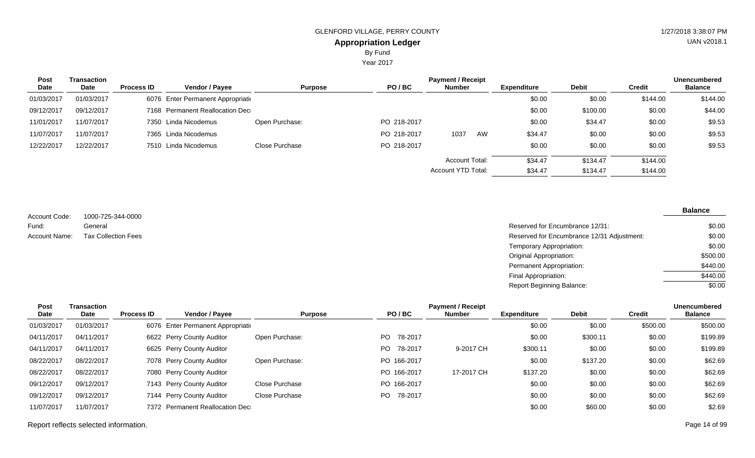Year 2017

| <b>Post</b> | Transaction |                   |                                    |                |             | <b>Payment / Receipt</b> |    |                    |              |               | <b>Unencumbered</b> |
|-------------|-------------|-------------------|------------------------------------|----------------|-------------|--------------------------|----|--------------------|--------------|---------------|---------------------|
| Date        | Date        | <b>Process ID</b> | Vendor / Payee                     | <b>Purpose</b> | PO/BC       | <b>Number</b>            |    | <b>Expenditure</b> | <b>Debit</b> | <b>Credit</b> | <b>Balance</b>      |
| 01/03/2017  | 01/03/2017  |                   | 6076 Enter Permanent Appropriation |                |             |                          |    | \$0.00             | \$0.00       | \$144.00      | \$144.00            |
| 09/12/2017  | 09/12/2017  |                   | 7168 Permanent Reallocation Dec    |                |             |                          |    | \$0.00             | \$100.00     | \$0.00        | \$44.00             |
| 11/01/2017  | 11/07/2017  |                   | 7350 Linda Nicodemus               | Open Purchase: | PO 218-2017 |                          |    | \$0.00             | \$34.47      | \$0.00        | \$9.53              |
| 11/07/2017  | 11/07/2017  |                   | 7365 Linda Nicodemus               |                | PO 218-2017 | 1037                     | AW | \$34.47            | \$0.00       | \$0.00        | \$9.53              |
| 12/22/2017  | 12/22/2017  |                   | 7510 Linda Nicodemus               | Close Purchase | PO 218-2017 |                          |    | \$0.00             | \$0.00       | \$0.00        | \$9.53              |
|             |             |                   |                                    |                |             | Account Total:           |    | \$34.47            | \$134.47     | \$144.00      |                     |
|             |             |                   |                                    |                |             | Account YTD Total:       |    | \$34.47            | \$134.47     | \$144.00      |                     |

1000-725-344-0000 General Account Code: Fund:

| Fund:         | General                    | Reserved for Encumbrance 12/31:            | \$0.00   |
|---------------|----------------------------|--------------------------------------------|----------|
| Account Name: | <b>Tax Collection Fees</b> | Reserved for Encumbrance 12/31 Adjustment: | \$0.00   |
|               |                            | Temporary Appropriation:                   | \$0.00   |
|               |                            | Original Appropriation:                    | \$500.00 |
|               |                            | Permanent Appropriation:                   | \$440.00 |
|               |                            | Final Appropriation:                       | \$440.00 |
|               |                            | <b>Report Beginning Balance:</b>           | \$0.00   |

| Post       | <b>Transaction</b> |                   |                                    |                |                | <b>Payment / Receipt</b> |                    |              |          | <b>Unencumbered</b> |
|------------|--------------------|-------------------|------------------------------------|----------------|----------------|--------------------------|--------------------|--------------|----------|---------------------|
| Date       | <b>Date</b>        | <b>Process ID</b> | Vendor / Payee                     | <b>Purpose</b> | PO/BC          | <b>Number</b>            | <b>Expenditure</b> | <b>Debit</b> | Credit   | <b>Balance</b>      |
| 01/03/2017 | 01/03/2017         |                   | 6076 Enter Permanent Appropriation |                |                |                          | \$0.00             | \$0.00       | \$500.00 | \$500.00            |
| 04/11/2017 | 04/11/2017         |                   | 6622 Perry County Auditor          | Open Purchase: | PO 78-2017     |                          | \$0.00             | \$300.11     | \$0.00   | \$199.89            |
| 04/11/2017 | 04/11/2017         |                   | 6625 Perry County Auditor          |                | 78-2017<br>PO. | 9-2017 CH                | \$300.11           | \$0.00       | \$0.00   | \$199.89            |
| 08/22/2017 | 08/22/2017         |                   | 7078 Perry County Auditor          | Open Purchase: | PO 166-2017    |                          | \$0.00             | \$137.20     | \$0.00   | \$62.69             |
| 08/22/2017 | 08/22/2017         |                   | 7080 Perry County Auditor          |                | PO 166-2017    | 17-2017 CH               | \$137.20           | \$0.00       | \$0.00   | \$62.69             |
| 09/12/2017 | 09/12/2017         |                   | 7143 Perry County Auditor          | Close Purchase | PO 166-2017    |                          | \$0.00             | \$0.00       | \$0.00   | \$62.69             |
| 09/12/2017 | 09/12/2017         |                   | 7144 Perry County Auditor          | Close Purchase | PO 78-2017     |                          | \$0.00             | \$0.00       | \$0.00   | \$62.69             |
| 11/07/2017 | 11/07/2017         |                   | 7372 Permanent Reallocation Dec    |                |                |                          | \$0.00             | \$60.00      | \$0.00   | \$2.69              |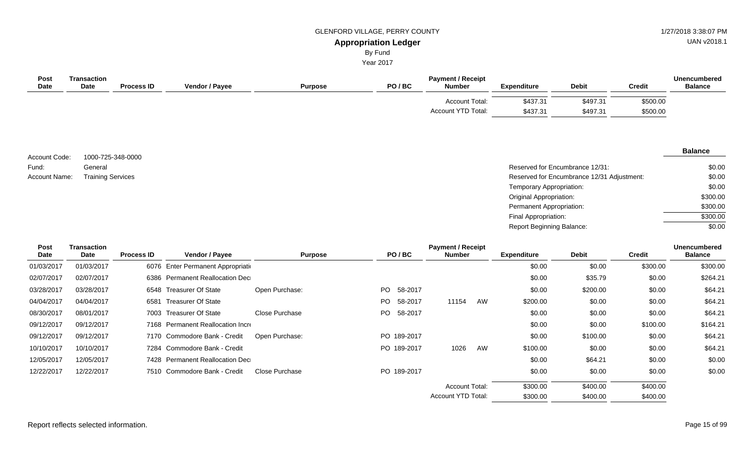UAN v2018.1

## By Fund

Year 2017

| <b>Post</b><br><b>Date</b> | <b>Transaction</b><br><b>Date</b> | <b>Process ID</b> | <b>Vendor / Payee</b> | <b>Purpose</b> | <b>Payment / Receipt</b><br>PO/BC<br><b>Debit</b><br><b>Number</b><br><b>Expenditure</b> |                                             |                      | <b>Credit</b>        | Unencumbered<br><b>Balance</b> |  |
|----------------------------|-----------------------------------|-------------------|-----------------------|----------------|------------------------------------------------------------------------------------------|---------------------------------------------|----------------------|----------------------|--------------------------------|--|
|                            |                                   |                   |                       |                |                                                                                          | Account Total:<br><b>Account YTD Total:</b> | \$437.31<br>\$437.31 | \$497.31<br>\$497.31 | \$500.00<br>\$500.00           |  |

1000-725-348-0000 General Account Code: Fund: Account Name: Training Services

| General                  | Reserved for Encumbrance 12/31:            | \$0.00   |
|--------------------------|--------------------------------------------|----------|
| <b>Training Services</b> | Reserved for Encumbrance 12/31 Adjustment: | \$0.00   |
|                          | Temporary Appropriation:                   | \$0.00   |
|                          | Original Appropriation:                    | \$300.00 |
|                          | Permanent Appropriation:                   | \$300.00 |
|                          | Final Appropriation:                       | \$300.00 |
|                          | <b>Report Beginning Balance:</b>           | \$0.00   |

| Post        | <b>Transaction</b> |                   |                                   |                |     |             | <b>Payment / Receipt</b>  |    |                    |              |               | <b>Unencumbered</b> |
|-------------|--------------------|-------------------|-----------------------------------|----------------|-----|-------------|---------------------------|----|--------------------|--------------|---------------|---------------------|
| <b>Date</b> | Date               | <b>Process ID</b> | Vendor / Payee                    | <b>Purpose</b> |     | PO/BC       | <b>Number</b>             |    | <b>Expenditure</b> | <b>Debit</b> | <b>Credit</b> | <b>Balance</b>      |
| 01/03/2017  | 01/03/2017         | 6076              | Enter Permanent Appropriation     |                |     |             |                           |    | \$0.00             | \$0.00       | \$300.00      | \$300.00            |
| 02/07/2017  | 02/07/2017         | 6386              | <b>Permanent Reallocation Dec</b> |                |     |             |                           |    | \$0.00             | \$35.79      | \$0.00        | \$264.21            |
| 03/28/2017  | 03/28/2017         |                   | 6548 Treasurer Of State           | Open Purchase: | PO. | 58-2017     |                           |    | \$0.00             | \$200.00     | \$0.00        | \$64.21             |
| 04/04/2017  | 04/04/2017         | 6581              | <b>Treasurer Of State</b>         |                | PO. | 58-2017     | 11154                     | AW | \$200.00           | \$0.00       | \$0.00        | \$64.21             |
| 08/30/2017  | 08/01/2017         | 7003              | <b>Treasurer Of State</b>         | Close Purchase | PO. | 58-2017     |                           |    | \$0.00             | \$0.00       | \$0.00        | \$64.21             |
| 09/12/2017  | 09/12/2017         |                   | 7168 Permanent Reallocation Incre |                |     |             |                           |    | \$0.00             | \$0.00       | \$100.00      | \$164.21            |
| 09/12/2017  | 09/12/2017         |                   | 7170 Commodore Bank - Credit      | Open Purchase: |     | PO 189-2017 |                           |    | \$0.00             | \$100.00     | \$0.00        | \$64.21             |
| 10/10/2017  | 10/10/2017         |                   | 7284 Commodore Bank - Credit      |                |     | PO 189-2017 | 1026                      | AW | \$100.00           | \$0.00       | \$0.00        | \$64.21             |
| 12/05/2017  | 12/05/2017         |                   | 7428 Permanent Reallocation Dec   |                |     |             |                           |    | \$0.00             | \$64.21      | \$0.00        | \$0.00              |
| 12/22/2017  | 12/22/2017         |                   | 7510 Commodore Bank - Credit      | Close Purchase |     | PO 189-2017 |                           |    | \$0.00             | \$0.00       | \$0.00        | \$0.00              |
|             |                    |                   |                                   |                |     |             | <b>Account Total:</b>     |    | \$300.00           | \$400.00     | \$400.00      |                     |
|             |                    |                   |                                   |                |     |             | <b>Account YTD Total:</b> |    | \$300.00           | \$400.00     | \$400.00      |                     |
|             |                    |                   |                                   |                |     |             |                           |    |                    |              |               |                     |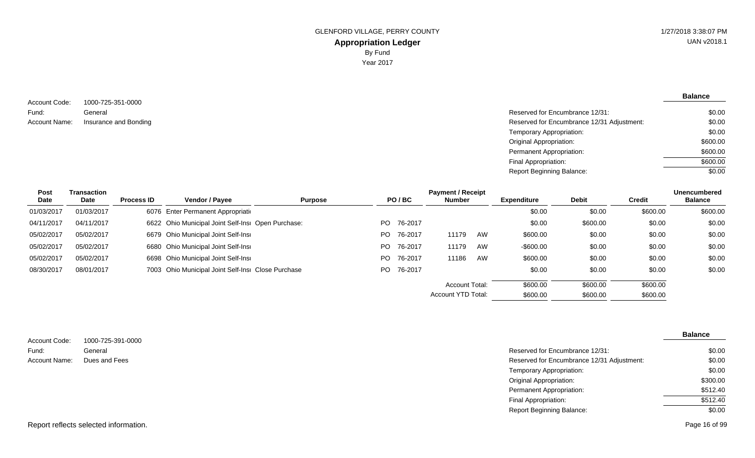**Balance**

\$0.00

1000-725-351-0000 General Account Code: Fund: Account Name:

Reserved for Encumbrance 12/31: Insurance and Bonding **Insurance 2/31 Adjustment:** Reserved for Encumbrance 12/31 Adjustment: Temporary Appropriation: Original Appropriation: Permanent Appropriation: Final Appropriation: \$0.00 \$0.00 \$0.00 \$600.00 \$600.00 \$600.00

Report Beginning Balance:

| Post        | Transaction |                   |                                                    |                |     |         | <b>Payment / Receipt</b> |    |                    |              |               | <b>Unencumbered</b> |
|-------------|-------------|-------------------|----------------------------------------------------|----------------|-----|---------|--------------------------|----|--------------------|--------------|---------------|---------------------|
| <b>Date</b> | Date        | <b>Process ID</b> | Vendor / Payee                                     | <b>Purpose</b> |     | PO/BC   | <b>Number</b>            |    | <b>Expenditure</b> | <b>Debit</b> | <b>Credit</b> | <b>Balance</b>      |
| 01/03/2017  | 01/03/2017  |                   | 6076 Enter Permanent Appropriation                 |                |     |         |                          |    | \$0.00             | \$0.00       | \$600.00      | \$600.00            |
| 04/11/2017  | 04/11/2017  |                   | 6622 Ohio Municipal Joint Self-Insi Open Purchase: |                | PO. | 76-2017 |                          |    | \$0.00             | \$600.00     | \$0.00        | \$0.00              |
| 05/02/2017  | 05/02/2017  |                   | 6679 Ohio Municipal Joint Self-Insi                |                | PO. | 76-2017 | 11179                    | AW | \$600.00           | \$0.00       | \$0.00        | \$0.00              |
| 05/02/2017  | 05/02/2017  |                   | 6680 Ohio Municipal Joint Self-Insi                |                | PO. | 76-2017 | 11179                    | AW | $-$600.00$         | \$0.00       | \$0.00        | \$0.00              |
| 05/02/2017  | 05/02/2017  |                   | 6698 Ohio Municipal Joint Self-Insi                |                | PO. | 76-2017 | 11186                    | AW | \$600.00           | \$0.00       | \$0.00        | \$0.00              |
| 08/30/2017  | 08/01/2017  |                   | 7003 Ohio Municipal Joint Self-Insi Close Purchase |                | PO. | 76-2017 |                          |    | \$0.00             | \$0.00       | \$0.00        | \$0.00              |
|             |             |                   |                                                    |                |     |         | Account Total:           |    | \$600.00           | \$600.00     | \$600.00      |                     |
|             |             |                   |                                                    |                |     |         | Account YTD Total:       |    | \$600.00           | \$600.00     | \$600.00      |                     |

|                                               | <b>Balance</b> |
|-----------------------------------------------|----------------|
|                                               |                |
| Reserved for Encumbrance 12/31:               | \$0.00         |
| Reserved for Encumbrance 12/31 Adjustment:    | \$0.00         |
| Temporary Appropriation:                      | \$0.00         |
| <b>Original Appropriation:</b>                | \$300.00       |
| Permanent Appropriation:                      | \$512.40       |
| Final Appropriation:                          | \$512.40       |
| <b>Report Beginning Balance:</b>              | \$0.00         |
| 1000-725-391-0000<br>General<br>Dues and Fees |                |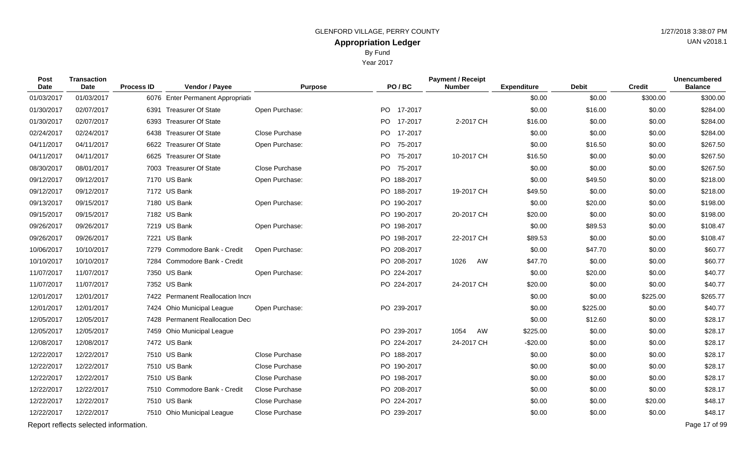By Fund

Year 2017

| Post<br>Date | <b>Transaction</b><br><b>Date</b>     | <b>Process ID</b> | Vendor / Payee                    | <b>Purpose</b> | PO/BC           | <b>Payment / Receipt</b><br><b>Number</b> | <b>Expenditure</b> | <b>Debit</b> | <b>Credit</b> | <b>Unencumbered</b><br><b>Balance</b> |
|--------------|---------------------------------------|-------------------|-----------------------------------|----------------|-----------------|-------------------------------------------|--------------------|--------------|---------------|---------------------------------------|
| 01/03/2017   | 01/03/2017                            |                   | 6076 Enter Permanent Appropriatio |                |                 |                                           | \$0.00             | \$0.00       | \$300.00      | \$300.00                              |
| 01/30/2017   | 02/07/2017                            |                   | 6391 Treasurer Of State           | Open Purchase: | PO 17-2017      |                                           | \$0.00             | \$16.00      | \$0.00        | \$284.00                              |
| 01/30/2017   | 02/07/2017                            | 6393              | <b>Treasurer Of State</b>         |                | PO -<br>17-2017 | 2-2017 CH                                 | \$16.00            | \$0.00       | \$0.00        | \$284.00                              |
| 02/24/2017   | 02/24/2017                            | 6438              | <b>Treasurer Of State</b>         | Close Purchase | PO 17-2017      |                                           | \$0.00             | \$0.00       | \$0.00        | \$284.00                              |
| 04/11/2017   | 04/11/2017                            |                   | 6622 Treasurer Of State           | Open Purchase: | PO 75-2017      |                                           | \$0.00             | \$16.50      | \$0.00        | \$267.50                              |
| 04/11/2017   | 04/11/2017                            | 6625              | <b>Treasurer Of State</b>         |                | PO 75-2017      | 10-2017 CH                                | \$16.50            | \$0.00       | \$0.00        | \$267.50                              |
| 08/30/2017   | 08/01/2017                            |                   | 7003 Treasurer Of State           | Close Purchase | PO 75-2017      |                                           | \$0.00             | \$0.00       | \$0.00        | \$267.50                              |
| 09/12/2017   | 09/12/2017                            |                   | 7170 US Bank                      | Open Purchase: | PO 188-2017     |                                           | \$0.00             | \$49.50      | \$0.00        | \$218.00                              |
| 09/12/2017   | 09/12/2017                            |                   | 7172 US Bank                      |                | PO 188-2017     | 19-2017 CH                                | \$49.50            | \$0.00       | \$0.00        | \$218.00                              |
| 09/13/2017   | 09/15/2017                            |                   | 7180 US Bank                      | Open Purchase: | PO 190-2017     |                                           | \$0.00             | \$20.00      | \$0.00        | \$198.00                              |
| 09/15/2017   | 09/15/2017                            |                   | 7182 US Bank                      |                | PO 190-2017     | 20-2017 CH                                | \$20.00            | \$0.00       | \$0.00        | \$198.00                              |
| 09/26/2017   | 09/26/2017                            |                   | 7219 US Bank                      | Open Purchase: | PO 198-2017     |                                           | \$0.00             | \$89.53      | \$0.00        | \$108.47                              |
| 09/26/2017   | 09/26/2017                            |                   | 7221 US Bank                      |                | PO 198-2017     | 22-2017 CH                                | \$89.53            | \$0.00       | \$0.00        | \$108.47                              |
| 10/06/2017   | 10/10/2017                            |                   | 7279 Commodore Bank - Credit      | Open Purchase: | PO 208-2017     |                                           | \$0.00             | \$47.70      | \$0.00        | \$60.77                               |
| 10/10/2017   | 10/10/2017                            |                   | 7284 Commodore Bank - Credit      |                | PO 208-2017     | 1026<br>AW                                | \$47.70            | \$0.00       | \$0.00        | \$60.77                               |
| 11/07/2017   | 11/07/2017                            |                   | 7350 US Bank                      | Open Purchase: | PO 224-2017     |                                           | \$0.00             | \$20.00      | \$0.00        | \$40.77                               |
| 11/07/2017   | 11/07/2017                            |                   | 7352 US Bank                      |                | PO 224-2017     | 24-2017 CH                                | \$20.00            | \$0.00       | \$0.00        | \$40.77                               |
| 12/01/2017   | 12/01/2017                            |                   | 7422 Permanent Reallocation Incre |                |                 |                                           | \$0.00             | \$0.00       | \$225.00      | \$265.77                              |
| 12/01/2017   | 12/01/2017                            |                   | 7424 Ohio Municipal League        | Open Purchase: | PO 239-2017     |                                           | \$0.00             | \$225.00     | \$0.00        | \$40.77                               |
| 12/05/2017   | 12/05/2017                            | 7428              | <b>Permanent Reallocation Dec</b> |                |                 |                                           | \$0.00             | \$12.60      | \$0.00        | \$28.17                               |
| 12/05/2017   | 12/05/2017                            |                   | 7459 Ohio Municipal League        |                | PO 239-2017     | 1054<br>AW                                | \$225.00           | \$0.00       | \$0.00        | \$28.17                               |
| 12/08/2017   | 12/08/2017                            |                   | 7472 US Bank                      |                | PO 224-2017     | 24-2017 CH                                | $-$20.00$          | \$0.00       | \$0.00        | \$28.17                               |
| 12/22/2017   | 12/22/2017                            |                   | 7510 US Bank                      | Close Purchase | PO 188-2017     |                                           | \$0.00             | \$0.00       | \$0.00        | \$28.17                               |
| 12/22/2017   | 12/22/2017                            |                   | 7510 US Bank                      | Close Purchase | PO 190-2017     |                                           | \$0.00             | \$0.00       | \$0.00        | \$28.17                               |
| 12/22/2017   | 12/22/2017                            |                   | 7510 US Bank                      | Close Purchase | PO 198-2017     |                                           | \$0.00             | \$0.00       | \$0.00        | \$28.17                               |
| 12/22/2017   | 12/22/2017                            |                   | 7510 Commodore Bank - Credit      | Close Purchase | PO 208-2017     |                                           | \$0.00             | \$0.00       | \$0.00        | \$28.17                               |
| 12/22/2017   | 12/22/2017                            |                   | 7510 US Bank                      | Close Purchase | PO 224-2017     |                                           | \$0.00             | \$0.00       | \$20.00       | \$48.17                               |
| 12/22/2017   | 12/22/2017                            |                   | 7510 Ohio Municipal League        | Close Purchase | PO 239-2017     |                                           | \$0.00             | \$0.00       | \$0.00        | \$48.17                               |
|              | Report reflects selected information. |                   |                                   |                |                 |                                           |                    |              |               | Page 17 of 99                         |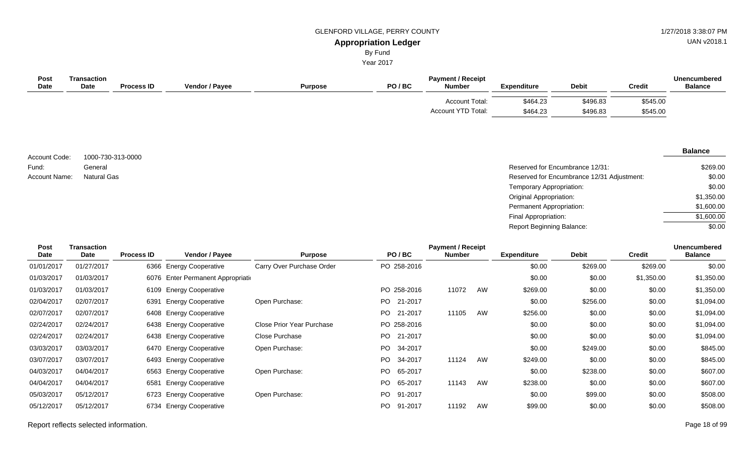UAN v2018.1

# By Fund

Year 2017

| <b>Post</b><br><b>Date</b> | Transaction<br>Date | <b>Process ID</b> | Vendor / Payee | <b>Purpose</b> | PO/BC | <b>Payment / Receipt</b><br><b>Number</b> | <b>Expenditure</b> | <b>Debit</b> | <b>Credit</b> | <b>Unencumbered</b><br><b>Balance</b> |
|----------------------------|---------------------|-------------------|----------------|----------------|-------|-------------------------------------------|--------------------|--------------|---------------|---------------------------------------|
|                            |                     |                   |                |                |       | Account Total:                            | \$464.23           | \$496.83     | \$545.00      |                                       |
|                            |                     |                   |                |                |       | Account YTD Total:                        | \$464.23           | \$496.83     | \$545.00      |                                       |

| Account Code: | 1000-730-313-0000  |
|---------------|--------------------|
| Fund:         | General            |
| Account Name: | <b>Natural Gas</b> |

| General     | Reserved for Encumbrance 12/31:            | \$269.00   |
|-------------|--------------------------------------------|------------|
| Natural Gas | Reserved for Encumbrance 12/31 Adjustment: | \$0.00     |
|             | Temporary Appropriation:                   | \$0.00     |
|             | Original Appropriation:                    | \$1,350.00 |
|             | Permanent Appropriation:                   | \$1,600.00 |
|             | Final Appropriation:                       | \$1,600.00 |
|             | <b>Report Beginning Balance:</b>           | \$0.00     |

| Post        | <b>Transaction</b> |                   |                                    |                           |                | <b>Payment / Receipt</b> |    |                    |              |               | <b>Unencumbered</b> |
|-------------|--------------------|-------------------|------------------------------------|---------------------------|----------------|--------------------------|----|--------------------|--------------|---------------|---------------------|
| <b>Date</b> | Date               | <b>Process ID</b> | Vendor / Payee                     | <b>Purpose</b>            | PO/BC          | <b>Number</b>            |    | <b>Expenditure</b> | <b>Debit</b> | <b>Credit</b> | <b>Balance</b>      |
| 01/01/2017  | 01/27/2017         |                   | 6366 Energy Cooperative            | Carry Over Purchase Order | PO 258-2016    |                          |    | \$0.00             | \$269.00     | \$269.00      | \$0.00              |
| 01/03/2017  | 01/03/2017         |                   | 6076 Enter Permanent Appropriation |                           |                |                          |    | \$0.00             | \$0.00       | \$1,350.00    | \$1,350.00          |
| 01/03/2017  | 01/03/2017         |                   | 6109 Energy Cooperative            |                           | PO 258-2016    | 11072                    | AW | \$269.00           | \$0.00       | \$0.00        | \$1,350.00          |
| 02/04/2017  | 02/07/2017         | 6391              | <b>Energy Cooperative</b>          | Open Purchase:            | PO 21-2017     |                          |    | \$0.00             | \$256.00     | \$0.00        | \$1,094.00          |
| 02/07/2017  | 02/07/2017         |                   | 6408 Energy Cooperative            |                           | PO.<br>21-2017 | 11105                    | AW | \$256.00           | \$0.00       | \$0.00        | \$1,094.00          |
| 02/24/2017  | 02/24/2017         |                   | 6438 Energy Cooperative            | Close Prior Year Purchase | PO 258-2016    |                          |    | \$0.00             | \$0.00       | \$0.00        | \$1,094.00          |
| 02/24/2017  | 02/24/2017         |                   | 6438 Energy Cooperative            | Close Purchase            | PO 21-2017     |                          |    | \$0.00             | \$0.00       | \$0.00        | \$1,094.00          |
| 03/03/2017  | 03/03/2017         |                   | 6470 Energy Cooperative            | Open Purchase:            | PO.<br>34-2017 |                          |    | \$0.00             | \$249.00     | \$0.00        | \$845.00            |
| 03/07/2017  | 03/07/2017         |                   | 6493 Energy Cooperative            |                           | PO.<br>34-2017 | 11124                    | AW | \$249.00           | \$0.00       | \$0.00        | \$845.00            |
| 04/03/2017  | 04/04/2017         |                   | 6563 Energy Cooperative            | Open Purchase:            | PO.<br>65-2017 |                          |    | \$0.00             | \$238.00     | \$0.00        | \$607.00            |
| 04/04/2017  | 04/04/2017         | 6581              | <b>Energy Cooperative</b>          |                           | PO 65-2017     | 11143                    | AW | \$238.00           | \$0.00       | \$0.00        | \$607.00            |
| 05/03/2017  | 05/12/2017         |                   | 6723 Energy Cooperative            | Open Purchase:            | 91-2017<br>PO. |                          |    | \$0.00             | \$99.00      | \$0.00        | \$508.00            |
| 05/12/2017  | 05/12/2017         | 6734              | <b>Energy Cooperative</b>          |                           | PO.<br>91-2017 | 11192                    | AW | \$99.00            | \$0.00       | \$0.00        | \$508.00            |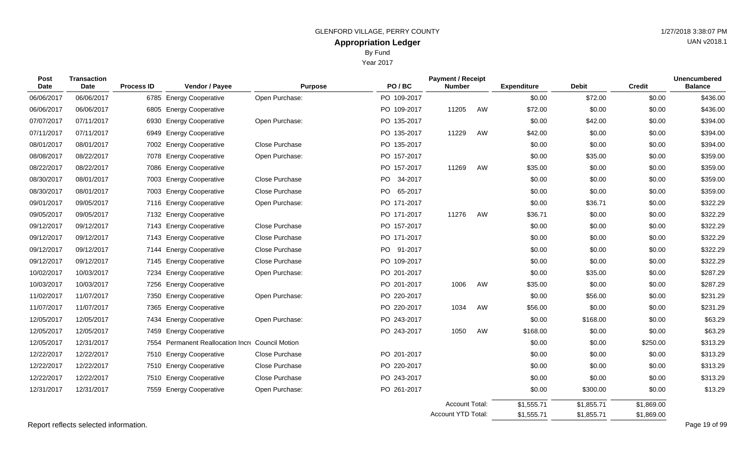Year 2017

| <b>Post</b><br><b>Date</b> | <b>Transaction</b><br>Date | <b>Process ID</b> | Vendor / Payee                              | <b>Purpose</b> | PO/BC                | <b>Payment / Receipt</b><br><b>Number</b> |    | <b>Expenditure</b>       | <b>Debit</b>             | <b>Credit</b>            | <b>Unencumbered</b><br><b>Balance</b> |
|----------------------------|----------------------------|-------------------|---------------------------------------------|----------------|----------------------|-------------------------------------------|----|--------------------------|--------------------------|--------------------------|---------------------------------------|
| 06/06/2017                 | 06/06/2017                 |                   | 6785 Energy Cooperative                     | Open Purchase: | PO 109-2017          |                                           |    | \$0.00                   | \$72.00                  | \$0.00                   | \$436.00                              |
| 06/06/2017                 | 06/06/2017                 |                   | 6805 Energy Cooperative                     |                | PO 109-2017          | 11205                                     | AW | \$72.00                  | \$0.00                   | \$0.00                   | \$436.00                              |
| 07/07/2017                 | 07/11/2017                 | 6930              | <b>Energy Cooperative</b>                   | Open Purchase: | PO 135-2017          |                                           |    | \$0.00                   | \$42.00                  | \$0.00                   | \$394.00                              |
| 07/11/2017                 | 07/11/2017                 | 6949              | <b>Energy Cooperative</b>                   |                | PO 135-2017          | 11229                                     | AW | \$42.00                  | \$0.00                   | \$0.00                   | \$394.00                              |
| 08/01/2017                 | 08/01/2017                 |                   | 7002 Energy Cooperative                     | Close Purchase | PO 135-2017          |                                           |    | \$0.00                   | \$0.00                   | \$0.00                   | \$394.00                              |
| 08/08/2017                 | 08/22/2017                 |                   | 7078 Energy Cooperative                     | Open Purchase: | PO 157-2017          |                                           |    | \$0.00                   | \$35.00                  | \$0.00                   | \$359.00                              |
| 08/22/2017                 | 08/22/2017                 |                   | 7086 Energy Cooperative                     |                | PO 157-2017          | 11269                                     | AW | \$35.00                  | \$0.00                   | \$0.00                   | \$359.00                              |
| 08/30/2017                 | 08/01/2017                 |                   | 7003 Energy Cooperative                     | Close Purchase | <b>PO</b><br>34-2017 |                                           |    | \$0.00                   | \$0.00                   | \$0.00                   | \$359.00                              |
| 08/30/2017                 | 08/01/2017                 |                   | 7003 Energy Cooperative                     | Close Purchase | PO 65-2017           |                                           |    | \$0.00                   | \$0.00                   | \$0.00                   | \$359.00                              |
| 09/01/2017                 | 09/05/2017                 |                   | 7116 Energy Cooperative                     | Open Purchase: | PO 171-2017          |                                           |    | \$0.00                   | \$36.71                  | \$0.00                   | \$322.29                              |
| 09/05/2017                 | 09/05/2017                 |                   | 7132 Energy Cooperative                     |                | PO 171-2017          | 11276                                     | AW | \$36.71                  | \$0.00                   | \$0.00                   | \$322.29                              |
| 09/12/2017                 | 09/12/2017                 |                   | 7143 Energy Cooperative                     | Close Purchase | PO 157-2017          |                                           |    | \$0.00                   | \$0.00                   | \$0.00                   | \$322.29                              |
| 09/12/2017                 | 09/12/2017                 |                   | 7143 Energy Cooperative                     | Close Purchase | PO 171-2017          |                                           |    | \$0.00                   | \$0.00                   | \$0.00                   | \$322.29                              |
| 09/12/2017                 | 09/12/2017                 | 7144              | <b>Energy Cooperative</b>                   | Close Purchase | PO 91-2017           |                                           |    | \$0.00                   | \$0.00                   | \$0.00                   | \$322.29                              |
| 09/12/2017                 | 09/12/2017                 |                   | 7145 Energy Cooperative                     | Close Purchase | PO 109-2017          |                                           |    | \$0.00                   | \$0.00                   | \$0.00                   | \$322.29                              |
| 10/02/2017                 | 10/03/2017                 | 7234              | <b>Energy Cooperative</b>                   | Open Purchase: | PO 201-2017          |                                           |    | \$0.00                   | \$35.00                  | \$0.00                   | \$287.29                              |
| 10/03/2017                 | 10/03/2017                 |                   | 7256 Energy Cooperative                     |                | PO 201-2017          | 1006                                      | AW | \$35.00                  | \$0.00                   | \$0.00                   | \$287.29                              |
| 11/02/2017                 | 11/07/2017                 |                   | 7350 Energy Cooperative                     | Open Purchase: | PO 220-2017          |                                           |    | \$0.00                   | \$56.00                  | \$0.00                   | \$231.29                              |
| 11/07/2017                 | 11/07/2017                 |                   | 7365 Energy Cooperative                     |                | PO 220-2017          | 1034                                      | AW | \$56.00                  | \$0.00                   | \$0.00                   | \$231.29                              |
| 12/05/2017                 | 12/05/2017                 |                   | 7434 Energy Cooperative                     | Open Purchase: | PO 243-2017          |                                           |    | \$0.00                   | \$168.00                 | \$0.00                   | \$63.29                               |
| 12/05/2017                 | 12/05/2017                 | 7459              | <b>Energy Cooperative</b>                   |                | PO 243-2017          | 1050                                      | AW | \$168.00                 | \$0.00                   | \$0.00                   | \$63.29                               |
| 12/05/2017                 | 12/31/2017                 | 7554              | Permanent Reallocation Incre Council Motion |                |                      |                                           |    | \$0.00                   | \$0.00                   | \$250.00                 | \$313.29                              |
| 12/22/2017                 | 12/22/2017                 |                   | 7510 Energy Cooperative                     | Close Purchase | PO 201-2017          |                                           |    | \$0.00                   | \$0.00                   | \$0.00                   | \$313.29                              |
| 12/22/2017                 | 12/22/2017                 |                   | 7510 Energy Cooperative                     | Close Purchase | PO 220-2017          |                                           |    | \$0.00                   | \$0.00                   | \$0.00                   | \$313.29                              |
| 12/22/2017                 | 12/22/2017                 |                   | 7510 Energy Cooperative                     | Close Purchase | PO 243-2017          |                                           |    | \$0.00                   | \$0.00                   | \$0.00                   | \$313.29                              |
| 12/31/2017                 | 12/31/2017                 |                   | 7559 Energy Cooperative                     | Open Purchase: | PO 261-2017          |                                           |    | \$0.00                   | \$300.00                 | \$0.00                   | \$13.29                               |
|                            |                            |                   |                                             |                |                      | Account Total:<br>Account YTD Total:      |    | \$1,555.71<br>\$1,555.71 | \$1,855.71<br>\$1,855.71 | \$1,869.00<br>\$1,869.00 |                                       |

 $\sim$ 

Report reflects selected information. Page 19 of 99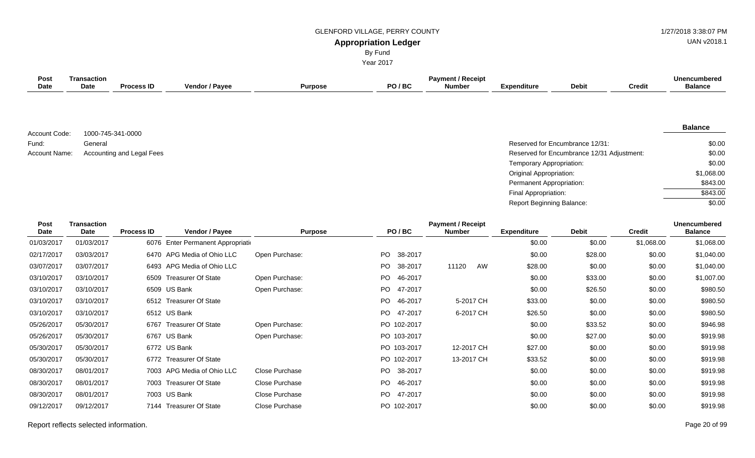By Fund Year 2017 UAN v2018.1

| Post<br><b>Date</b>        | <b>Transaction</b><br>Date | <b>Process ID</b>         | Vendor / Payee                    | <b>Purpose</b> | PO/BC                      | <b>Payment / Receipt</b><br><b>Number</b> | <b>Expenditure</b>        | <b>Debit</b>                               | <b>Credit</b> | <b>Unencumbered</b><br><b>Balance</b> |
|----------------------------|----------------------------|---------------------------|-----------------------------------|----------------|----------------------------|-------------------------------------------|---------------------------|--------------------------------------------|---------------|---------------------------------------|
|                            |                            |                           |                                   |                |                            |                                           |                           |                                            |               |                                       |
|                            | 1000-745-341-0000          |                           |                                   |                |                            |                                           |                           |                                            |               | <b>Balance</b>                        |
| Account Code:<br>Fund:     | General                    |                           |                                   |                |                            |                                           |                           | Reserved for Encumbrance 12/31:            |               | \$0.00                                |
| Account Name:              |                            | Accounting and Legal Fees |                                   |                |                            |                                           |                           | Reserved for Encumbrance 12/31 Adjustment: |               | \$0.00                                |
|                            |                            |                           |                                   |                |                            |                                           | Temporary Appropriation:  |                                            |               | \$0.00                                |
|                            |                            |                           |                                   |                |                            |                                           | Original Appropriation:   |                                            |               | \$1,068.00                            |
|                            |                            |                           |                                   |                |                            |                                           | Permanent Appropriation:  |                                            |               | \$843.00                              |
|                            |                            |                           |                                   |                |                            |                                           | Final Appropriation:      |                                            |               | \$843.00                              |
|                            |                            |                           |                                   |                |                            |                                           | Report Beginning Balance: |                                            |               | \$0.00                                |
| <b>Post</b><br><b>Date</b> | <b>Transaction</b><br>Date | <b>Process ID</b>         | Vendor / Payee                    | <b>Purpose</b> | PO/BC                      | <b>Payment / Receipt</b><br><b>Number</b> | <b>Expenditure</b>        | <b>Debit</b>                               | <b>Credit</b> | <b>Unencumbered</b><br><b>Balance</b> |
| 01/03/2017                 | 01/03/2017                 |                           | 6076 Enter Permanent Appropriatio |                |                            |                                           | \$0.00                    | \$0.00                                     | \$1,068.00    | \$1,068.00                            |
| 02/17/2017                 | 03/03/2017                 |                           | 6470 APG Media of Ohio LLC        | Open Purchase: | PO<br>38-2017              |                                           | \$0.00                    | \$28.00                                    | \$0.00        | \$1,040.00                            |
| 03/07/2017                 | 03/07/2017                 |                           | 6493 APG Media of Ohio LLC        |                | P <sub>O</sub><br>38-2017  | 11120<br>AW                               | \$28.00                   | \$0.00                                     | \$0.00        | \$1,040.00                            |
| 03/10/2017                 | 03/10/2017                 |                           | 6509 Treasurer Of State           | Open Purchase: | PO<br>46-2017              |                                           | \$0.00                    | \$33.00                                    | \$0.00        | \$1,007.00                            |
| 03/10/2017                 | 03/10/2017                 |                           | 6509 US Bank                      | Open Purchase: | <b>PO</b><br>47-2017       |                                           | \$0.00                    | \$26.50                                    | \$0.00        | \$980.50                              |
| 03/10/2017                 | 03/10/2017                 |                           | 6512 Treasurer Of State           |                | P <sub>O</sub><br>46-2017  | 5-2017 CH                                 | \$33.00                   | \$0.00                                     | \$0.00        | \$980.50                              |
| 03/10/2017                 | 03/10/2017                 |                           | 6512 US Bank                      |                | PO<br>47-2017              | 6-2017 CH                                 | \$26.50                   | \$0.00                                     | \$0.00        | \$980.50                              |
| 05/26/2017                 | 05/30/2017                 |                           | 6767 Treasurer Of State           | Open Purchase: | 102-2017<br>PO.            |                                           | \$0.00                    | \$33.52                                    | \$0.00        | \$946.98                              |
| 05/26/2017                 | 05/30/2017                 |                           | 6767 US Bank                      | Open Purchase: | PO 103-2017                |                                           | \$0.00                    | \$27.00                                    | \$0.00        | \$919.98                              |
| 05/30/2017                 | 05/30/2017                 |                           | 6772 US Bank                      |                | PO 103-2017                | 12-2017 CH                                | \$27.00                   | \$0.00                                     | \$0.00        | \$919.98                              |
| 05/30/2017                 | 05/30/2017                 |                           | 6772 Treasurer Of State           |                | 102-2017<br>P <sub>O</sub> | 13-2017 CH                                | \$33.52                   | \$0.00                                     | \$0.00        | \$919.98                              |
| 08/30/2017                 | 08/01/2017                 |                           | 7003 APG Media of Ohio LLC        | Close Purchase | <b>PO</b><br>38-2017       |                                           | \$0.00                    | \$0.00                                     | \$0.00        | \$919.98                              |
| 08/30/2017                 | 08/01/2017                 |                           | 7003 Treasurer Of State           | Close Purchase | P <sub>O</sub><br>46-2017  |                                           | \$0.00                    | \$0.00                                     | \$0.00        | \$919.98                              |
| 08/30/2017                 | 08/01/2017                 |                           | 7003 US Bank                      | Close Purchase | 47-2017<br>P <sub>O</sub>  |                                           | \$0.00                    | \$0.00                                     | \$0.00        | \$919.98                              |
| 09/12/2017                 | 09/12/2017                 |                           | 7144 Treasurer Of State           | Close Purchase | P <sub>O</sub><br>102-2017 |                                           | \$0.00                    | \$0.00                                     | \$0.00        | \$919.98                              |

Report reflects selected information. Page 20 of 99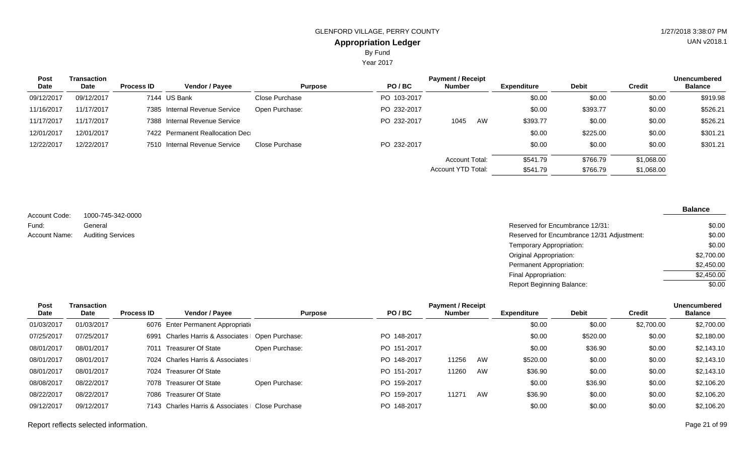#### **Appropriation Ledger** GLENFORD VILLAGE, PERRY COUNTY 61 ACCESS 127 AU 127/2018 3:38:07 PM By Fund

Year 2017

| <b>Post</b> | <b>Transaction</b> |                   |                                 |                |             | <b>Payment / Receipt</b> |    |                    |              |            | <b>Unencumbered</b> |
|-------------|--------------------|-------------------|---------------------------------|----------------|-------------|--------------------------|----|--------------------|--------------|------------|---------------------|
| Date        | Date               | <b>Process ID</b> | <b>Vendor / Payee</b>           | <b>Purpose</b> | PO/BC       | <b>Number</b>            |    | <b>Expenditure</b> | <b>Debit</b> | Credit     | <b>Balance</b>      |
| 09/12/2017  | 09/12/2017         |                   | 7144 US Bank                    | Close Purchase | PO 103-2017 |                          |    | \$0.00             | \$0.00       | \$0.00     | \$919.98            |
| 11/16/2017  | 11/17/2017         |                   | 7385 Internal Revenue Service   | Open Purchase: | PO 232-2017 |                          |    | \$0.00             | \$393.77     | \$0.00     | \$526.21            |
| 11/17/2017  | 11/17/2017         |                   | 7388 Internal Revenue Service   |                | PO 232-2017 | 1045                     | AW | \$393.77           | \$0.00       | \$0.00     | \$526.21            |
| 12/01/2017  | 12/01/2017         |                   | 7422 Permanent Reallocation Dec |                |             |                          |    | \$0.00             | \$225.00     | \$0.00     | \$301.21            |
| 12/22/2017  | 12/22/2017         |                   | 7510 Internal Revenue Service   | Close Purchase | PO 232-2017 |                          |    | \$0.00             | \$0.00       | \$0.00     | \$301.21            |
|             |                    |                   |                                 |                |             | Account Total:           |    | \$541.79           | \$766.79     | \$1,068.00 |                     |
|             |                    |                   |                                 |                |             | Account YTD Total:       |    | \$541.79           | \$766.79     | \$1,068.00 |                     |

1000-745-342-0000 General Account Code: Fund: Account Name:

Reserved for Encumbrance 12/31: Auditing Services **Reserved for Encumbrance 12/31 Adjustment:** Temporary Appropriation: Original Appropriation: Permanent Appropriation: Final Appropriation: Report Beginning Balance: \$0.00 \$0.00 \$0.00 \$2,700.00 \$2,450.00  $$2,450.00$  $\sqrt{$0.00}$ 

| Post       | Transaction |                   |                                              |                |             | <b>Payment / Receipt</b> |    |                    |              |            | <b>Unencumbered</b> |
|------------|-------------|-------------------|----------------------------------------------|----------------|-------------|--------------------------|----|--------------------|--------------|------------|---------------------|
| Date       | Date        | <b>Process ID</b> | Vendor / Payee                               | <b>Purpose</b> | PO/BC       | <b>Number</b>            |    | <b>Expenditure</b> | <b>Debit</b> | Credit     | <b>Balance</b>      |
| 01/03/2017 | 01/03/2017  |                   | 6076 Enter Permanent Appropriation           |                |             |                          |    | \$0.00             | \$0.00       | \$2,700.00 | \$2,700.00          |
| 07/25/2017 | 07/25/2017  | 6991              | Charles Harris & Associates   Open Purchase: |                | PO 148-2017 |                          |    | \$0.00             | \$520.00     | \$0.00     | \$2,180.00          |
| 08/01/2017 | 08/01/2017  | 7011              | Treasurer Of State                           | Open Purchase: | PO 151-2017 |                          |    | \$0.00             | \$36.90      | \$0.00     | \$2,143.10          |
| 08/01/2017 | 08/01/2017  |                   | 7024 Charles Harris & Associates             |                | PO 148-2017 | 11256                    | AW | \$520.00           | \$0.00       | \$0.00     | \$2,143.10          |
| 08/01/2017 | 08/01/2017  |                   | 7024 Treasurer Of State                      |                | PO 151-2017 | 11260                    | AW | \$36.90            | \$0.00       | \$0.00     | \$2,143.10          |
| 08/08/2017 | 08/22/2017  |                   | 7078 Treasurer Of State                      | Open Purchase: | PO 159-2017 |                          |    | \$0.00             | \$36.90      | \$0.00     | \$2,106.20          |
| 08/22/2017 | 08/22/2017  |                   | 7086 Treasurer Of State                      |                | PO 159-2017 | 11271                    | AW | \$36.90            | \$0.00       | \$0.00     | \$2,106.20          |
| 09/12/2017 | 09/12/2017  |                   | 7143 Charles Harris & Associates             | Close Purchase | PO 148-2017 |                          |    | \$0.00             | \$0.00       | \$0.00     | \$2,106.20          |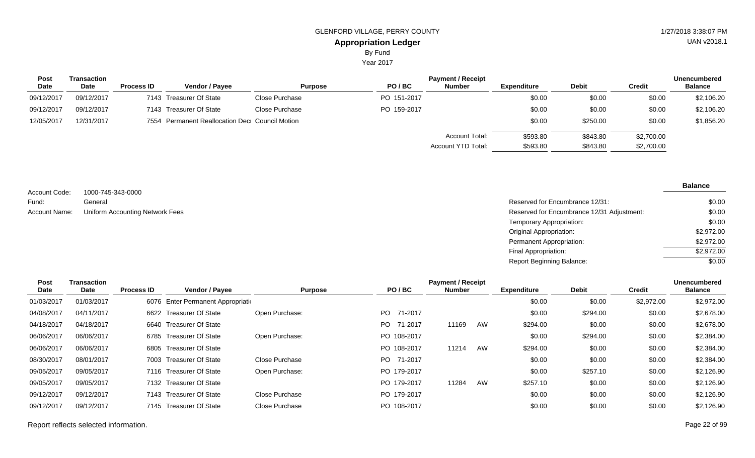Year 2017

| <b>Post</b> | Transaction |                   | <b>Payment / Receipt</b>                       |                |             |                                      |                      |                      |                          |                |  |
|-------------|-------------|-------------------|------------------------------------------------|----------------|-------------|--------------------------------------|----------------------|----------------------|--------------------------|----------------|--|
| Date        | Date        | <b>Process ID</b> | <b>Vendor / Pavee</b>                          | <b>Purpose</b> | PO/BC       | <b>Number</b>                        | <b>Expenditure</b>   | <b>Debit</b>         | <b>Credit</b>            | <b>Balance</b> |  |
| 09/12/2017  | 09/12/2017  |                   | 7143 Treasurer Of State                        | Close Purchase | PO 151-2017 |                                      | \$0.00               | \$0.00               | \$0.00                   | \$2,106.20     |  |
| 09/12/2017  | 09/12/2017  |                   | 7143 Treasurer Of State                        | Close Purchase | PO 159-2017 |                                      | \$0.00               | \$0.00               | \$0.00                   | \$2,106.20     |  |
| 12/05/2017  | 12/31/2017  |                   | 7554 Permanent Reallocation Dec Council Motion |                |             |                                      | \$0.00               | \$250.00             | \$0.00                   | \$1,856.20     |  |
|             |             |                   |                                                |                |             | Account Total:<br>Account YTD Total: | \$593.80<br>\$593.80 | \$843.80<br>\$843.80 | \$2,700.00<br>\$2,700.00 |                |  |

| Account Code: | 1000-745-343-0000              |
|---------------|--------------------------------|
| Fund:         | General                        |
| Account Name: | Uniform Accounting Network Fee |

| General                         | Reserved for Encumbrance 12/31:            | \$0.00     |
|---------------------------------|--------------------------------------------|------------|
| Uniform Accounting Network Fees | Reserved for Encumbrance 12/31 Adjustment: | \$0.00     |
|                                 | Temporary Appropriation:                   | \$0.00     |
|                                 | Original Appropriation:                    | \$2,972.00 |
|                                 | Permanent Appropriation:                   | \$2,972.00 |
|                                 | Final Appropriation:                       | \$2,972.00 |
|                                 | <b>Report Beginning Balance:</b>           | \$0.00     |

| Post        | Transaction | <b>Payment / Receipt</b> |                                    |                |                 |               |    |                    |              |               |                |
|-------------|-------------|--------------------------|------------------------------------|----------------|-----------------|---------------|----|--------------------|--------------|---------------|----------------|
| <b>Date</b> | Date        | <b>Process ID</b>        | Vendor / Payee                     | <b>Purpose</b> | PO/BC           | <b>Number</b> |    | <b>Expenditure</b> | <b>Debit</b> | <b>Credit</b> | <b>Balance</b> |
| 01/03/2017  | 01/03/2017  |                          | 6076 Enter Permanent Appropriation |                |                 |               |    | \$0.00             | \$0.00       | \$2,972.00    | \$2,972.00     |
| 04/08/2017  | 04/11/2017  |                          | 6622 Treasurer Of State            | Open Purchase: | PO.<br>71-2017  |               |    | \$0.00             | \$294.00     | \$0.00        | \$2,678.00     |
| 04/18/2017  | 04/18/2017  |                          | 6640 Treasurer Of State            |                | 71-2017<br>PO.  | 11169         | AW | \$294.00           | \$0.00       | \$0.00        | \$2,678.00     |
| 06/06/2017  | 06/06/2017  |                          | 6785 Treasurer Of State            | Open Purchase: | PO 108-2017     |               |    | \$0.00             | \$294.00     | \$0.00        | \$2,384.00     |
| 06/06/2017  | 06/06/2017  |                          | 6805 Treasurer Of State            |                | PO 108-2017     | 11214         | AW | \$294.00           | \$0.00       | \$0.00        | \$2,384.00     |
| 08/30/2017  | 08/01/2017  |                          | 7003 Treasurer Of State            | Close Purchase | 71-2017<br>PO - |               |    | \$0.00             | \$0.00       | \$0.00        | \$2,384.00     |
| 09/05/2017  | 09/05/2017  |                          | 7116 Treasurer Of State            | Open Purchase: | PO 179-2017     |               |    | \$0.00             | \$257.10     | \$0.00        | \$2,126.90     |
| 09/05/2017  | 09/05/2017  |                          | 7132 Treasurer Of State            |                | PO 179-2017     | 11284         | AW | \$257.10           | \$0.00       | \$0.00        | \$2,126.90     |
| 09/12/2017  | 09/12/2017  |                          | 7143 Treasurer Of State            | Close Purchase | PO 179-2017     |               |    | \$0.00             | \$0.00       | \$0.00        | \$2,126.90     |
| 09/12/2017  | 09/12/2017  |                          | 7145 Treasurer Of State            | Close Purchase | PO 108-2017     |               |    | \$0.00             | \$0.00       | \$0.00        | \$2,126.90     |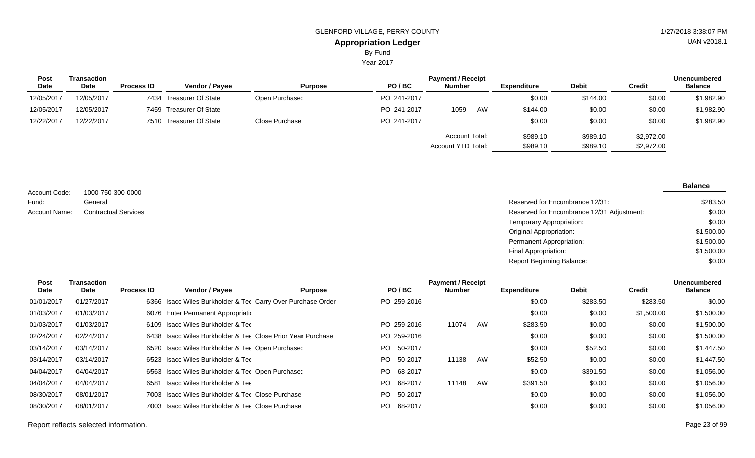Year 2017

| <b>Post</b> | Transaction |                   |                         |                | <b>Unencumbered</b> |                                      |    |                      |                      |                          |                |
|-------------|-------------|-------------------|-------------------------|----------------|---------------------|--------------------------------------|----|----------------------|----------------------|--------------------------|----------------|
| <b>Date</b> | <b>Date</b> | <b>Process ID</b> | <b>Vendor / Payee</b>   | <b>Purpose</b> | PO/BC               | <b>Number</b>                        |    | Expenditure          | <b>Debit</b>         | Credit                   | <b>Balance</b> |
| 12/05/2017  | 12/05/2017  |                   | 7434 Treasurer Of State | Open Purchase: | PO 241-2017         |                                      |    | \$0.00               | \$144.00             | \$0.00                   | \$1,982.90     |
| 12/05/2017  | 12/05/2017  |                   | 7459 Treasurer Of State |                | PO 241-2017         | 1059                                 | AW | \$144.00             | \$0.00               | \$0.00                   | \$1,982.90     |
| 12/22/2017  | 12/22/2017  |                   | 7510 Treasurer Of State | Close Purchase | PO 241-2017         |                                      |    | \$0.00               | \$0.00               | \$0.00                   | \$1,982.90     |
|             |             |                   |                         |                |                     | Account Total:<br>Account YTD Total: |    | \$989.10<br>\$989.10 | \$989.10<br>\$989.10 | \$2,972.00<br>\$2,972.00 |                |

| Account Code: | 1000-750-300-0000           |                                            |
|---------------|-----------------------------|--------------------------------------------|
| Fund:         | General                     | Reserved for Encumbrance 12/31:            |
| Account Name: | <b>Contractual Services</b> | Reserved for Encumbrance 12/31 Adjustment: |
|               |                             | Temporary Appropriation:                   |
|               |                             | Original Appropriation:                    |
|               |                             | Permanent Appropriation:                   |

| Post       | Transaction |                   |                                                             |                |             | <b>Payment / Receipt</b> |    |                    |              |            | Unencumbered   |
|------------|-------------|-------------------|-------------------------------------------------------------|----------------|-------------|--------------------------|----|--------------------|--------------|------------|----------------|
| Date       | Date        | <b>Process ID</b> | Vendor / Payee                                              | <b>Purpose</b> | PO/BC       | <b>Number</b>            |    | <b>Expenditure</b> | <b>Debit</b> | Credit     | <b>Balance</b> |
| 01/01/2017 | 01/27/2017  |                   | 6366 Isacc Wiles Burkholder & Tet Carry Over Purchase Order |                | PO 259-2016 |                          |    | \$0.00             | \$283.50     | \$283.50   | \$0.00         |
| 01/03/2017 | 01/03/2017  |                   | 6076 Enter Permanent Appropriation                          |                |             |                          |    | \$0.00             | \$0.00       | \$1,500.00 | \$1,500.00     |
| 01/03/2017 | 01/03/2017  |                   | 6109 Isacc Wiles Burkholder & Ter                           |                | PO 259-2016 | 11074                    | AW | \$283.50           | \$0.00       | \$0.00     | \$1,500.00     |
| 02/24/2017 | 02/24/2017  |                   | 6438 Isacc Wiles Burkholder & Tee Close Prior Year Purchase |                | PO 259-2016 |                          |    | \$0.00             | \$0.00       | \$0.00     | \$1,500.00     |
| 03/14/2017 | 03/14/2017  |                   | 6520 Isacc Wiles Burkholder & Ter Open Purchase:            |                | PO 50-2017  |                          |    | \$0.00             | \$52.50      | \$0.00     | \$1,447.50     |
| 03/14/2017 | 03/14/2017  |                   | 6523 Isacc Wiles Burkholder & Ter                           |                | PO 50-2017  | 11138                    | AW | \$52.50            | \$0.00       | \$0.00     | \$1,447.50     |
| 04/04/2017 | 04/04/2017  |                   | 6563 Isacc Wiles Burkholder & Ter Open Purchase:            |                | PO 68-2017  |                          |    | \$0.00             | \$391.50     | \$0.00     | \$1,056.00     |
| 04/04/2017 | 04/04/2017  | 6581              | <b>Isacc Wiles Burkholder &amp; Tee</b>                     |                | PO 68-2017  | 11148                    | AW | \$391.50           | \$0.00       | \$0.00     | \$1,056.00     |
| 08/30/2017 | 08/01/2017  |                   | 7003 Isacc Wiles Burkholder & Ter Close Purchase            |                | PO 50-2017  |                          |    | \$0.00             | \$0.00       | \$0.00     | \$1,056.00     |
| 08/30/2017 | 08/01/2017  |                   | 7003 Isacc Wiles Burkholder & Tee Close Purchase            |                | PO 68-2017  |                          |    | \$0.00             | \$0.00       | \$0.00     | \$1,056.00     |

Final Appropriation: Report Beginning Balance: UAN v2018.1

**Balance**

\$283.50 \$0.00 \$0.00 \$1,500.00 \$1,500.00 \$1,500.00  $\frac{1}{0.00}$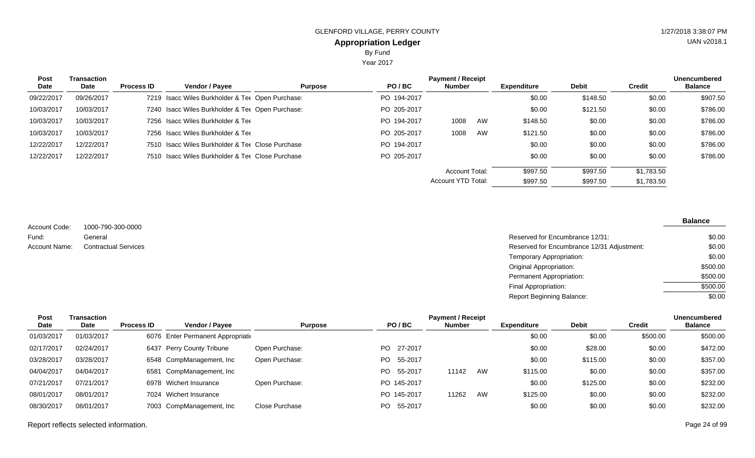Year 2017

| <b>Post</b><br>Date | <b>Transaction</b><br>Date | <b>Process ID</b> | Vendor / Payee                                   | <b>Purpose</b> | PO/BC       | <b>Payment / Receipt</b><br><b>Number</b> |    | <b>Expenditure</b> | <b>Debit</b> | <b>Credit</b> | <b>Unencumbered</b><br><b>Balance</b> |
|---------------------|----------------------------|-------------------|--------------------------------------------------|----------------|-------------|-------------------------------------------|----|--------------------|--------------|---------------|---------------------------------------|
| 09/22/2017          | 09/26/2017                 |                   | 7219 Isacc Wiles Burkholder & Ter Open Purchase: |                | PO 194-2017 |                                           |    | \$0.00             | \$148.50     | \$0.00        | \$907.50                              |
| 10/03/2017          | 10/03/2017                 |                   | 7240 Isacc Wiles Burkholder & Ter Open Purchase: |                | PO 205-2017 |                                           |    | \$0.00             | \$121.50     | \$0.00        | \$786.00                              |
| 10/03/2017          | 10/03/2017                 |                   | 7256 Isacc Wiles Burkholder & Ter                |                | PO 194-2017 | 1008                                      | AW | \$148.50           | \$0.00       | \$0.00        | \$786.00                              |
| 10/03/2017          | 10/03/2017                 |                   | 7256 Isacc Wiles Burkholder & Ter                |                | PO 205-2017 | 1008                                      | AW | \$121.50           | \$0.00       | \$0.00        | \$786.00                              |
| 12/22/2017          | 12/22/2017                 |                   | 7510 Isacc Wiles Burkholder & Ter Close Purchase |                | PO 194-2017 |                                           |    | \$0.00             | \$0.00       | \$0.00        | \$786.00                              |
| 12/22/2017          | 12/22/2017                 |                   | 7510 Isacc Wiles Burkholder & Ter Close Purchase |                | PO 205-2017 |                                           |    | \$0.00             | \$0.00       | \$0.00        | \$786.00                              |
|                     |                            |                   |                                                  |                |             | <b>Account Total:</b>                     |    | \$997.50           | \$997.50     | \$1.783.50    |                                       |
|                     |                            |                   |                                                  |                |             | Account YTD Total:                        |    | \$997.50           | \$997.50     | \$1,783.50    |                                       |

1000-790-300-0000 General **Contractual Services** Account Code: Fund: Account Name:

| Reserved for Encumbrance 12/31:            | \$0.00   |
|--------------------------------------------|----------|
| Reserved for Encumbrance 12/31 Adjustment: | \$0.00   |
| Temporary Appropriation:                   | \$0.00   |
| Original Appropriation:                    | \$500.00 |
| Permanent Appropriation:                   | \$500.00 |
| Final Appropriation:                       | \$500.00 |
| <b>Report Beginning Balance:</b>           | \$0.00   |

| Post       | Transaction |                   |                                    |                |             | <b>Payment / Receipt</b> |    |                    |              |          | <b>Unencumbered</b> |
|------------|-------------|-------------------|------------------------------------|----------------|-------------|--------------------------|----|--------------------|--------------|----------|---------------------|
| Date       | Date        | <b>Process ID</b> | <b>Vendor / Payee</b>              | <b>Purpose</b> | PO/BC       | <b>Number</b>            |    | <b>Expenditure</b> | <b>Debit</b> | Credit   | <b>Balance</b>      |
| 01/03/2017 | 01/03/2017  |                   | 6076 Enter Permanent Appropriation |                |             |                          |    | \$0.00             | \$0.00       | \$500.00 | \$500.00            |
| 02/17/2017 | 02/24/2017  |                   | 6437 Perry County Tribune          | Open Purchase: | PO 27-2017  |                          |    | \$0.00             | \$28.00      | \$0.00   | \$472.00            |
| 03/28/2017 | 03/28/2017  |                   | 6548 CompManagement, Inc           | Open Purchase: | PO 55-2017  |                          |    | \$0.00             | \$115.00     | \$0.00   | \$357.00            |
| 04/04/2017 | 04/04/2017  | 6581              | CompManagement, Inc                |                | PO 55-2017  | 11142                    | AW | \$115.00           | \$0.00       | \$0.00   | \$357.00            |
| 07/21/2017 | 07/21/2017  |                   | 6978 Wichert Insurance             | Open Purchase: | PO 145-2017 |                          |    | \$0.00             | \$125.00     | \$0.00   | \$232.00            |
| 08/01/2017 | 08/01/2017  |                   | 7024 Wichert Insurance             |                | PO 145-2017 | 11262                    | AW | \$125.00           | \$0.00       | \$0.00   | \$232.00            |
| 08/30/2017 | 08/01/2017  |                   | 7003 CompManagement, Inc           | Close Purchase | PO 55-2017  |                          |    | \$0.00             | \$0.00       | \$0.00   | \$232.00            |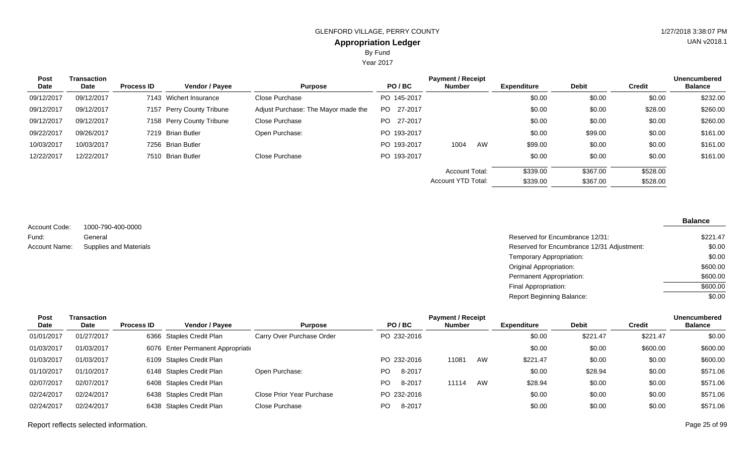Year 2017

| <b>Post</b> | Transaction |                   | Vendor / Payee            |                                     |             | <b>Unencumbered</b><br><b>Balance</b> |    |                    |              |          |          |
|-------------|-------------|-------------------|---------------------------|-------------------------------------|-------------|---------------------------------------|----|--------------------|--------------|----------|----------|
| Date        | Date        | <b>Process ID</b> |                           | <b>Purpose</b>                      | PO/BC       | <b>Number</b>                         |    | <b>Expenditure</b> | <b>Debit</b> | Credit   |          |
| 09/12/2017  | 09/12/2017  |                   | 7143 Wichert Insurance    | Close Purchase                      | PO 145-2017 |                                       |    | \$0.00             | \$0.00       | \$0.00   | \$232.00 |
| 09/12/2017  | 09/12/2017  |                   | 7157 Perry County Tribune | Adjust Purchase: The Mayor made the | PO 27-2017  |                                       |    | \$0.00             | \$0.00       | \$28.00  | \$260.00 |
| 09/12/2017  | 09/12/2017  |                   | 7158 Perry County Tribune | Close Purchase                      | PO 27-2017  |                                       |    | \$0.00             | \$0.00       | \$0.00   | \$260.00 |
| 09/22/2017  | 09/26/2017  |                   | 7219 Brian Butler         | Open Purchase:                      | PO 193-2017 |                                       |    | \$0.00             | \$99.00      | \$0.00   | \$161.00 |
| 10/03/2017  | 10/03/2017  |                   | 7256 Brian Butler         |                                     | PO 193-2017 | 1004                                  | AW | \$99.00            | \$0.00       | \$0.00   | \$161.00 |
| 12/22/2017  | 12/22/2017  |                   | 7510 Brian Butler         | Close Purchase                      | PO 193-2017 |                                       |    | \$0.00             | \$0.00       | \$0.00   | \$161.00 |
|             |             |                   |                           |                                     |             | <b>Account Total:</b>                 |    | \$339.00           | \$367.00     | \$528.00 |          |
|             |             |                   |                           |                                     |             | <b>Account YTD Total:</b>             |    | \$339.00           | \$367.00     | \$528.00 |          |

1000-790-400-0000 General Supplies and Materials Account Code: Fund: Account Name:

| Reserved for Encumbrance 12/31:            | \$221.47 |
|--------------------------------------------|----------|
| Reserved for Encumbrance 12/31 Adjustment: | \$0.00   |
| Temporary Appropriation:                   | \$0.00   |
| Original Appropriation:                    | \$600.00 |
| Permanent Appropriation:                   | \$600.00 |
| Final Appropriation:                       | \$600.00 |
| Report Beginning Balance:                  | \$0.00   |

| <b>Post</b> | Transaction |                   |                                    | <b>Payment / Receipt</b>  |                |             |               |    |                    |              |          | <b>Unencumbered</b> |
|-------------|-------------|-------------------|------------------------------------|---------------------------|----------------|-------------|---------------|----|--------------------|--------------|----------|---------------------|
| Date        | <b>Date</b> | <b>Process ID</b> | <b>Vendor / Payee</b>              | <b>Purpose</b>            |                | PO/BC       | <b>Number</b> |    | <b>Expenditure</b> | <b>Debit</b> | Credit   | <b>Balance</b>      |
| 01/01/2017  | 01/27/2017  |                   | 6366 Staples Credit Plan           | Carry Over Purchase Order |                | PO 232-2016 |               |    | \$0.00             | \$221.47     | \$221.47 | \$0.00              |
| 01/03/2017  | 01/03/2017  |                   | 6076 Enter Permanent Appropriation |                           |                |             |               |    | \$0.00             | \$0.00       | \$600.00 | \$600.00            |
| 01/03/2017  | 01/03/2017  |                   | 6109 Staples Credit Plan           |                           |                | PO 232-2016 | 11081         | AW | \$221.47           | \$0.00       | \$0.00   | \$600.00            |
| 01/10/2017  | 01/10/2017  |                   | 6148 Staples Credit Plan           | Open Purchase:            | PO             | 8-2017      |               |    | \$0.00             | \$28.94      | \$0.00   | \$571.06            |
| 02/07/2017  | 02/07/2017  |                   | 6408 Staples Credit Plan           |                           | PO             | 8-2017      | 11114         | AW | \$28.94            | \$0.00       | \$0.00   | \$571.06            |
| 02/24/2017  | 02/24/2017  |                   | 6438 Staples Credit Plan           | Close Prior Year Purchase |                | PO 232-2016 |               |    | \$0.00             | \$0.00       | \$0.00   | \$571.06            |
| 02/24/2017  | 02/24/2017  |                   | 6438 Staples Credit Plan           | Close Purchase            | P <sub>O</sub> | 8-2017      |               |    | \$0.00             | \$0.00       | \$0.00   | \$571.06            |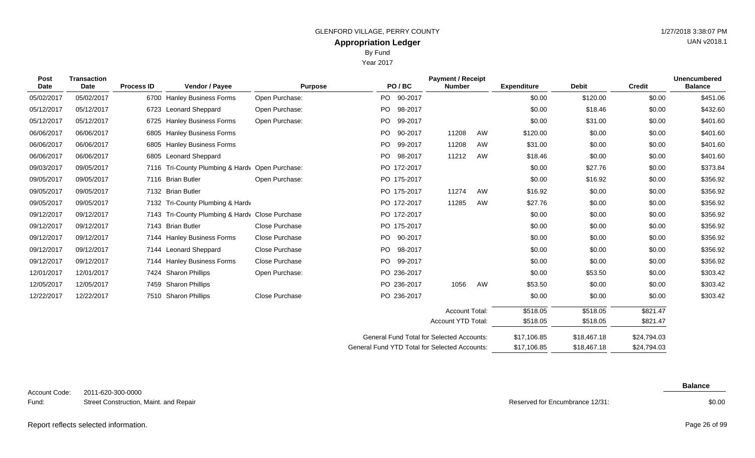Year 2017

| <b>Post</b> | <b>Transaction</b> |                   |                                                 | <b>Payment / Receipt</b> |     |                                                  |                       |             |                    |              |               | <b>Unencumbered</b> |
|-------------|--------------------|-------------------|-------------------------------------------------|--------------------------|-----|--------------------------------------------------|-----------------------|-------------|--------------------|--------------|---------------|---------------------|
| <b>Date</b> | Date               | <b>Process ID</b> | Vendor / Payee                                  | <b>Purpose</b>           |     | PO/BC                                            | <b>Number</b>         |             | <b>Expenditure</b> | <b>Debit</b> | <b>Credit</b> | <b>Balance</b>      |
| 05/02/2017  | 05/02/2017         |                   | 6700 Hanley Business Forms                      | Open Purchase:           |     | PO 90-2017                                       |                       |             | \$0.00             | \$120.00     | \$0.00        | \$451.06            |
| 05/12/2017  | 05/12/2017         |                   | 6723 Leonard Sheppard                           | Open Purchase:           |     | PO 98-2017                                       |                       |             | \$0.00             | \$18.46      | \$0.00        | \$432.60            |
| 05/12/2017  | 05/12/2017         |                   | 6725 Hanley Business Forms                      | Open Purchase:           | PO  | 99-2017                                          |                       |             | \$0.00             | \$31.00      | \$0.00        | \$401.60            |
| 06/06/2017  | 06/06/2017         |                   | 6805 Hanley Business Forms                      |                          | PO. | 90-2017                                          | 11208                 | AW          | \$120.00           | \$0.00       | \$0.00        | \$401.60            |
| 06/06/2017  | 06/06/2017         |                   | 6805 Hanley Business Forms                      |                          | PO  | 99-2017                                          | 11208                 | AW          | \$31.00            | \$0.00       | \$0.00        | \$401.60            |
| 06/06/2017  | 06/06/2017         |                   | 6805 Leonard Sheppard                           |                          |     | PO 98-2017                                       | 11212                 | AW          | \$18.46            | \$0.00       | \$0.00        | \$401.60            |
| 09/03/2017  | 09/05/2017         |                   | 7116 Tri-County Plumbing & Hardv Open Purchase: |                          |     | PO 172-2017                                      |                       |             | \$0.00             | \$27.76      | \$0.00        | \$373.84            |
| 09/05/2017  | 09/05/2017         |                   | 7116 Brian Butler                               | Open Purchase:           |     | PO 175-2017                                      |                       |             | \$0.00             | \$16.92      | \$0.00        | \$356.92            |
| 09/05/2017  | 09/05/2017         |                   | 7132 Brian Butler                               |                          |     | PO 175-2017                                      | 11274                 | AW          | \$16.92            | \$0.00       | \$0.00        | \$356.92            |
| 09/05/2017  | 09/05/2017         |                   | 7132 Tri-County Plumbing & Hardv                |                          |     | PO 172-2017                                      | 11285                 | AW          | \$27.76            | \$0.00       | \$0.00        | \$356.92            |
| 09/12/2017  | 09/12/2017         |                   | 7143 Tri-County Plumbing & Hardv Close Purchase |                          |     | PO 172-2017                                      |                       |             | \$0.00             | \$0.00       | \$0.00        | \$356.92            |
| 09/12/2017  | 09/12/2017         |                   | 7143 Brian Butler                               | Close Purchase           |     | PO 175-2017                                      |                       |             | \$0.00             | \$0.00       | \$0.00        | \$356.92            |
| 09/12/2017  | 09/12/2017         |                   | 7144 Hanley Business Forms                      | Close Purchase           |     | PO 90-2017                                       |                       |             | \$0.00             | \$0.00       | \$0.00        | \$356.92            |
| 09/12/2017  | 09/12/2017         |                   | 7144 Leonard Sheppard                           | Close Purchase           |     | PO 98-2017                                       |                       |             | \$0.00             | \$0.00       | \$0.00        | \$356.92            |
| 09/12/2017  | 09/12/2017         |                   | 7144 Hanley Business Forms                      | Close Purchase           |     | PO 99-2017                                       |                       |             | \$0.00             | \$0.00       | \$0.00        | \$356.92            |
| 12/01/2017  | 12/01/2017         |                   | 7424 Sharon Phillips                            | Open Purchase:           |     | PO 236-2017                                      |                       |             | \$0.00             | \$53.50      | \$0.00        | \$303.42            |
| 12/05/2017  | 12/05/2017         |                   | 7459 Sharon Phillips                            |                          |     | PO 236-2017                                      | 1056                  | AW          | \$53.50            | \$0.00       | \$0.00        | \$303.42            |
| 12/22/2017  | 12/22/2017         |                   | 7510 Sharon Phillips                            | Close Purchase           |     | PO 236-2017                                      |                       |             | \$0.00             | \$0.00       | \$0.00        | \$303.42            |
|             |                    |                   |                                                 |                          |     |                                                  |                       |             |                    |              |               |                     |
|             |                    |                   |                                                 |                          |     |                                                  | <b>Account Total:</b> |             | \$518.05           | \$518.05     | \$821.47      |                     |
|             |                    |                   |                                                 |                          |     |                                                  | Account YTD Total:    |             | \$518.05           | \$518.05     | \$821.47      |                     |
|             |                    |                   |                                                 |                          |     | <b>General Fund Total for Selected Accounts:</b> |                       |             | \$17,106.85        | \$18,467.18  | \$24,794.03   |                     |
|             |                    |                   | General Fund YTD Total for Selected Accounts:   |                          |     | \$17.106.85                                      | \$18,467.18           | \$24,794.03 |                    |              |               |                     |

2011-620-300-0000 Street Construction, Maint. and Repair Account Code: Fund:

Reserved for Encumbrance 12/31:

**Balance**

\$0.00

UAN v2018.1

Report reflects selected information. Page 26 of 99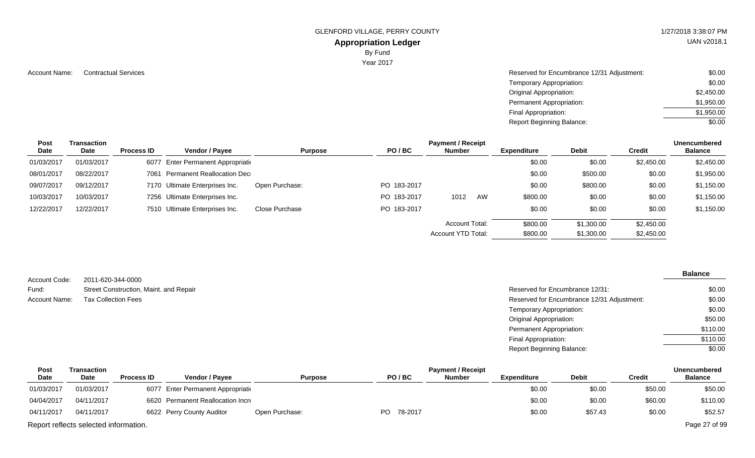GLENFORD VILLAGE, PERRY COUNTY **1/27/2018 3:38:07 PM** 

#### **Appropriation Ledger**

By Fund

Year 2017

Account Name: Contractual Services **Account Name:** Contractual Services **Account Name:** Contractual Services **Account Name:**  $\sim$  \$0.00 Temporary Appropriation: Original Appropriation: Permanent Appropriation: Final Appropriation: Report Beginning Balance: \$0.00 \$2,450.00 \$1,950.00 \$1,950.00  $\sqrt{$0.00}$ 

| Post       | Transaction |                   |                                    |                |             | <b>Payment / Receipt</b> |    |                    |            |            | Unencumbered   |
|------------|-------------|-------------------|------------------------------------|----------------|-------------|--------------------------|----|--------------------|------------|------------|----------------|
| Date       | Date        | <b>Process ID</b> | Vendor / Payee                     | <b>Purpose</b> | PO/BC       | <b>Number</b>            |    | <b>Expenditure</b> | Debit      | Credit     | <b>Balance</b> |
| 01/03/2017 | 01/03/2017  |                   | 6077 Enter Permanent Appropriation |                |             |                          |    | \$0.00             | \$0.00     | \$2,450.00 | \$2,450.00     |
| 08/01/2017 | 08/22/2017  |                   | 7061 Permanent Reallocation Dec    |                |             |                          |    | \$0.00             | \$500.00   | \$0.00     | \$1,950.00     |
| 09/07/2017 | 09/12/2017  |                   | 7170 Ultimate Enterprises Inc.     | Open Purchase: | PO 183-2017 |                          |    | \$0.00             | \$800.00   | \$0.00     | \$1,150.00     |
| 10/03/2017 | 10/03/2017  |                   | 7256 Ultimate Enterprises Inc.     |                | PO 183-2017 | 1012                     | AW | \$800.00           | \$0.00     | \$0.00     | \$1,150.00     |
| 12/22/2017 | 12/22/2017  |                   | 7510 Ultimate Enterprises Inc.     | Close Purchase | PO 183-2017 |                          |    | \$0.00             | \$0.00     | \$0.00     | \$1,150.00     |
|            |             |                   |                                    |                |             | Account Total:           |    | \$800.00           | \$1,300.00 | \$2,450.00 |                |
|            |             |                   |                                    |                |             | Account YTD Total:       |    | \$800.00           | \$1,300.00 | \$2,450.00 |                |

2011-620-344-0000 Street Construction, Maint. and Repair Account Code: Fund: Account Name:

#### **Balance**

| Street Construction, Maint. and Repair | Reserved for Encumbrance 12/31:            | \$0.00   |
|----------------------------------------|--------------------------------------------|----------|
| Tax Collection Fees                    | Reserved for Encumbrance 12/31 Adjustment: | \$0.00   |
|                                        | Temporary Appropriation:                   | \$0.00   |
|                                        | Original Appropriation:                    | \$50.00  |
|                                        | Permanent Appropriation:                   | \$110.00 |
|                                        | Final Appropriation:                       | \$110.00 |
|                                        | <b>Report Beginning Balance:</b>           | \$0.00   |

| <b>Post</b> | Transaction                           |                   |                                    |                |            | <b>Payment / Receipt</b> |                    |              |         | <b>Unencumbered</b> |
|-------------|---------------------------------------|-------------------|------------------------------------|----------------|------------|--------------------------|--------------------|--------------|---------|---------------------|
| <b>Date</b> | Date                                  | <b>Process ID</b> | <b>Vendor / Payee</b>              | <b>Purpose</b> | PO/BC      | Number                   | <b>Expenditure</b> | <b>Debit</b> | Credit  | <b>Balance</b>      |
| 01/03/2017  | 01/03/2017                            |                   | 6077 Enter Permanent Appropriation |                |            |                          | \$0.00             | \$0.00       | \$50.00 | \$50.00             |
| 04/04/2017  | 04/11/2017                            |                   | 6620 Permanent Reallocation Incre  |                |            |                          | \$0.00             | \$0.00       | \$60.00 | \$110.00            |
| 04/11/2017  | 04/11/2017                            |                   | 6622 Perry County Auditor          | Open Purchase: | PO 78-2017 |                          | \$0.00             | \$57.43      | \$0.00  | \$52.57             |
|             | Report reflects selected information. |                   |                                    |                |            |                          |                    |              |         | Page 27 of 99       |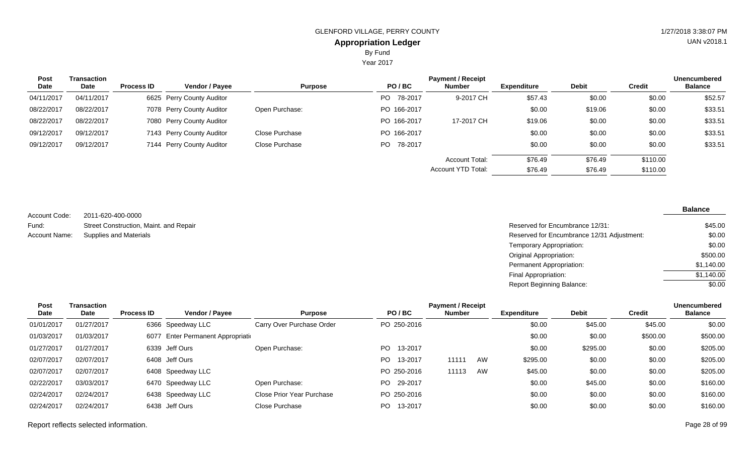Year 2017

| <b>Post</b> | Transaction | <b>Payment / Receipt</b> |                           |                |                 |                       |                    |              |               | <b>Unencumbered</b> |
|-------------|-------------|--------------------------|---------------------------|----------------|-----------------|-----------------------|--------------------|--------------|---------------|---------------------|
| Date        | Date        | <b>Process ID</b>        | <b>Vendor / Payee</b>     | <b>Purpose</b> | PO/BC           | <b>Number</b>         | <b>Expenditure</b> | <b>Debit</b> | <b>Credit</b> | <b>Balance</b>      |
| 04/11/2017  | 04/11/2017  |                          | 6625 Perry County Auditor |                | PO -<br>78-2017 | 9-2017 CH             | \$57.43            | \$0.00       | \$0.00        | \$52.57             |
| 08/22/2017  | 08/22/2017  |                          | 7078 Perry County Auditor | Open Purchase: | PO 166-2017     |                       | \$0.00             | \$19.06      | \$0.00        | \$33.51             |
| 08/22/2017  | 08/22/2017  |                          | 7080 Perry County Auditor |                | PO 166-2017     | 17-2017 CH            | \$19.06            | \$0.00       | \$0.00        | \$33.51             |
| 09/12/2017  | 09/12/2017  |                          | 7143 Perry County Auditor | Close Purchase | PO 166-2017     |                       | \$0.00             | \$0.00       | \$0.00        | \$33.51             |
| 09/12/2017  | 09/12/2017  |                          | 7144 Perry County Auditor | Close Purchase | PO 78-2017      |                       | \$0.00             | \$0.00       | \$0.00        | \$33.51             |
|             |             |                          |                           |                |                 | <b>Account Total:</b> | \$76.49            | \$76.49      | \$110.00      |                     |
|             |             |                          |                           |                |                 | Account YTD Total:    | \$76.49            | \$76.49      | \$110.00      |                     |

2011-620-400-0000 Street Construction, Maint. and Repair Account Code: Fund: Account Name:

Reserved for Encumbrance 12/31: Supplies and Materials **Reserved for Encumbrance 12/31 Adjustment:** Reserved for Encumbrance 12/31 Adjustment: Temporary Appropriation: Original Appropriation: Permanent Appropriation: Final Appropriation: \$45.00 \$0.00 \$0.00 \$500.00 \$1,140.00  $$1,140.00$ 

Report Beginning Balance:

| Post       | Transaction |                   | <b>Payment / Receipt</b><br><b>Unencumbered</b> |                           |                 |               |    |                    |              |               |                |  |
|------------|-------------|-------------------|-------------------------------------------------|---------------------------|-----------------|---------------|----|--------------------|--------------|---------------|----------------|--|
| Date       | Date        | <b>Process ID</b> | <b>Vendor / Payee</b>                           | <b>Purpose</b>            | PO/BC           | <b>Number</b> |    | <b>Expenditure</b> | <b>Debit</b> | <b>Credit</b> | <b>Balance</b> |  |
| 01/01/2017 | 01/27/2017  |                   | 6366 Speedway LLC                               | Carry Over Purchase Order | PO 250-2016     |               |    | \$0.00             | \$45.00      | \$45.00       | \$0.00         |  |
| 01/03/2017 | 01/03/2017  |                   | 6077 Enter Permanent Appropriation              |                           |                 |               |    | \$0.00             | \$0.00       | \$500.00      | \$500.00       |  |
| 01/27/2017 | 01/27/2017  |                   | 6339 Jeff Ours                                  | Open Purchase:            | PO 13-2017      |               |    | \$0.00             | \$295.00     | \$0.00        | \$205.00       |  |
| 02/07/2017 | 02/07/2017  |                   | 6408 Jeff Ours                                  |                           | PO -<br>13-2017 | 11111         | AW | \$295.00           | \$0.00       | \$0.00        | \$205.00       |  |
| 02/07/2017 | 02/07/2017  |                   | 6408 Speedway LLC                               |                           | PO 250-2016     | 11113         | AW | \$45.00            | \$0.00       | \$0.00        | \$205.00       |  |
| 02/22/2017 | 03/03/2017  |                   | 6470 Speedway LLC                               | Open Purchase:            | PO 29-2017      |               |    | \$0.00             | \$45.00      | \$0.00        | \$160.00       |  |
| 02/24/2017 | 02/24/2017  |                   | 6438 Speedway LLC                               | Close Prior Year Purchase | PO 250-2016     |               |    | \$0.00             | \$0.00       | \$0.00        | \$160.00       |  |
| 02/24/2017 | 02/24/2017  |                   | 6438 Jeff Ours                                  | Close Purchase            | 13-2017<br>PO.  |               |    | \$0.00             | \$0.00       | \$0.00        | \$160.00       |  |

**Balance**

 $\sqrt{$0.00}$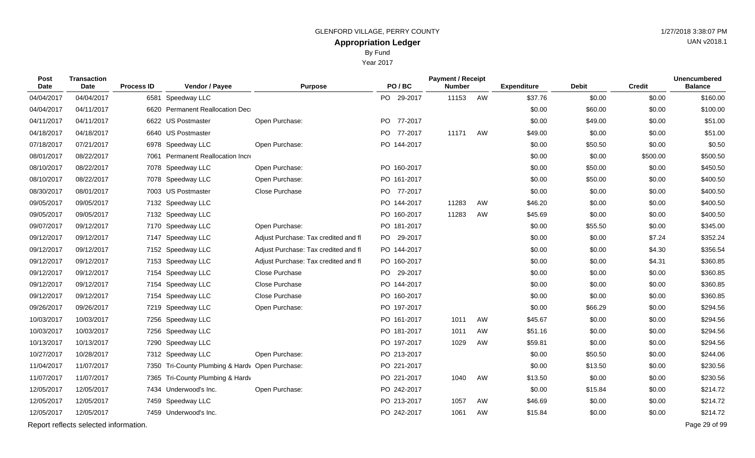By Fund

Year 2017

| Post<br>Date | Transaction<br>Date                   | <b>Process ID</b> | Vendor / Payee                                  | <b>Purpose</b>                       | PO/BC       | <b>Payment / Receipt</b><br><b>Number</b> |    | <b>Expenditure</b> | <b>Debit</b> | <b>Credit</b> | <b>Unencumbered</b><br><b>Balance</b> |
|--------------|---------------------------------------|-------------------|-------------------------------------------------|--------------------------------------|-------------|-------------------------------------------|----|--------------------|--------------|---------------|---------------------------------------|
| 04/04/2017   | 04/04/2017                            | 6581              | Speedway LLC                                    |                                      | PO 29-2017  | 11153                                     | AW | \$37.76            | \$0.00       | \$0.00        | \$160.00                              |
| 04/04/2017   | 04/11/2017                            |                   | 6620 Permanent Reallocation Dec                 |                                      |             |                                           |    | \$0.00             | \$60.00      | \$0.00        | \$100.00                              |
| 04/11/2017   | 04/11/2017                            |                   | 6622 US Postmaster                              | Open Purchase:                       | PO 77-2017  |                                           |    | \$0.00             | \$49.00      | \$0.00        | \$51.00                               |
| 04/18/2017   | 04/18/2017                            |                   | 6640 US Postmaster                              |                                      | PO 77-2017  | 11171                                     | AW | \$49.00            | \$0.00       | \$0.00        | \$51.00                               |
| 07/18/2017   | 07/21/2017                            |                   | 6978 Speedway LLC                               | Open Purchase:                       | PO 144-2017 |                                           |    | \$0.00             | \$50.50      | \$0.00        | \$0.50                                |
| 08/01/2017   | 08/22/2017                            | 7061              | Permanent Reallocation Incre                    |                                      |             |                                           |    | \$0.00             | \$0.00       | \$500.00      | \$500.50                              |
| 08/10/2017   | 08/22/2017                            |                   | 7078 Speedway LLC                               | Open Purchase:                       | PO 160-2017 |                                           |    | \$0.00             | \$50.00      | \$0.00        | \$450.50                              |
| 08/10/2017   | 08/22/2017                            |                   | 7078 Speedway LLC                               | Open Purchase:                       | PO 161-2017 |                                           |    | \$0.00             | \$50.00      | \$0.00        | \$400.50                              |
| 08/30/2017   | 08/01/2017                            |                   | 7003 US Postmaster                              | Close Purchase                       | PO 77-2017  |                                           |    | \$0.00             | \$0.00       | \$0.00        | \$400.50                              |
| 09/05/2017   | 09/05/2017                            |                   | 7132 Speedway LLC                               |                                      | PO 144-2017 | 11283                                     | AW | \$46.20            | \$0.00       | \$0.00        | \$400.50                              |
| 09/05/2017   | 09/05/2017                            |                   | 7132 Speedway LLC                               |                                      | PO 160-2017 | 11283                                     | AW | \$45.69            | \$0.00       | \$0.00        | \$400.50                              |
| 09/07/2017   | 09/12/2017                            |                   | 7170 Speedway LLC                               | Open Purchase:                       | PO 181-2017 |                                           |    | \$0.00             | \$55.50      | \$0.00        | \$345.00                              |
| 09/12/2017   | 09/12/2017                            |                   | 7147 Speedway LLC                               | Adjust Purchase: Tax credited and fl | PO 29-2017  |                                           |    | \$0.00             | \$0.00       | \$7.24        | \$352.24                              |
| 09/12/2017   | 09/12/2017                            |                   | 7152 Speedway LLC                               | Adjust Purchase: Tax credited and fl | PO 144-2017 |                                           |    | \$0.00             | \$0.00       | \$4.30        | \$356.54                              |
| 09/12/2017   | 09/12/2017                            |                   | 7153 Speedway LLC                               | Adjust Purchase: Tax credited and fl | PO 160-2017 |                                           |    | \$0.00             | \$0.00       | \$4.31        | \$360.85                              |
| 09/12/2017   | 09/12/2017                            |                   | 7154 Speedway LLC                               | Close Purchase                       | PO 29-2017  |                                           |    | \$0.00             | \$0.00       | \$0.00        | \$360.85                              |
| 09/12/2017   | 09/12/2017                            |                   | 7154 Speedway LLC                               | Close Purchase                       | PO 144-2017 |                                           |    | \$0.00             | \$0.00       | \$0.00        | \$360.85                              |
| 09/12/2017   | 09/12/2017                            |                   | 7154 Speedway LLC                               | Close Purchase                       | PO 160-2017 |                                           |    | \$0.00             | \$0.00       | \$0.00        | \$360.85                              |
| 09/26/2017   | 09/26/2017                            |                   | 7219 Speedway LLC                               | Open Purchase:                       | PO 197-2017 |                                           |    | \$0.00             | \$66.29      | \$0.00        | \$294.56                              |
| 10/03/2017   | 10/03/2017                            |                   | 7256 Speedway LLC                               |                                      | PO 161-2017 | 1011                                      | AW | \$45.67            | \$0.00       | \$0.00        | \$294.56                              |
| 10/03/2017   | 10/03/2017                            |                   | 7256 Speedway LLC                               |                                      | PO 181-2017 | 1011                                      | AW | \$51.16            | \$0.00       | \$0.00        | \$294.56                              |
| 10/13/2017   | 10/13/2017                            |                   | 7290 Speedway LLC                               |                                      | PO 197-2017 | 1029                                      | AW | \$59.81            | \$0.00       | \$0.00        | \$294.56                              |
| 10/27/2017   | 10/28/2017                            |                   | 7312 Speedway LLC                               | Open Purchase:                       | PO 213-2017 |                                           |    | \$0.00             | \$50.50      | \$0.00        | \$244.06                              |
| 11/04/2017   | 11/07/2017                            |                   | 7350 Tri-County Plumbing & Hardv Open Purchase: |                                      | PO 221-2017 |                                           |    | \$0.00             | \$13.50      | \$0.00        | \$230.56                              |
| 11/07/2017   | 11/07/2017                            |                   | 7365 Tri-County Plumbing & Hardv                |                                      | PO 221-2017 | 1040                                      | AW | \$13.50            | \$0.00       | \$0.00        | \$230.56                              |
| 12/05/2017   | 12/05/2017                            |                   | 7434 Underwood's Inc.                           | Open Purchase:                       | PO 242-2017 |                                           |    | \$0.00             | \$15.84      | \$0.00        | \$214.72                              |
| 12/05/2017   | 12/05/2017                            |                   | 7459 Speedway LLC                               |                                      | PO 213-2017 | 1057                                      | AW | \$46.69            | \$0.00       | \$0.00        | \$214.72                              |
| 12/05/2017   | 12/05/2017                            |                   | 7459 Underwood's Inc.                           |                                      | PO 242-2017 | 1061                                      | AW | \$15.84            | \$0.00       | \$0.00        | \$214.72                              |
|              | Report reflects selected information. |                   |                                                 |                                      |             |                                           |    |                    |              |               | Page 29 of 99                         |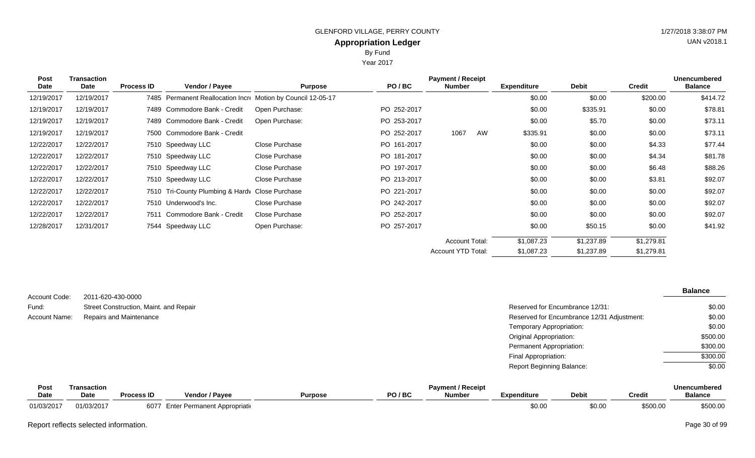Year 2017

| <b>Post</b> | Transaction |                   |                                                              |                |             | <b>Payment / Receipt</b> |    |                    |              |               | <b>Unencumbered</b> |
|-------------|-------------|-------------------|--------------------------------------------------------------|----------------|-------------|--------------------------|----|--------------------|--------------|---------------|---------------------|
| Date        | Date        | <b>Process ID</b> | <b>Vendor / Payee</b>                                        | <b>Purpose</b> | PO/BC       | <b>Number</b>            |    | <b>Expenditure</b> | <b>Debit</b> | <b>Credit</b> | <b>Balance</b>      |
| 12/19/2017  | 12/19/2017  |                   | 7485 Permanent Reallocation Incre Motion by Council 12-05-17 |                |             |                          |    | \$0.00             | \$0.00       | \$200.00      | \$414.72            |
| 12/19/2017  | 12/19/2017  |                   | 7489 Commodore Bank - Credit                                 | Open Purchase: | PO 252-2017 |                          |    | \$0.00             | \$335.91     | \$0.00        | \$78.81             |
| 12/19/2017  | 12/19/2017  |                   | 7489 Commodore Bank - Credit                                 | Open Purchase: | PO 253-2017 |                          |    | \$0.00             | \$5.70       | \$0.00        | \$73.11             |
| 12/19/2017  | 12/19/2017  |                   | 7500 Commodore Bank - Credit                                 |                | PO 252-2017 | 1067                     | AW | \$335.91           | \$0.00       | \$0.00        | \$73.11             |
| 12/22/2017  | 12/22/2017  |                   | 7510 Speedway LLC                                            | Close Purchase | PO 161-2017 |                          |    | \$0.00             | \$0.00       | \$4.33        | \$77.44             |
| 12/22/2017  | 12/22/2017  |                   | 7510 Speedway LLC                                            | Close Purchase | PO 181-2017 |                          |    | \$0.00             | \$0.00       | \$4.34        | \$81.78             |
| 12/22/2017  | 12/22/2017  |                   | 7510 Speedway LLC                                            | Close Purchase | PO 197-2017 |                          |    | \$0.00             | \$0.00       | \$6.48        | \$88.26             |
| 12/22/2017  | 12/22/2017  |                   | 7510 Speedway LLC                                            | Close Purchase | PO 213-2017 |                          |    | \$0.00             | \$0.00       | \$3.81        | \$92.07             |
| 12/22/2017  | 12/22/2017  |                   | 7510 Tri-County Plumbing & Hardy Close Purchase              |                | PO 221-2017 |                          |    | \$0.00             | \$0.00       | \$0.00        | \$92.07             |
| 12/22/2017  | 12/22/2017  |                   | 7510 Underwood's Inc.                                        | Close Purchase | PO 242-2017 |                          |    | \$0.00             | \$0.00       | \$0.00        | \$92.07             |
| 12/22/2017  | 12/22/2017  | 7511              | Commodore Bank - Credit                                      | Close Purchase | PO 252-2017 |                          |    | \$0.00             | \$0.00       | \$0.00        | \$92.07             |
| 12/28/2017  | 12/31/2017  |                   | 7544 Speedway LLC                                            | Open Purchase: | PO 257-2017 |                          |    | \$0.00             | \$50.15      | \$0.00        | \$41.92             |
|             |             |                   |                                                              |                |             | <b>Account Total:</b>    |    | \$1,087.23         | \$1,237.89   | \$1,279.81    |                     |
|             |             |                   |                                                              |                |             | Account YTD Total:       |    | \$1,087.23         | \$1,237.89   | \$1,279.81    |                     |

| Account Code: | 2011-620-430-0000                      |                                            | <b>Balance</b> |
|---------------|----------------------------------------|--------------------------------------------|----------------|
| Fund:         | Street Construction, Maint. and Repair | Reserved for Encumbrance 12/31:            | \$0.00         |
| Account Name: | <b>Repairs and Maintenance</b>         | Reserved for Encumbrance 12/31 Adjustment: | \$0.00         |
|               |                                        | Temporary Appropriation:                   | \$0.00         |
|               |                                        | <b>Original Appropriation:</b>             | \$500.00       |
|               |                                        | Permanent Appropriation:                   | \$300.00       |
|               |                                        | Final Appropriation:                       | \$300.00       |
|               |                                        | <b>Report Beginning Balance:</b>           | \$0.00         |

| Post       | Transaction |                   |                                |                |       | <b>Payment / Receipt</b> |                    |              |               | Unencumbered   |
|------------|-------------|-------------------|--------------------------------|----------------|-------|--------------------------|--------------------|--------------|---------------|----------------|
| Date       | <b>Date</b> | <b>Process ID</b> | <b>Vendor / Payee</b>          | <b>Purpose</b> | PO/BC | <b>Number</b>            | <b>Expenditure</b> | <b>Debit</b> | <b>Credit</b> | <b>Balance</b> |
| 01/03/2017 | 01/03/2017  | 6077              | ' Enter Permanent Appropriatio |                |       |                          | \$0.0(             | \$0.00       | \$500.00      | \$500.00       |

Report reflects selected information. Page 30 of 99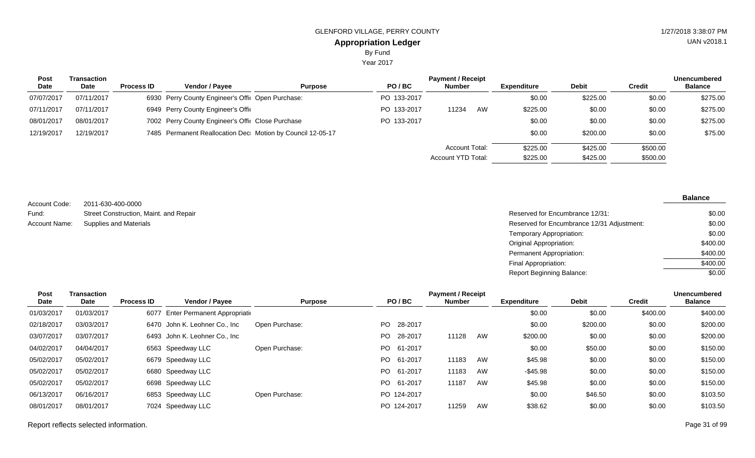Year 2017

| <b>Post</b> | Transaction |                   |                                                            |                |             | <b>Payment / Receipt</b> |    |                    |              |          | <b>Unencumbered</b> |
|-------------|-------------|-------------------|------------------------------------------------------------|----------------|-------------|--------------------------|----|--------------------|--------------|----------|---------------------|
| <b>Date</b> | Date        | <b>Process ID</b> | <b>Vendor / Payee</b>                                      | <b>Purpose</b> | PO/BC       | <b>Number</b>            |    | <b>Expenditure</b> | <b>Debit</b> | Credit   | <b>Balance</b>      |
| 07/07/2017  | 07/11/2017  |                   | 6930 Perry County Engineer's Offic Open Purchase:          |                | PO 133-2017 |                          |    | \$0.00             | \$225.00     | \$0.00   | \$275.00            |
| 07/11/2017  | 07/11/2017  |                   | 6949 Perry County Engineer's Offic                         |                | PO 133-2017 | 11234                    | AW | \$225.00           | \$0.00       | \$0.00   | \$275.00            |
| 08/01/2017  | 08/01/2017  |                   | 7002 Perry County Engineer's Offic Close Purchase          |                | PO 133-2017 |                          |    | \$0.00             | \$0.00       | \$0.00   | \$275.00            |
| 12/19/2017  | 12/19/2017  |                   | 7485 Permanent Reallocation Dec Motion by Council 12-05-17 |                |             |                          |    | \$0.00             | \$200.00     | \$0.00   | \$75.00             |
|             |             |                   |                                                            |                |             | <b>Account Total:</b>    |    | \$225.00           | \$425.00     | \$500.00 |                     |
|             |             |                   |                                                            |                |             | Account YTD Total:       |    | \$225.00           | \$425.00     | \$500.00 |                     |

2011-630-400-0000 Street Construction, Maint. and Repair Supplies and Materials Account Code: Fund: Account Name:

#### **Balance**

| Reserved for Encumbrance 12/31:            | \$0.00   |
|--------------------------------------------|----------|
| Reserved for Encumbrance 12/31 Adjustment: | \$0.00   |
| Temporary Appropriation:                   | \$0.00   |
| Original Appropriation:                    | \$400.00 |
| Permanent Appropriation:                   | \$400.00 |
| Final Appropriation:                       | \$400.00 |
| Report Beginning Balance:                  | \$0.00   |

| Post       | Transaction |                   |                                |                |      |             | <b>Payment / Receipt</b> |    |                    |              |               | <b>Unencumbered</b> |
|------------|-------------|-------------------|--------------------------------|----------------|------|-------------|--------------------------|----|--------------------|--------------|---------------|---------------------|
| Date       | Date        | <b>Process ID</b> | Vendor / Payee                 | <b>Purpose</b> |      | PO/BC       | <b>Number</b>            |    | <b>Expenditure</b> | <b>Debit</b> | <b>Credit</b> | <b>Balance</b>      |
| 01/03/2017 | 01/03/2017  | 6077              | Enter Permanent Appropriatio   |                |      |             |                          |    | \$0.00             | \$0.00       | \$400.00      | \$400.00            |
| 02/18/2017 | 03/03/2017  |                   | 6470 John K. Leohner Co., Inc. | Open Purchase: | PO - | 28-2017     |                          |    | \$0.00             | \$200.00     | \$0.00        | \$200.00            |
| 03/07/2017 | 03/07/2017  |                   | 6493 John K. Leohner Co., Inc. |                | PO - | 28-2017     | 11128                    | AW | \$200.00           | \$0.00       | \$0.00        | \$200.00            |
| 04/02/2017 | 04/04/2017  |                   | 6563 Speedway LLC              | Open Purchase: |      | PO 61-2017  |                          |    | \$0.00             | \$50.00      | \$0.00        | \$150.00            |
| 05/02/2017 | 05/02/2017  |                   | 6679 Speedway LLC              |                |      | PO 61-2017  | 11183                    | AW | \$45.98            | \$0.00       | \$0.00        | \$150.00            |
| 05/02/2017 | 05/02/2017  |                   | 6680 Speedway LLC              |                |      | PO 61-2017  | 11183                    | AW | $-$ \$45.98        | \$0.00       | \$0.00        | \$150.00            |
| 05/02/2017 | 05/02/2017  |                   | 6698 Speedway LLC              |                |      | PO 61-2017  | 11187                    | AW | \$45.98            | \$0.00       | \$0.00        | \$150.00            |
| 06/13/2017 | 06/16/2017  |                   | 6853 Speedway LLC              | Open Purchase: |      | PO 124-2017 |                          |    | \$0.00             | \$46.50      | \$0.00        | \$103.50            |
| 08/01/2017 | 08/01/2017  |                   | 7024 Speedway LLC              |                |      | PO 124-2017 | 11259                    | AW | \$38.62            | \$0.00       | \$0.00        | \$103.50            |

Report reflects selected information. Page 31 of 99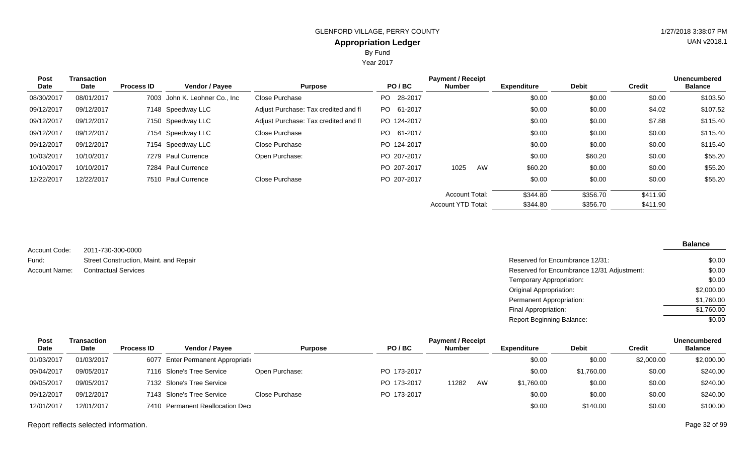Year 2017

| <b>Post</b> | Transaction |                   |                                |                                      |                | <b>Payment / Receipt</b> |    |                    |              |               | <b>Unencumbered</b> |
|-------------|-------------|-------------------|--------------------------------|--------------------------------------|----------------|--------------------------|----|--------------------|--------------|---------------|---------------------|
| Date        | Date        | <b>Process ID</b> | Vendor / Payee                 | <b>Purpose</b>                       | PO/BC          | <b>Number</b>            |    | <b>Expenditure</b> | <b>Debit</b> | <b>Credit</b> | <b>Balance</b>      |
| 08/30/2017  | 08/01/2017  |                   | 7003 John K. Leohner Co., Inc. | Close Purchase                       | 28-2017<br>PO. |                          |    | \$0.00             | \$0.00       | \$0.00        | \$103.50            |
| 09/12/2017  | 09/12/2017  |                   | 7148 Speedway LLC              | Adjust Purchase: Tax credited and fl | PO 61-2017     |                          |    | \$0.00             | \$0.00       | \$4.02        | \$107.52            |
| 09/12/2017  | 09/12/2017  |                   | 7150 Speedway LLC              | Adjust Purchase: Tax credited and fl | PO 124-2017    |                          |    | \$0.00             | \$0.00       | \$7.88        | \$115.40            |
| 09/12/2017  | 09/12/2017  |                   | 7154 Speedway LLC              | Close Purchase                       | PO 61-2017     |                          |    | \$0.00             | \$0.00       | \$0.00        | \$115.40            |
| 09/12/2017  | 09/12/2017  |                   | 7154 Speedway LLC              | Close Purchase                       | PO 124-2017    |                          |    | \$0.00             | \$0.00       | \$0.00        | \$115.40            |
| 10/03/2017  | 10/10/2017  |                   | 7279 Paul Currence             | Open Purchase:                       | PO 207-2017    |                          |    | \$0.00             | \$60.20      | \$0.00        | \$55.20             |
| 10/10/2017  | 10/10/2017  |                   | 7284 Paul Currence             |                                      | PO 207-2017    | 1025                     | AW | \$60.20            | \$0.00       | \$0.00        | \$55.20             |
| 12/22/2017  | 12/22/2017  |                   | 7510 Paul Currence             | Close Purchase                       | PO 207-2017    |                          |    | \$0.00             | \$0.00       | \$0.00        | \$55.20             |
|             |             |                   |                                |                                      |                | <b>Account Total:</b>    |    | \$344.80           | \$356.70     | \$411.90      |                     |
|             |             |                   |                                |                                      |                | Account YTD Total:       |    | \$344.80           | \$356.70     | \$411.90      |                     |

| Account Code: | 2011-730-300-0000                      |
|---------------|----------------------------------------|
| Fund:         | Street Construction, Maint. and Repair |
| Account Name: | <b>Contractual Services</b>            |

| Street Construction, Maint. and Repair | Reserved for Encumbrance 12/31:            | \$0.00     |
|----------------------------------------|--------------------------------------------|------------|
| <b>Contractual Services</b>            | Reserved for Encumbrance 12/31 Adjustment: | \$0.00     |
|                                        | Temporary Appropriation:                   | \$0.00     |
|                                        | Original Appropriation:                    | \$2,000.00 |
|                                        | Permanent Appropriation:                   | \$1,760.00 |
|                                        | Final Appropriation:                       | \$1,760.00 |
|                                        | <b>Report Beginning Balance:</b>           | \$0.00     |
|                                        |                                            |            |

| <b>Post</b> | Transaction |                   |                                    |                |             | <b>Payment / Receipt</b> |    |             |              |               | <b>Unencumbered</b> |
|-------------|-------------|-------------------|------------------------------------|----------------|-------------|--------------------------|----|-------------|--------------|---------------|---------------------|
| <b>Date</b> | <b>Date</b> | <b>Process ID</b> | <b>Vendor / Pavee</b>              | <b>Purpose</b> | PO/BC       | <b>Number</b>            |    | Expenditure | <b>Debit</b> | <b>Credit</b> | <b>Balance</b>      |
| 01/03/2017  | 01/03/2017  |                   | 6077 Enter Permanent Appropriation |                |             |                          |    | \$0.00      | \$0.00       | \$2,000.00    | \$2,000.00          |
| 09/04/2017  | 09/05/2017  |                   | 7116 Slone's Tree Service          | Open Purchase: | PO 173-2017 |                          |    | \$0.00      | \$1,760.00   | \$0.00        | \$240.00            |
| 09/05/2017  | 09/05/2017  |                   | 7132 Slone's Tree Service          |                | PO 173-2017 | 11282                    | AW | \$1,760.00  | \$0.00       | \$0.00        | \$240.00            |
| 09/12/2017  | 09/12/2017  |                   | 7143 Slone's Tree Service          | Close Purchase | PO 173-2017 |                          |    | \$0.00      | \$0.00       | \$0.00        | \$240.00            |
| 12/01/2017  | 12/01/2017  |                   | 7410 Permanent Reallocation Dec    |                |             |                          |    | \$0.00      | \$140.00     | \$0.00        | \$100.00            |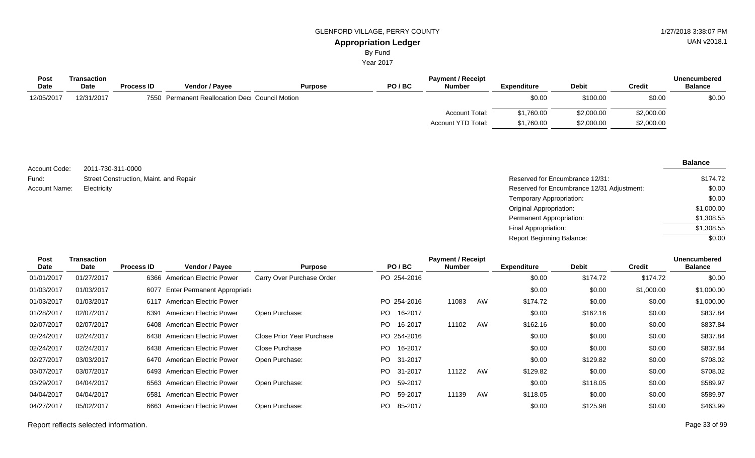Year 2017

| Transaction |                   |                       |                |                                                | <b>Payment / Receipt</b> |                    |              |               | Unencumbered   |
|-------------|-------------------|-----------------------|----------------|------------------------------------------------|--------------------------|--------------------|--------------|---------------|----------------|
| Date        | <b>Process ID</b> | <b>Vendor / Payee</b> | <b>Purpose</b> | PO/BC                                          | <b>Number</b>            | <b>Expenditure</b> | <b>Debit</b> | <b>Credit</b> | <b>Balance</b> |
| 12/31/2017  |                   |                       |                |                                                |                          | \$0.00             | \$100.00     | \$0.00        | \$0.00         |
|             |                   |                       |                |                                                | Account Total:           | \$1,760.00         | \$2,000.00   | \$2,000.00    |                |
|             |                   |                       |                |                                                | Account YTD Total:       | \$1,760.00         | \$2,000.00   | \$2,000.00    |                |
|             |                   |                       |                | 7550 Permanent Reallocation Dec Council Motion |                          |                    |              |               |                |

2011-730-311-0000 Street Construction, Maint. and Repair Account Code: Fund: Account Name:

| Street Construction, Maint. and Repair | Reserved for Encumbrance 12/31:            | \$174.72   |
|----------------------------------------|--------------------------------------------|------------|
| Electricity                            | Reserved for Encumbrance 12/31 Adjustment: | \$0.00     |
|                                        | Temporary Appropriation:                   | \$0.00     |
|                                        | Original Appropriation:                    | \$1,000.00 |
|                                        | Permanent Appropriation:                   | \$1,308.55 |
|                                        | Final Appropriation:                       | \$1,308.55 |
|                                        | Report Beginning Balance:                  | \$0.00     |

| <b>Transaction</b> | <b>Payment / Receipt</b> |                         |                                                                                                                                                                                                                                                                                                                                                                                 |       |                                                                           |                                                      |                    |              |               | <b>Unencumbered</b> |
|--------------------|--------------------------|-------------------------|---------------------------------------------------------------------------------------------------------------------------------------------------------------------------------------------------------------------------------------------------------------------------------------------------------------------------------------------------------------------------------|-------|---------------------------------------------------------------------------|------------------------------------------------------|--------------------|--------------|---------------|---------------------|
| Date               | <b>Process ID</b>        | Vendor / Payee          | <b>Purpose</b>                                                                                                                                                                                                                                                                                                                                                                  | PO/BC |                                                                           |                                                      | <b>Expenditure</b> | <b>Debit</b> | <b>Credit</b> | <b>Balance</b>      |
| 01/27/2017         |                          |                         | Carry Over Purchase Order                                                                                                                                                                                                                                                                                                                                                       |       |                                                                           |                                                      | \$0.00             | \$174.72     | \$174.72      | \$0.00              |
| 01/03/2017         |                          |                         |                                                                                                                                                                                                                                                                                                                                                                                 |       |                                                                           |                                                      | \$0.00             | \$0.00       | \$1,000.00    | \$1,000.00          |
| 01/03/2017         |                          |                         |                                                                                                                                                                                                                                                                                                                                                                                 |       | 11083                                                                     | AW                                                   | \$174.72           | \$0.00       | \$0.00        | \$1,000.00          |
| 02/07/2017         |                          |                         | Open Purchase:                                                                                                                                                                                                                                                                                                                                                                  | PO.   |                                                                           |                                                      | \$0.00             | \$162.16     | \$0.00        | \$837.84            |
| 02/07/2017         |                          |                         |                                                                                                                                                                                                                                                                                                                                                                                 | PO.   | 11102                                                                     | AW                                                   | \$162.16           | \$0.00       | \$0.00        | \$837.84            |
| 02/24/2017         |                          |                         | Close Prior Year Purchase                                                                                                                                                                                                                                                                                                                                                       |       |                                                                           |                                                      | \$0.00             | \$0.00       | \$0.00        | \$837.84            |
| 02/24/2017         |                          |                         | Close Purchase                                                                                                                                                                                                                                                                                                                                                                  | PO.   |                                                                           |                                                      | \$0.00             | \$0.00       | \$0.00        | \$837.84            |
| 03/03/2017         |                          |                         | Open Purchase:                                                                                                                                                                                                                                                                                                                                                                  | PO -  |                                                                           |                                                      | \$0.00             | \$129.82     | \$0.00        | \$708.02            |
| 03/07/2017         |                          |                         |                                                                                                                                                                                                                                                                                                                                                                                 | PO.   | 11122                                                                     | AW                                                   | \$129.82           | \$0.00       | \$0.00        | \$708.02            |
| 04/04/2017         |                          |                         | Open Purchase:                                                                                                                                                                                                                                                                                                                                                                  | PO.   |                                                                           |                                                      | \$0.00             | \$118.05     | \$0.00        | \$589.97            |
| 04/04/2017         |                          |                         |                                                                                                                                                                                                                                                                                                                                                                                 | PO.   | 11139                                                                     | AW                                                   | \$118.05           | \$0.00       | \$0.00        | \$589.97            |
| 05/02/2017         |                          | American Electric Power | Open Purchase:                                                                                                                                                                                                                                                                                                                                                                  | PO.   |                                                                           |                                                      | \$0.00             | \$125.98     | \$0.00        | \$463.99            |
|                    |                          |                         | 6366 American Electric Power<br>Enter Permanent Appropriatio<br>6077<br>6117 American Electric Power<br>6391 American Electric Power<br>6408 American Electric Power<br>6438 American Electric Power<br>6438 American Electric Power<br>6470 American Electric Power<br>6493 American Electric Power<br>6563 American Electric Power<br>American Electric Power<br>6581<br>6663 |       | 16-2017<br>16-2017<br>16-2017<br>31-2017<br>31-2017<br>59-2017<br>59-2017 | PO 254-2016<br>PO 254-2016<br>PO 254-2016<br>85-2017 | <b>Number</b>      |              |               |                     |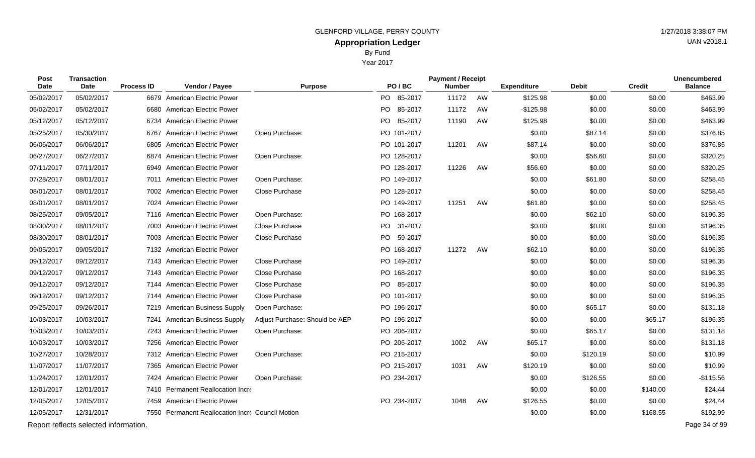Year 2017

| Post<br>Date | Transaction<br>Date                   | <b>Process ID</b> | Vendor / Payee                                   | <b>Purpose</b>                 | PO/BC       | <b>Payment / Receipt</b><br><b>Number</b> |    | <b>Expenditure</b> | <b>Debit</b> | <b>Credit</b> | <b>Unencumbered</b><br><b>Balance</b> |
|--------------|---------------------------------------|-------------------|--------------------------------------------------|--------------------------------|-------------|-------------------------------------------|----|--------------------|--------------|---------------|---------------------------------------|
| 05/02/2017   | 05/02/2017                            |                   | 6679 American Electric Power                     |                                | PO 85-2017  | 11172                                     | AW | \$125.98           | \$0.00       | \$0.00        | \$463.99                              |
| 05/02/2017   | 05/02/2017                            |                   | 6680 American Electric Power                     |                                | PO 85-2017  | 11172                                     | AW | $-$125.98$         | \$0.00       | \$0.00        | \$463.99                              |
| 05/12/2017   | 05/12/2017                            | 6734              | <b>American Electric Power</b>                   |                                | PO 85-2017  | 11190                                     | AW | \$125.98           | \$0.00       | \$0.00        | \$463.99                              |
| 05/25/2017   | 05/30/2017                            | 6767              | <b>American Electric Power</b>                   | Open Purchase:                 | PO 101-2017 |                                           |    | \$0.00             | \$87.14      | \$0.00        | \$376.85                              |
| 06/06/2017   | 06/06/2017                            |                   | 6805 American Electric Power                     |                                | PO 101-2017 | 11201                                     | AW | \$87.14            | \$0.00       | \$0.00        | \$376.85                              |
| 06/27/2017   | 06/27/2017                            |                   | 6874 American Electric Power                     | Open Purchase:                 | PO 128-2017 |                                           |    | \$0.00             | \$56.60      | \$0.00        | \$320.25                              |
| 07/11/2017   | 07/11/2017                            |                   | 6949 American Electric Power                     |                                | PO 128-2017 | 11226                                     | AW | \$56.60            | \$0.00       | \$0.00        | \$320.25                              |
| 07/28/2017   | 08/01/2017                            |                   | 7011 American Electric Power                     | Open Purchase:                 | PO 149-2017 |                                           |    | \$0.00             | \$61.80      | \$0.00        | \$258.45                              |
| 08/01/2017   | 08/01/2017                            |                   | 7002 American Electric Power                     | Close Purchase                 | PO 128-2017 |                                           |    | \$0.00             | \$0.00       | \$0.00        | \$258.45                              |
| 08/01/2017   | 08/01/2017                            |                   | 7024 American Electric Power                     |                                | PO 149-2017 | 11251                                     | AW | \$61.80            | \$0.00       | \$0.00        | \$258.45                              |
| 08/25/2017   | 09/05/2017                            |                   | 7116 American Electric Power                     | Open Purchase:                 | PO 168-2017 |                                           |    | \$0.00             | \$62.10      | \$0.00        | \$196.35                              |
| 08/30/2017   | 08/01/2017                            |                   | 7003 American Electric Power                     | Close Purchase                 | PO 31-2017  |                                           |    | \$0.00             | \$0.00       | \$0.00        | \$196.35                              |
| 08/30/2017   | 08/01/2017                            |                   | 7003 American Electric Power                     | Close Purchase                 | PO 59-2017  |                                           |    | \$0.00             | \$0.00       | \$0.00        | \$196.35                              |
| 09/05/2017   | 09/05/2017                            |                   | 7132 American Electric Power                     |                                | PO 168-2017 | 11272                                     | AW | \$62.10            | \$0.00       | \$0.00        | \$196.35                              |
| 09/12/2017   | 09/12/2017                            |                   | 7143 American Electric Power                     | Close Purchase                 | PO 149-2017 |                                           |    | \$0.00             | \$0.00       | \$0.00        | \$196.35                              |
| 09/12/2017   | 09/12/2017                            |                   | 7143 American Electric Power                     | Close Purchase                 | PO 168-2017 |                                           |    | \$0.00             | \$0.00       | \$0.00        | \$196.35                              |
| 09/12/2017   | 09/12/2017                            |                   | 7144 American Electric Power                     | Close Purchase                 | PO 85-2017  |                                           |    | \$0.00             | \$0.00       | \$0.00        | \$196.35                              |
| 09/12/2017   | 09/12/2017                            |                   | 7144 American Electric Power                     | Close Purchase                 | PO 101-2017 |                                           |    | \$0.00             | \$0.00       | \$0.00        | \$196.35                              |
| 09/25/2017   | 09/26/2017                            |                   | 7219 American Business Supply                    | Open Purchase:                 | PO 196-2017 |                                           |    | \$0.00             | \$65.17      | \$0.00        | \$131.18                              |
| 10/03/2017   | 10/03/2017                            |                   | 7241 American Business Supply                    | Adjust Purchase: Should be AEP | PO 196-2017 |                                           |    | \$0.00             | \$0.00       | \$65.17       | \$196.35                              |
| 10/03/2017   | 10/03/2017                            |                   | 7243 American Electric Power                     | Open Purchase:                 | PO 206-2017 |                                           |    | \$0.00             | \$65.17      | \$0.00        | \$131.18                              |
| 10/03/2017   | 10/03/2017                            |                   | 7256 American Electric Power                     |                                | PO 206-2017 | 1002                                      | AW | \$65.17            | \$0.00       | \$0.00        | \$131.18                              |
| 10/27/2017   | 10/28/2017                            |                   | 7312 American Electric Power                     | Open Purchase:                 | PO 215-2017 |                                           |    | \$0.00             | \$120.19     | \$0.00        | \$10.99                               |
| 11/07/2017   | 11/07/2017                            |                   | 7365 American Electric Power                     |                                | PO 215-2017 | 1031                                      | AW | \$120.19           | \$0.00       | \$0.00        | \$10.99                               |
| 11/24/2017   | 12/01/2017                            |                   | 7424 American Electric Power                     | Open Purchase:                 | PO 234-2017 |                                           |    | \$0.00             | \$126.55     | \$0.00        | $-$115.56$                            |
| 12/01/2017   | 12/01/2017                            |                   | 7410 Permanent Reallocation Incre                |                                |             |                                           |    | \$0.00             | \$0.00       | \$140.00      | \$24.44                               |
| 12/05/2017   | 12/05/2017                            |                   | 7459 American Electric Power                     |                                | PO 234-2017 | 1048                                      | AW | \$126.55           | \$0.00       | \$0.00        | \$24.44                               |
| 12/05/2017   | 12/31/2017                            |                   | 7550 Permanent Reallocation Incre Council Motion |                                |             |                                           |    | \$0.00             | \$0.00       | \$168.55      | \$192.99                              |
|              | Report reflects selected information. |                   |                                                  |                                |             |                                           |    |                    |              |               | Page 34 of 99                         |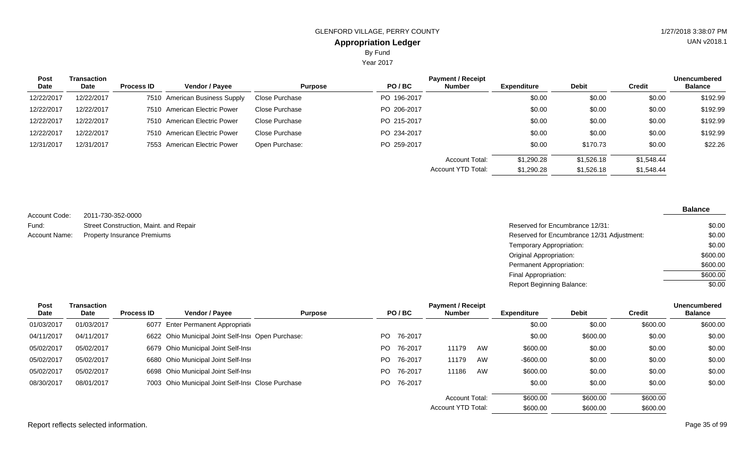Year 2017

| Post<br>Date | <b>Transaction</b><br>Date | <b>Process ID</b> | Vendor / Payee                | <b>Purpose</b> | PO/BC       | <b>Payment / Receipt</b><br>Number | <b>Expenditure</b> | <b>Debit</b> | <b>Credit</b> | <b>Unencumbered</b><br><b>Balance</b> |
|--------------|----------------------------|-------------------|-------------------------------|----------------|-------------|------------------------------------|--------------------|--------------|---------------|---------------------------------------|
|              |                            |                   |                               |                |             |                                    |                    |              |               |                                       |
| 12/22/2017   | 12/22/2017                 |                   | 7510 American Business Supply | Close Purchase | PO 196-2017 |                                    | \$0.00             | \$0.00       | \$0.00        | \$192.99                              |
| 12/22/2017   | 12/22/2017                 |                   | 7510 American Electric Power  | Close Purchase | PO 206-2017 |                                    | \$0.00             | \$0.00       | \$0.00        | \$192.99                              |
| 12/22/2017   | 12/22/2017                 |                   | 7510 American Electric Power  | Close Purchase | PO 215-2017 |                                    | \$0.00             | \$0.00       | \$0.00        | \$192.99                              |
| 12/22/2017   | 12/22/2017                 |                   | 7510 American Electric Power  | Close Purchase | PO 234-2017 |                                    | \$0.00             | \$0.00       | \$0.00        | \$192.99                              |
| 12/31/2017   | 12/31/2017                 |                   | 7553 American Electric Power  | Open Purchase: | PO 259-2017 |                                    | \$0.00             | \$170.73     | \$0.00        | \$22.26                               |
|              |                            |                   |                               |                |             | <b>Account Total:</b>              | \$1,290.28         | \$1,526.18   | \$1,548.44    |                                       |
|              |                            |                   |                               |                |             | Account YTD Total:                 | \$1,290.28         | \$1,526.18   | \$1,548.44    |                                       |

2011-730-352-0000 Street Construction, Maint. and Repair Property Insurance Premiums Account Code: Fund: Account Name:

| Reserved for Encumbrance 12/31:            | \$0.00   |
|--------------------------------------------|----------|
| Reserved for Encumbrance 12/31 Adjustment: | \$0.00   |
| Temporary Appropriation:                   | \$0.00   |
| Original Appropriation:                    | \$600.00 |
| Permanent Appropriation:                   | \$600.00 |
| Final Appropriation:                       | \$600.00 |
| <b>Report Beginning Balance:</b>           | \$0.00   |

| Post<br>Date | Transaction<br>Date | <b>Process ID</b> | Vendor / Payee                                     | <b>Purpose</b> |     | PO/BC   | <b>Payment / Receipt</b><br><b>Number</b> |    | <b>Expenditure</b> | <b>Debit</b> | <b>Credit</b> | <b>Unencumbered</b><br><b>Balance</b> |
|--------------|---------------------|-------------------|----------------------------------------------------|----------------|-----|---------|-------------------------------------------|----|--------------------|--------------|---------------|---------------------------------------|
| 01/03/2017   | 01/03/2017          |                   | 6077 Enter Permanent Appropriation                 |                |     |         |                                           |    | \$0.00             | \$0.00       | \$600.00      | \$600.00                              |
| 04/11/2017   | 04/11/2017          |                   | 6622 Ohio Municipal Joint Self-Insi Open Purchase: |                | PO. | 76-2017 |                                           |    | \$0.00             | \$600.00     | \$0.00        | \$0.00                                |
| 05/02/2017   | 05/02/2017          |                   | 6679 Ohio Municipal Joint Self-Insi                |                | PO. | 76-2017 | 11179                                     | AW | \$600.00           | \$0.00       | \$0.00        | \$0.00                                |
| 05/02/2017   | 05/02/2017          |                   | 6680 Ohio Municipal Joint Self-Insi                |                | PO. | 76-2017 | 11179                                     | AW | $-$ \$600.00       | \$0.00       | \$0.00        | \$0.00                                |
| 05/02/2017   | 05/02/2017          |                   | 6698 Ohio Municipal Joint Self-Insi                |                | PO. | 76-2017 | 11186                                     | AW | \$600.00           | \$0.00       | \$0.00        | \$0.00                                |
| 08/30/2017   | 08/01/2017          |                   | 7003 Ohio Municipal Joint Self-Insi Close Purchase |                | PO. | 76-2017 |                                           |    | \$0.00             | \$0.00       | \$0.00        | \$0.00                                |
|              |                     |                   |                                                    |                |     |         | Account Total:                            |    | \$600.00           | \$600.00     | \$600.00      |                                       |
|              |                     |                   |                                                    |                |     |         | <b>Account YTD Total:</b>                 |    | \$600.00           | \$600.00     | \$600.00      |                                       |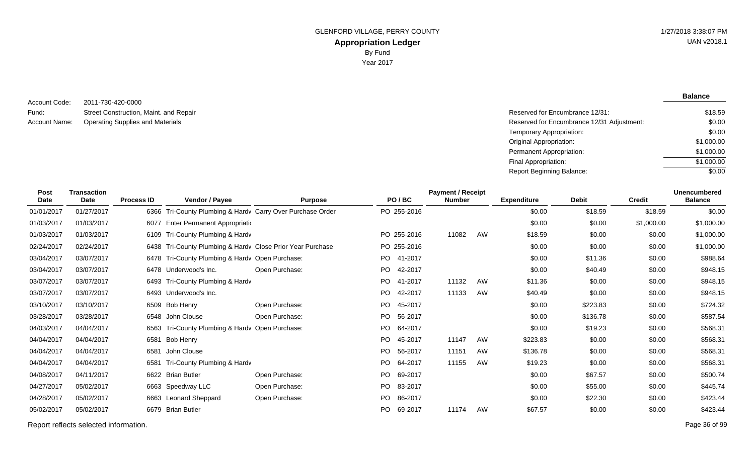**Balance**

#### 2011-730-420-0000 Street Construction, Maint. and Repair Account Name: Operating Supplies and Materials **Reserved for Encumbrance 12/31 Adjustment:** Account Name: **Reserved for Encumbrance 12/31 Adjustment:** Account Code: Fund:

| Reserved for Encumbrance 12/31:            | \$18.59    |
|--------------------------------------------|------------|
| Reserved for Encumbrance 12/31 Adjustment: | \$0.00     |
| Temporary Appropriation:                   | \$0.00     |
| Original Appropriation:                    | \$1,000.00 |
| Permanent Appropriation:                   | \$1,000.00 |
| Final Appropriation:                       | \$1,000.00 |
| Report Beginning Balance:                  | \$0.00     |

| Post<br>Date | <b>Transaction</b><br><b>Date</b> | <b>Process ID</b> | Vendor / Payee                                             | <b>Purpose</b> |     | PO/BC       | <b>Payment / Receipt</b><br><b>Number</b> |    | <b>Expenditure</b> | <b>Debit</b> | <b>Credit</b> | <b>Unencumbered</b><br><b>Balance</b> |
|--------------|-----------------------------------|-------------------|------------------------------------------------------------|----------------|-----|-------------|-------------------------------------------|----|--------------------|--------------|---------------|---------------------------------------|
| 01/01/2017   | 01/27/2017                        |                   | 6366 Tri-County Plumbing & Hardy Carry Over Purchase Order |                |     | PO 255-2016 |                                           |    | \$0.00             | \$18.59      | \$18.59       | \$0.00                                |
| 01/03/2017   | 01/03/2017                        |                   | 6077 Enter Permanent Appropriation                         |                |     |             |                                           |    | \$0.00             | \$0.00       | \$1,000.00    | \$1,000.00                            |
| 01/03/2017   | 01/03/2017                        |                   | 6109 Tri-County Plumbing & Hardv                           |                |     | PO 255-2016 | 11082                                     | AW | \$18.59            | \$0.00       | \$0.00        | \$1,000.00                            |
| 02/24/2017   | 02/24/2017                        |                   | 6438 Tri-County Plumbing & Hardy Close Prior Year Purchase |                |     | PO 255-2016 |                                           |    | \$0.00             | \$0.00       | \$0.00        | \$1,000.00                            |
| 03/04/2017   | 03/07/2017                        |                   | 6478 Tri-County Plumbing & Hardv Open Purchase:            |                |     | PO 41-2017  |                                           |    | \$0.00             | \$11.36      | \$0.00        | \$988.64                              |
| 03/04/2017   | 03/07/2017                        |                   | 6478 Underwood's Inc.                                      | Open Purchase: |     | PO 42-2017  |                                           |    | \$0.00             | \$40.49      | \$0.00        | \$948.15                              |
| 03/07/2017   | 03/07/2017                        |                   | 6493 Tri-County Plumbing & Hardv                           |                |     | PO 41-2017  | 11132                                     | AW | \$11.36            | \$0.00       | \$0.00        | \$948.15                              |
| 03/07/2017   | 03/07/2017                        |                   | 6493 Underwood's Inc.                                      |                | PO. | 42-2017     | 11133                                     | AW | \$40.49            | \$0.00       | \$0.00        | \$948.15                              |
| 03/10/2017   | 03/10/2017                        |                   | 6509 Bob Henry                                             | Open Purchase: | PO. | 45-2017     |                                           |    | \$0.00             | \$223.83     | \$0.00        | \$724.32                              |
| 03/28/2017   | 03/28/2017                        |                   | 6548 John Clouse                                           | Open Purchase: | PO. | 56-2017     |                                           |    | \$0.00             | \$136.78     | \$0.00        | \$587.54                              |
| 04/03/2017   | 04/04/2017                        |                   | 6563 Tri-County Plumbing & Hardv Open Purchase:            |                |     | PO 64-2017  |                                           |    | \$0.00             | \$19.23      | \$0.00        | \$568.31                              |
| 04/04/2017   | 04/04/2017                        | 6581              | Bob Henry                                                  |                | PO. | 45-2017     | 11147                                     | AW | \$223.83           | \$0.00       | \$0.00        | \$568.31                              |
| 04/04/2017   | 04/04/2017                        | 6581              | John Clouse                                                |                | PO. | 56-2017     | 11151                                     | AW | \$136.78           | \$0.00       | \$0.00        | \$568.31                              |
| 04/04/2017   | 04/04/2017                        | 6581              | Tri-County Plumbing & Hardv                                |                | PO. | 64-2017     | 11155                                     | AW | \$19.23            | \$0.00       | \$0.00        | \$568.31                              |
| 04/08/2017   | 04/11/2017                        |                   | 6622 Brian Butler                                          | Open Purchase: | PO. | 69-2017     |                                           |    | \$0.00             | \$67.57      | \$0.00        | \$500.74                              |
| 04/27/2017   | 05/02/2017                        |                   | 6663 Speedway LLC                                          | Open Purchase: | PO. | 83-2017     |                                           |    | \$0.00             | \$55.00      | \$0.00        | \$445.74                              |
| 04/28/2017   | 05/02/2017                        |                   | 6663 Leonard Sheppard                                      | Open Purchase: | PO. | 86-2017     |                                           |    | \$0.00             | \$22.30      | \$0.00        | \$423.44                              |
| 05/02/2017   | 05/02/2017                        |                   | 6679 Brian Butler                                          |                | PO. | 69-2017     | 11174                                     | AW | \$67.57            | \$0.00       | \$0.00        | \$423.44                              |
|              |                                   |                   |                                                            |                |     |             |                                           |    |                    |              |               |                                       |

Report reflects selected information. Page 36 of 99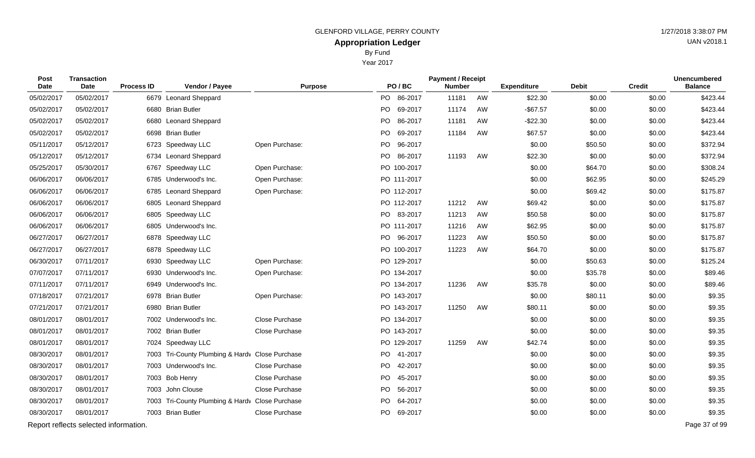Year 2017

| Post<br><b>Date</b> | <b>Transaction</b><br><b>Date</b>     | <b>Process ID</b> | Vendor / Payee                                  | <b>Purpose</b> |    | PO/BC       | <b>Payment / Receipt</b><br><b>Number</b> |    | <b>Expenditure</b> | <b>Debit</b> | <b>Credit</b> | <b>Unencumbered</b><br><b>Balance</b> |
|---------------------|---------------------------------------|-------------------|-------------------------------------------------|----------------|----|-------------|-------------------------------------------|----|--------------------|--------------|---------------|---------------------------------------|
| 05/02/2017          | 05/02/2017                            |                   | 6679 Leonard Sheppard                           |                |    | PO 86-2017  | 11181                                     | AW | \$22.30            | \$0.00       | \$0.00        | \$423.44                              |
| 05/02/2017          | 05/02/2017                            |                   | 6680 Brian Butler                               |                | PO | 69-2017     | 11174                                     | AW | $-$ \$67.57        | \$0.00       | \$0.00        | \$423.44                              |
| 05/02/2017          | 05/02/2017                            |                   | 6680 Leonard Sheppard                           |                | PO | 86-2017     | 11181                                     | AW | $-$22.30$          | \$0.00       | \$0.00        | \$423.44                              |
| 05/02/2017          | 05/02/2017                            |                   | 6698 Brian Butler                               |                | PO | 69-2017     | 11184                                     | AW | \$67.57            | \$0.00       | \$0.00        | \$423.44                              |
| 05/11/2017          | 05/12/2017                            |                   | 6723 Speedway LLC                               | Open Purchase: | PO | 96-2017     |                                           |    | \$0.00             | \$50.50      | \$0.00        | \$372.94                              |
| 05/12/2017          | 05/12/2017                            |                   | 6734 Leonard Sheppard                           |                |    | PO 86-2017  | 11193                                     | AW | \$22.30            | \$0.00       | \$0.00        | \$372.94                              |
| 05/25/2017          | 05/30/2017                            | 6767              | Speedway LLC                                    | Open Purchase: |    | PO 100-2017 |                                           |    | \$0.00             | \$64.70      | \$0.00        | \$308.24                              |
| 06/06/2017          | 06/06/2017                            |                   | 6785 Underwood's Inc.                           | Open Purchase: |    | PO 111-2017 |                                           |    | \$0.00             | \$62.95      | \$0.00        | \$245.29                              |
| 06/06/2017          | 06/06/2017                            |                   | 6785 Leonard Sheppard                           | Open Purchase: |    | PO 112-2017 |                                           |    | \$0.00             | \$69.42      | \$0.00        | \$175.87                              |
| 06/06/2017          | 06/06/2017                            |                   | 6805 Leonard Sheppard                           |                |    | PO 112-2017 | 11212                                     | AW | \$69.42            | \$0.00       | \$0.00        | \$175.87                              |
| 06/06/2017          | 06/06/2017                            |                   | 6805 Speedway LLC                               |                |    | PO 83-2017  | 11213                                     | AW | \$50.58            | \$0.00       | \$0.00        | \$175.87                              |
| 06/06/2017          | 06/06/2017                            |                   | 6805 Underwood's Inc.                           |                |    | PO 111-2017 | 11216                                     | AW | \$62.95            | \$0.00       | \$0.00        | \$175.87                              |
| 06/27/2017          | 06/27/2017                            |                   | 6878 Speedway LLC                               |                |    | PO 96-2017  | 11223                                     | AW | \$50.50            | \$0.00       | \$0.00        | \$175.87                              |
| 06/27/2017          | 06/27/2017                            |                   | 6878 Speedway LLC                               |                |    | PO 100-2017 | 11223                                     | AW | \$64.70            | \$0.00       | \$0.00        | \$175.87                              |
| 06/30/2017          | 07/11/2017                            |                   | 6930 Speedway LLC                               | Open Purchase: |    | PO 129-2017 |                                           |    | \$0.00             | \$50.63      | \$0.00        | \$125.24                              |
| 07/07/2017          | 07/11/2017                            |                   | 6930 Underwood's Inc.                           | Open Purchase: |    | PO 134-2017 |                                           |    | \$0.00             | \$35.78      | \$0.00        | \$89.46                               |
| 07/11/2017          | 07/11/2017                            |                   | 6949 Underwood's Inc.                           |                |    | PO 134-2017 | 11236                                     | AW | \$35.78            | \$0.00       | \$0.00        | \$89.46                               |
| 07/18/2017          | 07/21/2017                            |                   | 6978 Brian Butler                               | Open Purchase: |    | PO 143-2017 |                                           |    | \$0.00             | \$80.11      | \$0.00        | \$9.35                                |
| 07/21/2017          | 07/21/2017                            |                   | 6980 Brian Butler                               |                |    | PO 143-2017 | 11250                                     | AW | \$80.11            | \$0.00       | \$0.00        | \$9.35                                |
| 08/01/2017          | 08/01/2017                            |                   | 7002 Underwood's Inc.                           | Close Purchase |    | PO 134-2017 |                                           |    | \$0.00             | \$0.00       | \$0.00        | \$9.35                                |
| 08/01/2017          | 08/01/2017                            |                   | 7002 Brian Butler                               | Close Purchase |    | PO 143-2017 |                                           |    | \$0.00             | \$0.00       | \$0.00        | \$9.35                                |
| 08/01/2017          | 08/01/2017                            |                   | 7024 Speedway LLC                               |                |    | PO 129-2017 | 11259                                     | AW | \$42.74            | \$0.00       | \$0.00        | \$9.35                                |
| 08/30/2017          | 08/01/2017                            |                   | 7003 Tri-County Plumbing & Hardv Close Purchase |                |    | PO 41-2017  |                                           |    | \$0.00             | \$0.00       | \$0.00        | \$9.35                                |
| 08/30/2017          | 08/01/2017                            |                   | 7003 Underwood's Inc.                           | Close Purchase |    | PO 42-2017  |                                           |    | \$0.00             | \$0.00       | \$0.00        | \$9.35                                |
| 08/30/2017          | 08/01/2017                            |                   | 7003 Bob Henry                                  | Close Purchase | PO | 45-2017     |                                           |    | \$0.00             | \$0.00       | \$0.00        | \$9.35                                |
| 08/30/2017          | 08/01/2017                            |                   | 7003 John Clouse                                | Close Purchase |    | PO 56-2017  |                                           |    | \$0.00             | \$0.00       | \$0.00        | \$9.35                                |
| 08/30/2017          | 08/01/2017                            |                   | 7003 Tri-County Plumbing & Hardv Close Purchase |                |    | PO 64-2017  |                                           |    | \$0.00             | \$0.00       | \$0.00        | \$9.35                                |
| 08/30/2017          | 08/01/2017                            |                   | 7003 Brian Butler                               | Close Purchase |    | PO 69-2017  |                                           |    | \$0.00             | \$0.00       | \$0.00        | \$9.35                                |
|                     | Report reflects selected information. |                   |                                                 |                |    |             |                                           |    |                    |              |               | Page 37 of 99                         |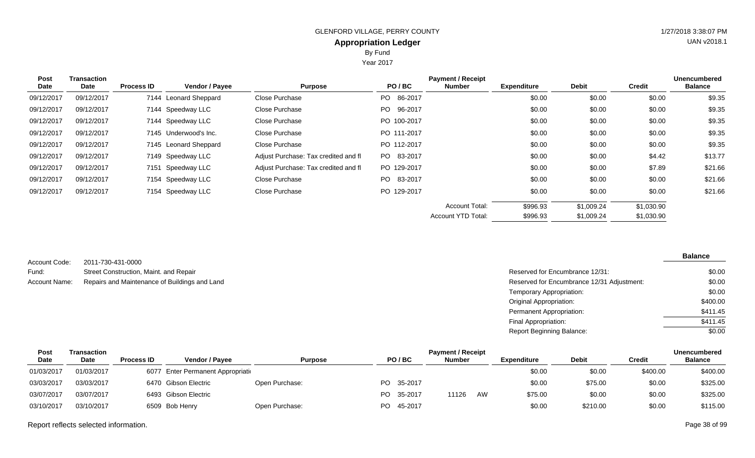Year 2017

| Post<br>Date | <b>Transaction</b><br>Date | <b>Process ID</b> | <b>Vendor / Payee</b> | <b>Purpose</b>                       | PO/BC          | <b>Payment / Receipt</b><br><b>Number</b> | <b>Expenditure</b> | <b>Debit</b> | <b>Credit</b> | <b>Unencumbered</b><br><b>Balance</b> |
|--------------|----------------------------|-------------------|-----------------------|--------------------------------------|----------------|-------------------------------------------|--------------------|--------------|---------------|---------------------------------------|
| 09/12/2017   | 09/12/2017                 |                   | 7144 Leonard Sheppard | Close Purchase                       | 86-2017<br>PO. |                                           | \$0.00             | \$0.00       | \$0.00        | \$9.35                                |
| 09/12/2017   | 09/12/2017                 |                   | 7144 Speedway LLC     | Close Purchase                       | 96-2017<br>PO. |                                           | \$0.00             | \$0.00       | \$0.00        | \$9.35                                |
| 09/12/2017   | 09/12/2017                 |                   | 7144 Speedway LLC     | Close Purchase                       | PO 100-2017    |                                           | \$0.00             | \$0.00       | \$0.00        | \$9.35                                |
| 09/12/2017   | 09/12/2017                 |                   | 7145 Underwood's Inc. | Close Purchase                       | PO 111-2017    |                                           | \$0.00             | \$0.00       | \$0.00        | \$9.35                                |
| 09/12/2017   | 09/12/2017                 |                   | 7145 Leonard Sheppard | Close Purchase                       | PO 112-2017    |                                           | \$0.00             | \$0.00       | \$0.00        | \$9.35                                |
| 09/12/2017   | 09/12/2017                 |                   | 7149 Speedway LLC     | Adjust Purchase: Tax credited and fl | PO 83-2017     |                                           | \$0.00             | \$0.00       | \$4.42        | \$13.77                               |
| 09/12/2017   | 09/12/2017                 |                   | 7151 Speedway LLC     | Adjust Purchase: Tax credited and fl | PO 129-2017    |                                           | \$0.00             | \$0.00       | \$7.89        | \$21.66                               |
| 09/12/2017   | 09/12/2017                 |                   | 7154 Speedway LLC     | Close Purchase                       | PO 83-2017     |                                           | \$0.00             | \$0.00       | \$0.00        | \$21.66                               |
| 09/12/2017   | 09/12/2017                 |                   | 7154 Speedway LLC     | Close Purchase                       | PO 129-2017    |                                           | \$0.00             | \$0.00       | \$0.00        | \$21.66                               |
|              |                            |                   |                       |                                      |                | <b>Account Total:</b>                     | \$996.93           | \$1,009.24   | \$1,030.90    |                                       |
|              |                            |                   |                       |                                      |                | <b>Account YTD Total:</b>                 | \$996.93           | \$1,009.24   | \$1,030.90    |                                       |

|               |                                               |                                            | <b>Balance</b> |
|---------------|-----------------------------------------------|--------------------------------------------|----------------|
| Account Code: | 2011-730-431-0000                             |                                            |                |
| Fund:         | Street Construction, Maint. and Repair        | Reserved for Encumbrance 12/31:            |                |
| Account Name: | Repairs and Maintenance of Buildings and Land | Reserved for Encumbrance 12/31 Adjustment: |                |
|               |                                               | Temporary Appropriation:                   |                |
|               |                                               | Original Appropriation:                    | \$40           |
|               |                                               | Permanent Appropriation:                   | \$41           |
|               |                                               | Final Appropriation:                       | \$41           |

| Post       | Transaction |                   |                                    | <b>Payment / Receipt</b> |     |            |               |    |                    |          |               | Unencumbered   |  |
|------------|-------------|-------------------|------------------------------------|--------------------------|-----|------------|---------------|----|--------------------|----------|---------------|----------------|--|
| Date       | Date        | <b>Process ID</b> | <b>Vendor / Payee</b>              | <b>Purpose</b>           |     | PO/BC      | <b>Number</b> |    | <b>Expenditure</b> | Debit    | <b>Credit</b> | <b>Balance</b> |  |
| 01/03/2017 | 01/03/2017  |                   | 6077 Enter Permanent Appropriation |                          |     |            |               |    | \$0.00             | \$0.00   | \$400.00      | \$400.00       |  |
| 03/03/2017 | 03/03/2017  |                   | 6470 Gibson Electric               | Open Purchase:           |     | PO 35-2017 |               |    | \$0.00             | \$75.00  | \$0.00        | \$325.00       |  |
| 03/07/2017 | 03/07/2017  |                   | 6493 Gibson Electric               |                          | PO. | 35-2017    | 11126         | AW | \$75.00            | \$0.00   | \$0.00        | \$325.00       |  |
| 03/10/2017 | 03/10/2017  |                   | 6509 Bob Henry                     | Open Purchase:           |     | PO 45-2017 |               |    | \$0.00             | \$210.00 | \$0.00        | \$115.00       |  |

Report reflects selected information. Page 38 of 99

\$0.00 \$0.00 \$0.00 \$400.00 \$411.45  $\sqrt{$411.45}$ \$0.00

Report Beginning Balance: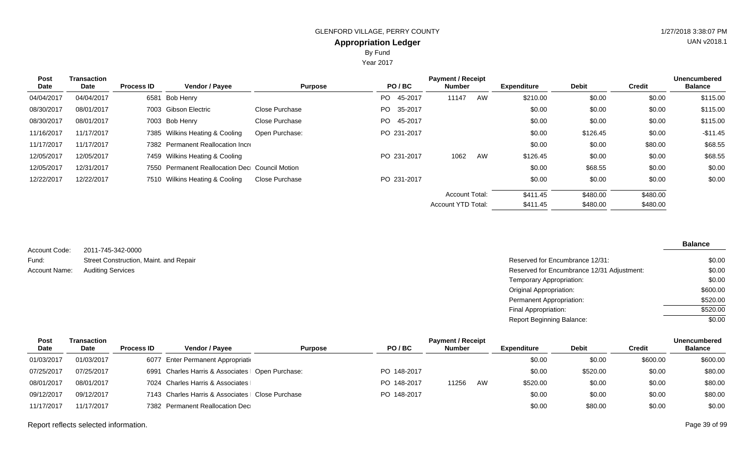Year 2017

| Post<br>Date | <b>Transaction</b><br>Date | <b>Process ID</b> | <b>Vendor / Payee</b>                          | <b>Purpose</b> | PO/BC          | <b>Payment / Receipt</b><br><b>Number</b> |    | <b>Expenditure</b> | <b>Debit</b> | <b>Credit</b> | <b>Unencumbered</b><br><b>Balance</b> |
|--------------|----------------------------|-------------------|------------------------------------------------|----------------|----------------|-------------------------------------------|----|--------------------|--------------|---------------|---------------------------------------|
| 04/04/2017   | 04/04/2017                 |                   | 6581 Bob Henry                                 |                | 45-2017<br>PO. | 11147                                     | AW | \$210.00           | \$0.00       | \$0.00        | \$115.00                              |
| 08/30/2017   | 08/01/2017                 |                   | 7003 Gibson Electric                           | Close Purchase | PO 35-2017     |                                           |    | \$0.00             | \$0.00       | \$0.00        | \$115.00                              |
| 08/30/2017   | 08/01/2017                 |                   | 7003 Bob Henry                                 | Close Purchase | 45-2017<br>PO. |                                           |    | \$0.00             | \$0.00       | \$0.00        | \$115.00                              |
| 11/16/2017   | 11/17/2017                 |                   | 7385 Wilkins Heating & Cooling                 | Open Purchase: | PO 231-2017    |                                           |    | \$0.00             | \$126.45     | \$0.00        | $-$ \$11.45                           |
| 11/17/2017   | 11/17/2017                 |                   | 7382 Permanent Reallocation Incre              |                |                |                                           |    | \$0.00             | \$0.00       | \$80.00       | \$68.55                               |
| 12/05/2017   | 12/05/2017                 |                   | 7459 Wilkins Heating & Cooling                 |                | PO 231-2017    | 1062                                      | AW | \$126.45           | \$0.00       | \$0.00        | \$68.55                               |
| 12/05/2017   | 12/31/2017                 |                   | 7550 Permanent Reallocation Dec Council Motion |                |                |                                           |    | \$0.00             | \$68.55      | \$0.00        | \$0.00                                |
| 12/22/2017   | 12/22/2017                 |                   | 7510 Wilkins Heating & Cooling                 | Close Purchase | PO 231-2017    |                                           |    | \$0.00             | \$0.00       | \$0.00        | \$0.00                                |
|              |                            |                   |                                                |                |                | <b>Account Total:</b>                     |    | \$411.45           | \$480.00     | \$480.00      |                                       |
|              |                            |                   |                                                |                |                | Account YTD Total:                        |    | \$411.45           | \$480.00     | \$480.00      |                                       |

| Account Code: | 2011-745-342-0000                      |
|---------------|----------------------------------------|
| Fund:         | Street Construction, Maint. and Repair |
| Account Name: | <b>Auditing Services</b>               |

Reserved for Encumbrance 12/31: Reserved for Encumbrance 12/31 Adjustment: Temporary Appropriation: Original Appropriation: Permanent Appropriation: Final Appropriation: Report Beginning Balance: \$0.00 \$0.00 \$0.00 \$600.00 \$520.00 \$520.00  $\sqrt{$0.00}$ 

| Post       | Transaction |                   |                                                   |                | <b>Payment / Receipt</b> |               |    |             |              |          | <b>Unencumbered</b> |
|------------|-------------|-------------------|---------------------------------------------------|----------------|--------------------------|---------------|----|-------------|--------------|----------|---------------------|
| Date       | <b>Date</b> | <b>Process ID</b> | <b>Vendor / Pavee</b>                             | <b>Purpose</b> | PO/BC                    | <b>Number</b> |    | Expenditure | <b>Debit</b> | Credit   | <b>Balance</b>      |
| 01/03/2017 | 01/03/2017  |                   | 6077 Enter Permanent Appropriation                |                |                          |               |    | \$0.00      | \$0.00       | \$600.00 | \$600.00            |
| 07/25/2017 | 07/25/2017  |                   | 6991 Charles Harris & Associates   Open Purchase: |                | PO 148-2017              |               |    | \$0.00      | \$520.00     | \$0.00   | \$80.00             |
| 08/01/2017 | 08/01/2017  |                   | 7024 Charles Harris & Associates                  |                | PO 148-2017              | 11256         | AW | \$520.00    | \$0.00       | \$0.00   | \$80.00             |
| 09/12/2017 | 09/12/2017  |                   | 7143 Charles Harris & Associates   Close Purchase |                | PO 148-2017              |               |    | \$0.00      | \$0.00       | \$0.00   | \$80.00             |
| 11/17/2017 | 11/17/2017  |                   | 7382 Permanent Reallocation Dec                   |                |                          |               |    | \$0.00      | \$80.00      | \$0.00   | \$0.00              |

Report reflects selected information. Page 39 of 99

UAN v2018.1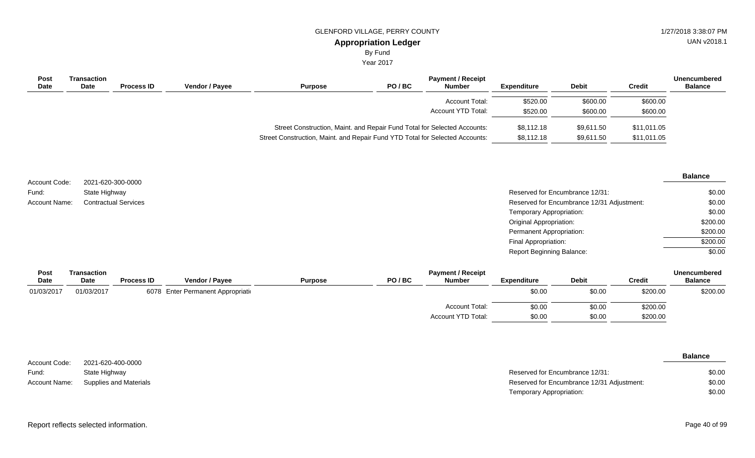# GLENFORD VILLAGE, PERRY COUNTY **1/27/2018** 3:38:07 PM

UAN v2018.1

## **Appropriation Ledger**

By Fund

Year 2017

| Post<br>Date | Transaction<br>Date | <b>Process ID</b> | <b>Vendor / Payee</b> | <b>Purpose</b>                                                               | PO/BC | <b>Payment / Receipt</b><br><b>Number</b> | <b>Expenditure</b> | <b>Debit</b> | Credit      | <b>Unencumbered</b><br><b>Balance</b> |
|--------------|---------------------|-------------------|-----------------------|------------------------------------------------------------------------------|-------|-------------------------------------------|--------------------|--------------|-------------|---------------------------------------|
|              |                     |                   |                       |                                                                              |       | <b>Account Total:</b>                     | \$520.00           | \$600.00     | \$600.00    |                                       |
|              |                     |                   |                       |                                                                              |       | Account YTD Total:                        | \$520.00           | \$600.00     | \$600.00    |                                       |
|              |                     |                   |                       | Street Construction, Maint. and Repair Fund Total for Selected Accounts:     |       |                                           | \$8,112.18         | \$9,611.50   | \$11,011.05 |                                       |
|              |                     |                   |                       | Street Construction, Maint. and Repair Fund YTD Total for Selected Accounts: |       |                                           | \$8,112.18         | \$9,611.50   | \$11,011.05 |                                       |

| Account Code:        | 2021-620-300-0000           |                                            | <b>Balance</b> |
|----------------------|-----------------------------|--------------------------------------------|----------------|
| Fund:                | State Highway               | Reserved for Encumbrance 12/31:            | \$0.00         |
| <b>Account Name:</b> | <b>Contractual Services</b> | Reserved for Encumbrance 12/31 Adjustment: | \$0.00         |
|                      |                             | Temporary Appropriation:                   | \$0.00         |
|                      |                             | Original Appropriation:                    | \$200.00       |
|                      |                             | <b>Permanent Appropriation:</b>            | \$200.00       |
|                      |                             | Final Appropriation:                       | \$200.00       |
|                      |                             | <b>Report Beginning Balance:</b>           | \$0.00         |

| Post       | Transaction |                   |                                    |                | <b>Unencumbered</b> |                       |                    |              |               |                |
|------------|-------------|-------------------|------------------------------------|----------------|---------------------|-----------------------|--------------------|--------------|---------------|----------------|
| Date       | <b>Date</b> | <b>Process ID</b> | <b>Vendor / Payee</b>              | <b>Purpose</b> | PO/BC               | <b>Number</b>         | <b>Expenditure</b> | <b>Debit</b> | <b>Credit</b> | <b>Balance</b> |
| 01/03/2017 | 01/03/2017  |                   | 6078 Enter Permanent Appropriation |                |                     |                       | \$0.00             | \$0.00       | \$200.00      | \$200.00       |
|            |             |                   |                                    |                |                     | <b>Account Total:</b> | \$0.00             | \$0.00       | \$200.00      |                |
|            |             |                   |                                    |                |                     | Account YTD Total:    | \$0.00             | \$0.00       | \$200.00      |                |

|               |                        |                                            | <b>Balance</b> |
|---------------|------------------------|--------------------------------------------|----------------|
| Account Code: | 2021-620-400-0000      |                                            |                |
| Fund:         | State Highway          | Reserved for Encumbrance 12/31:            | \$0.00         |
| Account Name: | Supplies and Materials | Reserved for Encumbrance 12/31 Adjustment: | \$0.00         |
|               |                        | Temporary Appropriation:                   | \$0.00         |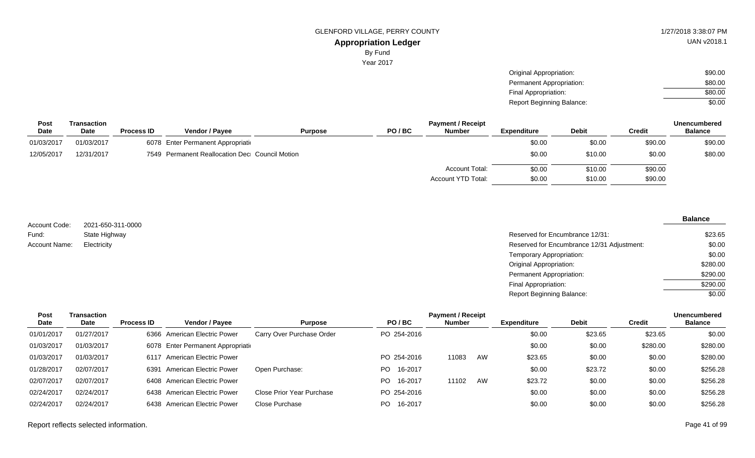Year 2017

\$90.00 \$80.00 \$80.00

| Post<br>Date |                            |                   | <b>Vendor / Payee</b>                          |                |       |                                           | Report Beginning Balance: |              |               | \$0.00                                |  |
|--------------|----------------------------|-------------------|------------------------------------------------|----------------|-------|-------------------------------------------|---------------------------|--------------|---------------|---------------------------------------|--|
|              | Transaction<br><b>Date</b> | <b>Process ID</b> |                                                | <b>Purpose</b> | PO/BC | <b>Payment / Receipt</b><br><b>Number</b> | <b>Expenditure</b>        | <b>Debit</b> | <b>Credit</b> | <b>Unencumbered</b><br><b>Balance</b> |  |
| 01/03/2017   | 01/03/2017                 |                   | 6078 Enter Permanent Appropriation             |                |       |                                           | \$0.00                    | \$0.00       | \$90.00       | \$90.00                               |  |
| 12/05/2017   | 12/31/2017                 |                   | 7549 Permanent Reallocation Dec Council Motion |                |       |                                           | \$0.00                    | \$10.00      | \$0.00        | \$80.00                               |  |
|              |                            |                   |                                                |                |       | Account Total:                            | \$0.00                    | \$10.00      | \$90.00       |                                       |  |
|              |                            |                   |                                                |                |       | Account YTD Total:                        | \$0.00                    | \$10.00      | \$90.00       |                                       |  |

2021-650-311-0000 State Highway Account Code: Fund: Account Name:

### **Balance**

| State Highway | Reserved for Encumbrance 12/31:            | \$23.65  |
|---------------|--------------------------------------------|----------|
| Electricity   | Reserved for Encumbrance 12/31 Adjustment: | \$0.00   |
|               | Temporary Appropriation:                   | \$0.00   |
|               | <b>Original Appropriation:</b>             | \$280.00 |
|               | Permanent Appropriation:                   | \$290.00 |
|               | Final Appropriation:                       | \$290.00 |
|               | <b>Report Beginning Balance:</b>           | \$0.00   |

Original Appropriation: Permanent Appropriation: Final Appropriation:

| Post       | Transaction |                   |                                    | <b>Payment / Receipt</b>  |                |               |    |                    |              |          | <b>Unencumbered</b> |
|------------|-------------|-------------------|------------------------------------|---------------------------|----------------|---------------|----|--------------------|--------------|----------|---------------------|
| Date       | <b>Date</b> | <b>Process ID</b> | Vendor / Payee                     | <b>Purpose</b>            | PO/BC          | <b>Number</b> |    | <b>Expenditure</b> | <b>Debit</b> | Credit   | <b>Balance</b>      |
| 01/01/2017 | 01/27/2017  | 6366              | <b>American Electric Power</b>     | Carry Over Purchase Order | PO 254-2016    |               |    | \$0.00             | \$23.65      | \$23.65  | \$0.00              |
| 01/03/2017 | 01/03/2017  |                   | 6078 Enter Permanent Appropriation |                           |                |               |    | \$0.00             | \$0.00       | \$280.00 | \$280.00            |
| 01/03/2017 | 01/03/2017  |                   | 6117 American Electric Power       |                           | PO 254-2016    | 11083         | AW | \$23.65            | \$0.00       | \$0.00   | \$280.00            |
| 01/28/2017 | 02/07/2017  |                   | 6391 American Electric Power       | Open Purchase:            | 16-2017<br>PO. |               |    | \$0.00             | \$23.72      | \$0.00   | \$256.28            |
| 02/07/2017 | 02/07/2017  |                   | 6408 American Electric Power       |                           | 16-2017<br>PO. | 11102         | AW | \$23.72            | \$0.00       | \$0.00   | \$256.28            |
| 02/24/2017 | 02/24/2017  |                   | 6438 American Electric Power       | Close Prior Year Purchase | PO 254-2016    |               |    | \$0.00             | \$0.00       | \$0.00   | \$256.28            |
| 02/24/2017 | 02/24/2017  | 6438              | American Electric Power            | Close Purchase            | PO.<br>16-2017 |               |    | \$0.00             | \$0.00       | \$0.00   | \$256.28            |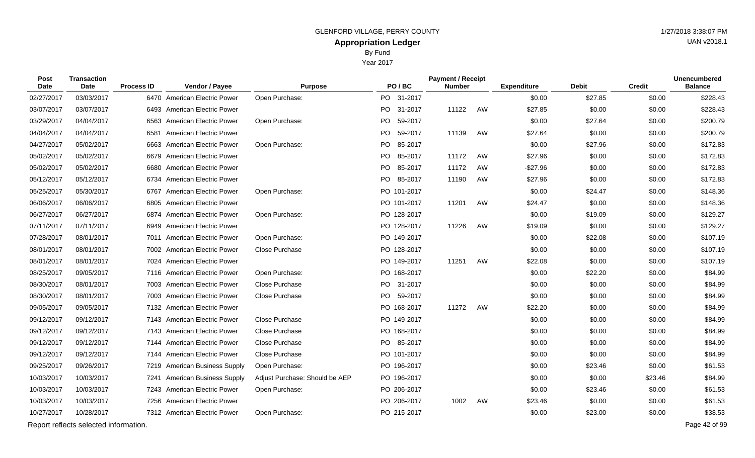Year 2017

| Post<br>Date | Transaction<br>Date                   | <b>Process ID</b> | Vendor / Payee                  | <b>Purpose</b>                 | PO/BC       | <b>Payment / Receipt</b><br><b>Number</b> |    | <b>Expenditure</b> | <b>Debit</b> | <b>Credit</b> | <b>Unencumbered</b><br><b>Balance</b> |
|--------------|---------------------------------------|-------------------|---------------------------------|--------------------------------|-------------|-------------------------------------------|----|--------------------|--------------|---------------|---------------------------------------|
| 02/27/2017   | 03/03/2017                            |                   | 6470 American Electric Power    | Open Purchase:                 | PO 31-2017  |                                           |    | \$0.00             | \$27.85      | \$0.00        | \$228.43                              |
| 03/07/2017   | 03/07/2017                            |                   | 6493 American Electric Power    |                                | PO 31-2017  | 11122                                     | AW | \$27.85            | \$0.00       | \$0.00        | \$228.43                              |
| 03/29/2017   | 04/04/2017                            |                   | 6563 American Electric Power    | Open Purchase:                 | PO 59-2017  |                                           |    | \$0.00             | \$27.64      | \$0.00        | \$200.79                              |
| 04/04/2017   | 04/04/2017                            | 6581              | American Electric Power         |                                | PO 59-2017  | 11139                                     | AW | \$27.64            | \$0.00       | \$0.00        | \$200.79                              |
| 04/27/2017   | 05/02/2017                            | 6663              | American Electric Power         | Open Purchase:                 | PO 85-2017  |                                           |    | \$0.00             | \$27.96      | \$0.00        | \$172.83                              |
| 05/02/2017   | 05/02/2017                            |                   | 6679 American Electric Power    |                                | PO 85-2017  | 11172                                     | AW | \$27.96            | \$0.00       | \$0.00        | \$172.83                              |
| 05/02/2017   | 05/02/2017                            |                   | 6680 American Electric Power    |                                | PO 85-2017  | 11172                                     | AW | $-$27.96$          | \$0.00       | \$0.00        | \$172.83                              |
| 05/12/2017   | 05/12/2017                            |                   | 6734 American Electric Power    |                                | PO 85-2017  | 11190                                     | AW | \$27.96            | \$0.00       | \$0.00        | \$172.83                              |
| 05/25/2017   | 05/30/2017                            |                   | 6767 American Electric Power    | Open Purchase:                 | PO 101-2017 |                                           |    | \$0.00             | \$24.47      | \$0.00        | \$148.36                              |
| 06/06/2017   | 06/06/2017                            |                   | 6805 American Electric Power    |                                | PO 101-2017 | 11201                                     | AW | \$24.47            | \$0.00       | \$0.00        | \$148.36                              |
| 06/27/2017   | 06/27/2017                            |                   | 6874 American Electric Power    | Open Purchase:                 | PO 128-2017 |                                           |    | \$0.00             | \$19.09      | \$0.00        | \$129.27                              |
| 07/11/2017   | 07/11/2017                            |                   | 6949 American Electric Power    |                                | PO 128-2017 | 11226                                     | AW | \$19.09            | \$0.00       | \$0.00        | \$129.27                              |
| 07/28/2017   | 08/01/2017                            |                   | 7011 American Electric Power    | Open Purchase:                 | PO 149-2017 |                                           |    | \$0.00             | \$22.08      | \$0.00        | \$107.19                              |
| 08/01/2017   | 08/01/2017                            |                   | 7002 American Electric Power    | <b>Close Purchase</b>          | PO 128-2017 |                                           |    | \$0.00             | \$0.00       | \$0.00        | \$107.19                              |
| 08/01/2017   | 08/01/2017                            |                   | 7024 American Electric Power    |                                | PO 149-2017 | 11251                                     | AW | \$22.08            | \$0.00       | \$0.00        | \$107.19                              |
| 08/25/2017   | 09/05/2017                            |                   | 7116 American Electric Power    | Open Purchase:                 | PO 168-2017 |                                           |    | \$0.00             | \$22.20      | \$0.00        | \$84.99                               |
| 08/30/2017   | 08/01/2017                            |                   | 7003 American Electric Power    | Close Purchase                 | PO 31-2017  |                                           |    | \$0.00             | \$0.00       | \$0.00        | \$84.99                               |
| 08/30/2017   | 08/01/2017                            |                   | 7003 American Electric Power    | Close Purchase                 | PO 59-2017  |                                           |    | \$0.00             | \$0.00       | \$0.00        | \$84.99                               |
| 09/05/2017   | 09/05/2017                            |                   | 7132 American Electric Power    |                                | PO 168-2017 | 11272                                     | AW | \$22.20            | \$0.00       | \$0.00        | \$84.99                               |
| 09/12/2017   | 09/12/2017                            |                   | 7143 American Electric Power    | Close Purchase                 | PO 149-2017 |                                           |    | \$0.00             | \$0.00       | \$0.00        | \$84.99                               |
| 09/12/2017   | 09/12/2017                            |                   | 7143 American Electric Power    | Close Purchase                 | PO 168-2017 |                                           |    | \$0.00             | \$0.00       | \$0.00        | \$84.99                               |
| 09/12/2017   | 09/12/2017                            |                   | 7144 American Electric Power    | Close Purchase                 | PO 85-2017  |                                           |    | \$0.00             | \$0.00       | \$0.00        | \$84.99                               |
| 09/12/2017   | 09/12/2017                            |                   | 7144 American Electric Power    | Close Purchase                 | PO 101-2017 |                                           |    | \$0.00             | \$0.00       | \$0.00        | \$84.99                               |
| 09/25/2017   | 09/26/2017                            |                   | 7219 American Business Supply   | Open Purchase:                 | PO 196-2017 |                                           |    | \$0.00             | \$23.46      | \$0.00        | \$61.53                               |
| 10/03/2017   | 10/03/2017                            | 7241              | <b>American Business Supply</b> | Adjust Purchase: Should be AEP | PO 196-2017 |                                           |    | \$0.00             | \$0.00       | \$23.46       | \$84.99                               |
| 10/03/2017   | 10/03/2017                            |                   | 7243 American Electric Power    | Open Purchase:                 | PO 206-2017 |                                           |    | \$0.00             | \$23.46      | \$0.00        | \$61.53                               |
| 10/03/2017   | 10/03/2017                            |                   | 7256 American Electric Power    |                                | PO 206-2017 | 1002                                      | AW | \$23.46            | \$0.00       | \$0.00        | \$61.53                               |
| 10/27/2017   | 10/28/2017                            |                   | 7312 American Electric Power    | Open Purchase:                 | PO 215-2017 |                                           |    | \$0.00             | \$23.00      | \$0.00        | \$38.53                               |
|              | Report reflects selected information. |                   |                                 |                                |             |                                           |    |                    |              |               | Page 42 of 99                         |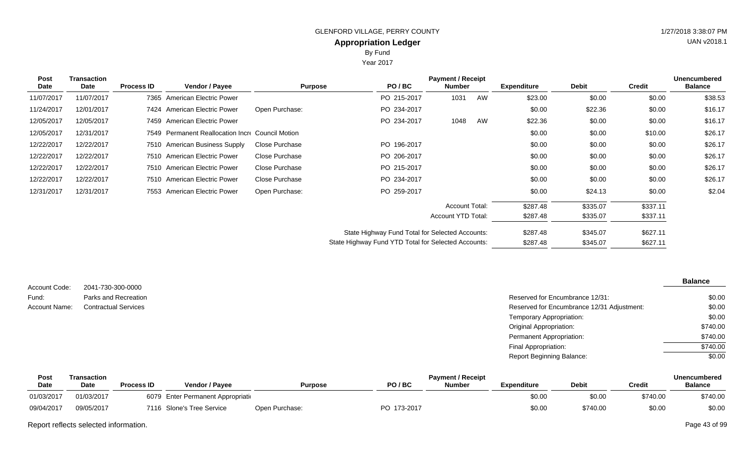Year 2017

| <b>Post</b><br>Date | <b>Transaction</b><br>Date | <b>Process ID</b> | Vendor / Payee                                   | <b>Purpose</b> | PO/BC                                               | <b>Payment / Receipt</b><br><b>Number</b> |    | <b>Expenditure</b> | <b>Debit</b> | <b>Credit</b> | <b>Unencumbered</b><br><b>Balance</b> |
|---------------------|----------------------------|-------------------|--------------------------------------------------|----------------|-----------------------------------------------------|-------------------------------------------|----|--------------------|--------------|---------------|---------------------------------------|
| 11/07/2017          | 11/07/2017                 |                   | 7365 American Electric Power                     |                | PO 215-2017                                         | 1031                                      | AW | \$23.00            | \$0.00       | \$0.00        | \$38.53                               |
| 11/24/2017          | 12/01/2017                 |                   | 7424 American Electric Power                     | Open Purchase: | PO 234-2017                                         |                                           |    | \$0.00             | \$22.36      | \$0.00        | \$16.17                               |
| 12/05/2017          | 12/05/2017                 |                   | 7459 American Electric Power                     |                | PO 234-2017                                         | 1048                                      | AW | \$22.36            | \$0.00       | \$0.00        | \$16.17                               |
| 12/05/2017          | 12/31/2017                 |                   | 7549 Permanent Reallocation Incre Council Motion |                |                                                     |                                           |    | \$0.00             | \$0.00       | \$10.00       | \$26.17                               |
| 12/22/2017          | 12/22/2017                 |                   | 7510 American Business Supply                    | Close Purchase | PO 196-2017                                         |                                           |    | \$0.00             | \$0.00       | \$0.00        | \$26.17                               |
| 12/22/2017          | 12/22/2017                 |                   | 7510 American Electric Power                     | Close Purchase | PO 206-2017                                         |                                           |    | \$0.00             | \$0.00       | \$0.00        | \$26.17                               |
| 12/22/2017          | 12/22/2017                 |                   | 7510 American Electric Power                     | Close Purchase | PO 215-2017                                         |                                           |    | \$0.00             | \$0.00       | \$0.00        | \$26.17                               |
| 12/22/2017          | 12/22/2017                 |                   | 7510 American Electric Power                     | Close Purchase | PO 234-2017                                         |                                           |    | \$0.00             | \$0.00       | \$0.00        | \$26.17                               |
| 12/31/2017          | 12/31/2017                 | 7553              | American Electric Power                          | Open Purchase: | PO 259-2017                                         |                                           |    | \$0.00             | \$24.13      | \$0.00        | \$2.04                                |
|                     |                            |                   |                                                  |                |                                                     | <b>Account Total:</b>                     |    | \$287.48           | \$335.07     | \$337.11      |                                       |
|                     |                            |                   |                                                  |                |                                                     | Account YTD Total:                        |    | \$287.48           | \$335.07     | \$337.11      |                                       |
|                     |                            |                   |                                                  |                | State Highway Fund Total for Selected Accounts:     |                                           |    | \$287.48           | \$345.07     | \$627.11      |                                       |
|                     |                            |                   |                                                  |                | State Highway Fund YTD Total for Selected Accounts: |                                           |    | \$287.48           | \$345.07     | \$627.11      |                                       |

|               |                             |                                            | <b>Balance</b> |
|---------------|-----------------------------|--------------------------------------------|----------------|
| Account Code: | 2041-730-300-0000           |                                            |                |
| Fund:         | Parks and Recreation        | Reserved for Encumbrance 12/31:            | \$0.00         |
| Account Name: | <b>Contractual Services</b> | Reserved for Encumbrance 12/31 Adjustment: | \$0.00         |
|               |                             | Temporary Appropriation:                   | \$0.00         |
|               |                             | <b>Original Appropriation:</b>             | \$740.00       |
|               |                             | <b>Permanent Appropriation:</b>            | \$740.00       |
|               |                             | Final Appropriation:                       | \$740.00       |
|               |                             | <b>Report Beginning Balance:</b>           | \$0.00         |
|               |                             |                                            |                |

| Post        | Transaction |                   | <b>Payment / Receipt</b>           |                |             |               |             |              |               |                |
|-------------|-------------|-------------------|------------------------------------|----------------|-------------|---------------|-------------|--------------|---------------|----------------|
| <b>Date</b> | <b>Date</b> | <b>Process ID</b> | <b>Vendor / Pavee</b>              | <b>Purpose</b> | PO/BC       | <b>Number</b> | Expenditure | <b>Debit</b> | <b>Credit</b> | <b>Balance</b> |
| 01/03/2017  | 01/03/2017  |                   | 6079 Enter Permanent Appropriation |                |             |               | \$0.00      | \$0.00       | \$740.00      | \$740.00       |
| 09/04/2017  | 09/05/2017  |                   | 7116 Slone's Tree Service          | Open Purchase: | PO 173-2017 |               | \$0.00      | \$740.00     | \$0.00        | \$0.00         |

Report reflects selected information. Page 43 of 99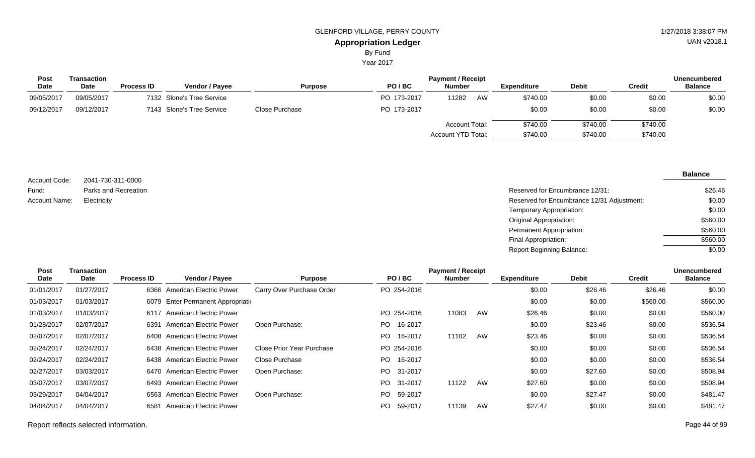Year 2017

| <b>Post</b> | Transaction |                   |                           |                |             | <b>Payment / Receipt</b> |    |                    |              |          | <b>Unencumbered</b> |
|-------------|-------------|-------------------|---------------------------|----------------|-------------|--------------------------|----|--------------------|--------------|----------|---------------------|
| <b>Date</b> | <b>Date</b> | <b>Process ID</b> | <b>Vendor / Payee</b>     | <b>Purpose</b> | PO/BC       | <b>Number</b>            |    | <b>Expenditure</b> | <b>Debit</b> | Credit   | <b>Balance</b>      |
| 09/05/2017  | 09/05/2017  |                   | 7132 Slone's Tree Service |                | PO 173-2017 | 11282                    | AW | \$740.00           | \$0.00       | \$0.00   | \$0.00              |
| 09/12/2017  | 09/12/2017  |                   | 7143 Slone's Tree Service | Close Purchase | PO 173-2017 |                          |    | \$0.00             | \$0.00       | \$0.00   | \$0.00              |
|             |             |                   |                           |                |             | <b>Account Total:</b>    |    | \$740.00           | \$740.00     | \$740.00 |                     |
|             |             |                   |                           |                |             | Account YTD Total:       |    | \$740.00           | \$740.00     | \$740.00 |                     |
|             |             |                   |                           |                |             |                          |    |                    |              |          |                     |

| Account Code: | 2041-730-311-0000    |
|---------------|----------------------|
| Fund:         | Parks and Recreation |
| Account Name: | Electricity          |

Reserved for Encumbrance 12/31: Reserved for Encumbrance 12/31 Adjustment: Temporary Appropriation: Original Appropriation: Permanent Appropriation: Final Appropriation: Report Beginning Balance: \$26.46 \$0.00 \$0.00 \$560.00 \$560.00 \$560.00 \$0.00

| Post       | Transaction |                   |                                    | <b>Payment / Receipt</b>  |                |               |    |                    |              |          | <b>Unencumbered</b> |
|------------|-------------|-------------------|------------------------------------|---------------------------|----------------|---------------|----|--------------------|--------------|----------|---------------------|
| Date       | Date        | <b>Process ID</b> | Vendor / Payee                     | <b>Purpose</b>            | PO/BC          | <b>Number</b> |    | <b>Expenditure</b> | <b>Debit</b> | Credit   | <b>Balance</b>      |
| 01/01/2017 | 01/27/2017  |                   | 6366 American Electric Power       | Carry Over Purchase Order | PO 254-2016    |               |    | \$0.00             | \$26.46      | \$26.46  | \$0.00              |
| 01/03/2017 | 01/03/2017  |                   | 6079 Enter Permanent Appropriation |                           |                |               |    | \$0.00             | \$0.00       | \$560.00 | \$560.00            |
| 01/03/2017 | 01/03/2017  |                   | 6117 American Electric Power       |                           | PO 254-2016    | 11083         | AW | \$26.46            | \$0.00       | \$0.00   | \$560.00            |
| 01/28/2017 | 02/07/2017  |                   | 6391 American Electric Power       | Open Purchase:            | 16-2017<br>PO. |               |    | \$0.00             | \$23.46      | \$0.00   | \$536.54            |
| 02/07/2017 | 02/07/2017  |                   | 6408 American Electric Power       |                           | 16-2017<br>PO. | 11102         | AW | \$23.46            | \$0.00       | \$0.00   | \$536.54            |
| 02/24/2017 | 02/24/2017  |                   | 6438 American Electric Power       | Close Prior Year Purchase | PO 254-2016    |               |    | \$0.00             | \$0.00       | \$0.00   | \$536.54            |
| 02/24/2017 | 02/24/2017  |                   | 6438 American Electric Power       | Close Purchase            | 16-2017<br>PO. |               |    | \$0.00             | \$0.00       | \$0.00   | \$536.54            |
| 02/27/2017 | 03/03/2017  |                   | 6470 American Electric Power       | Open Purchase:            | PO 31-2017     |               |    | \$0.00             | \$27.60      | \$0.00   | \$508.94            |
| 03/07/2017 | 03/07/2017  |                   | 6493 American Electric Power       |                           | PO 31-2017     | 11122         | AW | \$27.60            | \$0.00       | \$0.00   | \$508.94            |
| 03/29/2017 | 04/04/2017  |                   | 6563 American Electric Power       | Open Purchase:            | PO 59-2017     |               |    | \$0.00             | \$27.47      | \$0.00   | \$481.47            |
| 04/04/2017 | 04/04/2017  | 6581              | American Electric Power            |                           | 59-2017<br>PO. | 11139         | AW | \$27.47            | \$0.00       | \$0.00   | \$481.47            |
|            |             |                   |                                    |                           |                |               |    |                    |              |          |                     |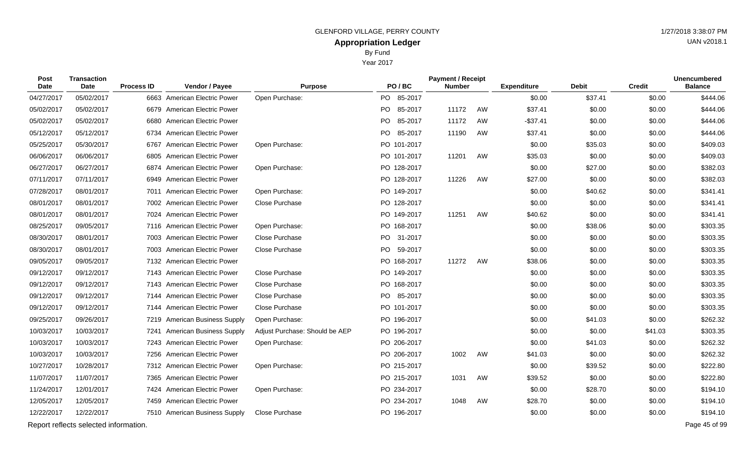Year 2017

| Post<br>Date | <b>Transaction</b><br><b>Date</b>     | <b>Process ID</b> | Vendor / Payee                | <b>Purpose</b>                 | PO/BC           | <b>Payment / Receipt</b><br><b>Number</b> |    | <b>Expenditure</b> | <b>Debit</b> | <b>Credit</b> | <b>Unencumbered</b><br><b>Balance</b> |
|--------------|---------------------------------------|-------------------|-------------------------------|--------------------------------|-----------------|-------------------------------------------|----|--------------------|--------------|---------------|---------------------------------------|
| 04/27/2017   | 05/02/2017                            |                   | 6663 American Electric Power  | Open Purchase:                 | PO 85-2017      |                                           |    | \$0.00             | \$37.41      | \$0.00        | \$444.06                              |
| 05/02/2017   | 05/02/2017                            |                   | 6679 American Electric Power  |                                | PO 85-2017      | 11172                                     | AW | \$37.41            | \$0.00       | \$0.00        | \$444.06                              |
| 05/02/2017   | 05/02/2017                            | 6680              | American Electric Power       |                                | PO  <br>85-2017 | 11172                                     | AW | $-$37.41$          | \$0.00       | \$0.00        | \$444.06                              |
| 05/12/2017   | 05/12/2017                            |                   | 6734 American Electric Power  |                                | PO 85-2017      | 11190                                     | AW | \$37.41            | \$0.00       | \$0.00        | \$444.06                              |
| 05/25/2017   | 05/30/2017                            | 6767              | American Electric Power       | Open Purchase:                 | PO 101-2017     |                                           |    | \$0.00             | \$35.03      | \$0.00        | \$409.03                              |
| 06/06/2017   | 06/06/2017                            |                   | 6805 American Electric Power  |                                | PO 101-2017     | 11201                                     | AW | \$35.03            | \$0.00       | \$0.00        | \$409.03                              |
| 06/27/2017   | 06/27/2017                            |                   | 6874 American Electric Power  | Open Purchase:                 | PO 128-2017     |                                           |    | \$0.00             | \$27.00      | \$0.00        | \$382.03                              |
| 07/11/2017   | 07/11/2017                            |                   | 6949 American Electric Power  |                                | PO 128-2017     | 11226                                     | AW | \$27.00            | \$0.00       | \$0.00        | \$382.03                              |
| 07/28/2017   | 08/01/2017                            |                   | 7011 American Electric Power  | Open Purchase:                 | PO 149-2017     |                                           |    | \$0.00             | \$40.62      | \$0.00        | \$341.41                              |
| 08/01/2017   | 08/01/2017                            |                   | 7002 American Electric Power  | Close Purchase                 | PO 128-2017     |                                           |    | \$0.00             | \$0.00       | \$0.00        | \$341.41                              |
| 08/01/2017   | 08/01/2017                            |                   | 7024 American Electric Power  |                                | PO 149-2017     | 11251                                     | AW | \$40.62            | \$0.00       | \$0.00        | \$341.41                              |
| 08/25/2017   | 09/05/2017                            |                   | 7116 American Electric Power  | Open Purchase:                 | PO 168-2017     |                                           |    | \$0.00             | \$38.06      | \$0.00        | \$303.35                              |
| 08/30/2017   | 08/01/2017                            |                   | 7003 American Electric Power  | Close Purchase                 | PO 31-2017      |                                           |    | \$0.00             | \$0.00       | \$0.00        | \$303.35                              |
| 08/30/2017   | 08/01/2017                            |                   | 7003 American Electric Power  | Close Purchase                 | PO 59-2017      |                                           |    | \$0.00             | \$0.00       | \$0.00        | \$303.35                              |
| 09/05/2017   | 09/05/2017                            |                   | 7132 American Electric Power  |                                | PO 168-2017     | 11272                                     | AW | \$38.06            | \$0.00       | \$0.00        | \$303.35                              |
| 09/12/2017   | 09/12/2017                            |                   | 7143 American Electric Power  | Close Purchase                 | PO 149-2017     |                                           |    | \$0.00             | \$0.00       | \$0.00        | \$303.35                              |
| 09/12/2017   | 09/12/2017                            |                   | 7143 American Electric Power  | Close Purchase                 | PO 168-2017     |                                           |    | \$0.00             | \$0.00       | \$0.00        | \$303.35                              |
| 09/12/2017   | 09/12/2017                            |                   | 7144 American Electric Power  | Close Purchase                 | PO 85-2017      |                                           |    | \$0.00             | \$0.00       | \$0.00        | \$303.35                              |
| 09/12/2017   | 09/12/2017                            |                   | 7144 American Electric Power  | Close Purchase                 | PO 101-2017     |                                           |    | \$0.00             | \$0.00       | \$0.00        | \$303.35                              |
| 09/25/2017   | 09/26/2017                            |                   | 7219 American Business Supply | Open Purchase:                 | PO 196-2017     |                                           |    | \$0.00             | \$41.03      | \$0.00        | \$262.32                              |
| 10/03/2017   | 10/03/2017                            |                   | 7241 American Business Supply | Adjust Purchase: Should be AEP | PO 196-2017     |                                           |    | \$0.00             | \$0.00       | \$41.03       | \$303.35                              |
| 10/03/2017   | 10/03/2017                            |                   | 7243 American Electric Power  | Open Purchase:                 | PO 206-2017     |                                           |    | \$0.00             | \$41.03      | \$0.00        | \$262.32                              |
| 10/03/2017   | 10/03/2017                            |                   | 7256 American Electric Power  |                                | PO 206-2017     | 1002                                      | AW | \$41.03            | \$0.00       | \$0.00        | \$262.32                              |
| 10/27/2017   | 10/28/2017                            |                   | 7312 American Electric Power  | Open Purchase:                 | PO 215-2017     |                                           |    | \$0.00             | \$39.52      | \$0.00        | \$222.80                              |
| 11/07/2017   | 11/07/2017                            |                   | 7365 American Electric Power  |                                | PO 215-2017     | 1031                                      | AW | \$39.52            | \$0.00       | \$0.00        | \$222.80                              |
| 11/24/2017   | 12/01/2017                            |                   | 7424 American Electric Power  | Open Purchase:                 | PO 234-2017     |                                           |    | \$0.00             | \$28.70      | \$0.00        | \$194.10                              |
| 12/05/2017   | 12/05/2017                            |                   | 7459 American Electric Power  |                                | PO 234-2017     | 1048                                      | AW | \$28.70            | \$0.00       | \$0.00        | \$194.10                              |
| 12/22/2017   | 12/22/2017                            |                   | 7510 American Business Supply | Close Purchase                 | PO 196-2017     |                                           |    | \$0.00             | \$0.00       | \$0.00        | \$194.10                              |
|              | Report reflects selected information. |                   |                               |                                |                 |                                           |    |                    |              |               | Page 45 of 99                         |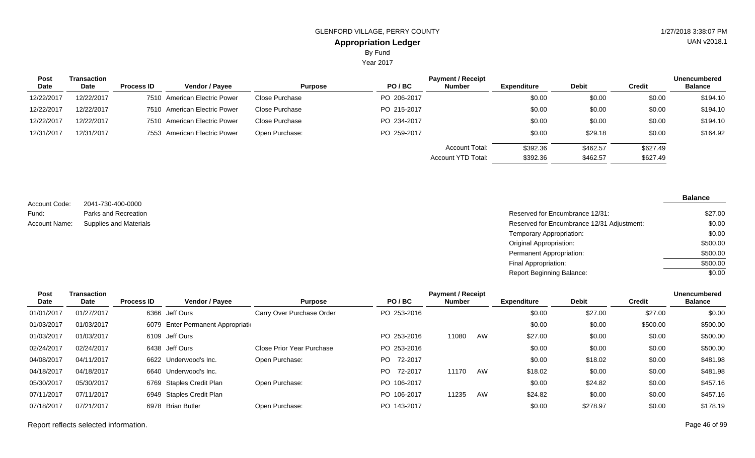Year 2017

| <b>Post</b> | <b>Transaction</b> |                   |                              |                |             | <b>Payment / Receipt</b> |                    |              |               | <b>Unencumbered</b> |
|-------------|--------------------|-------------------|------------------------------|----------------|-------------|--------------------------|--------------------|--------------|---------------|---------------------|
| Date        | Date               | <b>Process ID</b> | <b>Vendor / Payee</b>        | <b>Purpose</b> | PO/BC       | <b>Number</b>            | <b>Expenditure</b> | <b>Debit</b> | <b>Credit</b> | <b>Balance</b>      |
| 12/22/2017  | 12/22/2017         |                   | 7510 American Electric Power | Close Purchase | PO 206-2017 |                          | \$0.00             | \$0.00       | \$0.00        | \$194.10            |
| 12/22/2017  | 12/22/2017         |                   | 7510 American Electric Power | Close Purchase | PO 215-2017 |                          | \$0.00             | \$0.00       | \$0.00        | \$194.10            |
| 12/22/2017  | 12/22/2017         |                   | 7510 American Electric Power | Close Purchase | PO 234-2017 |                          | \$0.00             | \$0.00       | \$0.00        | \$194.10            |
| 12/31/2017  | 12/31/2017         |                   | 7553 American Electric Power | Open Purchase: | PO 259-2017 |                          | \$0.00             | \$29.18      | \$0.00        | \$164.92            |
|             |                    |                   |                              |                |             | <b>Account Total:</b>    | \$392.36           | \$462.57     | \$627.49      |                     |
|             |                    |                   |                              |                |             | Account YTD Total:       | \$392.36           | \$462.57     | \$627.49      |                     |

2041-730-400-0000 Parks and Recreation Supplies and Materials Account Code: Fund: Account Name:

| \$27.00  |
|----------|
| \$0.00   |
| \$0.00   |
| \$500.00 |
| \$500.00 |
| \$500.00 |
| \$0.00   |
|          |

| Post       | Transaction |                   |                                    |                           |                | <b>Payment / Receipt</b> |    |                    |              |               | Unencumbered   |
|------------|-------------|-------------------|------------------------------------|---------------------------|----------------|--------------------------|----|--------------------|--------------|---------------|----------------|
| Date       | Date        | <b>Process ID</b> | Vendor / Payee                     | <b>Purpose</b>            | PO/BC          | <b>Number</b>            |    | <b>Expenditure</b> | <b>Debit</b> | <b>Credit</b> | <b>Balance</b> |
| 01/01/2017 | 01/27/2017  |                   | 6366 Jeff Ours                     | Carry Over Purchase Order | PO 253-2016    |                          |    | \$0.00             | \$27.00      | \$27.00       | \$0.00         |
| 01/03/2017 | 01/03/2017  |                   | 6079 Enter Permanent Appropriation |                           |                |                          |    | \$0.00             | \$0.00       | \$500.00      | \$500.00       |
| 01/03/2017 | 01/03/2017  |                   | 6109 Jeff Ours                     |                           | PO 253-2016    | 11080                    | AW | \$27.00            | \$0.00       | \$0.00        | \$500.00       |
| 02/24/2017 | 02/24/2017  |                   | 6438 Jeff Ours                     | Close Prior Year Purchase | PO 253-2016    |                          |    | \$0.00             | \$0.00       | \$0.00        | \$500.00       |
| 04/08/2017 | 04/11/2017  |                   | 6622 Underwood's Inc.              | Open Purchase:            | 72-2017<br>PO. |                          |    | \$0.00             | \$18.02      | \$0.00        | \$481.98       |
| 04/18/2017 | 04/18/2017  |                   | 6640 Underwood's Inc.              |                           | 72-2017<br>PO. | 11170                    | AW | \$18.02            | \$0.00       | \$0.00        | \$481.98       |
| 05/30/2017 | 05/30/2017  |                   | 6769 Staples Credit Plan           | Open Purchase:            | PO 106-2017    |                          |    | \$0.00             | \$24.82      | \$0.00        | \$457.16       |
| 07/11/2017 | 07/11/2017  |                   | 6949 Staples Credit Plan           |                           | PO 106-2017    | 11235                    | AW | \$24.82            | \$0.00       | \$0.00        | \$457.16       |
| 07/18/2017 | 07/21/2017  |                   | 6978 Brian Butler                  | Open Purchase:            | PO 143-2017    |                          |    | \$0.00             | \$278.97     | \$0.00        | \$178.19       |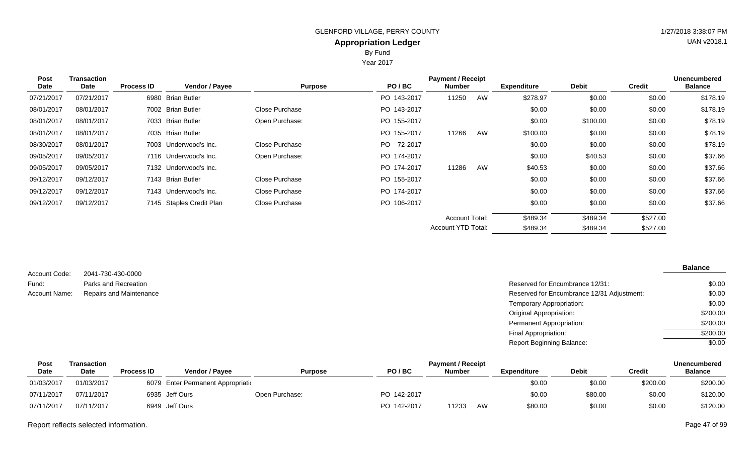## By Fund

Year 2017

| Transaction |                   |                |                                                                                                                                                                                                                                       | <b>Payment / Receipt</b> |        |    |                                             |              |               | <b>Unencumbered</b> |
|-------------|-------------------|----------------|---------------------------------------------------------------------------------------------------------------------------------------------------------------------------------------------------------------------------------------|--------------------------|--------|----|---------------------------------------------|--------------|---------------|---------------------|
| Date        | <b>Process ID</b> | Vendor / Payee | <b>Purpose</b>                                                                                                                                                                                                                        | PO/BC                    | Number |    | <b>Expenditure</b>                          | <b>Debit</b> | <b>Credit</b> | <b>Balance</b>      |
| 07/21/2017  |                   |                |                                                                                                                                                                                                                                       | PO 143-2017              | 11250  | AW | \$278.97                                    | \$0.00       | \$0.00        | \$178.19            |
| 08/01/2017  |                   |                | Close Purchase                                                                                                                                                                                                                        | PO 143-2017              |        |    | \$0.00                                      | \$0.00       | \$0.00        | \$178.19            |
| 08/01/2017  |                   |                | Open Purchase:                                                                                                                                                                                                                        | PO 155-2017              |        |    | \$0.00                                      | \$100.00     | \$0.00        | \$78.19             |
| 08/01/2017  |                   |                |                                                                                                                                                                                                                                       | PO 155-2017              | 11266  | AW | \$100.00                                    | \$0.00       | \$0.00        | \$78.19             |
| 08/01/2017  |                   |                | Close Purchase                                                                                                                                                                                                                        | PO 72-2017               |        |    | \$0.00                                      | \$0.00       | \$0.00        | \$78.19             |
| 09/05/2017  |                   |                | Open Purchase:                                                                                                                                                                                                                        | PO 174-2017              |        |    | \$0.00                                      | \$40.53      | \$0.00        | \$37.66             |
| 09/05/2017  |                   |                |                                                                                                                                                                                                                                       | PO 174-2017              | 11286  | AW | \$40.53                                     | \$0.00       | \$0.00        | \$37.66             |
| 09/12/2017  |                   |                | Close Purchase                                                                                                                                                                                                                        | PO 155-2017              |        |    | \$0.00                                      | \$0.00       | \$0.00        | \$37.66             |
| 09/12/2017  |                   |                | Close Purchase                                                                                                                                                                                                                        | PO 174-2017              |        |    | \$0.00                                      | \$0.00       | \$0.00        | \$37.66             |
| 09/12/2017  |                   |                | Close Purchase                                                                                                                                                                                                                        | PO 106-2017              |        |    | \$0.00                                      | \$0.00       | \$0.00        | \$37.66             |
|             |                   |                |                                                                                                                                                                                                                                       |                          |        |    | \$489.34                                    | \$489.34     | \$527.00      |                     |
|             |                   |                |                                                                                                                                                                                                                                       |                          |        |    | \$489.34                                    | \$489.34     | \$527.00      |                     |
|             |                   |                | 6980 Brian Butler<br>7002 Brian Butler<br>7033 Brian Butler<br>7035 Brian Butler<br>7003 Underwood's Inc.<br>7116 Underwood's Inc.<br>7132 Underwood's Inc.<br>7143 Brian Butler<br>7143 Underwood's Inc.<br>7145 Staples Credit Plan |                          |        |    | <b>Account Total:</b><br>Account YTD Total: |              |               |                     |

| Account Code: | 2041-730-430-0000       |
|---------------|-------------------------|
| Fund:         | Parks and Recreation    |
| Account Name: | Repairs and Maintenance |

### **Balance**

| Parks and Recreation    | Reserved for Encumbrance 12/31:            | \$0.00   |
|-------------------------|--------------------------------------------|----------|
| Repairs and Maintenance | Reserved for Encumbrance 12/31 Adjustment: | \$0.00   |
|                         | Temporary Appropriation:                   | \$0.00   |
|                         | Original Appropriation:                    | \$200.00 |
|                         | <b>Permanent Appropriation:</b>            | \$200.00 |
|                         | Final Appropriation:                       | \$200.00 |
|                         | <b>Report Beginning Balance:</b>           | \$0.00   |

| Pos،        | <b>Transaction</b> |            |                                    |                |             | <b>Payment / Receipt</b> |    |                    |              |               | Unencumbered   |
|-------------|--------------------|------------|------------------------------------|----------------|-------------|--------------------------|----|--------------------|--------------|---------------|----------------|
| <b>Date</b> | Date               | Process ID | <b>Vendor / Pavee</b>              | <b>Purpose</b> | PO/BC       | <b>Number</b>            |    | <b>Expenditure</b> | <b>Debit</b> | <b>Credit</b> | <b>Balance</b> |
| 01/03/2017  | 01/03/2017         |            | 6079 Enter Permanent Appropriation |                |             |                          |    | \$0.00             | \$0.00       | \$200.00      | \$200.00       |
| 07/11/2017  | 07/11/2017         |            | 6935 Jeff Ours                     | Open Purchase: | PO 142-2017 |                          |    | \$0.00             | \$80.00      | \$0.00        | \$120.00       |
| 07/11/2017  | 07/11/2017         |            | 6949 Jeff Ours                     |                | PO 142-2017 | 11233                    | AW | \$80.00            | \$0.00       | \$0.00        | \$120.00       |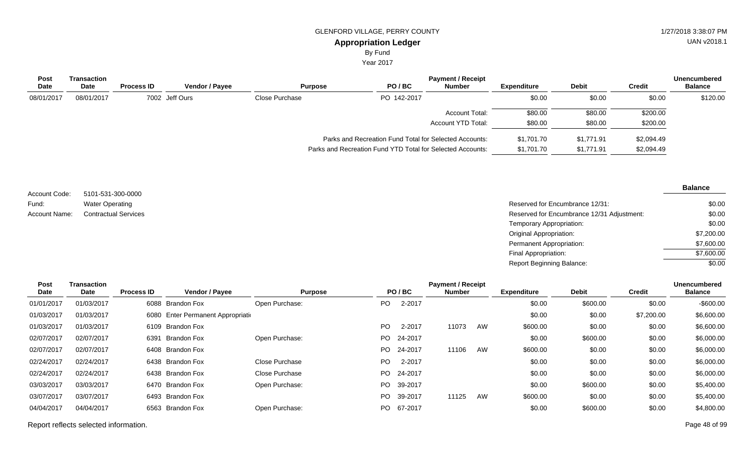By Fund

Year 2017

| <b>Post</b><br><b>Date</b> | Transaction<br>Date | <b>Process ID</b> | <b>Vendor / Payee</b> |                | <b>Purpose</b>                                             | PO/BC       | <b>Payment / Receipt</b><br><b>Number</b> | Expenditure | <b>Debit</b> | Credit     | <b>Unencumbered</b><br><b>Balance</b> |
|----------------------------|---------------------|-------------------|-----------------------|----------------|------------------------------------------------------------|-------------|-------------------------------------------|-------------|--------------|------------|---------------------------------------|
| 08/01/2017                 | 08/01/2017          |                   | 7002 Jeff Ours        | Close Purchase |                                                            | PO 142-2017 |                                           | \$0.00      | \$0.00       | \$0.00     | \$120.00                              |
|                            |                     |                   |                       |                |                                                            |             | <b>Account Total:</b>                     | \$80.00     | \$80.00      | \$200.00   |                                       |
|                            |                     |                   |                       |                |                                                            |             | Account YTD Total:                        | \$80.00     | \$80.00      | \$200.00   |                                       |
|                            |                     |                   |                       |                | Parks and Recreation Fund Total for Selected Accounts:     |             |                                           | \$1,701.70  | \$1,771.91   | \$2,094.49 |                                       |
|                            |                     |                   |                       |                | Parks and Recreation Fund YTD Total for Selected Accounts: |             |                                           | \$1,701.70  | \$1,771.91   | \$2,094.49 |                                       |

| Account Code: | 5101-531-300-0000           |
|---------------|-----------------------------|
| Fund:         | <b>Water Operating</b>      |
| Account Name: | <b>Contractual Services</b> |

**Balance**

| Water Operating             | Reserved for Encumbrance 12/31:            | \$0.00     |
|-----------------------------|--------------------------------------------|------------|
| <b>Contractual Services</b> | Reserved for Encumbrance 12/31 Adjustment: | \$0.00     |
|                             | Temporary Appropriation:                   | \$0.00     |
|                             | Original Appropriation:                    | \$7,200.00 |
|                             | Permanent Appropriation:                   | \$7,600.00 |
|                             | Final Appropriation:                       | \$7,600.00 |
|                             | Report Beginning Balance:                  | \$0.00     |

| Post       | <b>Transaction</b> |                   |                                    |                |      |            | <b>Payment / Receipt</b> |    |                    |              |               | <b>Unencumbered</b> |
|------------|--------------------|-------------------|------------------------------------|----------------|------|------------|--------------------------|----|--------------------|--------------|---------------|---------------------|
| Date       | Date               | <b>Process ID</b> | <b>Vendor / Payee</b>              | <b>Purpose</b> |      | PO/BC      | <b>Number</b>            |    | <b>Expenditure</b> | <b>Debit</b> | <b>Credit</b> | <b>Balance</b>      |
| 01/01/2017 | 01/03/2017         |                   | 6088 Brandon Fox                   | Open Purchase: | PO.  | 2-2017     |                          |    | \$0.00             | \$600.00     | \$0.00        | $-$ \$600.00        |
| 01/03/2017 | 01/03/2017         |                   | 6080 Enter Permanent Appropriation |                |      |            |                          |    | \$0.00             | \$0.00       | \$7,200.00    | \$6,600.00          |
| 01/03/2017 | 01/03/2017         |                   | 6109 Brandon Fox                   |                | PO.  | 2-2017     | 11073                    | AW | \$600.00           | \$0.00       | \$0.00        | \$6,600.00          |
| 02/07/2017 | 02/07/2017         | 6391              | <b>Brandon Fox</b>                 | Open Purchase: |      | PO 24-2017 |                          |    | \$0.00             | \$600.00     | \$0.00        | \$6,000.00          |
| 02/07/2017 | 02/07/2017         |                   | 6408 Brandon Fox                   |                | PO.  | 24-2017    | 11106                    | AW | \$600.00           | \$0.00       | \$0.00        | \$6,000.00          |
| 02/24/2017 | 02/24/2017         |                   | 6438 Brandon Fox                   | Close Purchase | PO.  | 2-2017     |                          |    | \$0.00             | \$0.00       | \$0.00        | \$6,000.00          |
| 02/24/2017 | 02/24/2017         |                   | 6438 Brandon Fox                   | Close Purchase | PO.  | 24-2017    |                          |    | \$0.00             | \$0.00       | \$0.00        | \$6,000.00          |
| 03/03/2017 | 03/03/2017         |                   | 6470 Brandon Fox                   | Open Purchase: | PO - | 39-2017    |                          |    | \$0.00             | \$600.00     | \$0.00        | \$5,400.00          |
| 03/07/2017 | 03/07/2017         |                   | 6493 Brandon Fox                   |                | PO.  | 39-2017    | 11125                    | AW | \$600.00           | \$0.00       | \$0.00        | \$5,400.00          |
| 04/04/2017 | 04/04/2017         |                   | 6563 Brandon Fox                   | Open Purchase: |      | PO 67-2017 |                          |    | \$0.00             | \$600.00     | \$0.00        | \$4,800.00          |
|            |                    |                   |                                    |                |      |            |                          |    |                    |              |               |                     |

Report reflects selected information. Page 48 of 99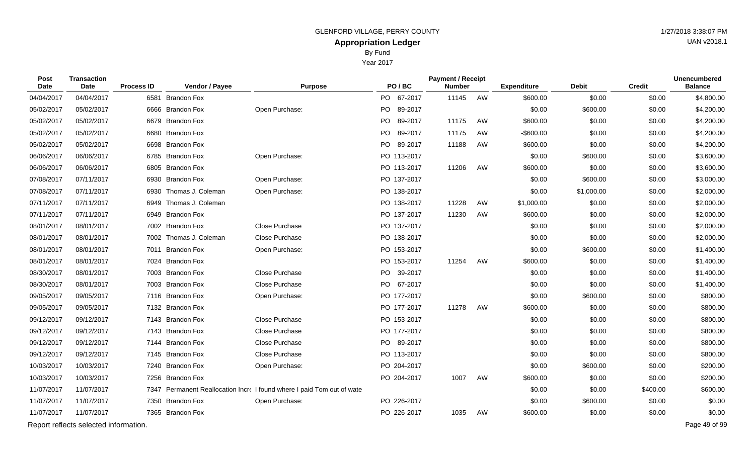Year 2017

| Post<br>Date | <b>Transaction</b><br><b>Date</b>     | <b>Process ID</b> | Vendor / Payee         | <b>Purpose</b>                                                         | PO/BC       | <b>Payment / Receipt</b><br><b>Number</b> |    | <b>Expenditure</b> | <b>Debit</b> | <b>Credit</b> | <b>Unencumbered</b><br><b>Balance</b> |
|--------------|---------------------------------------|-------------------|------------------------|------------------------------------------------------------------------|-------------|-------------------------------------------|----|--------------------|--------------|---------------|---------------------------------------|
| 04/04/2017   | 04/04/2017                            |                   | 6581 Brandon Fox       |                                                                        | PO 67-2017  | 11145                                     | AW | \$600.00           | \$0.00       | \$0.00        | \$4,800.00                            |
| 05/02/2017   | 05/02/2017                            |                   | 6666 Brandon Fox       | Open Purchase:                                                         | PO 89-2017  |                                           |    | \$0.00             | \$600.00     | \$0.00        | \$4,200.00                            |
| 05/02/2017   | 05/02/2017                            |                   | 6679 Brandon Fox       |                                                                        | PO 89-2017  | 11175                                     | AW | \$600.00           | \$0.00       | \$0.00        | \$4,200.00                            |
| 05/02/2017   | 05/02/2017                            |                   | 6680 Brandon Fox       |                                                                        | PO 89-2017  | 11175                                     | AW | $-$ \$600.00       | \$0.00       | \$0.00        | \$4,200.00                            |
| 05/02/2017   | 05/02/2017                            |                   | 6698 Brandon Fox       |                                                                        | PO 89-2017  | 11188                                     | AW | \$600.00           | \$0.00       | \$0.00        | \$4,200.00                            |
| 06/06/2017   | 06/06/2017                            |                   | 6785 Brandon Fox       | Open Purchase:                                                         | PO 113-2017 |                                           |    | \$0.00             | \$600.00     | \$0.00        | \$3,600.00                            |
| 06/06/2017   | 06/06/2017                            |                   | 6805 Brandon Fox       |                                                                        | PO 113-2017 | 11206                                     | AW | \$600.00           | \$0.00       | \$0.00        | \$3,600.00                            |
| 07/08/2017   | 07/11/2017                            | 6930              | <b>Brandon Fox</b>     | Open Purchase:                                                         | PO 137-2017 |                                           |    | \$0.00             | \$600.00     | \$0.00        | \$3,000.00                            |
| 07/08/2017   | 07/11/2017                            |                   | 6930 Thomas J. Coleman | Open Purchase:                                                         | PO 138-2017 |                                           |    | \$0.00             | \$1,000.00   | \$0.00        | \$2,000.00                            |
| 07/11/2017   | 07/11/2017                            | 6949              | Thomas J. Coleman      |                                                                        | PO 138-2017 | 11228                                     | AW | \$1,000.00         | \$0.00       | \$0.00        | \$2,000.00                            |
| 07/11/2017   | 07/11/2017                            |                   | 6949 Brandon Fox       |                                                                        | PO 137-2017 | 11230                                     | AW | \$600.00           | \$0.00       | \$0.00        | \$2,000.00                            |
| 08/01/2017   | 08/01/2017                            |                   | 7002 Brandon Fox       | <b>Close Purchase</b>                                                  | PO 137-2017 |                                           |    | \$0.00             | \$0.00       | \$0.00        | \$2,000.00                            |
| 08/01/2017   | 08/01/2017                            |                   | 7002 Thomas J. Coleman | Close Purchase                                                         | PO 138-2017 |                                           |    | \$0.00             | \$0.00       | \$0.00        | \$2,000.00                            |
| 08/01/2017   | 08/01/2017                            |                   | 7011 Brandon Fox       | Open Purchase:                                                         | PO 153-2017 |                                           |    | \$0.00             | \$600.00     | \$0.00        | \$1,400.00                            |
| 08/01/2017   | 08/01/2017                            |                   | 7024 Brandon Fox       |                                                                        | PO 153-2017 | 11254                                     | AW | \$600.00           | \$0.00       | \$0.00        | \$1,400.00                            |
| 08/30/2017   | 08/01/2017                            |                   | 7003 Brandon Fox       | Close Purchase                                                         | PO 39-2017  |                                           |    | \$0.00             | \$0.00       | \$0.00        | \$1,400.00                            |
| 08/30/2017   | 08/01/2017                            |                   | 7003 Brandon Fox       | Close Purchase                                                         | PO 67-2017  |                                           |    | \$0.00             | \$0.00       | \$0.00        | \$1,400.00                            |
| 09/05/2017   | 09/05/2017                            |                   | 7116 Brandon Fox       | Open Purchase:                                                         | PO 177-2017 |                                           |    | \$0.00             | \$600.00     | \$0.00        | \$800.00                              |
| 09/05/2017   | 09/05/2017                            |                   | 7132 Brandon Fox       |                                                                        | PO 177-2017 | 11278                                     | AW | \$600.00           | \$0.00       | \$0.00        | \$800.00                              |
| 09/12/2017   | 09/12/2017                            |                   | 7143 Brandon Fox       | Close Purchase                                                         | PO 153-2017 |                                           |    | \$0.00             | \$0.00       | \$0.00        | \$800.00                              |
| 09/12/2017   | 09/12/2017                            |                   | 7143 Brandon Fox       | Close Purchase                                                         | PO 177-2017 |                                           |    | \$0.00             | \$0.00       | \$0.00        | \$800.00                              |
| 09/12/2017   | 09/12/2017                            |                   | 7144 Brandon Fox       | Close Purchase                                                         | PO 89-2017  |                                           |    | \$0.00             | \$0.00       | \$0.00        | \$800.00                              |
| 09/12/2017   | 09/12/2017                            |                   | 7145 Brandon Fox       | Close Purchase                                                         | PO 113-2017 |                                           |    | \$0.00             | \$0.00       | \$0.00        | \$800.00                              |
| 10/03/2017   | 10/03/2017                            |                   | 7240 Brandon Fox       | Open Purchase:                                                         | PO 204-2017 |                                           |    | \$0.00             | \$600.00     | \$0.00        | \$200.00                              |
| 10/03/2017   | 10/03/2017                            |                   | 7256 Brandon Fox       |                                                                        | PO 204-2017 | 1007                                      | AW | \$600.00           | \$0.00       | \$0.00        | \$200.00                              |
| 11/07/2017   | 11/07/2017                            |                   |                        | 7347 Permanent Reallocation Incre I found where I paid Tom out of wate |             |                                           |    | \$0.00             | \$0.00       | \$400.00      | \$600.00                              |
| 11/07/2017   | 11/07/2017                            |                   | 7350 Brandon Fox       | Open Purchase:                                                         | PO 226-2017 |                                           |    | \$0.00             | \$600.00     | \$0.00        | \$0.00                                |
| 11/07/2017   | 11/07/2017                            |                   | 7365 Brandon Fox       |                                                                        | PO 226-2017 | 1035                                      | AW | \$600.00           | \$0.00       | \$0.00        | \$0.00                                |
|              | Report reflects selected information. |                   |                        |                                                                        |             |                                           |    |                    |              |               | Page 49 of 99                         |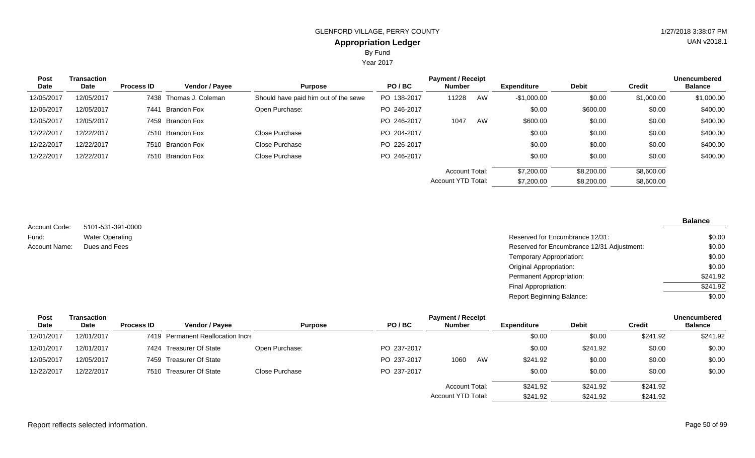Year 2017

| <b>Post</b><br>Date | <b>Transaction</b><br>Date | <b>Process ID</b> | <b>Vendor / Payee</b>  | <b>Purpose</b>                       | PO/BC       | <b>Payment / Receipt</b><br><b>Number</b> |    | Expenditure  | <b>Debit</b> | <b>Credit</b> | <b>Unencumbered</b><br><b>Balance</b> |
|---------------------|----------------------------|-------------------|------------------------|--------------------------------------|-------------|-------------------------------------------|----|--------------|--------------|---------------|---------------------------------------|
| 12/05/2017          | 12/05/2017                 |                   | 7438 Thomas J. Coleman | Should have paid him out of the sewe | PO 138-2017 | 11228                                     | AW | $-$1,000.00$ | \$0.00       | \$1,000.00    | \$1,000.00                            |
| 12/05/2017          | 12/05/2017                 | 7441              | Brandon Fox            | Open Purchase:                       | PO 246-2017 |                                           |    | \$0.00       | \$600.00     | \$0.00        | \$400.00                              |
| 12/05/2017          | 12/05/2017                 |                   | 7459 Brandon Fox       |                                      | PO 246-2017 | 1047                                      | AW | \$600.00     | \$0.00       | \$0.00        | \$400.00                              |
| 12/22/2017          | 12/22/2017                 |                   | 7510 Brandon Fox       | Close Purchase                       | PO 204-2017 |                                           |    | \$0.00       | \$0.00       | \$0.00        | \$400.00                              |
| 12/22/2017          | 12/22/2017                 |                   | 7510 Brandon Fox       | Close Purchase                       | PO 226-2017 |                                           |    | \$0.00       | \$0.00       | \$0.00        | \$400.00                              |
| 12/22/2017          | 12/22/2017                 |                   | 7510 Brandon Fox       | Close Purchase                       | PO 246-2017 |                                           |    | \$0.00       | \$0.00       | \$0.00        | \$400.00                              |
|                     |                            |                   |                        |                                      |             | <b>Account Total:</b>                     |    | \$7,200.00   | \$8,200.00   | \$8,600.00    |                                       |
|                     |                            |                   |                        |                                      |             | <b>Account YTD Total:</b>                 |    | \$7,200.00   | \$8,200.00   | \$8,600.00    |                                       |

5101-531-391-0000 Water Operating Account Code: Fund: Account Name:

| Water Operating | Reserved for Encumbrance 12/31:            | \$0.00   |
|-----------------|--------------------------------------------|----------|
| Dues and Fees   | Reserved for Encumbrance 12/31 Adjustment: | \$0.00   |
|                 | Temporary Appropriation:                   | \$0.00   |
|                 | Original Appropriation:                    | \$0.00   |
|                 | Permanent Appropriation:                   | \$241.92 |
|                 | Final Appropriation:                       | \$241.92 |
|                 | Report Beginning Balance:                  | \$0.00   |

| <b>Post</b> | Transaction |                   |                                   |                |             | <b>Payment / Receipt</b> |    |                    |              |               | <b>Unencumbered</b> |
|-------------|-------------|-------------------|-----------------------------------|----------------|-------------|--------------------------|----|--------------------|--------------|---------------|---------------------|
| <b>Date</b> | Date        | <b>Process ID</b> | Vendor / Payee                    | <b>Purpose</b> | PO/BC       | <b>Number</b>            |    | <b>Expenditure</b> | <b>Debit</b> | <b>Credit</b> | <b>Balance</b>      |
| 12/01/2017  | 12/01/2017  |                   | 7419 Permanent Reallocation Incre |                |             |                          |    | \$0.00             | \$0.00       | \$241.92      | \$241.92            |
| 12/01/2017  | 12/01/2017  |                   | 7424 Treasurer Of State           | Open Purchase: | PO 237-2017 |                          |    | \$0.00             | \$241.92     | \$0.00        | \$0.00              |
| 12/05/2017  | 12/05/2017  |                   | 7459 Treasurer Of State           |                | PO 237-2017 | 1060                     | AW | \$241.92           | \$0.00       | \$0.00        | \$0.00              |
| 12/22/2017  | 12/22/2017  |                   | 7510 Treasurer Of State           | Close Purchase | PO 237-2017 |                          |    | \$0.00             | \$0.00       | \$0.00        | \$0.00              |
|             |             |                   |                                   |                |             | <b>Account Total:</b>    |    | \$241.92           | \$241.92     | \$241.92      |                     |
|             |             |                   |                                   |                |             | Account YTD Total:       |    | \$241.92           | \$241.92     | \$241.92      |                     |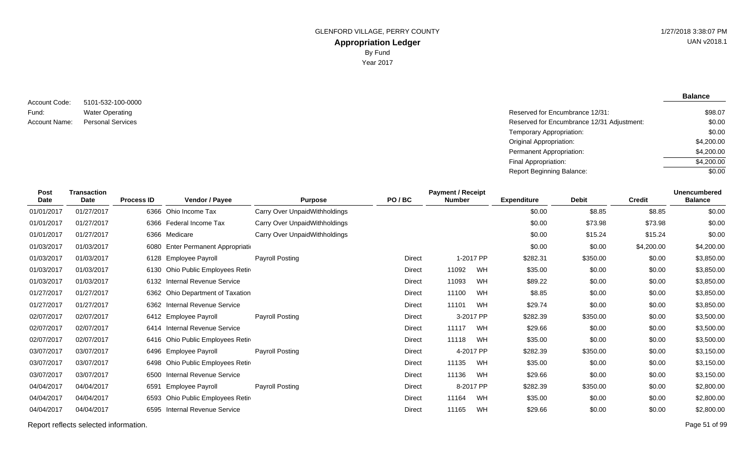**Balance**

5101-532-100-0000 Water Operating Account Code: Fund: Account Name:

Reserved for Encumbrance 12/31: Personal Services **Reserved for Encumbrance 12/31 Adjustment:** Temporary Appropriation: Original Appropriation: Permanent Appropriation: Final Appropriation: Report Beginning Balance: \$98.07 \$0.00 \$0.00 \$4,200.00 \$4,200.00 \$4,200.00 \$0.00

| <b>Post</b><br>Date | <b>Transaction</b><br><b>Date</b> | <b>Process ID</b> | <b>Vendor / Payee</b>              | <b>Purpose</b>                | PO/BC         | <b>Payment / Receipt</b><br><b>Number</b> |           | <b>Expenditure</b> | <b>Debit</b> | <b>Credit</b> | <b>Unencumbered</b><br><b>Balance</b> |
|---------------------|-----------------------------------|-------------------|------------------------------------|-------------------------------|---------------|-------------------------------------------|-----------|--------------------|--------------|---------------|---------------------------------------|
| 01/01/2017          | 01/27/2017                        |                   | 6366 Ohio Income Tax               | Carry Over UnpaidWithholdings |               |                                           |           | \$0.00             | \$8.85       | \$8.85        | \$0.00                                |
| 01/01/2017          | 01/27/2017                        |                   | 6366 Federal Income Tax            | Carry Over UnpaidWithholdings |               |                                           |           | \$0.00             | \$73.98      | \$73.98       | \$0.00                                |
| 01/01/2017          | 01/27/2017                        |                   | 6366 Medicare                      | Carry Over UnpaidWithholdings |               |                                           |           | \$0.00             | \$15.24      | \$15.24       | \$0.00                                |
| 01/03/2017          | 01/03/2017                        |                   | 6080 Enter Permanent Appropriation |                               |               |                                           |           | \$0.00             | \$0.00       | \$4,200.00    | \$4,200.00                            |
| 01/03/2017          | 01/03/2017                        |                   | 6128 Employee Payroll              | Payroll Posting               | Direct        |                                           | 1-2017 PP | \$282.31           | \$350.00     | \$0.00        | \$3,850.00                            |
| 01/03/2017          | 01/03/2017                        |                   | 6130 Ohio Public Employees Retire  |                               | <b>Direct</b> | 11092                                     | WH        | \$35.00            | \$0.00       | \$0.00        | \$3,850.00                            |
| 01/03/2017          | 01/03/2017                        | 6132              | <b>Internal Revenue Service</b>    |                               | Direct        | 11093                                     | <b>WH</b> | \$89.22            | \$0.00       | \$0.00        | \$3,850.00                            |
| 01/27/2017          | 01/27/2017                        |                   | 6362 Ohio Department of Taxation   |                               | Direct        | 11100                                     | WH        | \$8.85             | \$0.00       | \$0.00        | \$3,850.00                            |
| 01/27/2017          | 01/27/2017                        |                   | 6362 Internal Revenue Service      |                               | <b>Direct</b> | 11101                                     | WH        | \$29.74            | \$0.00       | \$0.00        | \$3,850.00                            |
| 02/07/2017          | 02/07/2017                        |                   | 6412 Employee Payroll              | Payroll Posting               | <b>Direct</b> |                                           | 3-2017 PP | \$282.39           | \$350.00     | \$0.00        | \$3,500.00                            |
| 02/07/2017          | 02/07/2017                        |                   | 6414 Internal Revenue Service      |                               | <b>Direct</b> | 11117                                     | WH        | \$29.66            | \$0.00       | \$0.00        | \$3,500.00                            |
| 02/07/2017          | 02/07/2017                        |                   | 6416 Ohio Public Employees Retire  |                               | <b>Direct</b> | 11118                                     | WH        | \$35.00            | \$0.00       | \$0.00        | \$3,500.00                            |
| 03/07/2017          | 03/07/2017                        | 6496              | <b>Employee Payroll</b>            | Payroll Posting               | Direct        |                                           | 4-2017 PP | \$282.39           | \$350.00     | \$0.00        | \$3,150.00                            |
| 03/07/2017          | 03/07/2017                        |                   | 6498 Ohio Public Employees Retire  |                               | Direct        | 11135                                     | WH        | \$35.00            | \$0.00       | \$0.00        | \$3,150.00                            |
| 03/07/2017          | 03/07/2017                        | 6500              | <b>Internal Revenue Service</b>    |                               | <b>Direct</b> | 11136                                     | WH        | \$29.66            | \$0.00       | \$0.00        | \$3,150.00                            |
| 04/04/2017          | 04/04/2017                        | 6591              | Employee Payroll                   | Payroll Posting               | <b>Direct</b> |                                           | 8-2017 PP | \$282.39           | \$350.00     | \$0.00        | \$2,800.00                            |
| 04/04/2017          | 04/04/2017                        | 6593              | Ohio Public Employees Retire       |                               | <b>Direct</b> | 11164                                     | WH        | \$35.00            | \$0.00       | \$0.00        | \$2,800.00                            |
| 04/04/2017          | 04/04/2017                        | 6595              | <b>Internal Revenue Service</b>    |                               | <b>Direct</b> | 11165                                     | WH        | \$29.66            | \$0.00       | \$0.00        | \$2,800.00                            |

Report reflects selected information. Page 51 of 99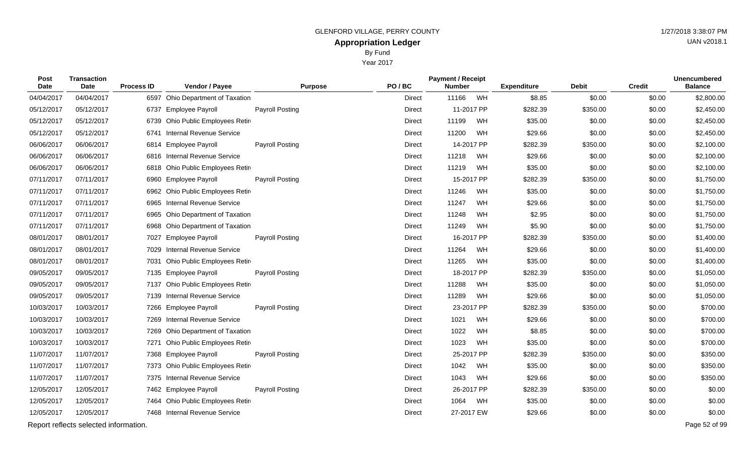Year 2017

| <b>Post</b><br><b>Date</b> | <b>Transaction</b><br>Date | <b>Process ID</b> | Vendor / Payee                   | <b>Purpose</b>         | PO/BC         | <b>Payment / Receipt</b><br><b>Number</b> |    | <b>Expenditure</b> | <b>Debit</b> | <b>Credit</b> | <b>Unencumbered</b><br><b>Balance</b> |
|----------------------------|----------------------------|-------------------|----------------------------------|------------------------|---------------|-------------------------------------------|----|--------------------|--------------|---------------|---------------------------------------|
| 04/04/2017                 | 04/04/2017                 |                   | 6597 Ohio Department of Taxation |                        | <b>Direct</b> | 11166                                     | WH | \$8.85             | \$0.00       | \$0.00        | \$2,800.00                            |
| 05/12/2017                 | 05/12/2017                 | 6737              | <b>Employee Payroll</b>          | <b>Payroll Posting</b> | <b>Direct</b> | 11-2017 PP                                |    | \$282.39           | \$350.00     | \$0.00        | \$2,450.00                            |
| 05/12/2017                 | 05/12/2017                 | 6739              | Ohio Public Employees Retir      |                        | <b>Direct</b> | 11199                                     | WH | \$35.00            | \$0.00       | \$0.00        | \$2,450.00                            |
| 05/12/2017                 | 05/12/2017                 | 6741              | <b>Internal Revenue Service</b>  |                        | <b>Direct</b> | 11200                                     | WH | \$29.66            | \$0.00       | \$0.00        | \$2,450.00                            |
| 06/06/2017                 | 06/06/2017                 | 6814              | <b>Employee Payroll</b>          | <b>Payroll Posting</b> | <b>Direct</b> | 14-2017 PP                                |    | \$282.39           | \$350.00     | \$0.00        | \$2,100.00                            |
| 06/06/2017                 | 06/06/2017                 | 6816              | <b>Internal Revenue Service</b>  |                        | <b>Direct</b> | 11218                                     | WH | \$29.66            | \$0.00       | \$0.00        | \$2,100.00                            |
| 06/06/2017                 | 06/06/2017                 | 6818              | Ohio Public Employees Retir      |                        | <b>Direct</b> | 11219                                     | WH | \$35.00            | \$0.00       | \$0.00        | \$2,100.00                            |
| 07/11/2017                 | 07/11/2017                 | 6960              | <b>Employee Payroll</b>          | <b>Payroll Posting</b> | Direct        | 15-2017 PP                                |    | \$282.39           | \$350.00     | \$0.00        | \$1,750.00                            |
| 07/11/2017                 | 07/11/2017                 | 6962              | Ohio Public Employees Retir      |                        | <b>Direct</b> | 11246                                     | WH | \$35.00            | \$0.00       | \$0.00        | \$1,750.00                            |
| 07/11/2017                 | 07/11/2017                 | 6965              | <b>Internal Revenue Service</b>  |                        | <b>Direct</b> | 11247                                     | WH | \$29.66            | \$0.00       | \$0.00        | \$1,750.00                            |
| 07/11/2017                 | 07/11/2017                 | 6965              | Ohio Department of Taxation      |                        | Direct        | 11248                                     | WH | \$2.95             | \$0.00       | \$0.00        | \$1,750.00                            |
| 07/11/2017                 | 07/11/2017                 |                   | 6968 Ohio Department of Taxation |                        | <b>Direct</b> | 11249                                     | WH | \$5.90             | \$0.00       | \$0.00        | \$1,750.00                            |
| 08/01/2017                 | 08/01/2017                 | 7027              | <b>Employee Payroll</b>          | <b>Payroll Posting</b> | <b>Direct</b> | 16-2017 PP                                |    | \$282.39           | \$350.00     | \$0.00        | \$1,400.00                            |
| 08/01/2017                 | 08/01/2017                 | 7029              | Internal Revenue Service         |                        | <b>Direct</b> | 11264                                     | WH | \$29.66            | \$0.00       | \$0.00        | \$1,400.00                            |
| 08/01/2017                 | 08/01/2017                 | 7031              | Ohio Public Employees Retir      |                        | <b>Direct</b> | 11265                                     | WH | \$35.00            | \$0.00       | \$0.00        | \$1,400.00                            |
| 09/05/2017                 | 09/05/2017                 | 7135              | <b>Employee Payroll</b>          | <b>Payroll Posting</b> | <b>Direct</b> | 18-2017 PP                                |    | \$282.39           | \$350.00     | \$0.00        | \$1,050.00                            |
| 09/05/2017                 | 09/05/2017                 | 7137              | Ohio Public Employees Retir      |                        | <b>Direct</b> | 11288                                     | WH | \$35.00            | \$0.00       | \$0.00        | \$1,050.00                            |
| 09/05/2017                 | 09/05/2017                 | 7139              | <b>Internal Revenue Service</b>  |                        | <b>Direct</b> | 11289                                     | WH | \$29.66            | \$0.00       | \$0.00        | \$1,050.00                            |
| 10/03/2017                 | 10/03/2017                 | 7266              | <b>Employee Payroll</b>          | <b>Payroll Posting</b> | <b>Direct</b> | 23-2017 PP                                |    | \$282.39           | \$350.00     | \$0.00        | \$700.00                              |
| 10/03/2017                 | 10/03/2017                 | 7269              | <b>Internal Revenue Service</b>  |                        | <b>Direct</b> | 1021                                      | WH | \$29.66            | \$0.00       | \$0.00        | \$700.00                              |
| 10/03/2017                 | 10/03/2017                 | 7269              | Ohio Department of Taxation      |                        | <b>Direct</b> | 1022                                      | WH | \$8.85             | \$0.00       | \$0.00        | \$700.00                              |
| 10/03/2017                 | 10/03/2017                 | 7271              | Ohio Public Employees Retir      |                        | <b>Direct</b> | 1023                                      | WH | \$35.00            | \$0.00       | \$0.00        | \$700.00                              |
| 11/07/2017                 | 11/07/2017                 |                   | 7368 Employee Payroll            | <b>Payroll Posting</b> | <b>Direct</b> | 25-2017 PP                                |    | \$282.39           | \$350.00     | \$0.00        | \$350.00                              |
| 11/07/2017                 | 11/07/2017                 | 7373              | Ohio Public Employees Retir      |                        | <b>Direct</b> | 1042                                      | WH | \$35.00            | \$0.00       | \$0.00        | \$350.00                              |
| 11/07/2017                 | 11/07/2017                 | 7375              | <b>Internal Revenue Service</b>  |                        | <b>Direct</b> | 1043                                      | WH | \$29.66            | \$0.00       | \$0.00        | \$350.00                              |
| 12/05/2017                 | 12/05/2017                 |                   | 7462 Employee Payroll            | <b>Payroll Posting</b> | Direct        | 26-2017 PP                                |    | \$282.39           | \$350.00     | \$0.00        | \$0.00                                |
| 12/05/2017                 | 12/05/2017                 | 7464              | Ohio Public Employees Retir      |                        | Direct        | 1064                                      | WH | \$35.00            | \$0.00       | \$0.00        | \$0.00                                |
| 12/05/2017                 | 12/05/2017                 |                   | 7468 Internal Revenue Service    |                        | Direct        | 27-2017 EW                                |    | \$29.66            | \$0.00       | \$0.00        | \$0.00                                |

Report reflects selected information. Page 52 of 99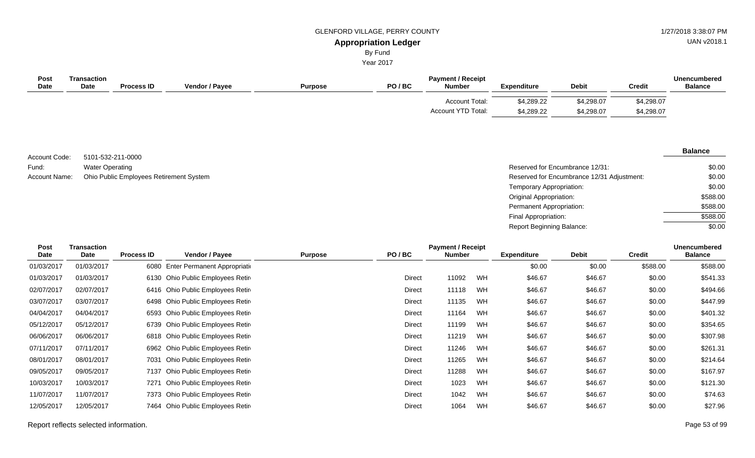By Fund

Year 2017

| <b>Post</b><br><b>Date</b> | Transaction<br><b>Date</b> | <b>Process ID</b> | <b>Vendor / Payee</b> | <b>Purpose</b> | PO/BC | <b>Payment / Receipt</b><br><b>Number</b>          | <b>Expenditure</b>       | <b>Debit</b>             | <b>Credit</b>            | <b>Unencumbered</b><br><b>Balance</b> |
|----------------------------|----------------------------|-------------------|-----------------------|----------------|-------|----------------------------------------------------|--------------------------|--------------------------|--------------------------|---------------------------------------|
|                            |                            |                   |                       |                |       | <b>Account Total:</b><br><b>Account YTD Total:</b> | \$4,289.22<br>\$4,289.22 | \$4,298.07<br>\$4,298.07 | \$4,298.07<br>\$4,298.07 |                                       |

5101-532-211-0000 Water Operating Account Name: Ohio Public Employees Retirement System **Reserved for Encumbrance 12/31 Adjustment:** Account Name: Compared for Encumbrance 12/31 Adjustment: Account Code: Fund:

| Reserved for Encumbrance 12/31:            | \$0.00   |
|--------------------------------------------|----------|
| Reserved for Encumbrance 12/31 Adjustment: | \$0.00   |
| Temporary Appropriation:                   | \$0.00   |
| Original Appropriation:                    | \$588.00 |
| Permanent Appropriation:                   | \$588.00 |
| Final Appropriation:                       | \$588.00 |
| Report Beginning Balance:                  | \$0.00   |

| Post<br><b>Date</b> | <b>Transaction</b><br>Date | <b>Process ID</b> | Vendor / Payee                     | <b>Purpose</b> | PO/BC  | <b>Payment / Receipt</b><br><b>Number</b> |    | <b>Expenditure</b> | <b>Debit</b> | <b>Credit</b> | <b>Unencumbered</b><br><b>Balance</b> |
|---------------------|----------------------------|-------------------|------------------------------------|----------------|--------|-------------------------------------------|----|--------------------|--------------|---------------|---------------------------------------|
| 01/03/2017          | 01/03/2017                 |                   | 6080 Enter Permanent Appropriation |                |        |                                           |    | \$0.00             | \$0.00       | \$588.00      | \$588.00                              |
| 01/03/2017          | 01/03/2017                 |                   | 6130 Ohio Public Employees Retire  |                | Direct | 11092                                     | WH | \$46.67            | \$46.67      | \$0.00        | \$541.33                              |
| 02/07/2017          | 02/07/2017                 |                   | 6416 Ohio Public Employees Retire  |                | Direct | 11118                                     | WH | \$46.67            | \$46.67      | \$0.00        | \$494.66                              |
| 03/07/2017          | 03/07/2017                 |                   | 6498 Ohio Public Employees Retire  |                | Direct | 11135                                     | WH | \$46.67            | \$46.67      | \$0.00        | \$447.99                              |
| 04/04/2017          | 04/04/2017                 |                   | 6593 Ohio Public Employees Retire  |                | Direct | 11164                                     | WH | \$46.67            | \$46.67      | \$0.00        | \$401.32                              |
| 05/12/2017          | 05/12/2017                 |                   | 6739 Ohio Public Employees Retire  |                | Direct | 11199                                     | WH | \$46.67            | \$46.67      | \$0.00        | \$354.65                              |
| 06/06/2017          | 06/06/2017                 |                   | 6818 Ohio Public Employees Retire  |                | Direct | 11219                                     | WH | \$46.67            | \$46.67      | \$0.00        | \$307.98                              |
| 07/11/2017          | 07/11/2017                 |                   | 6962 Ohio Public Employees Retire  |                | Direct | 11246                                     | WH | \$46.67            | \$46.67      | \$0.00        | \$261.31                              |
| 08/01/2017          | 08/01/2017                 |                   | 7031 Ohio Public Employees Retire  |                | Direct | 11265                                     | WH | \$46.67            | \$46.67      | \$0.00        | \$214.64                              |
| 09/05/2017          | 09/05/2017                 |                   | 7137 Ohio Public Employees Retire  |                | Direct | 11288                                     | WH | \$46.67            | \$46.67      | \$0.00        | \$167.97                              |
| 10/03/2017          | 10/03/2017                 | 7271              | Ohio Public Employees Retir        |                | Direct | 1023                                      | WH | \$46.67            | \$46.67      | \$0.00        | \$121.30                              |
| 11/07/2017          | 11/07/2017                 |                   | 7373 Ohio Public Employees Retire  |                | Direct | 1042                                      | WH | \$46.67            | \$46.67      | \$0.00        | \$74.63                               |
| 12/05/2017          | 12/05/2017                 | 7464              | Ohio Public Employees Retire       |                | Direct | 1064                                      | WH | \$46.67            | \$46.67      | \$0.00        | \$27.96                               |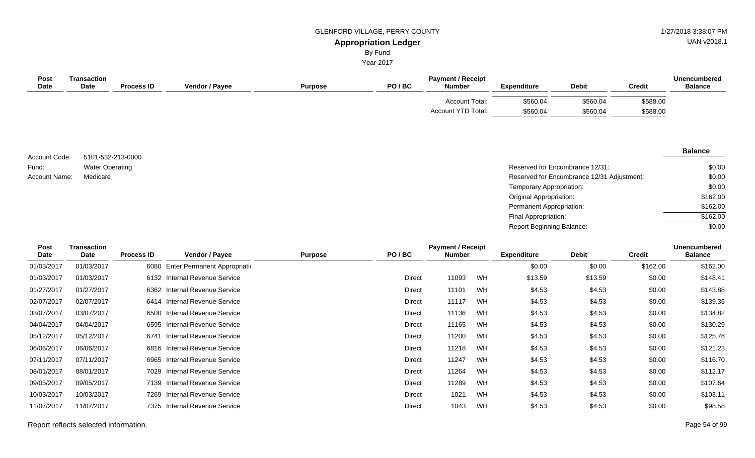UAN v2018.1

# By Fund

Year 2017

| <b>Post</b><br><b>Date</b> | Transaction<br>Date | <b>Process ID</b> | <b>Vendor / Payee</b> | <b>Purpose</b> | PO/BC | <b>Payment / Receipt</b><br><b>Number</b>          | <b>Expenditure</b>   | <b>Debit</b>         | <b>Credit</b>        | <b>Unencumbered</b><br><b>Balance</b> |
|----------------------------|---------------------|-------------------|-----------------------|----------------|-------|----------------------------------------------------|----------------------|----------------------|----------------------|---------------------------------------|
|                            |                     |                   |                       |                |       | <b>Account Total:</b><br><b>Account YTD Total:</b> | \$560.04<br>\$560.04 | \$560.04<br>\$560.04 | \$588.00<br>\$588.00 |                                       |

5101-532-213-0000 Water Operating Account Code: Fund: Account Name:

| Water Operating | Reserved for Encumbrance 12/31:            | \$0.00   |
|-----------------|--------------------------------------------|----------|
| Medicare        | Reserved for Encumbrance 12/31 Adjustment: | \$0.00   |
|                 | Temporary Appropriation:                   | \$0.00   |
|                 | Original Appropriation:                    | \$162.00 |
|                 | Permanent Appropriation:                   | \$162.00 |
|                 | Final Appropriation:                       | \$162.00 |
|                 | <b>Report Beginning Balance:</b>           | \$0.00   |

| Post        | <b>Transaction</b> |                   |                                 |                |               | <b>Payment / Receipt</b> |    |                    |              |               | <b>Unencumbered</b> |
|-------------|--------------------|-------------------|---------------------------------|----------------|---------------|--------------------------|----|--------------------|--------------|---------------|---------------------|
| <b>Date</b> | Date               | <b>Process ID</b> | Vendor / Payee                  | <b>Purpose</b> | PO/BC         | <b>Number</b>            |    | <b>Expenditure</b> | <b>Debit</b> | <b>Credit</b> | <b>Balance</b>      |
| 01/03/2017  | 01/03/2017         | 6080              | Enter Permanent Appropriation   |                |               |                          |    | \$0.00             | \$0.00       | \$162.00      | \$162.00            |
| 01/03/2017  | 01/03/2017         | 6132              | <b>Internal Revenue Service</b> |                | Direct        | 11093                    | WH | \$13.59            | \$13.59      | \$0.00        | \$148.41            |
| 01/27/2017  | 01/27/2017         |                   | 6362 Internal Revenue Service   |                | Direct        | 11101                    | WH | \$4.53             | \$4.53       | \$0.00        | \$143.88            |
| 02/07/2017  | 02/07/2017         | 6414              | <b>Internal Revenue Service</b> |                | Direct        | 11117                    | WH | \$4.53             | \$4.53       | \$0.00        | \$139.35            |
| 03/07/2017  | 03/07/2017         | 6500              | <b>Internal Revenue Service</b> |                | Direct        | 11136                    | WH | \$4.53             | \$4.53       | \$0.00        | \$134.82            |
| 04/04/2017  | 04/04/2017         | 6595              | Internal Revenue Service        |                | Direct        | 11165                    | WH | \$4.53             | \$4.53       | \$0.00        | \$130.29            |
| 05/12/2017  | 05/12/2017         | 6741              | <b>Internal Revenue Service</b> |                | Direct        | 11200                    | WH | \$4.53             | \$4.53       | \$0.00        | \$125.76            |
| 06/06/2017  | 06/06/2017         |                   | 6816 Internal Revenue Service   |                | Direct        | 11218                    | WH | \$4.53             | \$4.53       | \$0.00        | \$121.23            |
| 07/11/2017  | 07/11/2017         | 6965              | <b>Internal Revenue Service</b> |                | Direct        | 11247                    | WH | \$4.53             | \$4.53       | \$0.00        | \$116.70            |
| 08/01/2017  | 08/01/2017         | 7029              | <b>Internal Revenue Service</b> |                | <b>Direct</b> | 11264                    | WH | \$4.53             | \$4.53       | \$0.00        | \$112.17            |
| 09/05/2017  | 09/05/2017         |                   | 7139 Internal Revenue Service   |                | Direct        | 11289                    | WH | \$4.53             | \$4.53       | \$0.00        | \$107.64            |
| 10/03/2017  | 10/03/2017         | 7269              | <b>Internal Revenue Service</b> |                | Direct        | 1021                     | WH | \$4.53             | \$4.53       | \$0.00        | \$103.11            |
| 11/07/2017  | 11/07/2017         | 7375              | <b>Internal Revenue Service</b> |                | <b>Direct</b> | 1043                     | WH | \$4.53             | \$4.53       | \$0.00        | \$98.58             |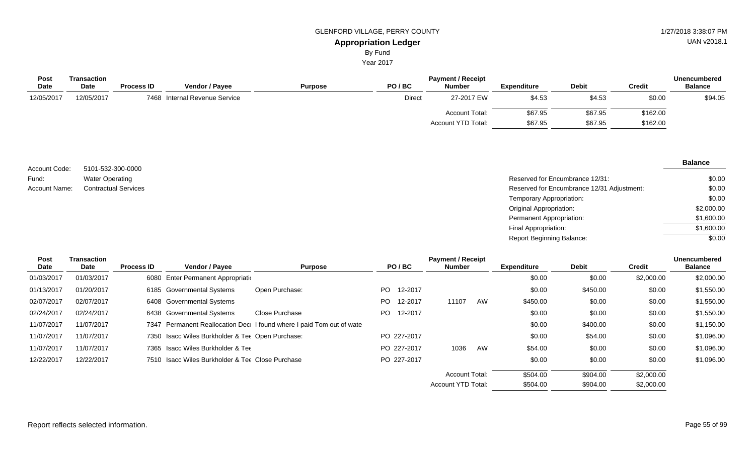Year 2017

| <b>Post</b> | Transaction |                   |                               |                |               | <b>Payment / Receipt</b> |                    |              |               | <b>Unencumbered</b> |
|-------------|-------------|-------------------|-------------------------------|----------------|---------------|--------------------------|--------------------|--------------|---------------|---------------------|
| <b>Date</b> | <b>Date</b> | <b>Process ID</b> | Vendor / Payee                | <b>Purpose</b> | PO/BC         | <b>Number</b>            | <b>Expenditure</b> | <b>Debit</b> | <b>Credit</b> | <b>Balance</b>      |
| 12/05/2017  | 12/05/2017  |                   | 7468 Internal Revenue Service |                | <b>Direct</b> | 27-2017 EW               | \$4.53             | \$4.53       | \$0.00        | \$94.05             |
|             |             |                   |                               |                |               | <b>Account Total:</b>    | \$67.95            | \$67.95      | \$162.00      |                     |
|             |             |                   |                               |                |               | Account YTD Total:       | \$67.95            | \$67.95      | \$162.00      |                     |

| Account Code: | 5101-532-300-0000           |                                            |
|---------------|-----------------------------|--------------------------------------------|
| Fund:         | <b>Water Operating</b>      | Reserved for Encumbrance 12/31:            |
| Account Name: | <b>Contractual Services</b> | Reserved for Encumbrance 12/31 Adjustment: |
|               |                             | Temporary Appropriation:                   |
|               |                             | Original Appropriation:                    |
|               |                             | Permanent Appropriation:                   |

| Reserved for Encumbrance 12/31:            | \$0.00     |
|--------------------------------------------|------------|
| Reserved for Encumbrance 12/31 Adjustment: | \$0.00     |
| Temporary Appropriation:                   | \$0.00     |
| Original Appropriation:                    | \$2,000.00 |
| Permanent Appropriation:                   | \$1,600.00 |
| Final Appropriation:                       | \$1,600.00 |
| Report Beginning Balance:                  | \$0.00     |

| Post       | Transaction |                   |                                                  |                                                                      |     |             | <b>Payment / Receipt</b> |    |                    |              |               | <b>Unencumbered</b> |
|------------|-------------|-------------------|--------------------------------------------------|----------------------------------------------------------------------|-----|-------------|--------------------------|----|--------------------|--------------|---------------|---------------------|
| Date       | Date        | <b>Process ID</b> | Vendor / Payee                                   | <b>Purpose</b>                                                       |     | PO/BC       | <b>Number</b>            |    | <b>Expenditure</b> | <b>Debit</b> | <b>Credit</b> | <b>Balance</b>      |
| 01/03/2017 | 01/03/2017  |                   | 6080 Enter Permanent Appropriation               |                                                                      |     |             |                          |    | \$0.00             | \$0.00       | \$2,000.00    | \$2,000.00          |
| 01/13/2017 | 01/20/2017  |                   | 6185 Governmental Systems                        | Open Purchase:                                                       | PO. | 12-2017     |                          |    | \$0.00             | \$450.00     | \$0.00        | \$1,550.00          |
| 02/07/2017 | 02/07/2017  |                   | 6408 Governmental Systems                        |                                                                      | PO. | 12-2017     | 11107                    | AW | \$450.00           | \$0.00       | \$0.00        | \$1,550.00          |
| 02/24/2017 | 02/24/2017  |                   | 6438 Governmental Systems                        | Close Purchase                                                       | PO. | 12-2017     |                          |    | \$0.00             | \$0.00       | \$0.00        | \$1,550.00          |
| 11/07/2017 | 11/07/2017  |                   |                                                  | 7347 Permanent Reallocation Dec I found where I paid Tom out of wate |     |             |                          |    | \$0.00             | \$400.00     | \$0.00        | \$1,150.00          |
| 11/07/2017 | 11/07/2017  |                   | 7350 Isacc Wiles Burkholder & Ter Open Purchase: |                                                                      |     | PO 227-2017 |                          |    | \$0.00             | \$54.00      | \$0.00        | \$1,096.00          |
| 11/07/2017 | 11/07/2017  |                   | 7365 Isacc Wiles Burkholder & Tee                |                                                                      |     | PO 227-2017 | 1036                     | AW | \$54.00            | \$0.00       | \$0.00        | \$1,096.00          |
| 12/22/2017 | 12/22/2017  |                   | 7510 Isacc Wiles Burkholder & Tee Close Purchase |                                                                      |     | PO 227-2017 |                          |    | \$0.00             | \$0.00       | \$0.00        | \$1,096.00          |
|            |             |                   |                                                  |                                                                      |     |             | <b>Account Total:</b>    |    | \$504.00           | \$904.00     | \$2,000.00    |                     |
|            |             |                   |                                                  |                                                                      |     |             | Account YTD Total:       |    | \$504.00           | \$904.00     | \$2,000.00    |                     |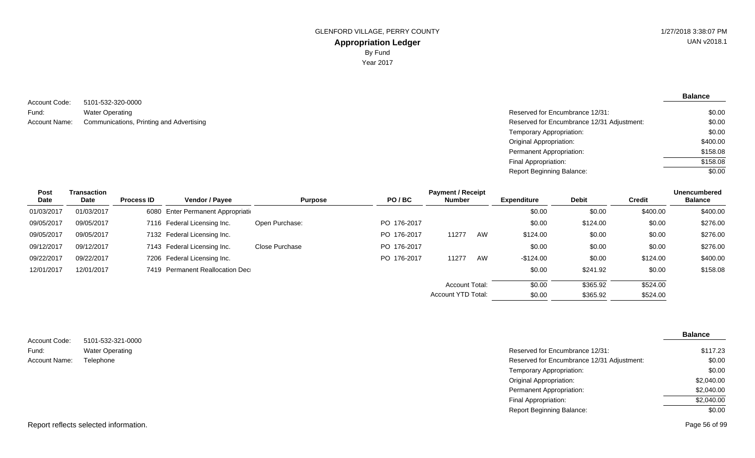**Balance**

5101-532-320-0000 Water Operating Account Name: Communications, Printing and Advertising Network Communications, Printing and Advertising Network Communications and Advertising Network Communications, Printing and Advertising Network Communications, Printi Account Code: Fund:

| Reserved for Encumbrance 12/31:            | \$0.00   |
|--------------------------------------------|----------|
| Reserved for Encumbrance 12/31 Adjustment: | \$0.00   |
| Temporary Appropriation:                   | \$0.00   |
| Original Appropriation:                    | \$400.00 |
| Permanent Appropriation:                   | \$158.08 |
| Final Appropriation:                       | \$158.08 |
| Report Beginning Balance:                  | \$0.00   |

| <b>Post</b> | Transaction |                   |                                    |                |             | <b>Payment / Receipt</b> |    |                    |              |               | <b>Unencumbered</b> |
|-------------|-------------|-------------------|------------------------------------|----------------|-------------|--------------------------|----|--------------------|--------------|---------------|---------------------|
| Date        | Date        | <b>Process ID</b> | <b>Vendor / Payee</b>              | <b>Purpose</b> | PO/BC       | <b>Number</b>            |    | <b>Expenditure</b> | <b>Debit</b> | <b>Credit</b> | <b>Balance</b>      |
| 01/03/2017  | 01/03/2017  |                   | 6080 Enter Permanent Appropriation |                |             |                          |    | \$0.00             | \$0.00       | \$400.00      | \$400.00            |
| 09/05/2017  | 09/05/2017  |                   | 7116 Federal Licensing Inc.        | Open Purchase: | PO 176-2017 |                          |    | \$0.00             | \$124.00     | \$0.00        | \$276.00            |
| 09/05/2017  | 09/05/2017  |                   | 7132 Federal Licensing Inc.        |                | PO 176-2017 | 11277                    | AW | \$124.00           | \$0.00       | \$0.00        | \$276.00            |
| 09/12/2017  | 09/12/2017  |                   | 7143 Federal Licensing Inc.        | Close Purchase | PO 176-2017 |                          |    | \$0.00             | \$0.00       | \$0.00        | \$276.00            |
| 09/22/2017  | 09/22/2017  |                   | 7206 Federal Licensing Inc.        |                | PO 176-2017 | 11277                    | AW | $-$124.00$         | \$0.00       | \$124.00      | \$400.00            |
| 12/01/2017  | 12/01/2017  |                   | 7419 Permanent Reallocation Dec    |                |             |                          |    | \$0.00             | \$241.92     | \$0.00        | \$158.08            |
|             |             |                   |                                    |                |             | <b>Account Total:</b>    |    | \$0.00             | \$365.92     | \$524.00      |                     |
|             |             |                   |                                    |                |             | Account YTD Total:       |    | \$0.00             | \$365.92     | \$524.00      |                     |

|               |                                       |                                            | <b>Balance</b> |
|---------------|---------------------------------------|--------------------------------------------|----------------|
| Account Code: | 5101-532-321-0000                     |                                            |                |
| Fund:         | <b>Water Operating</b>                | Reserved for Encumbrance 12/31:            | \$117.23       |
| Account Name: | Telephone                             | Reserved for Encumbrance 12/31 Adjustment: | \$0.00         |
|               |                                       | Temporary Appropriation:                   | \$0.00         |
|               |                                       | <b>Original Appropriation:</b>             | \$2,040.00     |
|               |                                       | Permanent Appropriation:                   | \$2,040.00     |
|               |                                       | Final Appropriation:                       | \$2,040.00     |
|               |                                       | <b>Report Beginning Balance:</b>           | \$0.00         |
|               | Report reflects selected information. |                                            | Page 56 of 99  |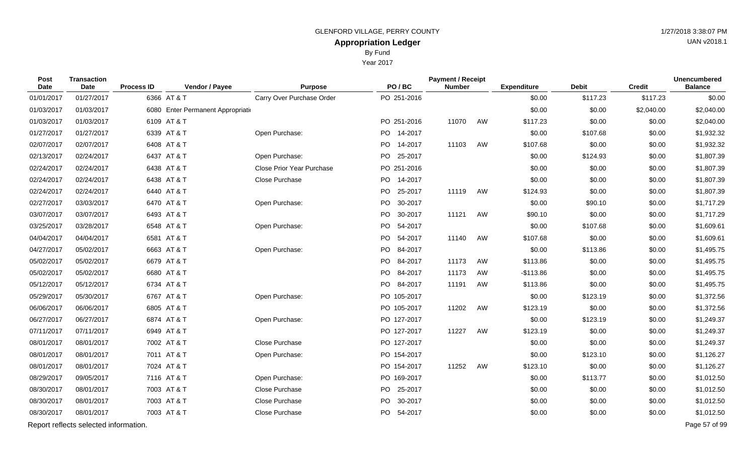Year 2017

| Post<br>Date | <b>Transaction</b><br><b>Date</b>     | <b>Process ID</b> | Vendor / Payee                    | <b>Purpose</b>                   | PO/BC       | <b>Payment / Receipt</b><br><b>Number</b> |    | <b>Expenditure</b> | <b>Debit</b> | <b>Credit</b> | <b>Unencumbered</b><br><b>Balance</b> |
|--------------|---------------------------------------|-------------------|-----------------------------------|----------------------------------|-------------|-------------------------------------------|----|--------------------|--------------|---------------|---------------------------------------|
| 01/01/2017   | 01/27/2017                            |                   | 6366 AT & T                       | Carry Over Purchase Order        | PO 251-2016 |                                           |    | \$0.00             | \$117.23     | \$117.23      | \$0.00                                |
| 01/03/2017   | 01/03/2017                            |                   | 6080 Enter Permanent Appropriatio |                                  |             |                                           |    | \$0.00             | \$0.00       | \$2,040.00    | \$2,040.00                            |
| 01/03/2017   | 01/03/2017                            |                   | 6109 AT & T                       |                                  | PO 251-2016 | 11070                                     | AW | \$117.23           | \$0.00       | \$0.00        | \$2,040.00                            |
| 01/27/2017   | 01/27/2017                            |                   | 6339 AT & T                       | Open Purchase:                   | PO 14-2017  |                                           |    | \$0.00             | \$107.68     | \$0.00        | \$1,932.32                            |
| 02/07/2017   | 02/07/2017                            |                   | 6408 AT & T                       |                                  | PO 14-2017  | 11103                                     | AW | \$107.68           | \$0.00       | \$0.00        | \$1,932.32                            |
| 02/13/2017   | 02/24/2017                            |                   | 6437 AT & T                       | Open Purchase:                   | PO 25-2017  |                                           |    | \$0.00             | \$124.93     | \$0.00        | \$1,807.39                            |
| 02/24/2017   | 02/24/2017                            |                   | 6438 AT & T                       | <b>Close Prior Year Purchase</b> | PO 251-2016 |                                           |    | \$0.00             | \$0.00       | \$0.00        | \$1,807.39                            |
| 02/24/2017   | 02/24/2017                            |                   | 6438 AT & T                       | Close Purchase                   | PO 14-2017  |                                           |    | \$0.00             | \$0.00       | \$0.00        | \$1,807.39                            |
| 02/24/2017   | 02/24/2017                            |                   | 6440 AT & T                       |                                  | PO 25-2017  | 11119                                     | AW | \$124.93           | \$0.00       | \$0.00        | \$1,807.39                            |
| 02/27/2017   | 03/03/2017                            |                   | 6470 AT & T                       | Open Purchase:                   | PO 30-2017  |                                           |    | \$0.00             | \$90.10      | \$0.00        | \$1,717.29                            |
| 03/07/2017   | 03/07/2017                            |                   | 6493 AT & T                       |                                  | PO 30-2017  | 11121                                     | AW | \$90.10            | \$0.00       | \$0.00        | \$1,717.29                            |
| 03/25/2017   | 03/28/2017                            |                   | 6548 AT & T                       | Open Purchase:                   | PO 54-2017  |                                           |    | \$0.00             | \$107.68     | \$0.00        | \$1,609.61                            |
| 04/04/2017   | 04/04/2017                            |                   | 6581 AT & T                       |                                  | PO 54-2017  | 11140                                     | AW | \$107.68           | \$0.00       | \$0.00        | \$1,609.61                            |
| 04/27/2017   | 05/02/2017                            |                   | 6663 AT & T                       | Open Purchase:                   | PO 84-2017  |                                           |    | \$0.00             | \$113.86     | \$0.00        | \$1,495.75                            |
| 05/02/2017   | 05/02/2017                            |                   | 6679 AT & T                       |                                  | PO 84-2017  | 11173                                     | AW | \$113.86           | \$0.00       | \$0.00        | \$1,495.75                            |
| 05/02/2017   | 05/02/2017                            |                   | 6680 AT & T                       |                                  | PO 84-2017  | 11173                                     | AW | $-$113.86$         | \$0.00       | \$0.00        | \$1,495.75                            |
| 05/12/2017   | 05/12/2017                            |                   | 6734 AT & T                       |                                  | PO 84-2017  | 11191                                     | AW | \$113.86           | \$0.00       | \$0.00        | \$1,495.75                            |
| 05/29/2017   | 05/30/2017                            |                   | 6767 AT & T                       | Open Purchase:                   | PO 105-2017 |                                           |    | \$0.00             | \$123.19     | \$0.00        | \$1,372.56                            |
| 06/06/2017   | 06/06/2017                            |                   | 6805 AT & T                       |                                  | PO 105-2017 | 11202                                     | AW | \$123.19           | \$0.00       | \$0.00        | \$1,372.56                            |
| 06/27/2017   | 06/27/2017                            |                   | 6874 AT & T                       | Open Purchase:                   | PO 127-2017 |                                           |    | \$0.00             | \$123.19     | \$0.00        | \$1,249.37                            |
| 07/11/2017   | 07/11/2017                            |                   | 6949 AT & T                       |                                  | PO 127-2017 | 11227                                     | AW | \$123.19           | \$0.00       | \$0.00        | \$1,249.37                            |
| 08/01/2017   | 08/01/2017                            |                   | 7002 AT & T                       | Close Purchase                   | PO 127-2017 |                                           |    | \$0.00             | \$0.00       | \$0.00        | \$1,249.37                            |
| 08/01/2017   | 08/01/2017                            |                   | 7011 AT & T                       | Open Purchase:                   | PO 154-2017 |                                           |    | \$0.00             | \$123.10     | \$0.00        | \$1,126.27                            |
| 08/01/2017   | 08/01/2017                            |                   | 7024 AT & T                       |                                  | PO 154-2017 | 11252                                     | AW | \$123.10           | \$0.00       | \$0.00        | \$1,126.27                            |
| 08/29/2017   | 09/05/2017                            |                   | 7116 AT & T                       | Open Purchase:                   | PO 169-2017 |                                           |    | \$0.00             | \$113.77     | \$0.00        | \$1,012.50                            |
| 08/30/2017   | 08/01/2017                            |                   | 7003 AT & T                       | Close Purchase                   | PO 25-2017  |                                           |    | \$0.00             | \$0.00       | \$0.00        | \$1,012.50                            |
| 08/30/2017   | 08/01/2017                            |                   | 7003 AT & T                       | Close Purchase                   | PO 30-2017  |                                           |    | \$0.00             | \$0.00       | \$0.00        | \$1,012.50                            |
| 08/30/2017   | 08/01/2017                            |                   | 7003 AT & T                       | Close Purchase                   | PO 54-2017  |                                           |    | \$0.00             | \$0.00       | \$0.00        | \$1,012.50                            |
|              | Report reflects selected information. |                   |                                   |                                  |             |                                           |    |                    |              |               | Page 57 of 99                         |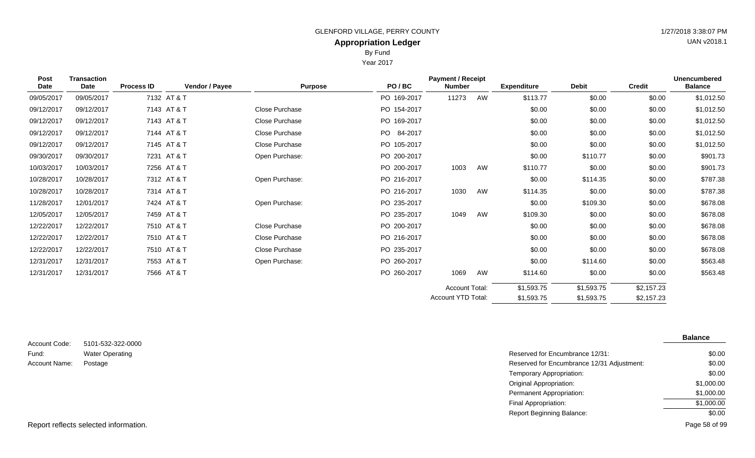By Fund

Year 2017

| <b>Transaction</b><br>Post<br>Date<br>Date |            | <b>Process ID</b> | Vendor / Payee | <b>Purpose</b> | PO/BC          | <b>Payment / Receipt</b><br><b>Number</b> |    | <b>Expenditure</b> | <b>Debit</b> | <b>Credit</b> | <b>Unencumbered</b><br><b>Balance</b> |
|--------------------------------------------|------------|-------------------|----------------|----------------|----------------|-------------------------------------------|----|--------------------|--------------|---------------|---------------------------------------|
| 09/05/2017                                 | 09/05/2017 |                   | 7132 AT & T    |                | PO 169-2017    | 11273                                     | AW | \$113.77           | \$0.00       | \$0.00        | \$1,012.50                            |
| 09/12/2017                                 | 09/12/2017 |                   | 7143 AT & T    | Close Purchase | PO 154-2017    |                                           |    | \$0.00             | \$0.00       | \$0.00        | \$1,012.50                            |
| 09/12/2017                                 | 09/12/2017 |                   | 7143 AT & T    | Close Purchase | PO 169-2017    |                                           |    | \$0.00             | \$0.00       | \$0.00        | \$1,012.50                            |
| 09/12/2017                                 | 09/12/2017 |                   | 7144 AT & T    | Close Purchase | PO.<br>84-2017 |                                           |    | \$0.00             | \$0.00       | \$0.00        | \$1,012.50                            |
| 09/12/2017                                 | 09/12/2017 |                   | 7145 AT & T    | Close Purchase | PO 105-2017    |                                           |    | \$0.00             | \$0.00       | \$0.00        | \$1,012.50                            |
| 09/30/2017                                 | 09/30/2017 |                   | 7231 AT & T    | Open Purchase: | PO 200-2017    |                                           |    | \$0.00             | \$110.77     | \$0.00        | \$901.73                              |
| 10/03/2017                                 | 10/03/2017 |                   | 7256 AT & T    |                | PO 200-2017    | 1003                                      | AW | \$110.77           | \$0.00       | \$0.00        | \$901.73                              |
| 10/28/2017                                 | 10/28/2017 |                   | 7312 AT & T    | Open Purchase: | PO 216-2017    |                                           |    | \$0.00             | \$114.35     | \$0.00        | \$787.38                              |
| 10/28/2017                                 | 10/28/2017 |                   | 7314 AT & T    |                | PO 216-2017    | 1030                                      | AW | \$114.35           | \$0.00       | \$0.00        | \$787.38                              |
| 11/28/2017                                 | 12/01/2017 |                   | 7424 AT & T    | Open Purchase: | PO 235-2017    |                                           |    | \$0.00             | \$109.30     | \$0.00        | \$678.08                              |
| 12/05/2017                                 | 12/05/2017 |                   | 7459 AT & T    |                | PO 235-2017    | 1049                                      | AW | \$109.30           | \$0.00       | \$0.00        | \$678.08                              |
| 12/22/2017                                 | 12/22/2017 |                   | 7510 AT & T    | Close Purchase | PO 200-2017    |                                           |    | \$0.00             | \$0.00       | \$0.00        | \$678.08                              |
| 12/22/2017                                 | 12/22/2017 |                   | 7510 AT & T    | Close Purchase | PO 216-2017    |                                           |    | \$0.00             | \$0.00       | \$0.00        | \$678.08                              |
| 12/22/2017                                 | 12/22/2017 |                   | 7510 AT & T    | Close Purchase | PO 235-2017    |                                           |    | \$0.00             | \$0.00       | \$0.00        | \$678.08                              |
| 12/31/2017                                 | 12/31/2017 |                   | 7553 AT & T    | Open Purchase: | PO 260-2017    |                                           |    | \$0.00             | \$114.60     | \$0.00        | \$563.48                              |
| 12/31/2017                                 | 12/31/2017 |                   | 7566 AT & T    |                | PO 260-2017    | 1069                                      | AW | \$114.60           | \$0.00       | \$0.00        | \$563.48                              |
|                                            |            |                   |                |                |                | <b>Account Total:</b>                     |    | \$1,593.75         | \$1,593.75   | \$2,157.23    |                                       |
|                                            |            |                   |                |                |                | Account YTD Total:                        |    | \$1,593.75         | \$1,593.75   | \$2,157.23    |                                       |

| Account Code:         | 5101-532-322-0000      |
|-----------------------|------------------------|
| Fund:                 | <b>Water Operating</b> |
| Account Name: Postage |                        |
|                       |                        |

Reserved for Encumbrance 12/31: Reserved for Encumbrance 12/31 Adjustment: Temporary Appropriation: Original Appropriation: Permanent Appropriation: Final Appropriation: Report Beginning Balance: **Balance** \$0.00 \$0.00 \$0.00 \$1,000.00 \$1,000.00 \$1,000.00 \$0.00

Report reflects selected information. Page 58 of 99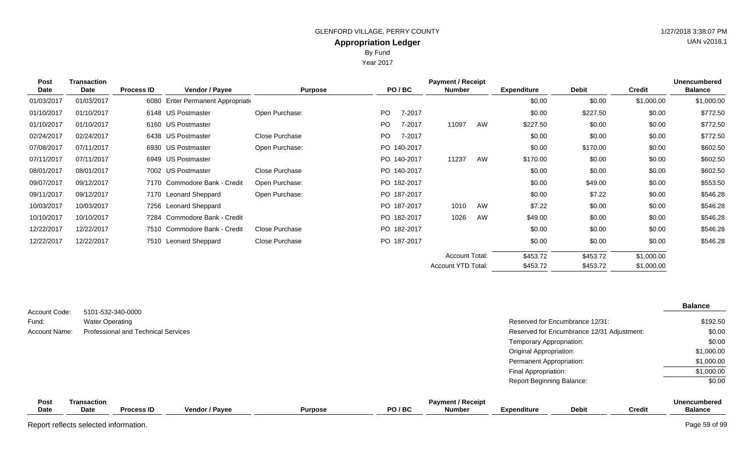Year 2017

| <b>Post</b> | <b>Transaction</b> |                   |                               |                |           |             | <b>Payment / Receipt</b> |    |                    |              |               | <b>Unencumbered</b> |
|-------------|--------------------|-------------------|-------------------------------|----------------|-----------|-------------|--------------------------|----|--------------------|--------------|---------------|---------------------|
| <b>Date</b> | Date               | <b>Process ID</b> | Vendor / Payee                | <b>Purpose</b> |           | PO/BC       | <b>Number</b>            |    | <b>Expenditure</b> | <b>Debit</b> | <b>Credit</b> | <b>Balance</b>      |
| 01/03/2017  | 01/03/2017         | 6080              | Enter Permanent Appropriation |                |           |             |                          |    | \$0.00             | \$0.00       | \$1,000.00    | \$1,000.00          |
| 01/10/2017  | 01/10/2017         |                   | 6148 US Postmaster            | Open Purchase: | <b>PO</b> | 7-2017      |                          |    | \$0.00             | \$227.50     | \$0.00        | \$772.50            |
| 01/10/2017  | 01/10/2017         |                   | 6160 US Postmaster            |                | PO.       | 7-2017      | 11097                    | AW | \$227.50           | \$0.00       | \$0.00        | \$772.50            |
| 02/24/2017  | 02/24/2017         |                   | 6438 US Postmaster            | Close Purchase | PO.       | 7-2017      |                          |    | \$0.00             | \$0.00       | \$0.00        | \$772.50            |
| 07/08/2017  | 07/11/2017         |                   | 6930 US Postmaster            | Open Purchase: |           | PO 140-2017 |                          |    | \$0.00             | \$170.00     | \$0.00        | \$602.50            |
| 07/11/2017  | 07/11/2017         |                   | 6949 US Postmaster            |                |           | PO 140-2017 | 11237                    | AW | \$170.00           | \$0.00       | \$0.00        | \$602.50            |
| 08/01/2017  | 08/01/2017         |                   | 7002 US Postmaster            | Close Purchase |           | PO 140-2017 |                          |    | \$0.00             | \$0.00       | \$0.00        | \$602.50            |
| 09/07/2017  | 09/12/2017         |                   | 7170 Commodore Bank - Credit  | Open Purchase: |           | PO 182-2017 |                          |    | \$0.00             | \$49.00      | \$0.00        | \$553.50            |
| 09/11/2017  | 09/12/2017         |                   | 7170 Leonard Sheppard         | Open Purchase: |           | PO 187-2017 |                          |    | \$0.00             | \$7.22       | \$0.00        | \$546.28            |
| 10/03/2017  | 10/03/2017         |                   | 7256 Leonard Sheppard         |                |           | PO 187-2017 | 1010                     | AW | \$7.22             | \$0.00       | \$0.00        | \$546.28            |
| 10/10/2017  | 10/10/2017         | 7284              | Commodore Bank - Credit       |                |           | PO 182-2017 | 1026                     | AW | \$49.00            | \$0.00       | \$0.00        | \$546.28            |
| 12/22/2017  | 12/22/2017         |                   | 7510 Commodore Bank - Credit  | Close Purchase |           | PO 182-2017 |                          |    | \$0.00             | \$0.00       | \$0.00        | \$546.28            |
| 12/22/2017  | 12/22/2017         |                   | 7510 Leonard Sheppard         | Close Purchase |           | PO 187-2017 |                          |    | \$0.00             | \$0.00       | \$0.00        | \$546.28            |
|             |                    |                   |                               |                |           |             | <b>Account Total:</b>    |    | \$453.72           | \$453.72     | \$1,000.00    |                     |
|             |                    |                   |                               |                |           |             | Account YTD Total:       |    | \$453.72           | \$453.72     | \$1,000.00    |                     |

|               |                                            |                                            | <b>Balance</b> |
|---------------|--------------------------------------------|--------------------------------------------|----------------|
| Account Code: | 5101-532-340-0000                          |                                            |                |
| Fund:         | <b>Water Operating</b>                     | Reserved for Encumbrance 12/31:            | \$192.50       |
| Account Name: | <b>Professional and Technical Services</b> | Reserved for Encumbrance 12/31 Adjustment: | \$0.00         |
|               |                                            | Temporary Appropriation:                   | \$0.00         |
|               |                                            | <b>Original Appropriation:</b>             | \$1,000.00     |
|               |                                            | Permanent Appropriation:                   | \$1,000.00     |
|               |                                            | Final Appropriation:                       | \$1,000.00     |
|               |                                            | <b>Report Beginning Balance:</b>           | \$0.00         |
|               |                                            |                                            |                |

| Pos.        | Transaction |                   |                       |                |         | Pavment / Receipt |                  |              |        | <b>Unencumbered</b> |
|-------------|-------------|-------------------|-----------------------|----------------|---------|-------------------|------------------|--------------|--------|---------------------|
| <b>Date</b> | Date        | <b>Process ID</b> | <b>Vendor / Payee</b> | <b>Purpose</b> | PO / BC | <b>Number</b>     | .<br>Expenditure | <b>Debit</b> | Credit | <b>Balance</b>      |
|             |             |                   |                       |                |         |                   |                  |              |        |                     |

Report reflects selected information. Page 59 of 99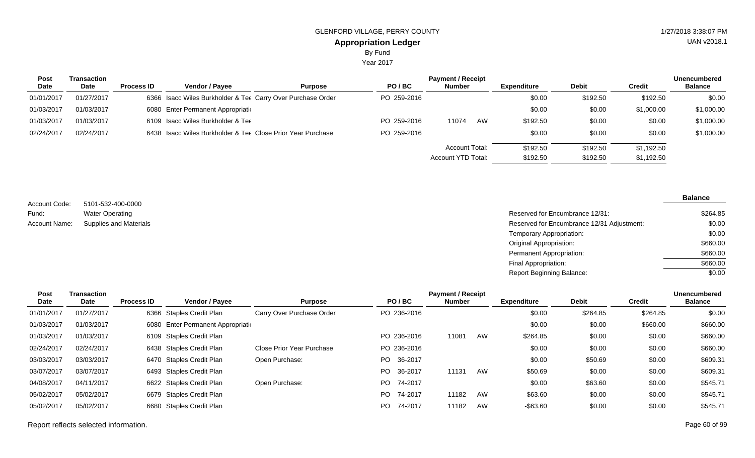Year 2017

| Post       | Transaction |                   |                                                             |                |             | <b>Payment / Receipt</b> |    |                    |              |               | <b>Unencumbered</b> |
|------------|-------------|-------------------|-------------------------------------------------------------|----------------|-------------|--------------------------|----|--------------------|--------------|---------------|---------------------|
| Date       | Date        | <b>Process ID</b> | Vendor / Pavee                                              | <b>Purpose</b> | PO/BC       | <b>Number</b>            |    | <b>Expenditure</b> | <b>Debit</b> | <b>Credit</b> | <b>Balance</b>      |
| 01/01/2017 | 01/27/2017  |                   | 6366 Isacc Wiles Burkholder & Tet Carry Over Purchase Order |                | PO 259-2016 |                          |    | \$0.00             | \$192.50     | \$192.50      | \$0.00              |
| 01/03/2017 | 01/03/2017  |                   | 6080 Enter Permanent Appropriation                          |                |             |                          |    | \$0.00             | \$0.00       | \$1,000.00    | \$1,000.00          |
| 01/03/2017 | 01/03/2017  |                   | 6109 Isacc Wiles Burkholder & Ter                           |                | PO 259-2016 | 11074                    | AW | \$192.50           | \$0.00       | \$0.00        | \$1,000.00          |
| 02/24/2017 | 02/24/2017  |                   | 6438 Isacc Wiles Burkholder & Tee Close Prior Year Purchase |                | PO 259-2016 |                          |    | \$0.00             | \$0.00       | \$0.00        | \$1,000.00          |
|            |             |                   |                                                             |                |             | <b>Account Total:</b>    |    | \$192.50           | \$192.50     | \$1,192.50    |                     |
|            |             |                   |                                                             |                |             | Account YTD Total:       |    | \$192.50           | \$192.50     | \$1,192.50    |                     |

5101-532-400-0000 Water Operating Supplies and Materials Account Code: Fund: Account Name:

| Reserved for Encumbrance 12/31:            | \$264.85 |
|--------------------------------------------|----------|
| Reserved for Encumbrance 12/31 Adjustment: | \$0.00   |
| Temporary Appropriation:                   | \$0.00   |
| Original Appropriation:                    | \$660.00 |
| Permanent Appropriation:                   | \$660.00 |
| Final Appropriation:                       | \$660.00 |
| Report Beginning Balance:                  | \$0.00   |

| Post       | Transaction |                   |                                    |                           |                | <b>Payment / Receipt</b> |    |                    |              |               | Unencumbered   |
|------------|-------------|-------------------|------------------------------------|---------------------------|----------------|--------------------------|----|--------------------|--------------|---------------|----------------|
| Date       | Date        | <b>Process ID</b> | Vendor / Payee                     | <b>Purpose</b>            | PO/BC          | <b>Number</b>            |    | <b>Expenditure</b> | <b>Debit</b> | <b>Credit</b> | <b>Balance</b> |
| 01/01/2017 | 01/27/2017  |                   | 6366 Staples Credit Plan           | Carry Over Purchase Order | PO 236-2016    |                          |    | \$0.00             | \$264.85     | \$264.85      | \$0.00         |
| 01/03/2017 | 01/03/2017  |                   | 6080 Enter Permanent Appropriation |                           |                |                          |    | \$0.00             | \$0.00       | \$660.00      | \$660.00       |
| 01/03/2017 | 01/03/2017  |                   | 6109 Staples Credit Plan           |                           | PO 236-2016    | 11081                    | AW | \$264.85           | \$0.00       | \$0.00        | \$660.00       |
| 02/24/2017 | 02/24/2017  |                   | 6438 Staples Credit Plan           | Close Prior Year Purchase | PO 236-2016    |                          |    | \$0.00             | \$0.00       | \$0.00        | \$660.00       |
| 03/03/2017 | 03/03/2017  |                   | 6470 Staples Credit Plan           | Open Purchase:            | 36-2017<br>PO. |                          |    | \$0.00             | \$50.69      | \$0.00        | \$609.31       |
| 03/07/2017 | 03/07/2017  |                   | 6493 Staples Credit Plan           |                           | 36-2017<br>PO. | 11131                    | AW | \$50.69            | \$0.00       | \$0.00        | \$609.31       |
| 04/08/2017 | 04/11/2017  |                   | 6622 Staples Credit Plan           | Open Purchase:            | 74-2017<br>PO. |                          |    | \$0.00             | \$63.60      | \$0.00        | \$545.71       |
| 05/02/2017 | 05/02/2017  |                   | 6679 Staples Credit Plan           |                           | 74-2017<br>PO. | 11182                    | AW | \$63.60            | \$0.00       | \$0.00        | \$545.71       |
| 05/02/2017 | 05/02/2017  |                   | 6680 Staples Credit Plan           |                           | PO<br>74-2017  | 11182                    | AW | $-$ \$63.60        | \$0.00       | \$0.00        | \$545.71       |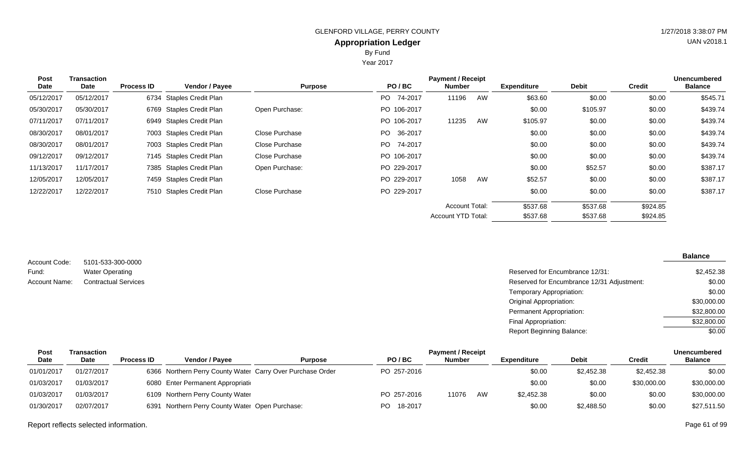Year 2017

| <b>Post</b><br>Date | Transaction<br>Date | <b>Process ID</b> | <b>Vendor / Payee</b>    | <b>Purpose</b> | PO/BC           | <b>Payment / Receipt</b><br><b>Number</b> |    | <b>Expenditure</b> | <b>Debit</b> | <b>Credit</b> | Unencumbered<br><b>Balance</b> |
|---------------------|---------------------|-------------------|--------------------------|----------------|-----------------|-------------------------------------------|----|--------------------|--------------|---------------|--------------------------------|
| 05/12/2017          | 05/12/2017          |                   | 6734 Staples Credit Plan |                | PO -<br>74-2017 | 11196                                     | AW | \$63.60            | \$0.00       | \$0.00        | \$545.71                       |
| 05/30/2017          | 05/30/2017          |                   | 6769 Staples Credit Plan | Open Purchase: | PO 106-2017     |                                           |    | \$0.00             | \$105.97     | \$0.00        | \$439.74                       |
| 07/11/2017          | 07/11/2017          |                   | 6949 Staples Credit Plan |                | PO 106-2017     | 11235                                     | AW | \$105.97           | \$0.00       | \$0.00        | \$439.74                       |
| 08/30/2017          | 08/01/2017          |                   | 7003 Staples Credit Plan | Close Purchase | 36-2017<br>PO.  |                                           |    | \$0.00             | \$0.00       | \$0.00        | \$439.74                       |
| 08/30/2017          | 08/01/2017          |                   | 7003 Staples Credit Plan | Close Purchase | 74-2017<br>PO - |                                           |    | \$0.00             | \$0.00       | \$0.00        | \$439.74                       |
| 09/12/2017          | 09/12/2017          |                   | 7145 Staples Credit Plan | Close Purchase | PO 106-2017     |                                           |    | \$0.00             | \$0.00       | \$0.00        | \$439.74                       |
| 11/13/2017          | 11/17/2017          |                   | 7385 Staples Credit Plan | Open Purchase: | PO 229-2017     |                                           |    | \$0.00             | \$52.57      | \$0.00        | \$387.17                       |
| 12/05/2017          | 12/05/2017          |                   | 7459 Staples Credit Plan |                | PO 229-2017     | 1058                                      | AW | \$52.57            | \$0.00       | \$0.00        | \$387.17                       |
| 12/22/2017          | 12/22/2017          |                   | 7510 Staples Credit Plan | Close Purchase | PO 229-2017     |                                           |    | \$0.00             | \$0.00       | \$0.00        | \$387.17                       |
|                     |                     |                   |                          |                |                 | <b>Account Total:</b>                     |    | \$537.68           | \$537.68     | \$924.85      |                                |
|                     |                     |                   |                          |                |                 | <b>Account YTD Total:</b>                 |    | \$537.68           | \$537.68     | \$924.85      |                                |

| 5101-533-300-0000           |                                            | <b>Balance</b> |
|-----------------------------|--------------------------------------------|----------------|
| <b>Water Operating</b>      | Reserved for Encumbrance 12/31:            | \$2,452.38     |
| <b>Contractual Services</b> | Reserved for Encumbrance 12/31 Adjustment: | \$0.00         |
|                             | Temporary Appropriation:                   | \$0.00         |
|                             | Original Appropriation:                    | \$30,000.00    |
|                             | Permanent Appropriation:                   | \$32,800.00    |
|                             | Final Appropriation:                       | \$32,800.00    |
|                             | <b>Report Beginning Balance:</b>           | \$0.00         |

| Post        | <b>Fransaction</b> |                   |                                                            |                |                | <b>Payment / Receipt</b> |    |                    |              |             | <b>Unencumbered</b> |
|-------------|--------------------|-------------------|------------------------------------------------------------|----------------|----------------|--------------------------|----|--------------------|--------------|-------------|---------------------|
| <b>Date</b> | Date               | <b>Process ID</b> | <b>Vendor / Payee</b>                                      | <b>Purpose</b> | PO/BC          | <b>Number</b>            |    | <b>Expenditure</b> | <b>Debit</b> | Credit      | <b>Balance</b>      |
| 01/01/2017  | 01/27/2017         |                   | 6366 Northern Perry County Water Carry Over Purchase Order |                | PO 257-2016    |                          |    | \$0.00             | \$2,452.38   | \$2,452.38  | \$0.00              |
| 01/03/2017  | 01/03/2017         |                   | 6080 Enter Permanent Appropriation                         |                |                |                          |    | \$0.00             | \$0.00       | \$30,000.00 | \$30,000.00         |
| 01/03/2017  | 01/03/2017         |                   | 6109 Northern Perry County Water                           |                | PO 257-2016    | 11076                    | AW | \$2,452.38         | \$0.00       | \$0.00      | \$30,000.00         |
| 01/30/2017  | 02/07/2017         |                   | 6391 Northern Perry County Water Open Purchase:            |                | 18-2017<br>PO. |                          |    | \$0.00             | \$2,488.50   | \$0.00      | \$27,511.50         |

Report reflects selected information. Page 61 of 99

Account Code:

Account Name:

Fund: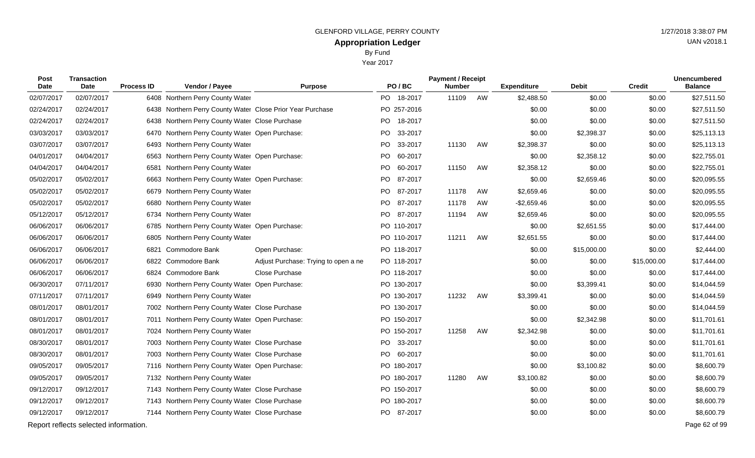Year 2017

| Post<br>Date | <b>Transaction</b><br><b>Date</b>     | <b>Process ID</b> | Vendor / Payee                                             | <b>Purpose</b>                       | PO/BC                | <b>Payment / Receipt</b><br><b>Number</b> |    | <b>Expenditure</b> | <b>Debit</b> | <b>Credit</b> | <b>Unencumbered</b><br><b>Balance</b> |
|--------------|---------------------------------------|-------------------|------------------------------------------------------------|--------------------------------------|----------------------|-------------------------------------------|----|--------------------|--------------|---------------|---------------------------------------|
| 02/07/2017   | 02/07/2017                            |                   | 6408 Northern Perry County Water                           |                                      | PO 18-2017           | 11109                                     | AW | \$2,488.50         | \$0.00       | \$0.00        | \$27,511.50                           |
| 02/24/2017   | 02/24/2017                            |                   | 6438 Northern Perry County Water Close Prior Year Purchase |                                      | PO 257-2016          |                                           |    | \$0.00             | \$0.00       | \$0.00        | \$27,511.50                           |
| 02/24/2017   | 02/24/2017                            | 6438              | Northern Perry County Water Close Purchase                 |                                      | PO 18-2017           |                                           |    | \$0.00             | \$0.00       | \$0.00        | \$27,511.50                           |
| 03/03/2017   | 03/03/2017                            | 6470              | Northern Perry County Water Open Purchase:                 |                                      | <b>PO</b><br>33-2017 |                                           |    | \$0.00             | \$2,398.37   | \$0.00        | \$25,113.13                           |
| 03/07/2017   | 03/07/2017                            |                   | 6493 Northern Perry County Water                           |                                      | PO 33-2017           | 11130                                     | AW | \$2,398.37         | \$0.00       | \$0.00        | \$25,113.13                           |
| 04/01/2017   | 04/04/2017                            |                   | 6563 Northern Perry County Water Open Purchase:            |                                      | PO<br>60-2017        |                                           |    | \$0.00             | \$2,358.12   | \$0.00        | \$22,755.01                           |
| 04/04/2017   | 04/04/2017                            |                   | 6581 Northern Perry County Water                           |                                      | PO 60-2017           | 11150                                     | AW | \$2,358.12         | \$0.00       | \$0.00        | \$22,755.01                           |
| 05/02/2017   | 05/02/2017                            |                   | 6663 Northern Perry County Water Open Purchase:            |                                      | PO.<br>87-2017       |                                           |    | \$0.00             | \$2,659.46   | \$0.00        | \$20,095.55                           |
| 05/02/2017   | 05/02/2017                            |                   | 6679 Northern Perry County Water                           |                                      | PO 87-2017           | 11178                                     | AW | \$2,659.46         | \$0.00       | \$0.00        | \$20,095.55                           |
| 05/02/2017   | 05/02/2017                            | 6680              | Northern Perry County Water                                |                                      | PO.<br>87-2017       | 11178                                     | AW | $-$2,659.46$       | \$0.00       | \$0.00        | \$20,095.55                           |
| 05/12/2017   | 05/12/2017                            |                   | 6734 Northern Perry County Water                           |                                      | PO 87-2017           | 11194                                     | AW | \$2,659.46         | \$0.00       | \$0.00        | \$20,095.55                           |
| 06/06/2017   | 06/06/2017                            | 6785              | Northern Perry County Water Open Purchase:                 |                                      | PO 110-2017          |                                           |    | \$0.00             | \$2,651.55   | \$0.00        | \$17,444.00                           |
| 06/06/2017   | 06/06/2017                            |                   | 6805 Northern Perry County Water                           |                                      | PO 110-2017          | 11211                                     | AW | \$2,651.55         | \$0.00       | \$0.00        | \$17,444.00                           |
| 06/06/2017   | 06/06/2017                            | 6821              | Commodore Bank                                             | Open Purchase:                       | PO 118-2017          |                                           |    | \$0.00             | \$15,000.00  | \$0.00        | \$2,444.00                            |
| 06/06/2017   | 06/06/2017                            |                   | 6822 Commodore Bank                                        | Adjust Purchase: Trying to open a ne | PO 118-2017          |                                           |    | \$0.00             | \$0.00       | \$15,000.00   | \$17,444.00                           |
| 06/06/2017   | 06/06/2017                            |                   | 6824 Commodore Bank                                        | Close Purchase                       | PO 118-2017          |                                           |    | \$0.00             | \$0.00       | \$0.00        | \$17,444.00                           |
| 06/30/2017   | 07/11/2017                            |                   | 6930 Northern Perry County Water Open Purchase:            |                                      | PO 130-2017          |                                           |    | \$0.00             | \$3,399.41   | \$0.00        | \$14,044.59                           |
| 07/11/2017   | 07/11/2017                            |                   | 6949 Northern Perry County Water                           |                                      | PO 130-2017          | 11232                                     | AW | \$3,399.41         | \$0.00       | \$0.00        | \$14,044.59                           |
| 08/01/2017   | 08/01/2017                            |                   | 7002 Northern Perry County Water Close Purchase            |                                      | PO 130-2017          |                                           |    | \$0.00             | \$0.00       | \$0.00        | \$14,044.59                           |
| 08/01/2017   | 08/01/2017                            |                   | 7011 Northern Perry County Water Open Purchase:            |                                      | PO 150-2017          |                                           |    | \$0.00             | \$2,342.98   | \$0.00        | \$11,701.61                           |
| 08/01/2017   | 08/01/2017                            |                   | 7024 Northern Perry County Water                           |                                      | PO 150-2017          | 11258                                     | AW | \$2,342.98         | \$0.00       | \$0.00        | \$11,701.61                           |
| 08/30/2017   | 08/01/2017                            |                   | 7003 Northern Perry County Water Close Purchase            |                                      | PO 33-2017           |                                           |    | \$0.00             | \$0.00       | \$0.00        | \$11,701.61                           |
| 08/30/2017   | 08/01/2017                            |                   | 7003 Northern Perry County Water Close Purchase            |                                      | PO 60-2017           |                                           |    | \$0.00             | \$0.00       | \$0.00        | \$11,701.61                           |
| 09/05/2017   | 09/05/2017                            |                   | 7116 Northern Perry County Water Open Purchase:            |                                      | PO 180-2017          |                                           |    | \$0.00             | \$3,100.82   | \$0.00        | \$8,600.79                            |
| 09/05/2017   | 09/05/2017                            |                   | 7132 Northern Perry County Water                           |                                      | PO 180-2017          | 11280                                     | AW | \$3,100.82         | \$0.00       | \$0.00        | \$8,600.79                            |
| 09/12/2017   | 09/12/2017                            |                   | 7143 Northern Perry County Water Close Purchase            |                                      | PO 150-2017          |                                           |    | \$0.00             | \$0.00       | \$0.00        | \$8,600.79                            |
| 09/12/2017   | 09/12/2017                            |                   | 7143 Northern Perry County Water Close Purchase            |                                      | PO 180-2017          |                                           |    | \$0.00             | \$0.00       | \$0.00        | \$8,600.79                            |
| 09/12/2017   | 09/12/2017                            |                   | 7144 Northern Perry County Water Close Purchase            |                                      | PO 87-2017           |                                           |    | \$0.00             | \$0.00       | \$0.00        | \$8,600.79                            |
|              | Report reflects selected information. |                   |                                                            |                                      |                      |                                           |    |                    |              |               | Page 62 of 99                         |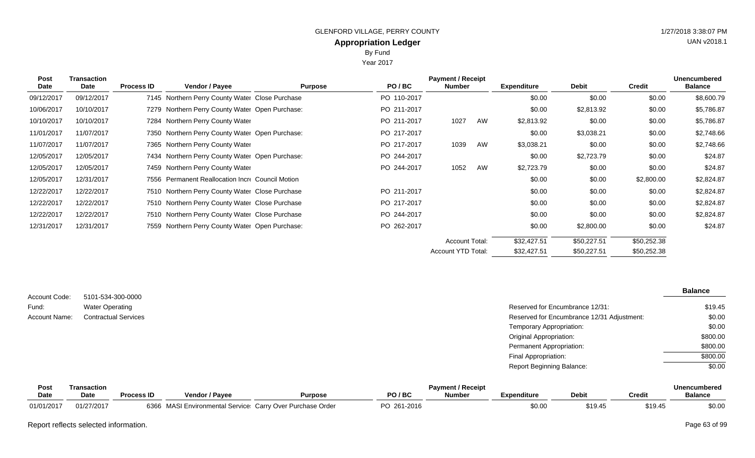Year 2017

| <b>Post</b><br>Date | <b>Transaction</b><br>Date | <b>Process ID</b> | Vendor / Payee                                   | <b>Purpose</b> | PO/BC       | <b>Payment / Receipt</b><br><b>Number</b> |    | <b>Expenditure</b> | <b>Debit</b> | <b>Credit</b> | <b>Unencumbered</b><br><b>Balance</b> |
|---------------------|----------------------------|-------------------|--------------------------------------------------|----------------|-------------|-------------------------------------------|----|--------------------|--------------|---------------|---------------------------------------|
| 09/12/2017          | 09/12/2017                 |                   | 7145 Northern Perry County Water Close Purchase  |                | PO 110-2017 |                                           |    | \$0.00             | \$0.00       | \$0.00        | \$8,600.79                            |
| 10/06/2017          | 10/10/2017                 |                   | 7279 Northern Perry County Water Open Purchase:  |                | PO 211-2017 |                                           |    | \$0.00             | \$2,813.92   | \$0.00        | \$5,786.87                            |
| 10/10/2017          | 10/10/2017                 |                   | 7284 Northern Perry County Water                 |                | PO 211-2017 | 1027                                      | AW | \$2,813.92         | \$0.00       | \$0.00        | \$5,786.87                            |
| 11/01/2017          | 11/07/2017                 |                   | 7350 Northern Perry County Water Open Purchase:  |                | PO 217-2017 |                                           |    | \$0.00             | \$3,038.21   | \$0.00        | \$2,748.66                            |
| 11/07/2017          | 11/07/2017                 |                   | 7365 Northern Perry County Water                 |                | PO 217-2017 | 1039                                      | AW | \$3,038.21         | \$0.00       | \$0.00        | \$2,748.66                            |
| 12/05/2017          | 12/05/2017                 |                   | 7434 Northern Perry County Water Open Purchase:  |                | PO 244-2017 |                                           |    | \$0.00             | \$2,723.79   | \$0.00        | \$24.87                               |
| 12/05/2017          | 12/05/2017                 |                   | 7459 Northern Perry County Water                 |                | PO 244-2017 | 1052                                      | AW | \$2,723.79         | \$0.00       | \$0.00        | \$24.87                               |
| 12/05/2017          | 12/31/2017                 |                   | 7556 Permanent Reallocation Incre Council Motion |                |             |                                           |    | \$0.00             | \$0.00       | \$2,800.00    | \$2,824.87                            |
| 12/22/2017          | 12/22/2017                 |                   | 7510 Northern Perry County Water Close Purchase  |                | PO 211-2017 |                                           |    | \$0.00             | \$0.00       | \$0.00        | \$2,824.87                            |
| 12/22/2017          | 12/22/2017                 |                   | 7510 Northern Perry County Water Close Purchase  |                | PO 217-2017 |                                           |    | \$0.00             | \$0.00       | \$0.00        | \$2,824.87                            |
| 12/22/2017          | 12/22/2017                 |                   | 7510 Northern Perry County Water Close Purchase  |                | PO 244-2017 |                                           |    | \$0.00             | \$0.00       | \$0.00        | \$2,824.87                            |
| 12/31/2017          | 12/31/2017                 |                   | 7559 Northern Perry County Water Open Purchase:  |                | PO 262-2017 |                                           |    | \$0.00             | \$2,800.00   | \$0.00        | \$24.87                               |
|                     |                            |                   |                                                  |                |             | <b>Account Total:</b>                     |    | \$32,427.51        | \$50,227.51  | \$50,252.38   |                                       |
|                     |                            |                   |                                                  |                |             | Account YTD Total:                        |    | \$32,427.51        | \$50,227.51  | \$50,252.38   |                                       |

|               |                             |                                            | <b>Balance</b> |
|---------------|-----------------------------|--------------------------------------------|----------------|
| Account Code: | 5101-534-300-0000           |                                            |                |
| Fund:         | <b>Water Operating</b>      | Reserved for Encumbrance 12/31:            | \$19.45        |
| Account Name: | <b>Contractual Services</b> | Reserved for Encumbrance 12/31 Adjustment: | \$0.00         |
|               |                             | Temporary Appropriation:                   | \$0.00         |
|               |                             | <b>Original Appropriation:</b>             | \$800.00       |
|               |                             | Permanent Appropriation:                   | \$800.00       |
|               |                             | Final Appropriation:                       | \$800.00       |
|               |                             | <b>Report Beginning Balance:</b>           | \$0.00         |

| Post       | .ransaction |                   | <b>Payment / Receipt</b>                                   |                |             |               |             |              |         |                |
|------------|-------------|-------------------|------------------------------------------------------------|----------------|-------------|---------------|-------------|--------------|---------|----------------|
| Date       | <b>Date</b> | <b>Process ID</b> | <b>Vendor / Pavee</b>                                      | <b>Purpose</b> | PO / BC     | <b>Number</b> | Expenditure | <b>Debit</b> | Credit  | <b>Balance</b> |
| 01/01/2017 | 01/27/2017  |                   | 6366 MASI Environmental Service: Carry Over Purchase Order |                | PO 261-2016 |               | \$0.00      | \$19.45      | \$19.45 | \$0.00         |

Report reflects selected information. Page 63 of 99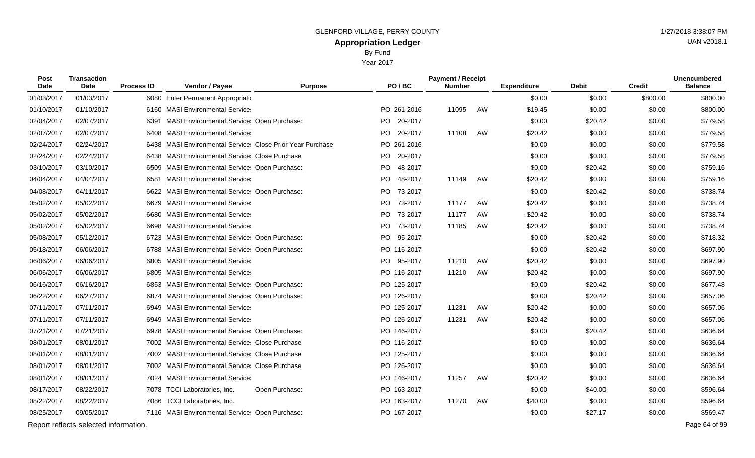Year 2017

| <b>Post</b><br><b>Date</b> | <b>Transaction</b><br>Date            | <b>Process ID</b> | Vendor / Payee                                            | <b>Purpose</b> | PO/BC           | <b>Payment / Receipt</b><br><b>Number</b> |    | <b>Expenditure</b> | <b>Debit</b> | <b>Credit</b> | <b>Unencumbered</b><br><b>Balance</b> |
|----------------------------|---------------------------------------|-------------------|-----------------------------------------------------------|----------------|-----------------|-------------------------------------------|----|--------------------|--------------|---------------|---------------------------------------|
| 01/03/2017                 | 01/03/2017                            |                   | 6080 Enter Permanent Appropriatio                         |                |                 |                                           |    | \$0.00             | \$0.00       | \$800.00      | \$800.00                              |
| 01/10/2017                 | 01/10/2017                            |                   | 6160 MASI Environmental Service                           |                | PO 261-2016     | 11095                                     | AW | \$19.45            | \$0.00       | \$0.00        | \$800.00                              |
| 02/04/2017                 | 02/07/2017                            | 6391              | <b>MASI Environmental Service: Open Purchase:</b>         |                | 20-2017<br>PO - |                                           |    | \$0.00             | \$20.42      | \$0.00        | \$779.58                              |
| 02/07/2017                 | 02/07/2017                            |                   | 6408 MASI Environmental Service                           |                | PO 20-2017      | 11108                                     | AW | \$20.42            | \$0.00       | \$0.00        | \$779.58                              |
| 02/24/2017                 | 02/24/2017                            |                   | 6438 MASI Environmental Service Close Prior Year Purchase |                | PO 261-2016     |                                           |    | \$0.00             | \$0.00       | \$0.00        | \$779.58                              |
| 02/24/2017                 | 02/24/2017                            |                   | 6438 MASI Environmental Service Close Purchase            |                | PO 20-2017      |                                           |    | \$0.00             | \$0.00       | \$0.00        | \$779.58                              |
| 03/10/2017                 | 03/10/2017                            |                   | 6509 MASI Environmental Service: Open Purchase:           |                | 48-2017<br>PO.  |                                           |    | \$0.00             | \$20.42      | \$0.00        | \$759.16                              |
| 04/04/2017                 | 04/04/2017                            | 6581              | <b>MASI Environmental Service</b>                         |                | PO.<br>48-2017  | 11149                                     | AW | \$20.42            | \$0.00       | \$0.00        | \$759.16                              |
| 04/08/2017                 | 04/11/2017                            |                   | 6622 MASI Environmental Service: Open Purchase:           |                | PO.<br>73-2017  |                                           |    | \$0.00             | \$20.42      | \$0.00        | \$738.74                              |
| 05/02/2017                 | 05/02/2017                            |                   | 6679 MASI Environmental Service                           |                | PO -<br>73-2017 | 11177                                     | AW | \$20.42            | \$0.00       | \$0.00        | \$738.74                              |
| 05/02/2017                 | 05/02/2017                            |                   | 6680 MASI Environmental Service                           |                | PO 73-2017      | 11177                                     | AW | $-$20.42$          | \$0.00       | \$0.00        | \$738.74                              |
| 05/02/2017                 | 05/02/2017                            |                   | 6698 MASI Environmental Service                           |                | 73-2017<br>PO.  | 11185                                     | AW | \$20.42            | \$0.00       | \$0.00        | \$738.74                              |
| 05/08/2017                 | 05/12/2017                            |                   | 6723 MASI Environmental Service Open Purchase:            |                | PO 95-2017      |                                           |    | \$0.00             | \$20.42      | \$0.00        | \$718.32                              |
| 05/18/2017                 | 06/06/2017                            |                   | 6788 MASI Environmental Service: Open Purchase:           |                | PO 116-2017     |                                           |    | \$0.00             | \$20.42      | \$0.00        | \$697.90                              |
| 06/06/2017                 | 06/06/2017                            |                   | 6805 MASI Environmental Service                           |                | PO 95-2017      | 11210                                     | AW | \$20.42            | \$0.00       | \$0.00        | \$697.90                              |
| 06/06/2017                 | 06/06/2017                            |                   | 6805 MASI Environmental Service                           |                | PO 116-2017     | 11210                                     | AW | \$20.42            | \$0.00       | \$0.00        | \$697.90                              |
| 06/16/2017                 | 06/16/2017                            |                   | 6853 MASI Environmental Service: Open Purchase:           |                | PO 125-2017     |                                           |    | \$0.00             | \$20.42      | \$0.00        | \$677.48                              |
| 06/22/2017                 | 06/27/2017                            |                   | 6874 MASI Environmental Service: Open Purchase:           |                | PO 126-2017     |                                           |    | \$0.00             | \$20.42      | \$0.00        | \$657.06                              |
| 07/11/2017                 | 07/11/2017                            |                   | 6949 MASI Environmental Service                           |                | PO 125-2017     | 11231                                     | AW | \$20.42            | \$0.00       | \$0.00        | \$657.06                              |
| 07/11/2017                 | 07/11/2017                            |                   | 6949 MASI Environmental Service                           |                | PO 126-2017     | 11231                                     | AW | \$20.42            | \$0.00       | \$0.00        | \$657.06                              |
| 07/21/2017                 | 07/21/2017                            |                   | 6978 MASI Environmental Service: Open Purchase:           |                | PO 146-2017     |                                           |    | \$0.00             | \$20.42      | \$0.00        | \$636.64                              |
| 08/01/2017                 | 08/01/2017                            |                   | 7002 MASI Environmental Service Close Purchase            |                | PO 116-2017     |                                           |    | \$0.00             | \$0.00       | \$0.00        | \$636.64                              |
| 08/01/2017                 | 08/01/2017                            |                   | 7002 MASI Environmental Service Close Purchase            |                | PO 125-2017     |                                           |    | \$0.00             | \$0.00       | \$0.00        | \$636.64                              |
| 08/01/2017                 | 08/01/2017                            |                   | 7002 MASI Environmental Service Close Purchase            |                | PO 126-2017     |                                           |    | \$0.00             | \$0.00       | \$0.00        | \$636.64                              |
| 08/01/2017                 | 08/01/2017                            |                   | 7024 MASI Environmental Service                           |                | PO 146-2017     | 11257                                     | AW | \$20.42            | \$0.00       | \$0.00        | \$636.64                              |
| 08/17/2017                 | 08/22/2017                            |                   | 7078 TCCI Laboratories, Inc.                              | Open Purchase: | PO 163-2017     |                                           |    | \$0.00             | \$40.00      | \$0.00        | \$596.64                              |
| 08/22/2017                 | 08/22/2017                            |                   | 7086 TCCI Laboratories, Inc.                              |                | PO 163-2017     | 11270                                     | AW | \$40.00            | \$0.00       | \$0.00        | \$596.64                              |
| 08/25/2017                 | 09/05/2017                            |                   | 7116 MASI Environmental Service: Open Purchase:           |                | PO 167-2017     |                                           |    | \$0.00             | \$27.17      | \$0.00        | \$569.47                              |
|                            | Report reflects selected information. |                   |                                                           |                |                 |                                           |    |                    |              |               | Page 64 of 99                         |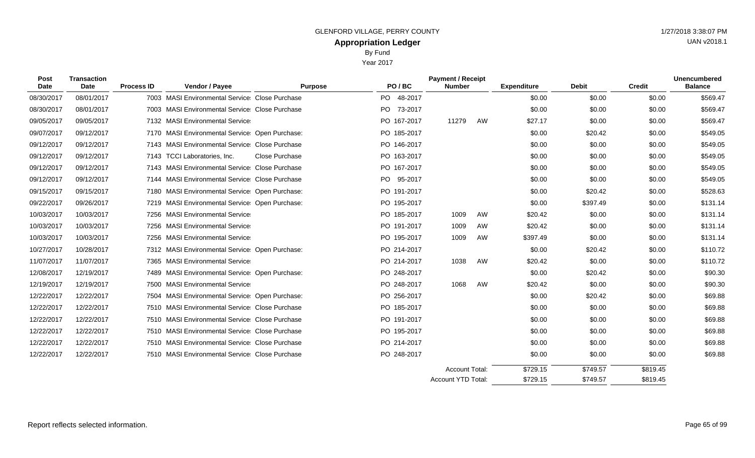Year 2017

| Post<br><b>Date</b> | <b>Transaction</b><br>Date | <b>Process ID</b> | Vendor / Payee                                    | <b>Purpose</b>        |     | PO/BC       | <b>Payment / Receipt</b><br><b>Number</b> |    | <b>Expenditure</b> | <b>Debit</b> | <b>Credit</b> | <b>Unencumbered</b><br><b>Balance</b> |
|---------------------|----------------------------|-------------------|---------------------------------------------------|-----------------------|-----|-------------|-------------------------------------------|----|--------------------|--------------|---------------|---------------------------------------|
| 08/30/2017          | 08/01/2017                 |                   | 7003 MASI Environmental Service Close Purchase    |                       |     | PO 48-2017  |                                           |    | \$0.00             | \$0.00       | \$0.00        | \$569.47                              |
| 08/30/2017          | 08/01/2017                 |                   | 7003 MASI Environmental Service Close Purchase    |                       | PO. | 73-2017     |                                           |    | \$0.00             | \$0.00       | \$0.00        | \$569.47                              |
| 09/05/2017          | 09/05/2017                 |                   | 7132 MASI Environmental Service                   |                       |     | PO 167-2017 | 11279                                     | AW | \$27.17            | \$0.00       | \$0.00        | \$569.47                              |
| 09/07/2017          | 09/12/2017                 |                   | 7170 MASI Environmental Service: Open Purchase:   |                       |     | PO 185-2017 |                                           |    | \$0.00             | \$20.42      | \$0.00        | \$549.05                              |
| 09/12/2017          | 09/12/2017                 |                   | 7143 MASI Environmental Service: Close Purchase   |                       |     | PO 146-2017 |                                           |    | \$0.00             | \$0.00       | \$0.00        | \$549.05                              |
| 09/12/2017          | 09/12/2017                 |                   | 7143 TCCI Laboratories, Inc.                      | <b>Close Purchase</b> |     | PO 163-2017 |                                           |    | \$0.00             | \$0.00       | \$0.00        | \$549.05                              |
| 09/12/2017          | 09/12/2017                 |                   | 7143 MASI Environmental Service: Close Purchase   |                       |     | PO 167-2017 |                                           |    | \$0.00             | \$0.00       | \$0.00        | \$549.05                              |
| 09/12/2017          | 09/12/2017                 |                   | 7144 MASI Environmental Service Close Purchase    |                       |     | PO 95-2017  |                                           |    | \$0.00             | \$0.00       | \$0.00        | \$549.05                              |
| 09/15/2017          | 09/15/2017                 |                   | 7180 MASI Environmental Service Open Purchase:    |                       |     | PO 191-2017 |                                           |    | \$0.00             | \$20.42      | \$0.00        | \$528.63                              |
| 09/22/2017          | 09/26/2017                 |                   | 7219 MASI Environmental Service Open Purchase:    |                       |     | PO 195-2017 |                                           |    | \$0.00             | \$397.49     | \$0.00        | \$131.14                              |
| 10/03/2017          | 10/03/2017                 |                   | 7256 MASI Environmental Service                   |                       |     | PO 185-2017 | 1009                                      | AW | \$20.42            | \$0.00       | \$0.00        | \$131.14                              |
| 10/03/2017          | 10/03/2017                 |                   | 7256 MASI Environmental Service                   |                       |     | PO 191-2017 | 1009                                      | AW | \$20.42            | \$0.00       | \$0.00        | \$131.14                              |
| 10/03/2017          | 10/03/2017                 |                   | 7256 MASI Environmental Service                   |                       |     | PO 195-2017 | 1009                                      | AW | \$397.49           | \$0.00       | \$0.00        | \$131.14                              |
| 10/27/2017          | 10/28/2017                 |                   | 7312 MASI Environmental Service Open Purchase:    |                       |     | PO 214-2017 |                                           |    | \$0.00             | \$20.42      | \$0.00        | \$110.72                              |
| 11/07/2017          | 11/07/2017                 |                   | 7365 MASI Environmental Service                   |                       |     | PO 214-2017 | 1038                                      | AW | \$20.42            | \$0.00       | \$0.00        | \$110.72                              |
| 12/08/2017          | 12/19/2017                 | 7489              | <b>MASI Environmental Service: Open Purchase:</b> |                       |     | PO 248-2017 |                                           |    | \$0.00             | \$20.42      | \$0.00        | \$90.30                               |
| 12/19/2017          | 12/19/2017                 |                   | 7500 MASI Environmental Service                   |                       |     | PO 248-2017 | 1068                                      | AW | \$20.42            | \$0.00       | \$0.00        | \$90.30                               |
| 12/22/2017          | 12/22/2017                 |                   | 7504 MASI Environmental Service: Open Purchase:   |                       |     | PO 256-2017 |                                           |    | \$0.00             | \$20.42      | \$0.00        | \$69.88                               |
| 12/22/2017          | 12/22/2017                 |                   | 7510 MASI Environmental Service Close Purchase    |                       |     | PO 185-2017 |                                           |    | \$0.00             | \$0.00       | \$0.00        | \$69.88                               |
| 12/22/2017          | 12/22/2017                 |                   | 7510 MASI Environmental Service Close Purchase    |                       |     | PO 191-2017 |                                           |    | \$0.00             | \$0.00       | \$0.00        | \$69.88                               |
| 12/22/2017          | 12/22/2017                 |                   | 7510 MASI Environmental Service Close Purchase    |                       |     | PO 195-2017 |                                           |    | \$0.00             | \$0.00       | \$0.00        | \$69.88                               |
| 12/22/2017          | 12/22/2017                 |                   | 7510 MASI Environmental Service Close Purchase    |                       |     | PO 214-2017 |                                           |    | \$0.00             | \$0.00       | \$0.00        | \$69.88                               |
| 12/22/2017          | 12/22/2017                 |                   | 7510 MASI Environmental Service Close Purchase    |                       |     | PO 248-2017 |                                           |    | \$0.00             | \$0.00       | \$0.00        | \$69.88                               |
|                     |                            |                   |                                                   |                       |     |             | <b>Account Total:</b>                     |    | \$729.15           | \$749.57     | \$819.45      |                                       |

\$819.45

\$749.57

\$729.15

Account YTD Total: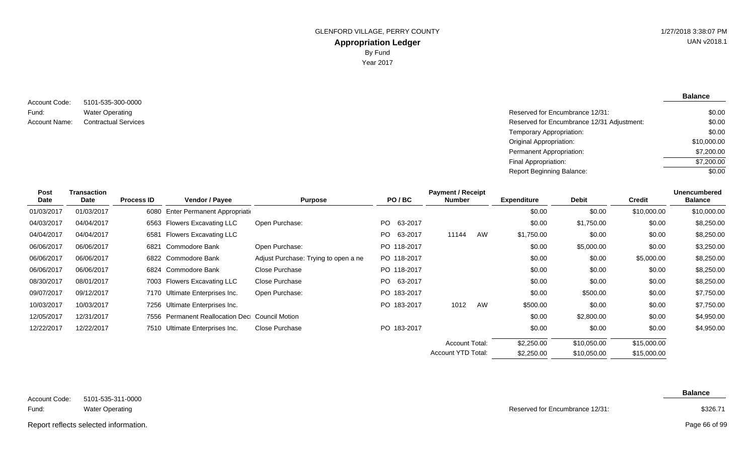5101-535-300-0000 Water Operating Contractual Services Account Code: Fund: Account Name:

**Balance**

| Reserved for Encumbrance 12/31:            | \$0.00      |
|--------------------------------------------|-------------|
| Reserved for Encumbrance 12/31 Adjustment: | \$0.00      |
| Temporary Appropriation:                   | \$0.00      |
| Original Appropriation:                    | \$10,000.00 |
| Permanent Appropriation:                   | \$7,200.00  |
| Final Appropriation:                       | \$7,200.00  |
| Report Beginning Balance:                  | \$0.00      |
|                                            |             |

| <b>Post</b> | Transaction |                   |                                                |                                      |             | <b>Payment / Receipt</b> |    |                    |              |               | <b>Unencumbered</b> |
|-------------|-------------|-------------------|------------------------------------------------|--------------------------------------|-------------|--------------------------|----|--------------------|--------------|---------------|---------------------|
| Date        | <b>Date</b> | <b>Process ID</b> | <b>Vendor / Payee</b>                          | <b>Purpose</b>                       | PO/BC       | Number                   |    | <b>Expenditure</b> | <b>Debit</b> | <b>Credit</b> | <b>Balance</b>      |
| 01/03/2017  | 01/03/2017  |                   | 6080 Enter Permanent Appropriation             |                                      |             |                          |    | \$0.00             | \$0.00       | \$10,000.00   | \$10,000.00         |
| 04/03/2017  | 04/04/2017  |                   | 6563 Flowers Excavating LLC                    | Open Purchase:                       | PO 63-2017  |                          |    | \$0.00             | \$1,750.00   | \$0.00        | \$8,250.00          |
| 04/04/2017  | 04/04/2017  |                   | 6581 Flowers Excavating LLC                    |                                      | PO 63-2017  | 11144                    | AW | \$1,750.00         | \$0.00       | \$0.00        | \$8,250.00          |
| 06/06/2017  | 06/06/2017  | 6821              | Commodore Bank                                 | Open Purchase:                       | PO 118-2017 |                          |    | \$0.00             | \$5,000.00   | \$0.00        | \$3,250.00          |
| 06/06/2017  | 06/06/2017  |                   | 6822 Commodore Bank                            | Adjust Purchase: Trying to open a ne | PO 118-2017 |                          |    | \$0.00             | \$0.00       | \$5,000.00    | \$8,250.00          |
| 06/06/2017  | 06/06/2017  |                   | 6824 Commodore Bank                            | Close Purchase                       | PO 118-2017 |                          |    | \$0.00             | \$0.00       | \$0.00        | \$8,250.00          |
| 08/30/2017  | 08/01/2017  |                   | 7003 Flowers Excavating LLC                    | Close Purchase                       | PO 63-2017  |                          |    | \$0.00             | \$0.00       | \$0.00        | \$8,250.00          |
| 09/07/2017  | 09/12/2017  |                   | 7170 Ultimate Enterprises Inc.                 | Open Purchase:                       | PO 183-2017 |                          |    | \$0.00             | \$500.00     | \$0.00        | \$7,750.00          |
| 10/03/2017  | 10/03/2017  |                   | 7256 Ultimate Enterprises Inc.                 |                                      | PO 183-2017 | 1012                     | AW | \$500.00           | \$0.00       | \$0.00        | \$7,750.00          |
| 12/05/2017  | 12/31/2017  |                   | 7556 Permanent Reallocation Dec Council Motion |                                      |             |                          |    | \$0.00             | \$2,800.00   | \$0.00        | \$4,950.00          |
| 12/22/2017  | 12/22/2017  |                   | 7510 Ultimate Enterprises Inc.                 | Close Purchase                       | PO 183-2017 |                          |    | \$0.00             | \$0.00       | \$0.00        | \$4,950.00          |
|             |             |                   |                                                |                                      |             | <b>Account Total:</b>    |    | \$2,250.00         | \$10,050.00  | \$15,000.00   |                     |
|             |             |                   |                                                |                                      |             | Account YTD Total:       |    | \$2,250.00         | \$10,050.00  | \$15,000.00   |                     |

| Account Code: | 5101-535-311-0000 |
|---------------|-------------------|
|---------------|-------------------|

Reserved for Encumbrance 12/31:

Electricity Reserved for Encumbrance 12/31 Adjustment: Report reflects selected information. Page 66 of 99

Page 66 of 99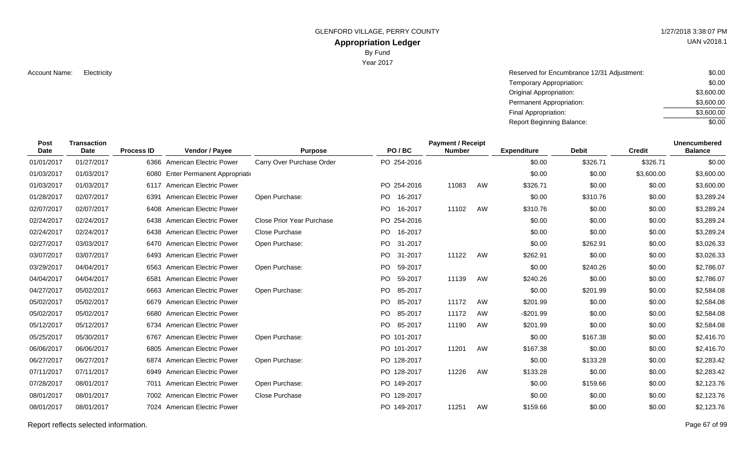GLENFORD VILLAGE, PERRY COUNTY **1/27/2018 3:38:07 PM** 

## **Appropriation Ledger**

By Fund

Year 2017

Account Name: Electricity **Reserved for Encumbrance 12/31 Adjustment:** \$0.00 Temporary Appropriation: Original Appropriation: Permanent Appropriation: Final Appropriation: Report Beginning Balance: \$0.00 \$3,600.00 \$3,600.00 \$3,600.00 \$0.00

| Post<br><b>Date</b> | <b>Transaction</b><br>Date | <b>Process ID</b> | Vendor / Payee                     | <b>Purpose</b>            | PO/BC       |         | <b>Payment / Receipt</b><br><b>Number</b> |    | <b>Expenditure</b> | <b>Debit</b> | <b>Credit</b> | <b>Unencumbered</b><br><b>Balance</b> |
|---------------------|----------------------------|-------------------|------------------------------------|---------------------------|-------------|---------|-------------------------------------------|----|--------------------|--------------|---------------|---------------------------------------|
| 01/01/2017          | 01/27/2017                 |                   | 6366 American Electric Power       | Carry Over Purchase Order | PO 254-2016 |         |                                           |    | \$0.00             | \$326.71     | \$326.71      | \$0.00                                |
| 01/03/2017          | 01/03/2017                 |                   | 6080 Enter Permanent Appropriation |                           |             |         |                                           |    | \$0.00             | \$0.00       | \$3,600.00    | \$3,600.00                            |
| 01/03/2017          | 01/03/2017                 |                   | 6117 American Electric Power       |                           | PO 254-2016 |         | 11083                                     | AW | \$326.71           | \$0.00       | \$0.00        | \$3,600.00                            |
| 01/28/2017          | 02/07/2017                 | 6391              | <b>American Electric Power</b>     | Open Purchase:            | PO 16-2017  |         |                                           |    | \$0.00             | \$310.76     | \$0.00        | \$3,289.24                            |
| 02/07/2017          | 02/07/2017                 |                   | 6408 American Electric Power       |                           | PO 16-2017  |         | 11102                                     | AW | \$310.76           | \$0.00       | \$0.00        | \$3,289.24                            |
| 02/24/2017          | 02/24/2017                 |                   | 6438 American Electric Power       | Close Prior Year Purchase | PO 254-2016 |         |                                           |    | \$0.00             | \$0.00       | \$0.00        | \$3,289.24                            |
| 02/24/2017          | 02/24/2017                 |                   | 6438 American Electric Power       | Close Purchase            | PO.         | 16-2017 |                                           |    | \$0.00             | \$0.00       | \$0.00        | \$3,289.24                            |
| 02/27/2017          | 03/03/2017                 |                   | 6470 American Electric Power       | Open Purchase:            | PO.         | 31-2017 |                                           |    | \$0.00             | \$262.91     | \$0.00        | \$3,026.33                            |
| 03/07/2017          | 03/07/2017                 |                   | 6493 American Electric Power       |                           | PO 31-2017  |         | 11122                                     | AW | \$262.91           | \$0.00       | \$0.00        | \$3,026.33                            |
| 03/29/2017          | 04/04/2017                 |                   | 6563 American Electric Power       | Open Purchase:            | PO -        | 59-2017 |                                           |    | \$0.00             | \$240.26     | \$0.00        | \$2,786.07                            |
| 04/04/2017          | 04/04/2017                 | 6581              | <b>American Electric Power</b>     |                           | PO.         | 59-2017 | 11139                                     | AW | \$240.26           | \$0.00       | \$0.00        | \$2,786.07                            |
| 04/27/2017          | 05/02/2017                 |                   | 6663 American Electric Power       | Open Purchase:            | PO.         | 85-2017 |                                           |    | \$0.00             | \$201.99     | \$0.00        | \$2,584.08                            |
| 05/02/2017          | 05/02/2017                 |                   | 6679 American Electric Power       |                           | PO.         | 85-2017 | 11172                                     | AW | \$201.99           | \$0.00       | \$0.00        | \$2,584.08                            |
| 05/02/2017          | 05/02/2017                 |                   | 6680 American Electric Power       |                           | PO          | 85-2017 | 11172                                     | AW | $-$201.99$         | \$0.00       | \$0.00        | \$2,584.08                            |
| 05/12/2017          | 05/12/2017                 |                   | 6734 American Electric Power       |                           | PO 85-2017  |         | 11190                                     | AW | \$201.99           | \$0.00       | \$0.00        | \$2,584.08                            |
| 05/25/2017          | 05/30/2017                 |                   | 6767 American Electric Power       | Open Purchase:            | PO 101-2017 |         |                                           |    | \$0.00             | \$167.38     | \$0.00        | \$2,416.70                            |
| 06/06/2017          | 06/06/2017                 |                   | 6805 American Electric Power       |                           | PO 101-2017 |         | 11201                                     | AW | \$167.38           | \$0.00       | \$0.00        | \$2,416.70                            |
| 06/27/2017          | 06/27/2017                 |                   | 6874 American Electric Power       | Open Purchase:            | PO 128-2017 |         |                                           |    | \$0.00             | \$133.28     | \$0.00        | \$2,283.42                            |
| 07/11/2017          | 07/11/2017                 |                   | 6949 American Electric Power       |                           | PO 128-2017 |         | 11226                                     | AW | \$133.28           | \$0.00       | \$0.00        | \$2,283.42                            |
| 07/28/2017          | 08/01/2017                 |                   | 7011 American Electric Power       | Open Purchase:            | PO 149-2017 |         |                                           |    | \$0.00             | \$159.66     | \$0.00        | \$2,123.76                            |
| 08/01/2017          | 08/01/2017                 |                   | 7002 American Electric Power       | Close Purchase            | PO 128-2017 |         |                                           |    | \$0.00             | \$0.00       | \$0.00        | \$2,123.76                            |
| 08/01/2017          | 08/01/2017                 |                   | 7024 American Electric Power       |                           | PO 149-2017 |         | 11251                                     | AW | \$159.66           | \$0.00       | \$0.00        | \$2,123.76                            |

Report reflects selected information. Page 67 of 99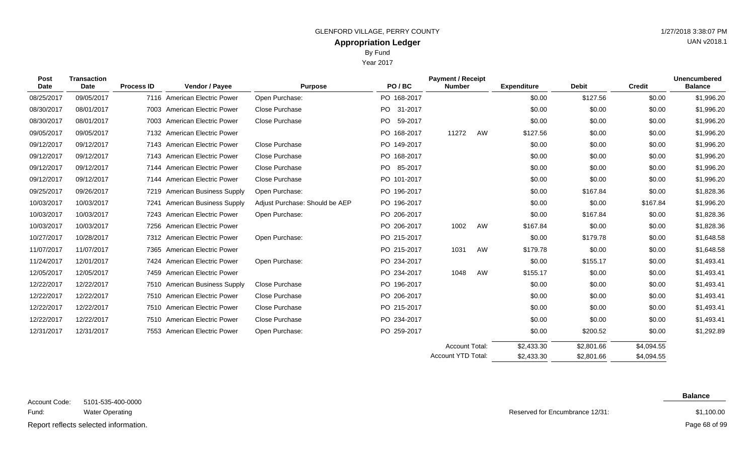Year 2017

| <b>Post</b><br><b>Date</b> | <b>Transaction</b><br><b>Date</b> | Vendor / Payee<br><b>Process ID</b> | <b>Purpose</b>                 | PO/BC          | <b>Payment / Receipt</b><br><b>Number</b> |    | <b>Expenditure</b> | <b>Debit</b> | <b>Credit</b> | <b>Unencumbered</b><br><b>Balance</b> |
|----------------------------|-----------------------------------|-------------------------------------|--------------------------------|----------------|-------------------------------------------|----|--------------------|--------------|---------------|---------------------------------------|
| 08/25/2017                 | 09/05/2017                        | 7116 American Electric Power        | Open Purchase:                 | PO 168-2017    |                                           |    | \$0.00             | \$127.56     | \$0.00        | \$1,996.20                            |
| 08/30/2017                 | 08/01/2017                        | 7003 American Electric Power        | Close Purchase                 | PO 31-2017     |                                           |    | \$0.00             | \$0.00       | \$0.00        | \$1,996.20                            |
| 08/30/2017                 | 08/01/2017                        | 7003 American Electric Power        | <b>Close Purchase</b>          | PO.<br>59-2017 |                                           |    | \$0.00             | \$0.00       | \$0.00        | \$1,996.20                            |
| 09/05/2017                 | 09/05/2017                        | 7132 American Electric Power        |                                | PO 168-2017    | 11272                                     | AW | \$127.56           | \$0.00       | \$0.00        | \$1,996.20                            |
| 09/12/2017                 | 09/12/2017                        | 7143 American Electric Power        | Close Purchase                 | PO 149-2017    |                                           |    | \$0.00             | \$0.00       | \$0.00        | \$1,996.20                            |
| 09/12/2017                 | 09/12/2017                        | 7143 American Electric Power        | <b>Close Purchase</b>          | PO 168-2017    |                                           |    | \$0.00             | \$0.00       | \$0.00        | \$1,996.20                            |
| 09/12/2017                 | 09/12/2017                        | 7144 American Electric Power        | <b>Close Purchase</b>          | PO 85-2017     |                                           |    | \$0.00             | \$0.00       | \$0.00        | \$1,996.20                            |
| 09/12/2017                 | 09/12/2017                        | 7144 American Electric Power        | <b>Close Purchase</b>          | PO 101-2017    |                                           |    | \$0.00             | \$0.00       | \$0.00        | \$1,996.20                            |
| 09/25/2017                 | 09/26/2017                        | 7219 American Business Supply       | Open Purchase:                 | PO 196-2017    |                                           |    | \$0.00             | \$167.84     | \$0.00        | \$1,828.36                            |
| 10/03/2017                 | 10/03/2017                        | American Business Supply<br>7241    | Adjust Purchase: Should be AEP | PO 196-2017    |                                           |    | \$0.00             | \$0.00       | \$167.84      | \$1,996.20                            |
| 10/03/2017                 | 10/03/2017                        | 7243 American Electric Power        | Open Purchase:                 | PO 206-2017    |                                           |    | \$0.00             | \$167.84     | \$0.00        | \$1,828.36                            |
| 10/03/2017                 | 10/03/2017                        | 7256 American Electric Power        |                                | PO 206-2017    | 1002                                      | AW | \$167.84           | \$0.00       | \$0.00        | \$1,828.36                            |
| 10/27/2017                 | 10/28/2017                        | 7312 American Electric Power        | Open Purchase:                 | PO 215-2017    |                                           |    | \$0.00             | \$179.78     | \$0.00        | \$1,648.58                            |
| 11/07/2017                 | 11/07/2017                        | 7365 American Electric Power        |                                | PO 215-2017    | 1031                                      | AW | \$179.78           | \$0.00       | \$0.00        | \$1,648.58                            |
| 11/24/2017                 | 12/01/2017                        | 7424 American Electric Power        | Open Purchase:                 | PO 234-2017    |                                           |    | \$0.00             | \$155.17     | \$0.00        | \$1,493.41                            |
| 12/05/2017                 | 12/05/2017                        | 7459 American Electric Power        |                                | PO 234-2017    | 1048                                      | AW | \$155.17           | \$0.00       | \$0.00        | \$1,493.41                            |
| 12/22/2017                 | 12/22/2017                        | 7510 American Business Supply       | Close Purchase                 | PO 196-2017    |                                           |    | \$0.00             | \$0.00       | \$0.00        | \$1,493.41                            |
| 12/22/2017                 | 12/22/2017                        | 7510 American Electric Power        | <b>Close Purchase</b>          | PO 206-2017    |                                           |    | \$0.00             | \$0.00       | \$0.00        | \$1,493.41                            |
| 12/22/2017                 | 12/22/2017                        | 7510 American Electric Power        | Close Purchase                 | PO 215-2017    |                                           |    | \$0.00             | \$0.00       | \$0.00        | \$1,493.41                            |
| 12/22/2017                 | 12/22/2017                        | 7510 American Electric Power        | Close Purchase                 | PO 234-2017    |                                           |    | \$0.00             | \$0.00       | \$0.00        | \$1,493.41                            |
| 12/31/2017                 | 12/31/2017                        | 7553 American Electric Power        | Open Purchase:                 | PO 259-2017    |                                           |    | \$0.00             | \$200.52     | \$0.00        | \$1,292.89                            |
|                            |                                   |                                     |                                |                | <b>Account Total:</b>                     |    | \$2,433.30         | \$2,801.66   | \$4,094.55    |                                       |

| 5101-535-400-0000      |
|------------------------|
| <b>Water Operating</b> |

 $S_{\text{global}}$  information Report reflects selected information. Page 68 of 99

Account Code:

Fund:

## Reserved for Encumbrance 12/31:

\$2,801.66

\$2,433.30

Account YTD Total:

\$4,094.55

\$1,100.00

**Balance**

### Page 68 of 99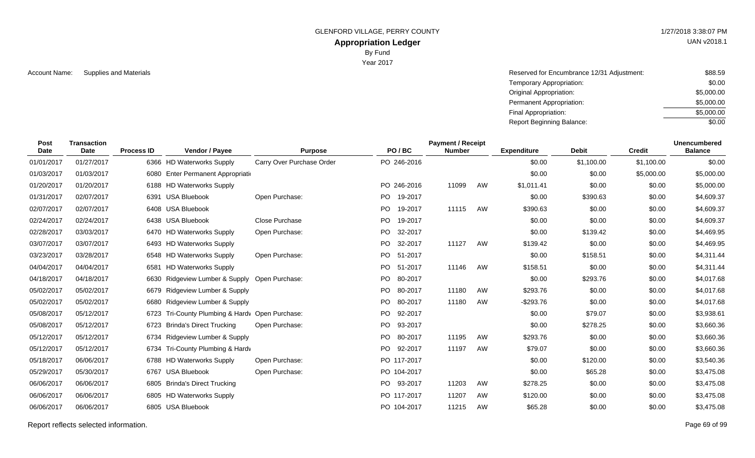GLENFORD VILLAGE, PERRY COUNTY **1/27/2018 3:38:07 PM** 

## **Appropriation Ledger**

By Fund

Year 2017

Account Name: Supplies and Materials **Account Name:** Supplies and Materials **Account Name: Account Name: Account Name:** Account Name: \$88.59 Temporary Appropriation: Original Appropriation: Permanent Appropriation: Final Appropriation: Report Beginning Balance: \$0.00 \$5,000.00 \$5,000.00 \$5,000.00 \$0.00

| Post<br><b>Date</b> | <b>Transaction</b><br>Date | <b>Process ID</b> | Vendor / Payee                             | <b>Purpose</b>            | PO/BC                | <b>Payment / Receipt</b><br><b>Number</b> |    | <b>Expenditure</b> | <b>Debit</b> | <b>Credit</b> | <b>Unencumbered</b><br><b>Balance</b> |
|---------------------|----------------------------|-------------------|--------------------------------------------|---------------------------|----------------------|-------------------------------------------|----|--------------------|--------------|---------------|---------------------------------------|
| 01/01/2017          | 01/27/2017                 |                   | 6366 HD Waterworks Supply                  | Carry Over Purchase Order | PO 246-2016          |                                           |    | \$0.00             | \$1,100.00   | \$1,100.00    | \$0.00                                |
| 01/03/2017          | 01/03/2017                 | 6080              | Enter Permanent Appropriatio               |                           |                      |                                           |    | \$0.00             | \$0.00       | \$5,000.00    | \$5,000.00                            |
| 01/20/2017          | 01/20/2017                 |                   | 6188 HD Waterworks Supply                  |                           | PO 246-2016          | 11099                                     | AW | \$1,011.41         | \$0.00       | \$0.00        | \$5,000.00                            |
| 01/31/2017          | 02/07/2017                 |                   | 6391 USA Bluebook                          | Open Purchase:            | <b>PO</b><br>19-2017 |                                           |    | \$0.00             | \$390.63     | \$0.00        | \$4,609.37                            |
| 02/07/2017          | 02/07/2017                 |                   | 6408 USA Bluebook                          |                           | PO<br>19-2017        | 11115                                     | AW | \$390.63           | \$0.00       | \$0.00        | \$4,609.37                            |
| 02/24/2017          | 02/24/2017                 |                   | 6438 USA Bluebook                          | Close Purchase            | PO.<br>19-2017       |                                           |    | \$0.00             | \$0.00       | \$0.00        | \$4,609.37                            |
| 02/28/2017          | 03/03/2017                 |                   | 6470 HD Waterworks Supply                  | Open Purchase:            | PO<br>32-2017        |                                           |    | \$0.00             | \$139.42     | \$0.00        | \$4,469.95                            |
| 03/07/2017          | 03/07/2017                 |                   | 6493 HD Waterworks Supply                  |                           | PO.<br>32-2017       | 11127                                     | AW | \$139.42           | \$0.00       | \$0.00        | \$4,469.95                            |
| 03/23/2017          | 03/28/2017                 |                   | 6548 HD Waterworks Supply                  | Open Purchase:            | PO.<br>51-2017       |                                           |    | \$0.00             | \$158.51     | \$0.00        | \$4,311.44                            |
| 04/04/2017          | 04/04/2017                 | 6581              | <b>HD Waterworks Supply</b>                |                           | PO.<br>51-2017       | 11146                                     | AW | \$158.51           | \$0.00       | \$0.00        | \$4,311.44                            |
| 04/18/2017          | 04/18/2017                 | 6630              | Ridgeview Lumber & Supply                  | Open Purchase:            | PO<br>80-2017        |                                           |    | \$0.00             | \$293.76     | \$0.00        | \$4,017.68                            |
| 05/02/2017          | 05/02/2017                 | 6679              | Ridgeview Lumber & Supply                  |                           | PO.<br>80-2017       | 11180                                     | AW | \$293.76           | \$0.00       | \$0.00        | \$4,017.68                            |
| 05/02/2017          | 05/02/2017                 | 6680              | Ridgeview Lumber & Supply                  |                           | PO.<br>80-2017       | 11180                                     | AW | $-$293.76$         | \$0.00       | \$0.00        | \$4,017.68                            |
| 05/08/2017          | 05/12/2017                 | 6723              | Tri-County Plumbing & Hardy Open Purchase: |                           | PO.<br>92-2017       |                                           |    | \$0.00             | \$79.07      | \$0.00        | \$3,938.61                            |
| 05/08/2017          | 05/12/2017                 |                   | 6723 Brinda's Direct Trucking              | Open Purchase:            | PO.<br>93-2017       |                                           |    | \$0.00             | \$278.25     | \$0.00        | \$3,660.36                            |
| 05/12/2017          | 05/12/2017                 | 6734              | Ridgeview Lumber & Supply                  |                           | PO.<br>80-2017       | 11195                                     | AW | \$293.76           | \$0.00       | \$0.00        | \$3,660.36                            |
| 05/12/2017          | 05/12/2017                 | 6734              | Tri-County Plumbing & Hardv                |                           | 92-2017<br>PO.       | 11197                                     | AW | \$79.07            | \$0.00       | \$0.00        | \$3,660.36                            |
| 05/18/2017          | 06/06/2017                 |                   | 6788 HD Waterworks Supply                  | Open Purchase:            | PO 117-2017          |                                           |    | \$0.00             | \$120.00     | \$0.00        | \$3,540.36                            |
| 05/29/2017          | 05/30/2017                 |                   | 6767 USA Bluebook                          | Open Purchase:            | PO 104-2017          |                                           |    | \$0.00             | \$65.28      | \$0.00        | \$3,475.08                            |
| 06/06/2017          | 06/06/2017                 |                   | 6805 Brinda's Direct Trucking              |                           | PO 93-2017           | 11203                                     | AW | \$278.25           | \$0.00       | \$0.00        | \$3,475.08                            |
| 06/06/2017          | 06/06/2017                 |                   | 6805 HD Waterworks Supply                  |                           | PO 117-2017          | 11207                                     | AW | \$120.00           | \$0.00       | \$0.00        | \$3,475.08                            |
| 06/06/2017          | 06/06/2017                 |                   | 6805 USA Bluebook                          |                           | PO 104-2017          | 11215                                     | AW | \$65.28            | \$0.00       | \$0.00        | \$3,475.08                            |

Report reflects selected information. Page 69 of 99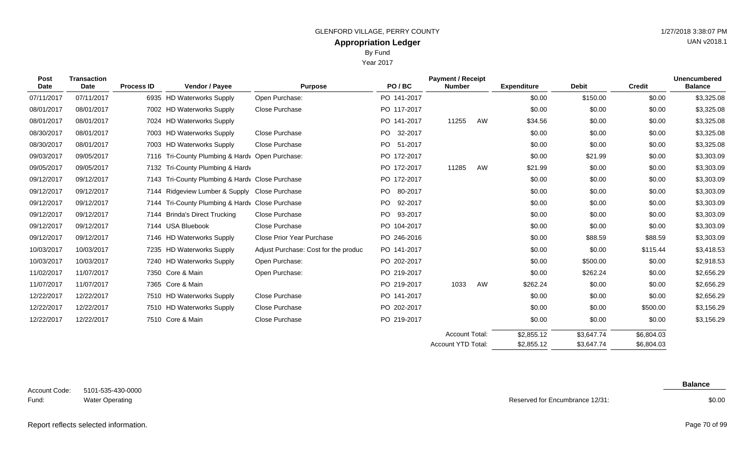Year 2017

| Post<br><b>Date</b> | <b>Transaction</b><br>Date | <b>Process ID</b> | Vendor / Payee                                  | <b>Purpose</b>                       | PO/BC          | <b>Payment / Receipt</b><br><b>Number</b> |    | <b>Expenditure</b> | <b>Debit</b> | <b>Credit</b> | <b>Unencumbered</b><br><b>Balance</b> |
|---------------------|----------------------------|-------------------|-------------------------------------------------|--------------------------------------|----------------|-------------------------------------------|----|--------------------|--------------|---------------|---------------------------------------|
| 07/11/2017          | 07/11/2017                 |                   | 6935 HD Waterworks Supply                       | Open Purchase:                       | PO 141-2017    |                                           |    | \$0.00             | \$150.00     | \$0.00        | \$3,325.08                            |
| 08/01/2017          | 08/01/2017                 |                   | 7002 HD Waterworks Supply                       | Close Purchase                       | PO 117-2017    |                                           |    | \$0.00             | \$0.00       | \$0.00        | \$3,325.08                            |
| 08/01/2017          | 08/01/2017                 |                   | 7024 HD Waterworks Supply                       |                                      | PO 141-2017    | 11255                                     | AW | \$34.56            | \$0.00       | \$0.00        | \$3,325.08                            |
| 08/30/2017          | 08/01/2017                 |                   | 7003 HD Waterworks Supply                       | Close Purchase                       | PO 32-2017     |                                           |    | \$0.00             | \$0.00       | \$0.00        | \$3,325.08                            |
| 08/30/2017          | 08/01/2017                 |                   | 7003 HD Waterworks Supply                       | Close Purchase                       | PO 51-2017     |                                           |    | \$0.00             | \$0.00       | \$0.00        | \$3,325.08                            |
| 09/03/2017          | 09/05/2017                 |                   | 7116 Tri-County Plumbing & Hardv Open Purchase: |                                      | PO 172-2017    |                                           |    | \$0.00             | \$21.99      | \$0.00        | \$3,303.09                            |
| 09/05/2017          | 09/05/2017                 |                   | 7132 Tri-County Plumbing & Hardv                |                                      | PO 172-2017    | 11285                                     | AW | \$21.99            | \$0.00       | \$0.00        | \$3,303.09                            |
| 09/12/2017          | 09/12/2017                 |                   | 7143 Tri-County Plumbing & Hardy Close Purchase |                                      | PO 172-2017    |                                           |    | \$0.00             | \$0.00       | \$0.00        | \$3,303.09                            |
| 09/12/2017          | 09/12/2017                 |                   | 7144 Ridgeview Lumber & Supply Close Purchase   |                                      | PO 80-2017     |                                           |    | \$0.00             | \$0.00       | \$0.00        | \$3,303.09                            |
| 09/12/2017          | 09/12/2017                 | 7144              | Tri-County Plumbing & Hardy Close Purchase      |                                      | PO.<br>92-2017 |                                           |    | \$0.00             | \$0.00       | \$0.00        | \$3,303.09                            |
| 09/12/2017          | 09/12/2017                 |                   | 7144 Brinda's Direct Trucking                   | Close Purchase                       | PO 93-2017     |                                           |    | \$0.00             | \$0.00       | \$0.00        | \$3,303.09                            |
| 09/12/2017          | 09/12/2017                 |                   | 7144 USA Bluebook                               | Close Purchase                       | PO 104-2017    |                                           |    | \$0.00             | \$0.00       | \$0.00        | \$3,303.09                            |
| 09/12/2017          | 09/12/2017                 |                   | 7146 HD Waterworks Supply                       | Close Prior Year Purchase            | PO 246-2016    |                                           |    | \$0.00             | \$88.59      | \$88.59       | \$3,303.09                            |
| 10/03/2017          | 10/03/2017                 |                   | 7235 HD Waterworks Supply                       | Adjust Purchase: Cost for the produc | PO 141-2017    |                                           |    | \$0.00             | \$0.00       | \$115.44      | \$3,418.53                            |
| 10/03/2017          | 10/03/2017                 |                   | 7240 HD Waterworks Supply                       | Open Purchase:                       | PO 202-2017    |                                           |    | \$0.00             | \$500.00     | \$0.00        | \$2,918.53                            |
| 11/02/2017          | 11/07/2017                 |                   | 7350 Core & Main                                | Open Purchase:                       | PO 219-2017    |                                           |    | \$0.00             | \$262.24     | \$0.00        | \$2,656.29                            |
| 11/07/2017          | 11/07/2017                 |                   | 7365 Core & Main                                |                                      | PO 219-2017    | 1033                                      | AW | \$262.24           | \$0.00       | \$0.00        | \$2,656.29                            |
| 12/22/2017          | 12/22/2017                 |                   | 7510 HD Waterworks Supply                       | Close Purchase                       | PO 141-2017    |                                           |    | \$0.00             | \$0.00       | \$0.00        | \$2,656.29                            |
| 12/22/2017          | 12/22/2017                 |                   | 7510 HD Waterworks Supply                       | Close Purchase                       | PO 202-2017    |                                           |    | \$0.00             | \$0.00       | \$500.00      | \$3,156.29                            |
| 12/22/2017          | 12/22/2017                 |                   | 7510 Core & Main                                | Close Purchase                       | PO 219-2017    |                                           |    | \$0.00             | \$0.00       | \$0.00        | \$3,156.29                            |

5101-535-430-0000 Water Operating Account Code: Fund:

Reserved for Encumbrance 12/31:

 $$2,855.12$ \$2,855.12

Account Total: Account YTD Total: \$3,647.74 \$3,647.74

## **Balance**

\$6,804.03 \$6,804.03

\$0.00

Report reflects selected information. Page 70 of 99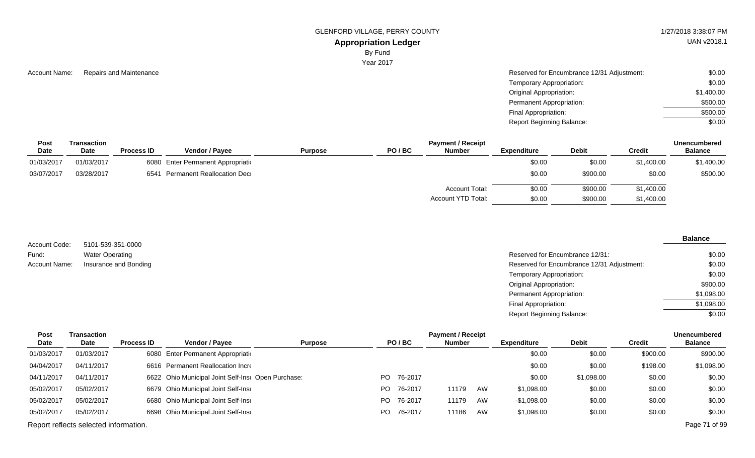GLENFORD VILLAGE, PERRY COUNTY **1/27/2018 3:38:07 PM** 

**Appropriation Ledger**

By Fund

Year 2017

| Account Name: | Repairs and Maintenance | Reserved for Encumbrance 12/31 Adjustment: | \$0.00     |
|---------------|-------------------------|--------------------------------------------|------------|
|               |                         | Temporary Appropriation:                   | \$0.00     |
|               |                         | <b>Original Appropriation:</b>             | \$1,400.00 |
|               |                         | Permanent Appropriation:                   | \$500.00   |
|               |                         | Final Appropriation:                       | \$500.00   |
|               |                         | Report Beginning Balance:                  | \$0.00     |

| Post        | Transaction |                   |                                    |                |       | <b>Unencumbered</b>   |                    |              |            |                |
|-------------|-------------|-------------------|------------------------------------|----------------|-------|-----------------------|--------------------|--------------|------------|----------------|
| <b>Date</b> | <b>Date</b> | <b>Process ID</b> | <b>Vendor / Pavee</b>              | <b>Purpose</b> | PO/BC | <b>Number</b>         | <b>Expenditure</b> | <b>Debit</b> | Credit     | <b>Balance</b> |
| 01/03/2017  | 01/03/2017  |                   | 6080 Enter Permanent Appropriation |                |       |                       | \$0.00             | \$0.00       | \$1,400.00 | \$1,400.00     |
| 03/07/2017  | 03/28/2017  |                   | 6541 Permanent Reallocation Dec    |                |       |                       | \$0.00             | \$900.00     | \$0.00     | \$500.00       |
|             |             |                   |                                    |                |       | <b>Account Total:</b> | \$0.00             | \$900.00     | \$1,400.00 |                |
|             |             |                   |                                    |                |       | Account YTD Total:    | \$0.00             | \$900.00     | \$1,400.00 |                |

5101-539-351-0000 Water Operating Insurance and Bonding Account Code: Fund: Account Name:

#### **Balance**

| Reserved for Encumbrance 12/31:            | \$0.00     |
|--------------------------------------------|------------|
| Reserved for Encumbrance 12/31 Adjustment: | \$0.00     |
| Temporary Appropriation:                   | \$0.00     |
| Original Appropriation:                    | \$900.00   |
| Permanent Appropriation:                   | \$1,098.00 |
| Final Appropriation:                       | \$1,098.00 |
| Report Beginning Balance:                  | \$0.00     |
|                                            |            |

| Post       | Transaction                           |                   |                                                    |                |      |            | <b>Payment / Receipt</b> |    |                    |              |               | Unencumbered   |
|------------|---------------------------------------|-------------------|----------------------------------------------------|----------------|------|------------|--------------------------|----|--------------------|--------------|---------------|----------------|
| Date       | Date                                  | <b>Process ID</b> | <b>Vendor / Pavee</b>                              | <b>Purpose</b> |      | PO/BC      | <b>Number</b>            |    | <b>Expenditure</b> | <b>Debit</b> | <b>Credit</b> | <b>Balance</b> |
| 01/03/2017 | 01/03/2017                            |                   | 6080 Enter Permanent Appropriation                 |                |      |            |                          |    | \$0.00             | \$0.00       | \$900.00      | \$900.00       |
| 04/04/2017 | 04/11/2017                            |                   | 6616 Permanent Reallocation Incre                  |                |      |            |                          |    | \$0.00             | \$0.00       | \$198.00      | \$1,098.00     |
| 04/11/2017 | 04/11/2017                            |                   | 6622 Ohio Municipal Joint Self-Insi Open Purchase: |                |      | PO 76-2017 |                          |    | \$0.00             | \$1,098.00   | \$0.00        | \$0.00         |
| 05/02/2017 | 05/02/2017                            |                   | 6679 Ohio Municipal Joint Self-Insi                |                | PO - | 76-2017    | 11179                    | AW | \$1,098.00         | \$0.00       | \$0.00        | \$0.00         |
| 05/02/2017 | 05/02/2017                            |                   | 6680 Ohio Municipal Joint Self-Insi                |                | PO.  | 76-2017    | 11179                    | AW | $-$1,098.00$       | \$0.00       | \$0.00        | \$0.00         |
| 05/02/2017 | 05/02/2017                            |                   | 6698 Ohio Municipal Joint Self-Insi                |                | PO.  | 76-2017    | 11186                    | AW | \$1,098.00         | \$0.00       | \$0.00        | \$0.00         |
|            | Report reflects selected information. |                   |                                                    |                |      |            |                          |    |                    |              |               | Page 71 of 99  |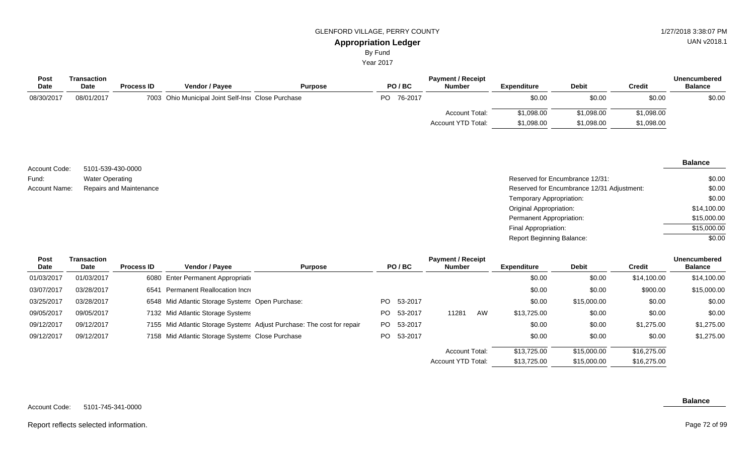Year 2017

| Transaction |                   |                       |                |                                                    | <b>Payment / Receipt</b> |                    |              | Unencumbered  |                |  |
|-------------|-------------------|-----------------------|----------------|----------------------------------------------------|--------------------------|--------------------|--------------|---------------|----------------|--|
| <b>Date</b> | <b>Process ID</b> | <b>Vendor / Payee</b> | <b>Purpose</b> | PO/BC                                              | <b>Number</b>            | <b>Expenditure</b> | <b>Debit</b> | <b>Credit</b> | <b>Balance</b> |  |
| 08/01/2017  |                   |                       |                | PO 76-2017                                         |                          | \$0.00             | \$0.00       | \$0.00        | \$0.00         |  |
|             |                   |                       |                |                                                    | <b>Account Total:</b>    | \$1,098.00         | \$1,098.00   | \$1,098.00    |                |  |
|             |                   |                       |                |                                                    | Account YTD Total:       | \$1,098.00         | \$1,098.00   | \$1,098.00    |                |  |
|             |                   |                       |                | 7003 Ohio Municipal Joint Self-Insi Close Purchase |                          |                    |              |               |                |  |

|               |                         |                                            | <b>Balance</b> |  |
|---------------|-------------------------|--------------------------------------------|----------------|--|
| Account Code: | 5101-539-430-0000       |                                            |                |  |
| Fund:         | <b>Water Operating</b>  | Reserved for Encumbrance 12/31:            | \$0.00         |  |
| Account Name: | Repairs and Maintenance | Reserved for Encumbrance 12/31 Adjustment: | \$0.00         |  |
|               |                         | Temporary Appropriation:                   | \$0.00         |  |
|               |                         | Original Appropriation:                    | \$14,100.00    |  |
|               |                         | Permanent Appropriation:                   | \$15,000.00    |  |
|               |                         | Final Appropriation:                       | \$15,000.00    |  |
|               |                         | <b>Report Beginning Balance:</b>           | \$0.00         |  |

| Post<br>Date | Transaction<br>Date | <b>Process ID</b> | <b>Vendor / Payee</b>                            | <b>Purpose</b>                                                         |     | PO/BC   | <b>Payment / Receipt</b><br><b>Number</b> |    | <b>Expenditure</b> | <b>Debit</b> | <b>Credit</b> | <b>Unencumbered</b><br><b>Balance</b> |
|--------------|---------------------|-------------------|--------------------------------------------------|------------------------------------------------------------------------|-----|---------|-------------------------------------------|----|--------------------|--------------|---------------|---------------------------------------|
| 01/03/2017   | 01/03/2017          |                   | 6080 Enter Permanent Appropriation               |                                                                        |     |         |                                           |    | \$0.00             | \$0.00       | \$14,100.00   | \$14,100.00                           |
| 03/07/2017   | 03/28/2017          | 6541              | Permanent Reallocation Incre                     |                                                                        |     |         |                                           |    | \$0.00             | \$0.00       | \$900.00      | \$15,000.00                           |
| 03/25/2017   | 03/28/2017          |                   | 6548 Mid Atlantic Storage Systems Open Purchase: |                                                                        | PO. | 53-2017 |                                           |    | \$0.00             | \$15,000.00  | \$0.00        | \$0.00                                |
| 09/05/2017   | 09/05/2017          |                   | 7132 Mid Atlantic Storage Systems                |                                                                        | PO. | 53-2017 | 11281                                     | AW | \$13,725.00        | \$0.00       | \$0.00        | \$0.00                                |
| 09/12/2017   | 09/12/2017          |                   |                                                  | 7155 Mid Atlantic Storage Systems Adjust Purchase: The cost for repair | PO. | 53-2017 |                                           |    | \$0.00             | \$0.00       | \$1,275.00    | \$1,275.00                            |
| 09/12/2017   | 09/12/2017          |                   | 7158 Mid Atlantic Storage Systems Close Purchase |                                                                        | PO. | 53-2017 |                                           |    | \$0.00             | \$0.00       | \$0.00        | \$1,275.00                            |
|              |                     |                   |                                                  |                                                                        |     |         | <b>Account Total:</b>                     |    | \$13,725.00        | \$15,000.00  | \$16,275.00   |                                       |

### Report reflects selected information.

**Balance**

\$16,275.00

\$15,000.00

\$13,725.00

Account YTD Total: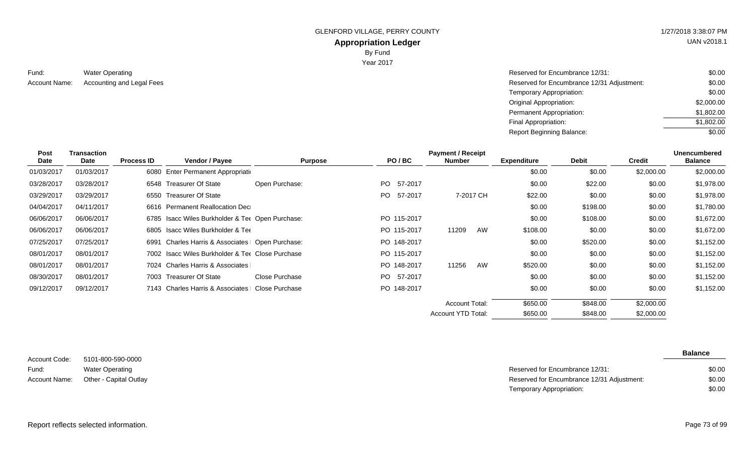GLENFORD VILLAGE, PERRY COUNTY **1/27/2018 3:38:07 PM** 

**Appropriation Ledger** By Fund

Year 2017

| Fund: | <b>Water Operating</b>                  |  |
|-------|-----------------------------------------|--|
|       | Account Name: Accounting and Legal Fees |  |

| Reserved for Encumbrance 12/31:            | \$0.00     |
|--------------------------------------------|------------|
| Reserved for Encumbrance 12/31 Adjustment: | \$0.00     |
| Temporary Appropriation:                   | \$0.00     |
| Original Appropriation:                    | \$2,000.00 |
| Permanent Appropriation:                   | \$1,802.00 |
| Final Appropriation:                       | \$1,802.00 |
| <b>Report Beginning Balance:</b>           | \$0.00     |
|                                            |            |

| <b>Post</b><br>Date | Transaction<br>Date | <b>Process ID</b> | Vendor / Payee                                    | <b>Purpose</b> | PO/BC       | <b>Payment / Receipt</b><br><b>Number</b> | <b>Expenditure</b> | <b>Debit</b> | <b>Credit</b> | <b>Unencumbered</b><br><b>Balance</b> |
|---------------------|---------------------|-------------------|---------------------------------------------------|----------------|-------------|-------------------------------------------|--------------------|--------------|---------------|---------------------------------------|
| 01/03/2017          | 01/03/2017          |                   | 6080 Enter Permanent Appropriation                |                |             |                                           | \$0.00             | \$0.00       | \$2,000.00    | \$2,000.00                            |
| 03/28/2017          | 03/28/2017          |                   | 6548 Treasurer Of State                           | Open Purchase: | PO 57-2017  |                                           | \$0.00             | \$22.00      | \$0.00        | \$1,978.00                            |
| 03/29/2017          | 03/29/2017          | 6550              | Treasurer Of State                                |                | PO 57-2017  | 7-2017 CH                                 | \$22.00            | \$0.00       | \$0.00        | \$1,978.00                            |
| 04/04/2017          | 04/11/2017          |                   | 6616 Permanent Reallocation Dec                   |                |             |                                           | \$0.00             | \$198.00     | \$0.00        | \$1,780.00                            |
| 06/06/2017          | 06/06/2017          |                   | 6785 Isacc Wiles Burkholder & Ter Open Purchase:  |                | PO 115-2017 |                                           | \$0.00             | \$108.00     | \$0.00        | \$1,672.00                            |
| 06/06/2017          | 06/06/2017          |                   | 6805 Isacc Wiles Burkholder & Tee                 |                | PO 115-2017 | 11209<br>AW                               | \$108.00           | \$0.00       | \$0.00        | \$1,672.00                            |
| 07/25/2017          | 07/25/2017          | 6991              | Charles Harris & Associates   Open Purchase:      |                | PO 148-2017 |                                           | \$0.00             | \$520.00     | \$0.00        | \$1,152.00                            |
| 08/01/2017          | 08/01/2017          |                   | 7002 Isacc Wiles Burkholder & Tee Close Purchase  |                | PO 115-2017 |                                           | \$0.00             | \$0.00       | \$0.00        | \$1,152.00                            |
| 08/01/2017          | 08/01/2017          |                   | 7024 Charles Harris & Associates                  |                | PO 148-2017 | 11256<br>AW                               | \$520.00           | \$0.00       | \$0.00        | \$1,152.00                            |
| 08/30/2017          | 08/01/2017          |                   | 7003 Treasurer Of State                           | Close Purchase | PO 57-2017  |                                           | \$0.00             | \$0.00       | \$0.00        | \$1,152.00                            |
| 09/12/2017          | 09/12/2017          |                   | 7143 Charles Harris & Associates   Close Purchase |                | PO 148-2017 |                                           | \$0.00             | \$0.00       | \$0.00        | \$1,152.00                            |
|                     |                     |                   |                                                   |                |             | <b>Account Total:</b>                     | \$650.00           | \$848.00     | \$2,000.00    |                                       |
|                     |                     |                   |                                                   |                |             | Account YTD Total:                        | \$650.00           | \$848.00     | \$2,000.00    |                                       |

| Account Code:        | 5101-800-590-0000      |
|----------------------|------------------------|
| Fund:                | <b>Water Operating</b> |
| <b>Account Name:</b> | Other - Capital Outlay |

| Water Operating        | Reserved for Encumbrance 12/31:            | \$0.00 |
|------------------------|--------------------------------------------|--------|
| Other - Capital Outlay | Reserved for Encumbrance 12/31 Adjustment: | \$0.00 |
|                        | Temporary Appropriation:                   | \$0.00 |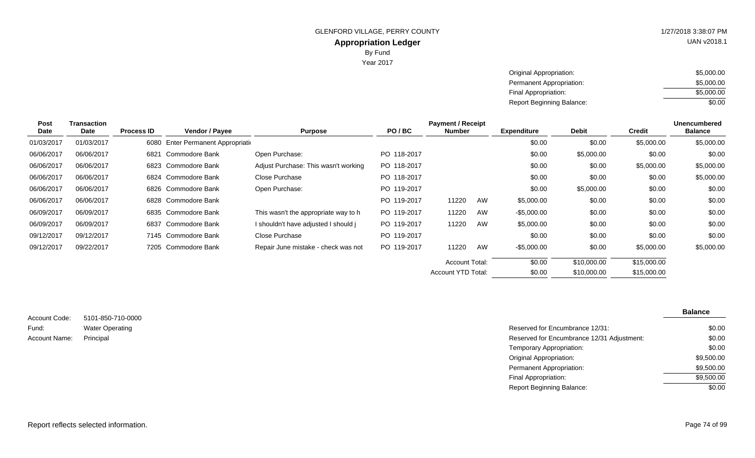UAN v2018.1

Year 2017

| Original Appropriation:          | \$5,000.00 |
|----------------------------------|------------|
| Permanent Appropriation:         | \$5,000.00 |
| Final Appropriation:             | \$5,000.00 |
| <b>Report Beginning Balance:</b> | \$0.00     |

| Post       | Transaction |                   |                               |                                      |             | <b>Payment / Receipt</b> |    |                    |              |               | <b>Unencumbered</b> |
|------------|-------------|-------------------|-------------------------------|--------------------------------------|-------------|--------------------------|----|--------------------|--------------|---------------|---------------------|
| Date       | Date        | <b>Process ID</b> | Vendor / Payee                | <b>Purpose</b>                       | PO/BC       | Number                   |    | <b>Expenditure</b> | <b>Debit</b> | <b>Credit</b> | <b>Balance</b>      |
| 01/03/2017 | 01/03/2017  | 6080              | Enter Permanent Appropriation |                                      |             |                          |    | \$0.00             | \$0.00       | \$5,000.00    | \$5,000.00          |
| 06/06/2017 | 06/06/2017  | 6821              | Commodore Bank                | Open Purchase:                       | PO 118-2017 |                          |    | \$0.00             | \$5,000.00   | \$0.00        | \$0.00              |
| 06/06/2017 | 06/06/2017  |                   | 6823 Commodore Bank           | Adjust Purchase: This wasn't working | PO 118-2017 |                          |    | \$0.00             | \$0.00       | \$5,000.00    | \$5,000.00          |
| 06/06/2017 | 06/06/2017  |                   | 6824 Commodore Bank           | Close Purchase                       | PO 118-2017 |                          |    | \$0.00             | \$0.00       | \$0.00        | \$5,000.00          |
| 06/06/2017 | 06/06/2017  |                   | 6826 Commodore Bank           | Open Purchase:                       | PO 119-2017 |                          |    | \$0.00             | \$5,000.00   | \$0.00        | \$0.00              |
| 06/06/2017 | 06/06/2017  |                   | 6828 Commodore Bank           |                                      | PO 119-2017 | 11220                    | AW | \$5,000.00         | \$0.00       | \$0.00        | \$0.00              |
| 06/09/2017 | 06/09/2017  |                   | 6835 Commodore Bank           | This wasn't the appropriate way to h | PO 119-2017 | 11220                    | AW | -\$5,000.00        | \$0.00       | \$0.00        | \$0.00              |
| 06/09/2017 | 06/09/2017  |                   | 6837 Commodore Bank           | I shouldn't have adjusted I should j | PO 119-2017 | 11220                    | AW | \$5,000.00         | \$0.00       | \$0.00        | \$0.00              |
| 09/12/2017 | 09/12/2017  |                   | 7145 Commodore Bank           | Close Purchase                       | PO 119-2017 |                          |    | \$0.00             | \$0.00       | \$0.00        | \$0.00              |
| 09/12/2017 | 09/22/2017  |                   | 7205 Commodore Bank           | Repair June mistake - check was not  | PO 119-2017 | 11220                    | AW | -\$5,000.00        | \$0.00       | \$5,000.00    | \$5,000.00          |
|            |             |                   |                               |                                      |             | <b>Account Total:</b>    |    | \$0.00             | \$10,000.00  | \$15,000.00   |                     |
|            |             |                   |                               |                                      |             | Account YTD Total:       |    | \$0.00             | \$10,000.00  | \$15,000.00   |                     |
|            |             |                   |                               |                                      |             |                          |    |                    |              |               |                     |

| Account Code: | 5101-850-710-0000      |
|---------------|------------------------|
| Fund:         | <b>Water Operating</b> |
| Account Name: | Principal              |

| Water Operating | Reserved for Encumbrance 12/31:            | \$0.00     |
|-----------------|--------------------------------------------|------------|
| Principal       | Reserved for Encumbrance 12/31 Adjustment: | \$0.00     |
|                 | Temporary Appropriation:                   | \$0.00     |
|                 | Original Appropriation:                    | \$9,500.00 |
|                 | Permanent Appropriation:                   | \$9,500.00 |
|                 | Final Appropriation:                       | \$9,500.00 |
|                 | <b>Report Beginning Balance:</b>           | \$0.00     |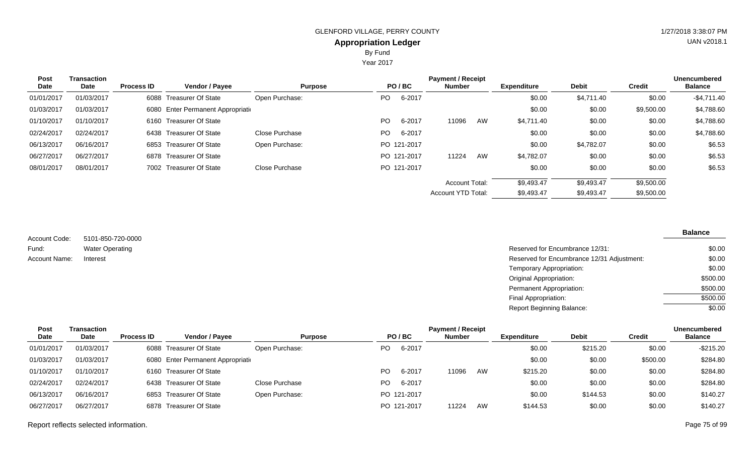By Fund

Year 2017

| <b>Post</b> | <b>Transaction</b> |                   |                                    |                |           |             | <b>Payment / Receipt</b>  |    |                    |              |               | <b>Unencumbered</b> |
|-------------|--------------------|-------------------|------------------------------------|----------------|-----------|-------------|---------------------------|----|--------------------|--------------|---------------|---------------------|
| Date        | Date               | <b>Process ID</b> | <b>Vendor / Payee</b>              | <b>Purpose</b> |           | PO/BC       | <b>Number</b>             |    | <b>Expenditure</b> | <b>Debit</b> | <b>Credit</b> | <b>Balance</b>      |
| 01/01/2017  | 01/03/2017         |                   | 6088 Treasurer Of State            | Open Purchase: | PO.       | 6-2017      |                           |    | \$0.00             | \$4,711.40   | \$0.00        | $-$4,711.40$        |
| 01/03/2017  | 01/03/2017         |                   | 6080 Enter Permanent Appropriation |                |           |             |                           |    | \$0.00             | \$0.00       | \$9,500.00    | \$4,788.60          |
| 01/10/2017  | 01/10/2017         |                   | 6160 Treasurer Of State            |                | <b>PO</b> | 6-2017      | 11096                     | AW | \$4,711.40         | \$0.00       | \$0.00        | \$4,788.60          |
| 02/24/2017  | 02/24/2017         |                   | 6438 Treasurer Of State            | Close Purchase | PO.       | 6-2017      |                           |    | \$0.00             | \$0.00       | \$0.00        | \$4,788.60          |
| 06/13/2017  | 06/16/2017         |                   | 6853 Treasurer Of State            | Open Purchase: |           | PO 121-2017 |                           |    | \$0.00             | \$4,782.07   | \$0.00        | \$6.53              |
| 06/27/2017  | 06/27/2017         |                   | 6878 Treasurer Of State            |                |           | PO 121-2017 | 11224                     | AW | \$4,782.07         | \$0.00       | \$0.00        | \$6.53              |
| 08/01/2017  | 08/01/2017         |                   | 7002 Treasurer Of State            | Close Purchase |           | PO 121-2017 |                           |    | \$0.00             | \$0.00       | \$0.00        | \$6.53              |
|             |                    |                   |                                    |                |           |             | <b>Account Total:</b>     |    | \$9,493.47         | \$9,493.47   | \$9,500.00    |                     |
|             |                    |                   |                                    |                |           |             | <b>Account YTD Total:</b> |    | \$9,493.47         | \$9,493.47   | \$9,500.00    |                     |

5101-850-720-0000 Account Code: Water Operating Fund: Account Name:

| Water Operating | Reserved for Encumbrance 12/31:            | \$0.00   |
|-----------------|--------------------------------------------|----------|
| Interest        | Reserved for Encumbrance 12/31 Adjustment: | \$0.00   |
|                 | Temporary Appropriation:                   | \$0.00   |
|                 | Original Appropriation:                    | \$500.00 |
|                 | Permanent Appropriation:                   | \$500.00 |
|                 | Final Appropriation:                       | \$500.00 |
|                 | <b>Report Beginning Balance:</b>           | \$0.00   |

| Post        | <b>Payment / Receipt</b><br>Transaction |                   |                                    |                |     |             |               |    |                    | <b>Unencumbered</b> |               |                |
|-------------|-----------------------------------------|-------------------|------------------------------------|----------------|-----|-------------|---------------|----|--------------------|---------------------|---------------|----------------|
| <b>Date</b> | Date                                    | <b>Process ID</b> | <b>Vendor / Payee</b>              | <b>Purpose</b> |     | PO/BC       | <b>Number</b> |    | <b>Expenditure</b> | <b>Debit</b>        | <b>Credit</b> | <b>Balance</b> |
| 01/01/2017  | 01/03/2017                              |                   | 6088 Treasurer Of State            | Open Purchase: | PO. | 6-2017      |               |    | \$0.00             | \$215.20            | \$0.00        | $-$ \$215.20   |
| 01/03/2017  | 01/03/2017                              |                   | 6080 Enter Permanent Appropriation |                |     |             |               |    | \$0.00             | \$0.00              | \$500.00      | \$284.80       |
| 01/10/2017  | 01/10/2017                              |                   | 6160 Treasurer Of State            |                | PO. | 6-2017      | 11096         | AW | \$215.20           | \$0.00              | \$0.00        | \$284.80       |
| 02/24/2017  | 02/24/2017                              |                   | 6438 Treasurer Of State            | Close Purchase | PO. | 6-2017      |               |    | \$0.00             | \$0.00              | \$0.00        | \$284.80       |
| 06/13/2017  | 06/16/2017                              |                   | 6853 Treasurer Of State            | Open Purchase: |     | PO 121-2017 |               |    | \$0.00             | \$144.53            | \$0.00        | \$140.27       |
| 06/27/2017  | 06/27/2017                              |                   | 6878 Treasurer Of State            |                |     | PO 121-2017 | 11224         | AW | \$144.53           | \$0.00              | \$0.00        | \$140.27       |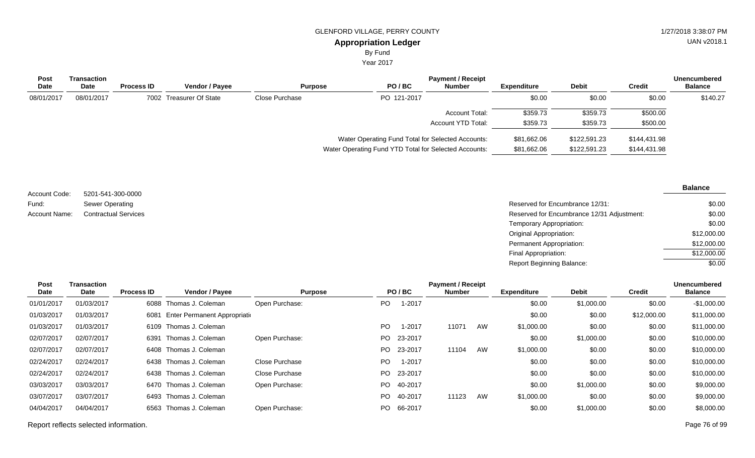By Fund

Year 2017

| <b>Post</b><br>Date | Transaction<br><b>Date</b> | <b>Process ID</b> | <b>Vendor / Payee</b>   | <b>Purpose</b> | PO/BC                                             | <b>Payment / Receipt</b><br><b>Number</b> | Expenditure | <b>Debit</b> | <b>Credit</b> | <b>Unencumbered</b><br><b>Balance</b> |
|---------------------|----------------------------|-------------------|-------------------------|----------------|---------------------------------------------------|-------------------------------------------|-------------|--------------|---------------|---------------------------------------|
| 08/01/2017          | 08/01/2017                 |                   | 7002 Treasurer Of State | Close Purchase | PO 121-2017                                       |                                           | \$0.00      | \$0.00       | \$0.00        | \$140.27                              |
|                     |                            |                   |                         |                |                                                   | Account Total:                            | \$359.73    | \$359.73     | \$500.00      |                                       |
|                     |                            |                   |                         |                |                                                   | Account YTD Total:                        | \$359.73    | \$359.73     | \$500.00      |                                       |
|                     |                            |                   |                         |                | Water Operating Fund Total for Selected Accounts: |                                           | \$81,662.06 | \$122,591.23 | \$144,431.98  |                                       |

Water Operating Fund YTD Total for Selected Accounts: \$81,662.06 \$122,591.23 \$144,431.98

| Account Code: | 5201-541-300-0000           |
|---------------|-----------------------------|
| Fund:         | Sewer Operating             |
| Account Name: | <b>Contractual Services</b> |

**Balance**

| Sewer Operating             | Reserved for Encumbrance 12/31:            | \$0.00      |
|-----------------------------|--------------------------------------------|-------------|
| <b>Contractual Services</b> | Reserved for Encumbrance 12/31 Adjustment: | \$0.00      |
|                             | Temporary Appropriation:                   | \$0.00      |
|                             | Original Appropriation:                    | \$12,000.00 |
|                             | Permanent Appropriation:                   | \$12,000.00 |
|                             | Final Appropriation:                       | \$12,000.00 |
|                             | <b>Report Beginning Balance:</b>           | \$0.00      |

| <b>Post</b> | Transaction |                   |                                    |                |     |            | <b>Payment / Receipt</b> |    |             |              |               | <b>Unencumbered</b> |
|-------------|-------------|-------------------|------------------------------------|----------------|-----|------------|--------------------------|----|-------------|--------------|---------------|---------------------|
| Date        | Date        | <b>Process ID</b> | Vendor / Payee                     | <b>Purpose</b> |     | PO/BC      | <b>Number</b>            |    | Expenditure | <b>Debit</b> | <b>Credit</b> | <b>Balance</b>      |
| 01/01/2017  | 01/03/2017  |                   | 6088 Thomas J. Coleman             | Open Purchase: | PO. | 1-2017     |                          |    | \$0.00      | \$1,000.00   | \$0.00        | $-$1,000.00$        |
| 01/03/2017  | 01/03/2017  |                   | 6081 Enter Permanent Appropriation |                |     |            |                          |    | \$0.00      | \$0.00       | \$12,000.00   | \$11,000.00         |
| 01/03/2017  | 01/03/2017  |                   | 6109 Thomas J. Coleman             |                | PO. | 1-2017     | 11071                    | AW | \$1,000.00  | \$0.00       | \$0.00        | \$11,000.00         |
| 02/07/2017  | 02/07/2017  | 6391              | Thomas J. Coleman                  | Open Purchase: |     | PO 23-2017 |                          |    | \$0.00      | \$1,000.00   | \$0.00        | \$10,000.00         |
| 02/07/2017  | 02/07/2017  |                   | 6408 Thomas J. Coleman             |                | PO. | 23-2017    | 11104                    | AW | \$1,000.00  | \$0.00       | \$0.00        | \$10,000.00         |
| 02/24/2017  | 02/24/2017  |                   | 6438 Thomas J. Coleman             | Close Purchase | PO. | 1-2017     |                          |    | \$0.00      | \$0.00       | \$0.00        | \$10,000.00         |
| 02/24/2017  | 02/24/2017  |                   | 6438 Thomas J. Coleman             | Close Purchase |     | PO 23-2017 |                          |    | \$0.00      | \$0.00       | \$0.00        | \$10,000.00         |
| 03/03/2017  | 03/03/2017  | 6470              | Thomas J. Coleman                  | Open Purchase: | PO. | 40-2017    |                          |    | \$0.00      | \$1,000.00   | \$0.00        | \$9,000.00          |
| 03/07/2017  | 03/07/2017  |                   | 6493 Thomas J. Coleman             |                | PO. | 40-2017    | 11123                    | AW | \$1,000.00  | \$0.00       | \$0.00        | \$9,000.00          |
| 04/04/2017  | 04/04/2017  | 6563              | Thomas J. Coleman                  | Open Purchase: |     | PO 66-2017 |                          |    | \$0.00      | \$1,000.00   | \$0.00        | \$8,000.00          |
|             |             |                   |                                    |                |     |            |                          |    |             |              |               |                     |

Report reflects selected information. Page 76 of 99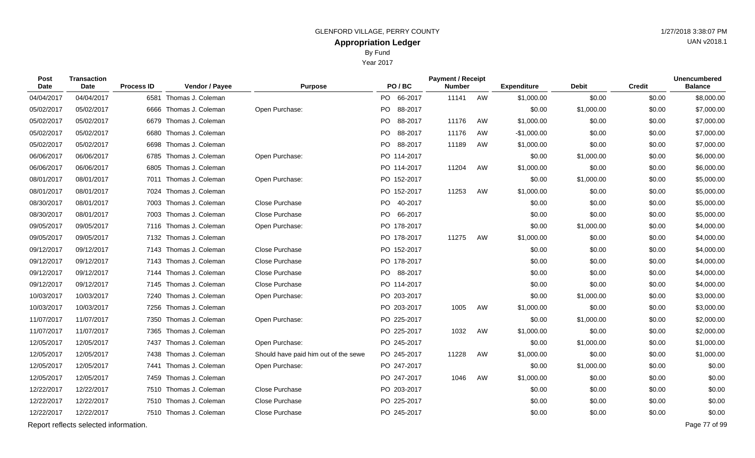Year 2017

| Post<br><b>Date</b> | Transaction<br><b>Date</b>            | <b>Process ID</b> | Vendor / Payee         | <b>Purpose</b>                       | PO/BC          | <b>Payment / Receipt</b><br><b>Number</b> |    | <b>Expenditure</b> | <b>Debit</b> | <b>Credit</b> | <b>Unencumbered</b><br><b>Balance</b> |
|---------------------|---------------------------------------|-------------------|------------------------|--------------------------------------|----------------|-------------------------------------------|----|--------------------|--------------|---------------|---------------------------------------|
| 04/04/2017          | 04/04/2017                            | 6581              | Thomas J. Coleman      |                                      | PO 66-2017     | 11141                                     | AW | \$1,000.00         | \$0.00       | \$0.00        | \$8,000.00                            |
| 05/02/2017          | 05/02/2017                            | 6666              | Thomas J. Coleman      | Open Purchase:                       | PO.<br>88-2017 |                                           |    | \$0.00             | \$1,000.00   | \$0.00        | \$7,000.00                            |
| 05/02/2017          | 05/02/2017                            |                   | 6679 Thomas J. Coleman |                                      | 88-2017<br>PO. | 11176                                     | AW | \$1,000.00         | \$0.00       | \$0.00        | \$7,000.00                            |
| 05/02/2017          | 05/02/2017                            | 6680              | Thomas J. Coleman      |                                      | PO.<br>88-2017 | 11176                                     | AW | $-$1,000.00$       | \$0.00       | \$0.00        | \$7,000.00                            |
| 05/02/2017          | 05/02/2017                            | 6698              | Thomas J. Coleman      |                                      | PO 88-2017     | 11189                                     | AW | \$1,000.00         | \$0.00       | \$0.00        | \$7,000.00                            |
| 06/06/2017          | 06/06/2017                            |                   | 6785 Thomas J. Coleman | Open Purchase:                       | PO 114-2017    |                                           |    | \$0.00             | \$1,000.00   | \$0.00        | \$6,000.00                            |
| 06/06/2017          | 06/06/2017                            |                   | 6805 Thomas J. Coleman |                                      | PO 114-2017    | 11204                                     | AW | \$1,000.00         | \$0.00       | \$0.00        | \$6,000.00                            |
| 08/01/2017          | 08/01/2017                            |                   | 7011 Thomas J. Coleman | Open Purchase:                       | PO 152-2017    |                                           |    | \$0.00             | \$1,000.00   | \$0.00        | \$5,000.00                            |
| 08/01/2017          | 08/01/2017                            |                   | 7024 Thomas J. Coleman |                                      | PO 152-2017    | 11253                                     | AW | \$1,000.00         | \$0.00       | \$0.00        | \$5,000.00                            |
| 08/30/2017          | 08/01/2017                            |                   | 7003 Thomas J. Coleman | Close Purchase                       | PO 40-2017     |                                           |    | \$0.00             | \$0.00       | \$0.00        | \$5,000.00                            |
| 08/30/2017          | 08/01/2017                            |                   | 7003 Thomas J. Coleman | Close Purchase                       | PO 66-2017     |                                           |    | \$0.00             | \$0.00       | \$0.00        | \$5,000.00                            |
| 09/05/2017          | 09/05/2017                            |                   | 7116 Thomas J. Coleman | Open Purchase:                       | PO 178-2017    |                                           |    | \$0.00             | \$1,000.00   | \$0.00        | \$4,000.00                            |
| 09/05/2017          | 09/05/2017                            |                   | 7132 Thomas J. Coleman |                                      | PO 178-2017    | 11275                                     | AW | \$1,000.00         | \$0.00       | \$0.00        | \$4,000.00                            |
| 09/12/2017          | 09/12/2017                            |                   | 7143 Thomas J. Coleman | Close Purchase                       | PO 152-2017    |                                           |    | \$0.00             | \$0.00       | \$0.00        | \$4,000.00                            |
| 09/12/2017          | 09/12/2017                            |                   | 7143 Thomas J. Coleman | Close Purchase                       | PO 178-2017    |                                           |    | \$0.00             | \$0.00       | \$0.00        | \$4,000.00                            |
| 09/12/2017          | 09/12/2017                            |                   | 7144 Thomas J. Coleman | Close Purchase                       | PO 88-2017     |                                           |    | \$0.00             | \$0.00       | \$0.00        | \$4,000.00                            |
| 09/12/2017          | 09/12/2017                            |                   | 7145 Thomas J. Coleman | Close Purchase                       | PO 114-2017    |                                           |    | \$0.00             | \$0.00       | \$0.00        | \$4,000.00                            |
| 10/03/2017          | 10/03/2017                            |                   | 7240 Thomas J. Coleman | Open Purchase:                       | PO 203-2017    |                                           |    | \$0.00             | \$1,000.00   | \$0.00        | \$3,000.00                            |
| 10/03/2017          | 10/03/2017                            |                   | 7256 Thomas J. Coleman |                                      | PO 203-2017    | 1005                                      | AW | \$1,000.00         | \$0.00       | \$0.00        | \$3,000.00                            |
| 11/07/2017          | 11/07/2017                            | 7350              | Thomas J. Coleman      | Open Purchase:                       | PO 225-2017    |                                           |    | \$0.00             | \$1,000.00   | \$0.00        | \$2,000.00                            |
| 11/07/2017          | 11/07/2017                            |                   | 7365 Thomas J. Coleman |                                      | PO 225-2017    | 1032                                      | AW | \$1,000.00         | \$0.00       | \$0.00        | \$2,000.00                            |
| 12/05/2017          | 12/05/2017                            | 7437              | Thomas J. Coleman      | Open Purchase:                       | PO 245-2017    |                                           |    | \$0.00             | \$1,000.00   | \$0.00        | \$1,000.00                            |
| 12/05/2017          | 12/05/2017                            | 7438              | Thomas J. Coleman      | Should have paid him out of the sewe | PO 245-2017    | 11228                                     | AW | \$1,000.00         | \$0.00       | \$0.00        | \$1,000.00                            |
| 12/05/2017          | 12/05/2017                            |                   | 7441 Thomas J. Coleman | Open Purchase:                       | PO 247-2017    |                                           |    | \$0.00             | \$1,000.00   | \$0.00        | \$0.00                                |
| 12/05/2017          | 12/05/2017                            | 7459              | Thomas J. Coleman      |                                      | PO 247-2017    | 1046                                      | AW | \$1,000.00         | \$0.00       | \$0.00        | \$0.00                                |
| 12/22/2017          | 12/22/2017                            |                   | 7510 Thomas J. Coleman | Close Purchase                       | PO 203-2017    |                                           |    | \$0.00             | \$0.00       | \$0.00        | \$0.00                                |
| 12/22/2017          | 12/22/2017                            |                   | 7510 Thomas J. Coleman | Close Purchase                       | PO 225-2017    |                                           |    | \$0.00             | \$0.00       | \$0.00        | \$0.00                                |
| 12/22/2017          | 12/22/2017                            |                   | 7510 Thomas J. Coleman | Close Purchase                       | PO 245-2017    |                                           |    | \$0.00             | \$0.00       | \$0.00        | \$0.00                                |
|                     | Report reflects selected information. |                   |                        |                                      |                |                                           |    |                    |              |               | Page 77 of 99                         |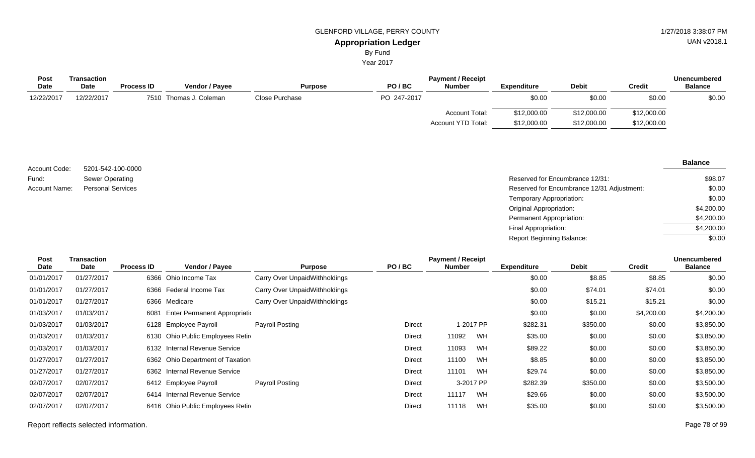## **Appropriation Ledger** GLENFORD VILLAGE, PERRY COUNTY 61 ACCESS 127 AU 127/2018 3:38:07 PM

By Fund

Year 2017

| Transaction |                   |                |                        |             | <b>Payment / Receipt</b> |                    |              |               | <b>Unencumbered</b> |
|-------------|-------------------|----------------|------------------------|-------------|--------------------------|--------------------|--------------|---------------|---------------------|
| <b>Date</b> | <b>Process ID</b> | Vendor / Pavee | <b>Purpose</b>         | PO/BC       | <b>Number</b>            | <b>Expenditure</b> | <b>Debit</b> | <b>Credit</b> | <b>Balance</b>      |
| 12/22/2017  |                   |                | Close Purchase         | PO 247-2017 |                          | \$0.00             | \$0.00       | \$0.00        | \$0.00              |
|             |                   |                |                        |             | Account Total:           | \$12,000.00        | \$12,000.00  | \$12,000.00   |                     |
|             |                   |                |                        |             | Account YTD Total:       | \$12,000.00        | \$12,000.00  | \$12,000.00   |                     |
|             |                   |                | 7510 Thomas J. Coleman |             |                          |                    |              |               |                     |

### Reserved for Encumbrance 12/31: 5201-542-100-0000 Sewer Operating Personal Services **Reserved for Encumbrance 12/31 Adjustment:** Networking the Served for Encumbrance 12/31 Adjustment: Temporary Appropriation: Original Appropriation: Permanent Appropriation: Final Appropriation: Report Beginning Balance: Account Code: Fund: Account Name: \$98.07 \$0.00 \$0.00 \$4,200.00 \$4,200.00  $$4,200.00$ \$0.00

| Post<br>Date | Transaction<br>Date | <b>Process ID</b> | Vendor / Payee                     | <b>Purpose</b>                | PO/BC  | <b>Payment / Receipt</b><br><b>Number</b> |           | <b>Expenditure</b> | <b>Debit</b> | <b>Credit</b> | <b>Unencumbered</b><br><b>Balance</b> |
|--------------|---------------------|-------------------|------------------------------------|-------------------------------|--------|-------------------------------------------|-----------|--------------------|--------------|---------------|---------------------------------------|
| 01/01/2017   | 01/27/2017          |                   | 6366 Ohio Income Tax               | Carry Over UnpaidWithholdings |        |                                           |           | \$0.00             | \$8.85       | \$8.85        | \$0.00                                |
| 01/01/2017   | 01/27/2017          |                   | 6366 Federal Income Tax            | Carry Over UnpaidWithholdings |        |                                           |           | \$0.00             | \$74.01      | \$74.01       | \$0.00                                |
| 01/01/2017   | 01/27/2017          |                   | 6366 Medicare                      | Carry Over UnpaidWithholdings |        |                                           |           | \$0.00             | \$15.21      | \$15.21       | \$0.00                                |
| 01/03/2017   | 01/03/2017          |                   | 6081 Enter Permanent Appropriation |                               |        |                                           |           | \$0.00             | \$0.00       | \$4,200.00    | \$4,200.00                            |
| 01/03/2017   | 01/03/2017          |                   | 6128 Employee Payroll              | Payroll Posting               | Direct |                                           | 1-2017 PP | \$282.31           | \$350.00     | \$0.00        | \$3,850.00                            |
| 01/03/2017   | 01/03/2017          |                   | 6130 Ohio Public Employees Retire  |                               | Direct | 11092                                     | WH        | \$35.00            | \$0.00       | \$0.00        | \$3,850.00                            |
| 01/03/2017   | 01/03/2017          |                   | 6132 Internal Revenue Service      |                               | Direct | 11093                                     | WH        | \$89.22            | \$0.00       | \$0.00        | \$3,850.00                            |
| 01/27/2017   | 01/27/2017          |                   | 6362 Ohio Department of Taxation   |                               | Direct | 11100                                     | WH        | \$8.85             | \$0.00       | \$0.00        | \$3,850.00                            |
| 01/27/2017   | 01/27/2017          |                   | 6362 Internal Revenue Service      |                               | Direct | 11101                                     | WH        | \$29.74            | \$0.00       | \$0.00        | \$3,850.00                            |
| 02/07/2017   | 02/07/2017          |                   | 6412 Employee Payroll              | Payroll Posting               | Direct |                                           | 3-2017 PP | \$282.39           | \$350.00     | \$0.00        | \$3,500.00                            |
| 02/07/2017   | 02/07/2017          |                   | 6414 Internal Revenue Service      |                               | Direct | 11117                                     | WH        | \$29.66            | \$0.00       | \$0.00        | \$3,500.00                            |
| 02/07/2017   | 02/07/2017          |                   | 6416 Ohio Public Employees Retire  |                               | Direct | 11118                                     | WH        | \$35.00            | \$0.00       | \$0.00        | \$3,500.00                            |

UAN v2018.1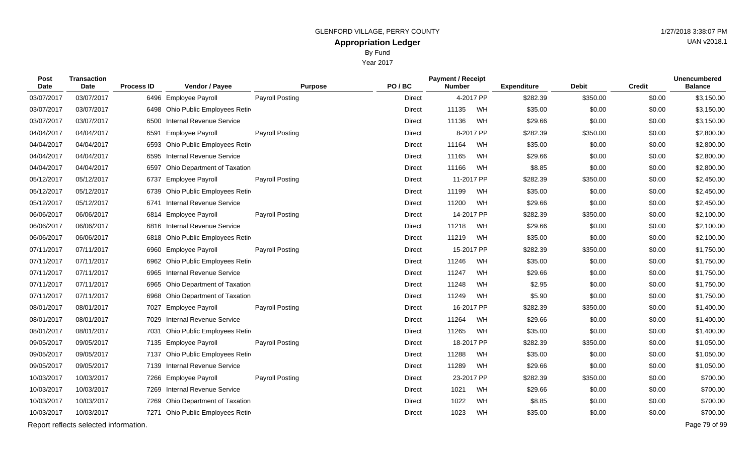Year 2017

| Post<br><b>Date</b> | <b>Transaction</b><br>Date            | <b>Process ID</b> | Vendor / Payee                    | <b>Purpose</b>         | PO/BC         | <b>Payment / Receipt</b><br><b>Number</b> |           | <b>Expenditure</b> | <b>Debit</b> | <b>Credit</b> | <b>Unencumbered</b><br><b>Balance</b> |
|---------------------|---------------------------------------|-------------------|-----------------------------------|------------------------|---------------|-------------------------------------------|-----------|--------------------|--------------|---------------|---------------------------------------|
| 03/07/2017          | 03/07/2017                            |                   | 6496 Employee Payroll             | <b>Payroll Posting</b> | <b>Direct</b> |                                           | 4-2017 PP | \$282.39           | \$350.00     | \$0.00        | \$3,150.00                            |
| 03/07/2017          | 03/07/2017                            |                   | 6498 Ohio Public Employees Retir  |                        | Direct        | 11135                                     | WH        | \$35.00            | \$0.00       | \$0.00        | \$3,150.00                            |
| 03/07/2017          | 03/07/2017                            | 6500              | <b>Internal Revenue Service</b>   |                        | Direct        | 11136                                     | WH        | \$29.66            | \$0.00       | \$0.00        | \$3,150.00                            |
| 04/04/2017          | 04/04/2017                            | 6591              | <b>Employee Payroll</b>           | <b>Payroll Posting</b> | Direct        |                                           | 8-2017 PP | \$282.39           | \$350.00     | \$0.00        | \$2,800.00                            |
| 04/04/2017          | 04/04/2017                            |                   | 6593 Ohio Public Employees Retir  |                        | Direct        | 11164                                     | WH        | \$35.00            | \$0.00       | \$0.00        | \$2,800.00                            |
| 04/04/2017          | 04/04/2017                            |                   | 6595 Internal Revenue Service     |                        | Direct        | 11165                                     | WH        | \$29.66            | \$0.00       | \$0.00        | \$2,800.00                            |
| 04/04/2017          | 04/04/2017                            |                   | 6597 Ohio Department of Taxation  |                        | <b>Direct</b> | 11166                                     | WH        | \$8.85             | \$0.00       | \$0.00        | \$2,800.00                            |
| 05/12/2017          | 05/12/2017                            | 6737              | <b>Employee Payroll</b>           | <b>Payroll Posting</b> | Direct        | 11-2017 PP                                |           | \$282.39           | \$350.00     | \$0.00        | \$2,450.00                            |
| 05/12/2017          | 05/12/2017                            |                   | 6739 Ohio Public Employees Retir  |                        | <b>Direct</b> | 11199                                     | WH        | \$35.00            | \$0.00       | \$0.00        | \$2,450.00                            |
| 05/12/2017          | 05/12/2017                            | 6741              | <b>Internal Revenue Service</b>   |                        | Direct        | 11200                                     | WH        | \$29.66            | \$0.00       | \$0.00        | \$2,450.00                            |
| 06/06/2017          | 06/06/2017                            |                   | 6814 Employee Payroll             | Payroll Posting        | Direct        | 14-2017 PP                                |           | \$282.39           | \$350.00     | \$0.00        | \$2,100.00                            |
| 06/06/2017          | 06/06/2017                            |                   | 6816 Internal Revenue Service     |                        | Direct        | 11218                                     | WH        | \$29.66            | \$0.00       | \$0.00        | \$2,100.00                            |
| 06/06/2017          | 06/06/2017                            |                   | 6818 Ohio Public Employees Retir  |                        | Direct        | 11219                                     | WH        | \$35.00            | \$0.00       | \$0.00        | \$2,100.00                            |
| 07/11/2017          | 07/11/2017                            |                   | 6960 Employee Payroll             | <b>Payroll Posting</b> | Direct        | 15-2017 PP                                |           | \$282.39           | \$350.00     | \$0.00        | \$1,750.00                            |
| 07/11/2017          | 07/11/2017                            |                   | 6962 Ohio Public Employees Retire |                        | Direct        | 11246                                     | WH        | \$35.00            | \$0.00       | \$0.00        | \$1,750.00                            |
| 07/11/2017          | 07/11/2017                            |                   | 6965 Internal Revenue Service     |                        | Direct        | 11247                                     | WH        | \$29.66            | \$0.00       | \$0.00        | \$1,750.00                            |
| 07/11/2017          | 07/11/2017                            | 6965              | Ohio Department of Taxation       |                        | Direct        | 11248                                     | WH        | \$2.95             | \$0.00       | \$0.00        | \$1,750.00                            |
| 07/11/2017          | 07/11/2017                            | 6968              | Ohio Department of Taxation       |                        | Direct        | 11249                                     | WH        | \$5.90             | \$0.00       | \$0.00        | \$1,750.00                            |
| 08/01/2017          | 08/01/2017                            |                   | 7027 Employee Payroll             | <b>Payroll Posting</b> | Direct        | 16-2017 PP                                |           | \$282.39           | \$350.00     | \$0.00        | \$1,400.00                            |
| 08/01/2017          | 08/01/2017                            |                   | 7029 Internal Revenue Service     |                        | Direct        | 11264                                     | WH        | \$29.66            | \$0.00       | \$0.00        | \$1,400.00                            |
| 08/01/2017          | 08/01/2017                            | 7031              | Ohio Public Employees Retir       |                        | Direct        | 11265                                     | WH        | \$35.00            | \$0.00       | \$0.00        | \$1,400.00                            |
| 09/05/2017          | 09/05/2017                            |                   | 7135 Employee Payroll             | <b>Payroll Posting</b> | Direct        | 18-2017 PP                                |           | \$282.39           | \$350.00     | \$0.00        | \$1,050.00                            |
| 09/05/2017          | 09/05/2017                            | 7137              | Ohio Public Employees Retir       |                        | Direct        | 11288                                     | WH        | \$35.00            | \$0.00       | \$0.00        | \$1,050.00                            |
| 09/05/2017          | 09/05/2017                            |                   | 7139 Internal Revenue Service     |                        | Direct        | 11289                                     | WH        | \$29.66            | \$0.00       | \$0.00        | \$1,050.00                            |
| 10/03/2017          | 10/03/2017                            |                   | 7266 Employee Payroll             | <b>Payroll Posting</b> | Direct        | 23-2017 PP                                |           | \$282.39           | \$350.00     | \$0.00        | \$700.00                              |
| 10/03/2017          | 10/03/2017                            |                   | 7269 Internal Revenue Service     |                        | Direct        | 1021                                      | WH        | \$29.66            | \$0.00       | \$0.00        | \$700.00                              |
| 10/03/2017          | 10/03/2017                            |                   | 7269 Ohio Department of Taxation  |                        | Direct        | 1022                                      | WH        | \$8.85             | \$0.00       | \$0.00        | \$700.00                              |
| 10/03/2017          | 10/03/2017                            |                   | 7271 Ohio Public Employees Retire |                        | <b>Direct</b> | 1023                                      | WH        | \$35.00            | \$0.00       | \$0.00        | \$700.00                              |
|                     | Report reflects selected information. |                   |                                   |                        |               |                                           |           |                    |              |               | Page 79 of 99                         |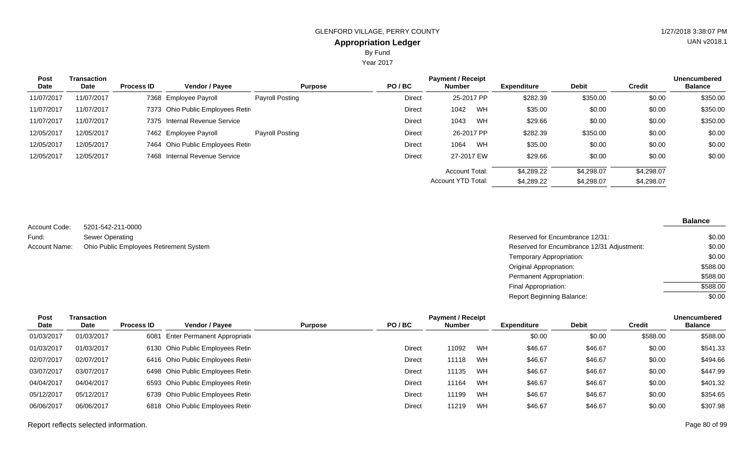Year 2017

| Post       | <b>Transaction</b> |                   |                                   |                        |               | <b>Payment / Receipt</b> |    |                    |              |            | <b>Unencumbered</b> |
|------------|--------------------|-------------------|-----------------------------------|------------------------|---------------|--------------------------|----|--------------------|--------------|------------|---------------------|
| Date       | Date               | <b>Process ID</b> | Vendor / Payee                    | <b>Purpose</b>         | PO/BC         | <b>Number</b>            |    | <b>Expenditure</b> | <b>Debit</b> | Credit     | <b>Balance</b>      |
| 11/07/2017 | 11/07/2017         |                   | 7368 Employee Payroll             | <b>Payroll Posting</b> | <b>Direct</b> | 25-2017 PP               |    | \$282.39           | \$350.00     | \$0.00     | \$350.00            |
| 11/07/2017 | 11/07/2017         |                   | 7373 Ohio Public Employees Retir  |                        | Direct        | 1042                     | WH | \$35.00            | \$0.00       | \$0.00     | \$350.00            |
| 11/07/2017 | 11/07/2017         |                   | 7375 Internal Revenue Service     |                        | Direct        | 1043                     | WH | \$29.66            | \$0.00       | \$0.00     | \$350.00            |
| 12/05/2017 | 12/05/2017         |                   | 7462 Employee Payroll             | <b>Payroll Posting</b> | <b>Direct</b> | 26-2017 PP               |    | \$282.39           | \$350.00     | \$0.00     | \$0.00              |
| 12/05/2017 | 12/05/2017         |                   | 7464 Ohio Public Employees Retire |                        | Direct        | 1064                     | WH | \$35.00            | \$0.00       | \$0.00     | \$0.00              |
| 12/05/2017 | 12/05/2017         |                   | 7468 Internal Revenue Service     |                        | <b>Direct</b> | 27-2017 EW               |    | \$29.66            | \$0.00       | \$0.00     | \$0.00              |
|            |                    |                   |                                   |                        |               | <b>Account Total:</b>    |    | \$4,289.22         | \$4,298.07   | \$4,298.07 |                     |
|            |                    |                   |                                   |                        |               | Account YTD Total:       |    | \$4,289.22         | \$4,298.07   | \$4,298.07 |                     |

5201-542-211-0000 Account Code:

| Fund:         | Sewer Operating                         | Reserved for Encumbrance 12/31:            | \$0.00   |
|---------------|-----------------------------------------|--------------------------------------------|----------|
| Account Name: | Ohio Public Employees Retirement System | Reserved for Encumbrance 12/31 Adjustment: | \$0.00   |
|               |                                         | Temporary Appropriation:                   | \$0.00   |
|               |                                         | Original Appropriation:                    | \$588.00 |
|               |                                         | Permanent Appropriation:                   | \$588.00 |
|               |                                         | Final Appropriation:                       | \$588.00 |
|               |                                         | <b>Report Beginning Balance:</b>           | \$0.00   |

| Post       | Transaction |                   |                                   |                         |        | <b>Payment / Receipt</b> |    |                    |              |          | <b>Unencumbered</b> |
|------------|-------------|-------------------|-----------------------------------|-------------------------|--------|--------------------------|----|--------------------|--------------|----------|---------------------|
| Date       | <b>Date</b> | <b>Process ID</b> | <b>Vendor / Payee</b>             | PO/BC<br><b>Purpose</b> |        | <b>Number</b>            |    | <b>Expenditure</b> | <b>Debit</b> | Credit   | <b>Balance</b>      |
| 01/03/2017 | 01/03/2017  | 6081              | Enter Permanent Appropriation     |                         |        |                          |    | \$0.00             | \$0.00       | \$588.00 | \$588.00            |
| 01/03/2017 | 01/03/2017  |                   | 6130 Ohio Public Employees Retire |                         | Direct | 11092                    | WH | \$46.67            | \$46.67      | \$0.00   | \$541.33            |
| 02/07/2017 | 02/07/2017  |                   | 6416 Ohio Public Employees Retire |                         | Direct | 11118                    | WH | \$46.67            | \$46.67      | \$0.00   | \$494.66            |
| 03/07/2017 | 03/07/2017  |                   | 6498 Ohio Public Employees Retire |                         | Direct | 11135                    | WH | \$46.67            | \$46.67      | \$0.00   | \$447.99            |
| 04/04/2017 | 04/04/2017  |                   | 6593 Ohio Public Employees Retire |                         | Direct | 11164                    | WH | \$46.67            | \$46.67      | \$0.00   | \$401.32            |
| 05/12/2017 | 05/12/2017  |                   | 6739 Ohio Public Employees Retire |                         | Direct | 11199                    | WH | \$46.67            | \$46.67      | \$0.00   | \$354.65            |
| 06/06/2017 | 06/06/2017  |                   | 6818 Ohio Public Employees Retire |                         | Direct | 11219                    | WH | \$46.67            | \$46.67      | \$0.00   | \$307.98            |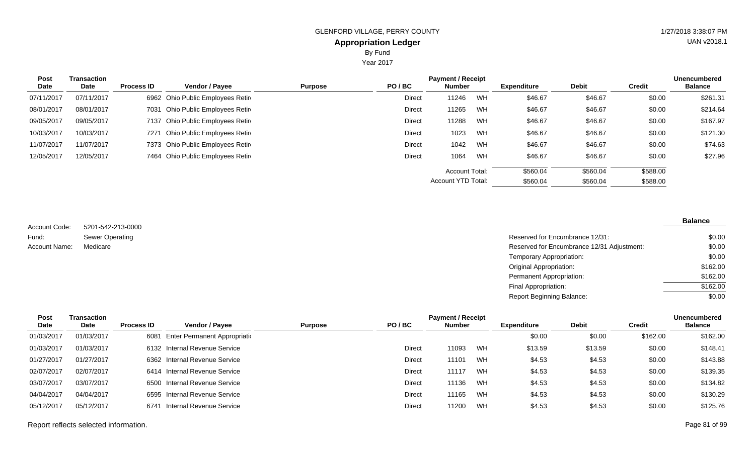Year 2017

| <b>Post</b><br>Date | <b>Transaction</b><br>Date | <b>Process ID</b> | <b>Vendor / Payee</b>             | PO/BC<br><b>Purpose</b> |               | <b>Payment / Receipt</b><br><b>Number</b> |    | <b>Expenditure</b> | <b>Debit</b> | <b>Credit</b> | <b>Unencumbered</b><br><b>Balance</b> |
|---------------------|----------------------------|-------------------|-----------------------------------|-------------------------|---------------|-------------------------------------------|----|--------------------|--------------|---------------|---------------------------------------|
| 07/11/2017          | 07/11/2017                 |                   | 6962 Ohio Public Employees Retire |                         | <b>Direct</b> | 11246                                     | WH | \$46.67            | \$46.67      | \$0.00        | \$261.31                              |
| 08/01/2017          | 08/01/2017                 |                   | 7031 Ohio Public Employees Retire |                         | <b>Direct</b> | 11265                                     | WH | \$46.67            | \$46.67      | \$0.00        | \$214.64                              |
| 09/05/2017          | 09/05/2017                 |                   | 7137 Ohio Public Employees Retire |                         | <b>Direct</b> | 11288                                     | WH | \$46.67            | \$46.67      | \$0.00        | \$167.97                              |
| 10/03/2017          | 10/03/2017                 |                   | 7271 Ohio Public Employees Retire |                         | <b>Direct</b> | 1023                                      | WH | \$46.67            | \$46.67      | \$0.00        | \$121.30                              |
| 11/07/2017          | 11/07/2017                 |                   | 7373 Ohio Public Employees Retire |                         | Direct        | 1042                                      | WH | \$46.67            | \$46.67      | \$0.00        | \$74.63                               |
| 12/05/2017          | 12/05/2017                 |                   | 7464 Ohio Public Employees Retire |                         | <b>Direct</b> | 1064                                      | WH | \$46.67            | \$46.67      | \$0.00        | \$27.96                               |
|                     |                            |                   |                                   |                         |               | Account Total:                            |    | \$560.04           | \$560.04     | \$588.00      |                                       |
|                     |                            |                   |                                   |                         |               | Account YTD Total:                        |    | \$560.04           | \$560.04     | \$588.00      |                                       |

5201-542-213-0000 Sewer Operating Account Code: Fund: Account Name:

| Sewer Operating | Reserved for Encumbrance 12/31:            | \$0.00   |
|-----------------|--------------------------------------------|----------|
| Medicare        | Reserved for Encumbrance 12/31 Adjustment: | \$0.00   |
|                 | Temporary Appropriation:                   | \$0.00   |
|                 | <b>Original Appropriation:</b>             | \$162.00 |
|                 | Permanent Appropriation:                   | \$162.00 |
|                 | Final Appropriation:                       | \$162.00 |
|                 | <b>Report Beginning Balance:</b>           | \$0.00   |

| <b>Post</b> | Transaction |                   |                                    |                |               | <b>Payment / Receipt</b> |    |                    |              |          | <b>Unencumbered</b> |
|-------------|-------------|-------------------|------------------------------------|----------------|---------------|--------------------------|----|--------------------|--------------|----------|---------------------|
| Date        | <b>Date</b> | <b>Process ID</b> | <b>Vendor / Payee</b>              | <b>Purpose</b> | PO/BC         | <b>Number</b>            |    | <b>Expenditure</b> | <b>Debit</b> | Credit   | <b>Balance</b>      |
| 01/03/2017  | 01/03/2017  |                   | 6081 Enter Permanent Appropriation |                |               |                          |    | \$0.00             | \$0.00       | \$162.00 | \$162.00            |
| 01/03/2017  | 01/03/2017  |                   | 6132 Internal Revenue Service      |                | Direct        | 11093                    | WH | \$13.59            | \$13.59      | \$0.00   | \$148.41            |
| 01/27/2017  | 01/27/2017  |                   | 6362 Internal Revenue Service      |                | Direct        | 11101                    | WH | \$4.53             | \$4.53       | \$0.00   | \$143.88            |
| 02/07/2017  | 02/07/2017  |                   | 6414 Internal Revenue Service      |                | <b>Direct</b> | 11117                    | WH | \$4.53             | \$4.53       | \$0.00   | \$139.35            |
| 03/07/2017  | 03/07/2017  |                   | 6500 Internal Revenue Service      |                | <b>Direct</b> | 11136                    | WH | \$4.53             | \$4.53       | \$0.00   | \$134.82            |
| 04/04/2017  | 04/04/2017  |                   | 6595 Internal Revenue Service      |                | Direct        | 11165                    | WH | \$4.53             | \$4.53       | \$0.00   | \$130.29            |
| 05/12/2017  | 05/12/2017  |                   | 6741 Internal Revenue Service      |                | Direct        | 11200                    | WH | \$4.53             | \$4.53       | \$0.00   | \$125.76            |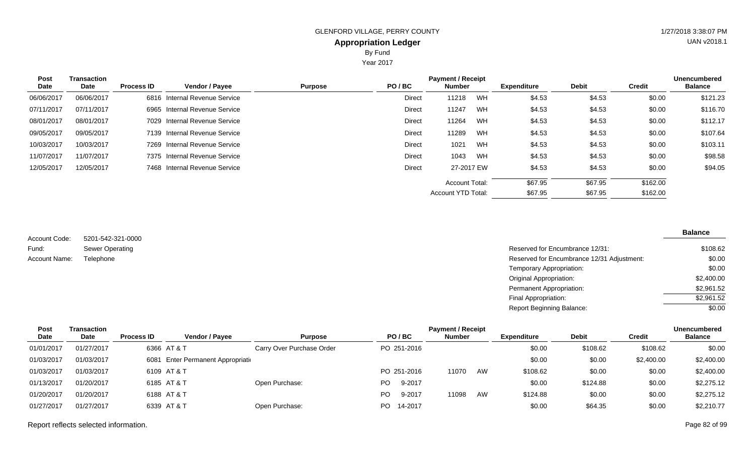Year 2017

| Post<br>Date | <b>Transaction</b><br>Date | <b>Process ID</b> | Vendor / Payee                  | <b>Purpose</b> | PO/BC  | <b>Payment / Receipt</b><br><b>Number</b> |    | <b>Expenditure</b> | <b>Debit</b> | Credit   | <b>Unencumbered</b><br><b>Balance</b> |
|--------------|----------------------------|-------------------|---------------------------------|----------------|--------|-------------------------------------------|----|--------------------|--------------|----------|---------------------------------------|
| 06/06/2017   | 06/06/2017                 | 6816              | <b>Internal Revenue Service</b> |                | Direct | 11218                                     | WH | \$4.53             | \$4.53       | \$0.00   | \$121.23                              |
| 07/11/2017   | 07/11/2017                 | 6965              | Internal Revenue Service        |                | Direct | 11247                                     | WH | \$4.53             | \$4.53       | \$0.00   | \$116.70                              |
| 08/01/2017   | 08/01/2017                 | 7029              | Internal Revenue Service        |                | Direct | 11264                                     | WH | \$4.53             | \$4.53       | \$0.00   | \$112.17                              |
| 09/05/2017   | 09/05/2017                 | 7139              | Internal Revenue Service        |                | Direct | 11289                                     | WH | \$4.53             | \$4.53       | \$0.00   | \$107.64                              |
| 10/03/2017   | 10/03/2017                 |                   | 7269 Internal Revenue Service   |                | Direct | 1021                                      | WH | \$4.53             | \$4.53       | \$0.00   | \$103.11                              |
| 11/07/2017   | 11/07/2017                 |                   | 7375 Internal Revenue Service   |                | Direct | 1043                                      | WH | \$4.53             | \$4.53       | \$0.00   | \$98.58                               |
| 12/05/2017   | 12/05/2017                 |                   | 7468 Internal Revenue Service   |                | Direct | 27-2017 EW                                |    | \$4.53             | \$4.53       | \$0.00   | \$94.05                               |
|              |                            |                   |                                 |                |        | <b>Account Total:</b>                     |    | \$67.95            | \$67.95      | \$162.00 |                                       |
|              |                            |                   |                                 |                |        | <b>Account YTD Total:</b>                 |    | \$67.95            | \$67.95      | \$162.00 |                                       |

5201-542-321-0000 Sewer Operating Account Code: Fund: Account Name:

| Sewer Operating | Reserved for Encumbrance 12/31:            | \$108.62   |
|-----------------|--------------------------------------------|------------|
| Telephone       | Reserved for Encumbrance 12/31 Adjustment: | \$0.00     |
|                 | Temporary Appropriation:                   | \$0.00     |
|                 | Original Appropriation:                    | \$2,400.00 |
|                 | Permanent Appropriation:                   | \$2,961.52 |
|                 | Final Appropriation:                       | \$2,961.52 |
|                 | <b>Report Beginning Balance:</b>           | \$0.00     |

| Post        | Transaction |                   |                                    |                           |     |             | <b>Payment / Receipt</b> |    |                    |              |            | <b>Unencumbered</b> |
|-------------|-------------|-------------------|------------------------------------|---------------------------|-----|-------------|--------------------------|----|--------------------|--------------|------------|---------------------|
| <b>Date</b> | Date        | <b>Process ID</b> | <b>Vendor / Payee</b>              | <b>Purpose</b>            |     | PO/BC       | <b>Number</b>            |    | <b>Expenditure</b> | <b>Debit</b> | Credit     | <b>Balance</b>      |
| 01/01/2017  | 01/27/2017  |                   | 6366 AT & T                        | Carry Over Purchase Order |     | PO 251-2016 |                          |    | \$0.00             | \$108.62     | \$108.62   | \$0.00              |
| 01/03/2017  | 01/03/2017  |                   | 6081 Enter Permanent Appropriation |                           |     |             |                          |    | \$0.00             | \$0.00       | \$2,400.00 | \$2,400.00          |
| 01/03/2017  | 01/03/2017  |                   | 6109 AT & T                        |                           |     | PO 251-2016 | 11070                    | AW | \$108.62           | \$0.00       | \$0.00     | \$2,400.00          |
| 01/13/2017  | 01/20/2017  |                   | 6185 AT & T                        | Open Purchase:            | PO. | 9-2017      |                          |    | \$0.00             | \$124.88     | \$0.00     | \$2,275.12          |
| 01/20/2017  | 01/20/2017  |                   | 6188 AT & T                        |                           | PO. | 9-2017      | 11098                    | AW | \$124.88           | \$0.00       | \$0.00     | \$2,275.12          |
| 01/27/2017  | 01/27/2017  |                   | 6339 AT & T                        | Open Purchase:            | PO. | 14-2017     |                          |    | \$0.00             | \$64.35      | \$0.00     | \$2,210.77          |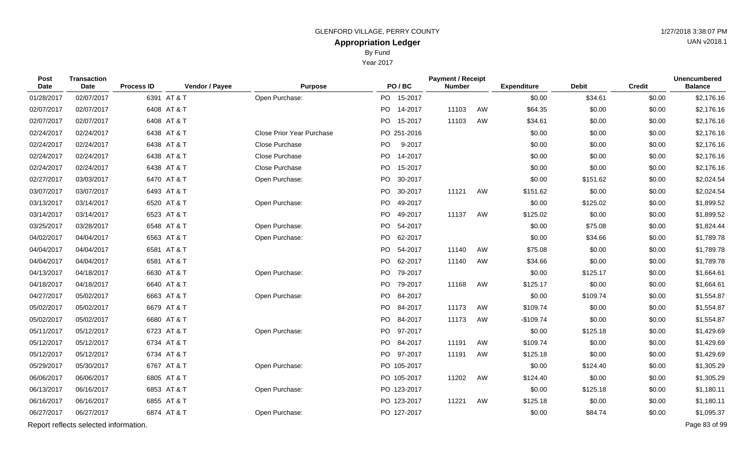By Fund

Year 2017

| Post<br>Date | <b>Transaction</b><br>Date            | <b>Process ID</b> | Vendor / Payee | <b>Purpose</b>                   |    | PO/BC       | <b>Payment / Receipt</b><br><b>Number</b> |    | <b>Expenditure</b> | <b>Debit</b> | <b>Credit</b> | <b>Unencumbered</b><br><b>Balance</b> |
|--------------|---------------------------------------|-------------------|----------------|----------------------------------|----|-------------|-------------------------------------------|----|--------------------|--------------|---------------|---------------------------------------|
| 01/28/2017   | 02/07/2017                            |                   | 6391 AT & T    | Open Purchase:                   |    | PO 15-2017  |                                           |    | \$0.00             | \$34.61      | \$0.00        | \$2,176.16                            |
| 02/07/2017   | 02/07/2017                            |                   | 6408 AT & T    |                                  |    | PO 14-2017  | 11103                                     | AW | \$64.35            | \$0.00       | \$0.00        | \$2,176.16                            |
| 02/07/2017   | 02/07/2017                            |                   | 6408 AT & T    |                                  |    | PO 15-2017  | 11103                                     | AW | \$34.61            | \$0.00       | \$0.00        | \$2,176.16                            |
| 02/24/2017   | 02/24/2017                            |                   | 6438 AT & T    | <b>Close Prior Year Purchase</b> |    | PO 251-2016 |                                           |    | \$0.00             | \$0.00       | \$0.00        | \$2,176.16                            |
| 02/24/2017   | 02/24/2017                            |                   | 6438 AT & T    | Close Purchase                   | PO | 9-2017      |                                           |    | \$0.00             | \$0.00       | \$0.00        | \$2,176.16                            |
| 02/24/2017   | 02/24/2017                            |                   | 6438 AT & T    | Close Purchase                   | PO | 14-2017     |                                           |    | \$0.00             | \$0.00       | \$0.00        | \$2,176.16                            |
| 02/24/2017   | 02/24/2017                            |                   | 6438 AT & T    | Close Purchase                   |    | PO 15-2017  |                                           |    | \$0.00             | \$0.00       | \$0.00        | \$2,176.16                            |
| 02/27/2017   | 03/03/2017                            |                   | 6470 AT & T    | Open Purchase:                   | PO | 30-2017     |                                           |    | \$0.00             | \$151.62     | \$0.00        | \$2,024.54                            |
| 03/07/2017   | 03/07/2017                            |                   | 6493 AT & T    |                                  |    | PO 30-2017  | 11121                                     | AW | \$151.62           | \$0.00       | \$0.00        | \$2,024.54                            |
| 03/13/2017   | 03/14/2017                            |                   | 6520 AT & T    | Open Purchase:                   | PO | 49-2017     |                                           |    | \$0.00             | \$125.02     | \$0.00        | \$1,899.52                            |
| 03/14/2017   | 03/14/2017                            |                   | 6523 AT & T    |                                  |    | PO 49-2017  | 11137                                     | AW | \$125.02           | \$0.00       | \$0.00        | \$1,899.52                            |
| 03/25/2017   | 03/28/2017                            |                   | 6548 AT & T    | Open Purchase:                   |    | PO 54-2017  |                                           |    | \$0.00             | \$75.08      | \$0.00        | \$1,824.44                            |
| 04/02/2017   | 04/04/2017                            |                   | 6563 AT & T    | Open Purchase:                   |    | PO 62-2017  |                                           |    | \$0.00             | \$34.66      | \$0.00        | \$1,789.78                            |
| 04/04/2017   | 04/04/2017                            |                   | 6581 AT & T    |                                  |    | PO 54-2017  | 11140                                     | AW | \$75.08            | \$0.00       | \$0.00        | \$1,789.78                            |
| 04/04/2017   | 04/04/2017                            |                   | 6581 AT & T    |                                  |    | PO 62-2017  | 11140                                     | AW | \$34.66            | \$0.00       | \$0.00        | \$1,789.78                            |
| 04/13/2017   | 04/18/2017                            |                   | 6630 AT & T    | Open Purchase:                   | PO | 79-2017     |                                           |    | \$0.00             | \$125.17     | \$0.00        | \$1,664.61                            |
| 04/18/2017   | 04/18/2017                            |                   | 6640 AT & T    |                                  |    | PO 79-2017  | 11168                                     | AW | \$125.17           | \$0.00       | \$0.00        | \$1,664.61                            |
| 04/27/2017   | 05/02/2017                            |                   | 6663 AT & T    | Open Purchase:                   |    | PO 84-2017  |                                           |    | \$0.00             | \$109.74     | \$0.00        | \$1,554.87                            |
| 05/02/2017   | 05/02/2017                            |                   | 6679 AT & T    |                                  |    | PO 84-2017  | 11173                                     | AW | \$109.74           | \$0.00       | \$0.00        | \$1,554.87                            |
| 05/02/2017   | 05/02/2017                            |                   | 6680 AT & T    |                                  |    | PO 84-2017  | 11173                                     | AW | $-$109.74$         | \$0.00       | \$0.00        | \$1,554.87                            |
| 05/11/2017   | 05/12/2017                            |                   | 6723 AT & T    | Open Purchase:                   |    | PO 97-2017  |                                           |    | \$0.00             | \$125.18     | \$0.00        | \$1,429.69                            |
| 05/12/2017   | 05/12/2017                            |                   | 6734 AT & T    |                                  |    | PO 84-2017  | 11191                                     | AW | \$109.74           | \$0.00       | \$0.00        | \$1,429.69                            |
| 05/12/2017   | 05/12/2017                            |                   | 6734 AT & T    |                                  |    | PO 97-2017  | 11191                                     | AW | \$125.18           | \$0.00       | \$0.00        | \$1,429.69                            |
| 05/29/2017   | 05/30/2017                            |                   | 6767 AT & T    | Open Purchase:                   |    | PO 105-2017 |                                           |    | \$0.00             | \$124.40     | \$0.00        | \$1,305.29                            |
| 06/06/2017   | 06/06/2017                            |                   | 6805 AT & T    |                                  |    | PO 105-2017 | 11202                                     | AW | \$124.40           | \$0.00       | \$0.00        | \$1,305.29                            |
| 06/13/2017   | 06/16/2017                            |                   | 6853 AT & T    | Open Purchase:                   |    | PO 123-2017 |                                           |    | \$0.00             | \$125.18     | \$0.00        | \$1,180.11                            |
| 06/16/2017   | 06/16/2017                            |                   | 6855 AT & T    |                                  |    | PO 123-2017 | 11221                                     | AW | \$125.18           | \$0.00       | \$0.00        | \$1,180.11                            |
| 06/27/2017   | 06/27/2017                            |                   | 6874 AT & T    | Open Purchase:                   |    | PO 127-2017 |                                           |    | \$0.00             | \$84.74      | \$0.00        | \$1,095.37                            |
|              | Report reflects selected information. |                   |                |                                  |    |             |                                           |    |                    |              |               | Page 83 of 99                         |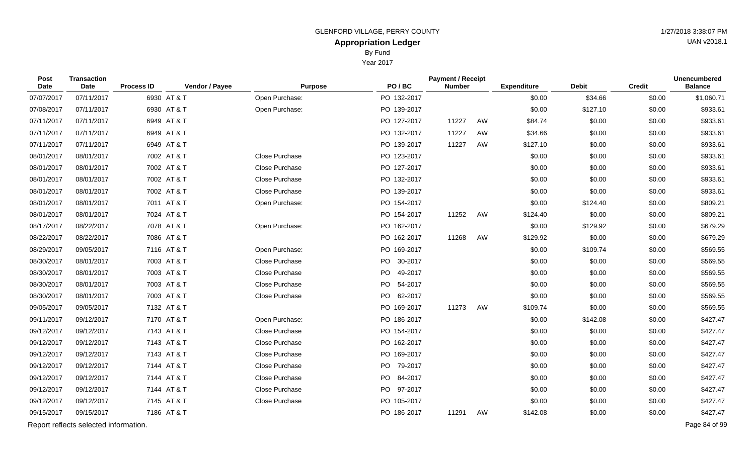By Fund

Year 2017

| Post<br><b>Date</b> | <b>Transaction</b><br><b>Date</b>     | <b>Process ID</b> | Vendor / Payee | <b>Purpose</b> | PO/BC       | <b>Payment / Receipt</b><br><b>Number</b> |    | <b>Expenditure</b> | <b>Debit</b> | <b>Credit</b> | <b>Unencumbered</b><br><b>Balance</b> |
|---------------------|---------------------------------------|-------------------|----------------|----------------|-------------|-------------------------------------------|----|--------------------|--------------|---------------|---------------------------------------|
| 07/07/2017          | 07/11/2017                            |                   | 6930 AT & T    | Open Purchase: | PO 132-2017 |                                           |    | \$0.00             | \$34.66      | \$0.00        | \$1,060.71                            |
| 07/08/2017          | 07/11/2017                            |                   | 6930 AT & T    | Open Purchase: | PO 139-2017 |                                           |    | \$0.00             | \$127.10     | \$0.00        | \$933.61                              |
| 07/11/2017          | 07/11/2017                            |                   | 6949 AT & T    |                | PO 127-2017 | 11227                                     | AW | \$84.74            | \$0.00       | \$0.00        | \$933.61                              |
| 07/11/2017          | 07/11/2017                            |                   | 6949 AT & T    |                | PO 132-2017 | 11227                                     | AW | \$34.66            | \$0.00       | \$0.00        | \$933.61                              |
| 07/11/2017          | 07/11/2017                            |                   | 6949 AT & T    |                | PO 139-2017 | 11227                                     | AW | \$127.10           | \$0.00       | \$0.00        | \$933.61                              |
| 08/01/2017          | 08/01/2017                            |                   | 7002 AT & T    | Close Purchase | PO 123-2017 |                                           |    | \$0.00             | \$0.00       | \$0.00        | \$933.61                              |
| 08/01/2017          | 08/01/2017                            |                   | 7002 AT & T    | Close Purchase | PO 127-2017 |                                           |    | \$0.00             | \$0.00       | \$0.00        | \$933.61                              |
| 08/01/2017          | 08/01/2017                            |                   | 7002 AT & T    | Close Purchase | PO 132-2017 |                                           |    | \$0.00             | \$0.00       | \$0.00        | \$933.61                              |
| 08/01/2017          | 08/01/2017                            |                   | 7002 AT & T    | Close Purchase | PO 139-2017 |                                           |    | \$0.00             | \$0.00       | \$0.00        | \$933.61                              |
| 08/01/2017          | 08/01/2017                            |                   | 7011 AT & T    | Open Purchase: | PO 154-2017 |                                           |    | \$0.00             | \$124.40     | \$0.00        | \$809.21                              |
| 08/01/2017          | 08/01/2017                            |                   | 7024 AT & T    |                | PO 154-2017 | 11252                                     | AW | \$124.40           | \$0.00       | \$0.00        | \$809.21                              |
| 08/17/2017          | 08/22/2017                            |                   | 7078 AT & T    | Open Purchase: | PO 162-2017 |                                           |    | \$0.00             | \$129.92     | \$0.00        | \$679.29                              |
| 08/22/2017          | 08/22/2017                            |                   | 7086 AT & T    |                | PO 162-2017 | 11268                                     | AW | \$129.92           | \$0.00       | \$0.00        | \$679.29                              |
| 08/29/2017          | 09/05/2017                            |                   | 7116 AT & T    | Open Purchase: | PO 169-2017 |                                           |    | \$0.00             | \$109.74     | \$0.00        | \$569.55                              |
| 08/30/2017          | 08/01/2017                            |                   | 7003 AT & T    | Close Purchase | PO 30-2017  |                                           |    | \$0.00             | \$0.00       | \$0.00        | \$569.55                              |
| 08/30/2017          | 08/01/2017                            |                   | 7003 AT & T    | Close Purchase | PO 49-2017  |                                           |    | \$0.00             | \$0.00       | \$0.00        | \$569.55                              |
| 08/30/2017          | 08/01/2017                            |                   | 7003 AT & T    | Close Purchase | PO 54-2017  |                                           |    | \$0.00             | \$0.00       | \$0.00        | \$569.55                              |
| 08/30/2017          | 08/01/2017                            |                   | 7003 AT & T    | Close Purchase | PO 62-2017  |                                           |    | \$0.00             | \$0.00       | \$0.00        | \$569.55                              |
| 09/05/2017          | 09/05/2017                            |                   | 7132 AT & T    |                | PO 169-2017 | 11273                                     | AW | \$109.74           | \$0.00       | \$0.00        | \$569.55                              |
| 09/11/2017          | 09/12/2017                            |                   | 7170 AT & T    | Open Purchase: | PO 186-2017 |                                           |    | \$0.00             | \$142.08     | \$0.00        | \$427.47                              |
| 09/12/2017          | 09/12/2017                            |                   | 7143 AT & T    | Close Purchase | PO 154-2017 |                                           |    | \$0.00             | \$0.00       | \$0.00        | \$427.47                              |
| 09/12/2017          | 09/12/2017                            |                   | 7143 AT & T    | Close Purchase | PO 162-2017 |                                           |    | \$0.00             | \$0.00       | \$0.00        | \$427.47                              |
| 09/12/2017          | 09/12/2017                            |                   | 7143 AT & T    | Close Purchase | PO 169-2017 |                                           |    | \$0.00             | \$0.00       | \$0.00        | \$427.47                              |
| 09/12/2017          | 09/12/2017                            |                   | 7144 AT & T    | Close Purchase | PO 79-2017  |                                           |    | \$0.00             | \$0.00       | \$0.00        | \$427.47                              |
| 09/12/2017          | 09/12/2017                            |                   | 7144 AT & T    | Close Purchase | PO 84-2017  |                                           |    | \$0.00             | \$0.00       | \$0.00        | \$427.47                              |
| 09/12/2017          | 09/12/2017                            |                   | 7144 AT & T    | Close Purchase | PO 97-2017  |                                           |    | \$0.00             | \$0.00       | \$0.00        | \$427.47                              |
| 09/12/2017          | 09/12/2017                            |                   | 7145 AT & T    | Close Purchase | PO 105-2017 |                                           |    | \$0.00             | \$0.00       | \$0.00        | \$427.47                              |
| 09/15/2017          | 09/15/2017                            |                   | 7186 AT & T    |                | PO 186-2017 | 11291                                     | AW | \$142.08           | \$0.00       | \$0.00        | \$427.47                              |
|                     | Report reflects selected information. |                   |                |                |             |                                           |    |                    |              |               | Page 84 of 99                         |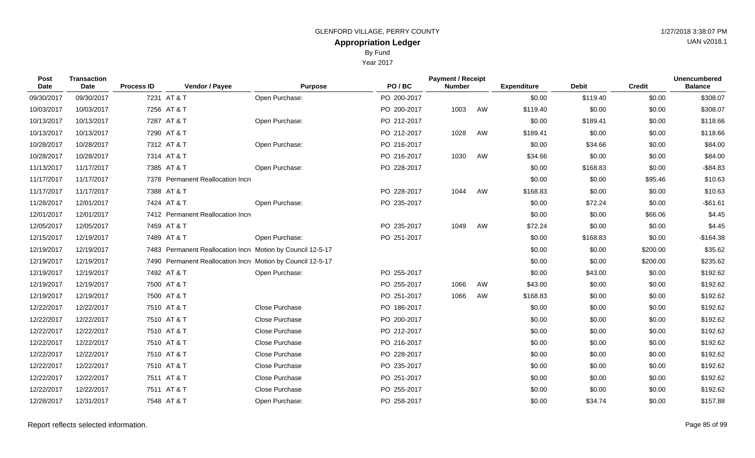|                |                | By Fund<br><b>Year 2017</b> |                                           |           |                    |              |               |                                |
|----------------|----------------|-----------------------------|-------------------------------------------|-----------|--------------------|--------------|---------------|--------------------------------|
| Vendor / Payee | <b>Purpose</b> | PO/BC                       | <b>Payment / Receipt</b><br><b>Number</b> |           | <b>Expenditure</b> | <b>Debit</b> | <b>Credit</b> | Unencumbered<br><b>Balance</b> |
|                | Open Purchase: | PO 200-2017                 |                                           |           | \$0.00             | \$119.40     | \$0.00        | \$308.0                        |
|                |                | PO 200-2017                 | 1003                                      | <b>AW</b> | \$119.40           | \$0.00       | \$0.00        | \$308.0                        |
|                | Open Purchase: | PO 212-2017                 |                                           |           | \$0.00             | \$189.41     | \$0.00        | \$118.6                        |
|                |                | PO 212-2017                 | 1028                                      | AW        | \$189.41           | \$0.00       | \$0.00        | \$118.6                        |

| Post<br><b>Date</b> | <b>Transaction</b><br>Date | <b>Process ID</b> | Vendor / Payee                                              | <b>Purpose</b> | PO/BC       | <b>Payment / Receipt</b><br><b>Number</b> |    | <b>Expenditure</b> | <b>Debit</b> | <b>Credit</b> | <b>Unencumbered</b><br><b>Balance</b> |
|---------------------|----------------------------|-------------------|-------------------------------------------------------------|----------------|-------------|-------------------------------------------|----|--------------------|--------------|---------------|---------------------------------------|
| 09/30/2017          | 09/30/2017                 |                   | 7231 AT & T                                                 | Open Purchase: | PO 200-2017 |                                           |    | \$0.00             | \$119.40     | \$0.00        | \$308.07                              |
| 10/03/2017          | 10/03/2017                 |                   | 7256 AT & T                                                 |                | PO 200-2017 | 1003                                      | AW | \$119.40           | \$0.00       | \$0.00        | \$308.07                              |
| 10/13/2017          | 10/13/2017                 |                   | 7287 AT & T                                                 | Open Purchase: | PO 212-2017 |                                           |    | \$0.00             | \$189.41     | \$0.00        | \$118.66                              |
| 10/13/2017          | 10/13/2017                 |                   | 7290 AT & T                                                 |                | PO 212-2017 | 1028                                      | AW | \$189.41           | \$0.00       | \$0.00        | \$118.66                              |
| 10/28/2017          | 10/28/2017                 |                   | 7312 AT & T                                                 | Open Purchase: | PO 216-2017 |                                           |    | \$0.00             | \$34.66      | \$0.00        | \$84.00                               |
| 10/28/2017          | 10/28/2017                 |                   | 7314 AT & T                                                 |                | PO 216-2017 | 1030                                      | AW | \$34.66            | \$0.00       | \$0.00        | \$84.00                               |
| 11/13/2017          | 11/17/2017                 |                   | 7385 AT & T                                                 | Open Purchase: | PO 228-2017 |                                           |    | \$0.00             | \$168.83     | \$0.00        | $-$ \$84.83                           |
| 11/17/2017          | 11/17/2017                 |                   | 7378 Permanent Reallocation Incre                           |                |             |                                           |    | \$0.00             | \$0.00       | \$95.46       | \$10.63                               |
| 11/17/2017          | 11/17/2017                 |                   | 7388 AT & T                                                 |                | PO 228-2017 | 1044                                      | AW | \$168.83           | \$0.00       | \$0.00        | \$10.63                               |
| 11/28/2017          | 12/01/2017                 |                   | 7424 AT & T                                                 | Open Purchase: | PO 235-2017 |                                           |    | \$0.00             | \$72.24      | \$0.00        | $-$61.61$                             |
| 12/01/2017          | 12/01/2017                 |                   | 7412 Permanent Reallocation Incre                           |                |             |                                           |    | \$0.00             | \$0.00       | \$66.06       | \$4.45                                |
| 12/05/2017          | 12/05/2017                 |                   | 7459 AT & T                                                 |                | PO 235-2017 | 1049                                      | AW | \$72.24            | \$0.00       | \$0.00        | \$4.45                                |
| 12/15/2017          | 12/19/2017                 |                   | 7489 AT & T                                                 | Open Purchase: | PO 251-2017 |                                           |    | \$0.00             | \$168.83     | \$0.00        | $-$164.38$                            |
| 12/19/2017          | 12/19/2017                 |                   | 7483 Permanent Reallocation Incre Motion by Council 12-5-17 |                |             |                                           |    | \$0.00             | \$0.00       | \$200.00      | \$35.62                               |
| 12/19/2017          | 12/19/2017                 |                   | 7490 Permanent Reallocation Incre Motion by Council 12-5-17 |                |             |                                           |    | \$0.00             | \$0.00       | \$200.00      | \$235.62                              |
| 12/19/2017          | 12/19/2017                 |                   | 7492 AT & T                                                 | Open Purchase: | PO 255-2017 |                                           |    | \$0.00             | \$43.00      | \$0.00        | \$192.62                              |
| 12/19/2017          | 12/19/2017                 |                   | 7500 AT & T                                                 |                | PO 255-2017 | 1066                                      | AW | \$43.00            | \$0.00       | \$0.00        | \$192.62                              |
| 12/19/2017          | 12/19/2017                 |                   | 7500 AT & T                                                 |                | PO 251-2017 | 1066                                      | AW | \$168.83           | \$0.00       | \$0.00        | \$192.62                              |
| 12/22/2017          | 12/22/2017                 |                   | 7510 AT & T                                                 | Close Purchase | PO 186-2017 |                                           |    | \$0.00             | \$0.00       | \$0.00        | \$192.62                              |
| 12/22/2017          | 12/22/2017                 |                   | 7510 AT & T                                                 | Close Purchase | PO 200-2017 |                                           |    | \$0.00             | \$0.00       | \$0.00        | \$192.62                              |
| 12/22/2017          | 12/22/2017                 |                   | 7510 AT & T                                                 | Close Purchase | PO 212-2017 |                                           |    | \$0.00             | \$0.00       | \$0.00        | \$192.62                              |
| 12/22/2017          | 12/22/2017                 |                   | 7510 AT & T                                                 | Close Purchase | PO 216-2017 |                                           |    | \$0.00             | \$0.00       | \$0.00        | \$192.62                              |
| 12/22/2017          | 12/22/2017                 |                   | 7510 AT & T                                                 | Close Purchase | PO 228-2017 |                                           |    | \$0.00             | \$0.00       | \$0.00        | \$192.62                              |
| 12/22/2017          | 12/22/2017                 |                   | 7510 AT & T                                                 | Close Purchase | PO 235-2017 |                                           |    | \$0.00             | \$0.00       | \$0.00        | \$192.62                              |
| 12/22/2017          | 12/22/2017                 |                   | 7511 AT & T                                                 | Close Purchase | PO 251-2017 |                                           |    | \$0.00             | \$0.00       | \$0.00        | \$192.62                              |
| 12/22/2017          | 12/22/2017                 |                   | 7511 AT & T                                                 | Close Purchase | PO 255-2017 |                                           |    | \$0.00             | \$0.00       | \$0.00        | \$192.62                              |
| 12/28/2017          | 12/31/2017                 |                   | 7548 AT & T                                                 | Open Purchase: | PO 258-2017 |                                           |    | \$0.00             | \$34.74      | \$0.00        | \$157.88                              |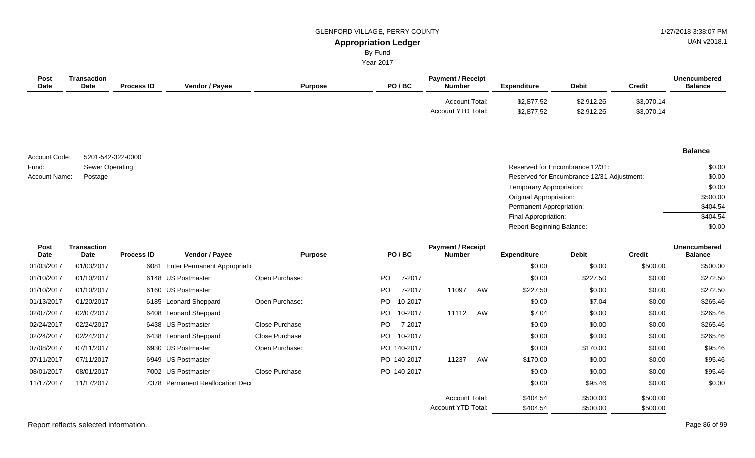UAN v2018.1

# By Fund

Year 2017

| Post<br><b>Date</b> | Transaction<br><b>Date</b> | <b>Process ID</b> | <b>Vendor / Payee</b> | <b>Purpose</b> | PO/BC | <b>Payment / Receipt</b><br><b>Number</b> | <b>Expenditure</b>       | <b>Debit</b>             | <b>Credit</b>            | <b>Unencumbered</b><br><b>Balance</b> |
|---------------------|----------------------------|-------------------|-----------------------|----------------|-------|-------------------------------------------|--------------------------|--------------------------|--------------------------|---------------------------------------|
|                     |                            |                   |                       |                |       | Account Total:<br>Account YTD Total:      | \$2,877.52<br>\$2,877.52 | \$2,912.26<br>\$2,912.26 | \$3,070.14<br>\$3,070.14 |                                       |

5201-542-322-0000 Sewer Operating Account Code: Fund: Account Name:

| Sewer Operating | Reserved for Encumbrance 12/31:            | \$0.00   |
|-----------------|--------------------------------------------|----------|
| Postage         | Reserved for Encumbrance 12/31 Adjustment: | \$0.00   |
|                 | Temporary Appropriation:                   | \$0.00   |
|                 | Original Appropriation:                    | \$500.00 |
|                 | Permanent Appropriation:                   | \$404.54 |
|                 | Final Appropriation:                       | \$404.54 |
|                 | <b>Report Beginning Balance:</b>           | \$0.00   |

| Post       | <b>Transaction</b> |                   |                                 |                |     |             | <b>Payment / Receipt</b> |    |                    |              |               | <b>Unencumbered</b> |  |
|------------|--------------------|-------------------|---------------------------------|----------------|-----|-------------|--------------------------|----|--------------------|--------------|---------------|---------------------|--|
| Date       | Date               | <b>Process ID</b> | Vendor / Payee                  | <b>Purpose</b> |     | PO/BC       | <b>Number</b>            |    | <b>Expenditure</b> | <b>Debit</b> | <b>Credit</b> | <b>Balance</b>      |  |
| 01/03/2017 | 01/03/2017         | 6081              | Enter Permanent Appropriation   |                |     |             |                          |    | \$0.00             | \$0.00       | \$500.00      | \$500.00            |  |
| 01/10/2017 | 01/10/2017         |                   | 6148 US Postmaster              | Open Purchase: | PO. | 7-2017      |                          |    | \$0.00             | \$227.50     | \$0.00        | \$272.50            |  |
| 01/10/2017 | 01/10/2017         |                   | 6160 US Postmaster              |                | PO. | 7-2017      | 11097                    | AW | \$227.50           | \$0.00       | \$0.00        | \$272.50            |  |
| 01/13/2017 | 01/20/2017         |                   | 6185 Leonard Sheppard           | Open Purchase: | PO. | 10-2017     |                          |    | \$0.00             | \$7.04       | \$0.00        | \$265.46            |  |
| 02/07/2017 | 02/07/2017         |                   | 6408 Leonard Sheppard           |                | PO. | 10-2017     | 11112                    | AW | \$7.04             | \$0.00       | \$0.00        | \$265.46            |  |
| 02/24/2017 | 02/24/2017         |                   | 6438 US Postmaster              | Close Purchase | PO. | 7-2017      |                          |    | \$0.00             | \$0.00       | \$0.00        | \$265.46            |  |
| 02/24/2017 | 02/24/2017         |                   | 6438 Leonard Sheppard           | Close Purchase | PO. | 10-2017     |                          |    | \$0.00             | \$0.00       | \$0.00        | \$265.46            |  |
| 07/08/2017 | 07/11/2017         |                   | 6930 US Postmaster              | Open Purchase: |     | PO 140-2017 |                          |    | \$0.00             | \$170.00     | \$0.00        | \$95.46             |  |
| 07/11/2017 | 07/11/2017         |                   | 6949 US Postmaster              |                |     | PO 140-2017 | 11237                    | AW | \$170.00           | \$0.00       | \$0.00        | \$95.46             |  |
| 08/01/2017 | 08/01/2017         |                   | 7002 US Postmaster              | Close Purchase |     | PO 140-2017 |                          |    | \$0.00             | \$0.00       | \$0.00        | \$95.46             |  |
| 11/17/2017 | 11/17/2017         |                   | 7378 Permanent Reallocation Dec |                |     |             |                          |    | \$0.00             | \$95.46      | \$0.00        | \$0.00              |  |
|            |                    |                   |                                 |                |     |             | <b>Account Total:</b>    |    | \$404.54           | \$500.00     | \$500.00      |                     |  |
|            |                    |                   |                                 |                |     |             | Account YTD Total:       |    | \$404.54           | \$500.00     | \$500.00      |                     |  |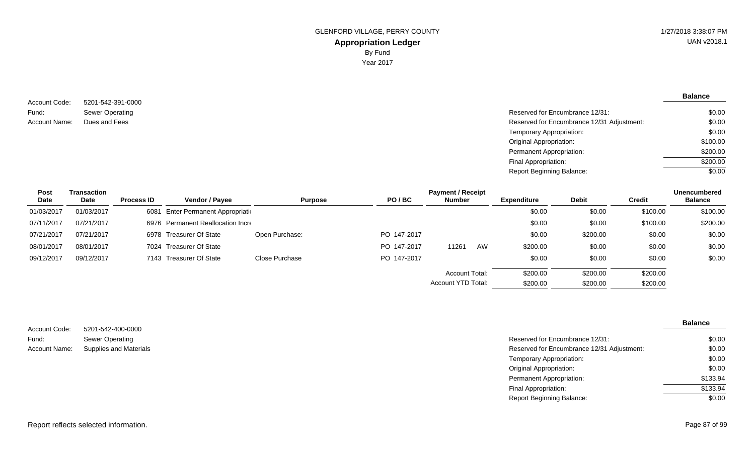5201-542-391-0000 Sewer Operating Account Code: Fund: Account Name:

**Balance**

| Sewer Operating | Reserved for Encumbrance 12/31:            | \$0.00   |
|-----------------|--------------------------------------------|----------|
| Dues and Fees   | Reserved for Encumbrance 12/31 Adjustment: | \$0.00   |
|                 | Temporary Appropriation:                   | \$0.00   |
|                 | Original Appropriation:                    | \$100.00 |
|                 | Permanent Appropriation:                   | \$200.00 |
|                 | Final Appropriation:                       | \$200.00 |
|                 | <b>Report Beginning Balance:</b>           | \$0.00   |
|                 |                                            |          |

| Post       | Transaction |                   |                                   |                |             | <b>Payment / Receipt</b> |    |                    |              |               | <b>Unencumbered</b> |
|------------|-------------|-------------------|-----------------------------------|----------------|-------------|--------------------------|----|--------------------|--------------|---------------|---------------------|
| Date       | Date        | <b>Process ID</b> | <b>Vendor / Payee</b>             | <b>Purpose</b> | PO/BC       | <b>Number</b>            |    | <b>Expenditure</b> | <b>Debit</b> | <b>Credit</b> | <b>Balance</b>      |
| 01/03/2017 | 01/03/2017  | 6081              | Enter Permanent Appropriation     |                |             |                          |    | \$0.00             | \$0.00       | \$100.00      | \$100.00            |
| 07/11/2017 | 07/21/2017  |                   | 6976 Permanent Reallocation Incre |                |             |                          |    | \$0.00             | \$0.00       | \$100.00      | \$200.00            |
| 07/21/2017 | 07/21/2017  |                   | 6978 Treasurer Of State           | Open Purchase: | PO 147-2017 |                          |    | \$0.00             | \$200.00     | \$0.00        | \$0.00              |
| 08/01/2017 | 08/01/2017  |                   | 7024 Treasurer Of State           |                | PO 147-2017 | 11261                    | AW | \$200.00           | \$0.00       | \$0.00        | \$0.00              |
| 09/12/2017 | 09/12/2017  |                   | 7143 Treasurer Of State           | Close Purchase | PO 147-2017 |                          |    | \$0.00             | \$0.00       | \$0.00        | \$0.00              |
|            |             |                   |                                   |                |             | Account Total:           |    | \$200.00           | \$200.00     | \$200.00      |                     |
|            |             |                   |                                   |                |             | Account YTD Total:       |    | \$200.00           | \$200.00     | \$200.00      |                     |

| Account Code: | 5201-542-400-0000             |
|---------------|-------------------------------|
| Fund:         | Sewer Operating               |
| Account Name: | <b>Supplies and Materials</b> |

| OZU I -04Z-400-0000           |                                            |          |
|-------------------------------|--------------------------------------------|----------|
| Sewer Operating               | Reserved for Encumbrance 12/31:            | \$0.00   |
| <b>Supplies and Materials</b> | Reserved for Encumbrance 12/31 Adjustment: | \$0.00   |
|                               | Temporary Appropriation:                   | \$0.00   |
|                               | Original Appropriation:                    | \$0.00   |
|                               | Permanent Appropriation:                   | \$133.94 |
|                               | Final Appropriation:                       | \$133.94 |
|                               | <b>Report Beginning Balance:</b>           | \$0.00   |
|                               |                                            |          |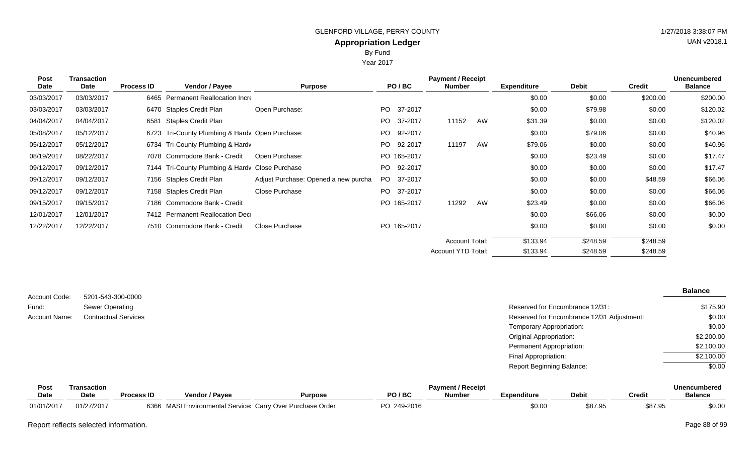By Fund

Year 2017

| Post<br>Date | <b>Transaction</b><br>Date | <b>Process ID</b> | Vendor / Payee                                  | <b>Purpose</b>                       |     | PO/BC       | <b>Payment / Receipt</b><br><b>Number</b> |    | <b>Expenditure</b> | <b>Debit</b> | <b>Credit</b> | <b>Unencumbered</b><br><b>Balance</b> |
|--------------|----------------------------|-------------------|-------------------------------------------------|--------------------------------------|-----|-------------|-------------------------------------------|----|--------------------|--------------|---------------|---------------------------------------|
| 03/03/2017   | 03/03/2017                 |                   | 6465 Permanent Reallocation Incre               |                                      |     |             |                                           |    | \$0.00             | \$0.00       | \$200.00      | \$200.00                              |
| 03/03/2017   | 03/03/2017                 |                   | 6470 Staples Credit Plan                        | Open Purchase:                       | PO. | 37-2017     |                                           |    | \$0.00             | \$79.98      | \$0.00        | \$120.02                              |
| 04/04/2017   | 04/04/2017                 |                   | 6581 Staples Credit Plan                        |                                      | PO. | 37-2017     | 11152                                     | AW | \$31.39            | \$0.00       | \$0.00        | \$120.02                              |
| 05/08/2017   | 05/12/2017                 |                   | 6723 Tri-County Plumbing & Hardy Open Purchase: |                                      | PO. | 92-2017     |                                           |    | \$0.00             | \$79.06      | \$0.00        | \$40.96                               |
| 05/12/2017   | 05/12/2017                 |                   | 6734 Tri-County Plumbing & Hardy                |                                      | PO. | 92-2017     | 11197                                     | AW | \$79.06            | \$0.00       | \$0.00        | \$40.96                               |
| 08/19/2017   | 08/22/2017                 |                   | 7078 Commodore Bank - Credit                    | Open Purchase:                       |     | PO 165-2017 |                                           |    | \$0.00             | \$23.49      | \$0.00        | \$17.47                               |
| 09/12/2017   | 09/12/2017                 |                   | 7144 Tri-County Plumbing & Hardy Close Purchase |                                      | PO. | 92-2017     |                                           |    | \$0.00             | \$0.00       | \$0.00        | \$17.47                               |
| 09/12/2017   | 09/12/2017                 |                   | 7156 Staples Credit Plan                        | Adjust Purchase: Opened a new purcha |     | PO 37-2017  |                                           |    | \$0.00             | \$0.00       | \$48.59       | \$66.06                               |
| 09/12/2017   | 09/12/2017                 |                   | 7158 Staples Credit Plan                        | Close Purchase                       |     | PO 37-2017  |                                           |    | \$0.00             | \$0.00       | \$0.00        | \$66.06                               |
| 09/15/2017   | 09/15/2017                 |                   | 7186 Commodore Bank - Credit                    |                                      |     | PO 165-2017 | 11292                                     | AW | \$23.49            | \$0.00       | \$0.00        | \$66.06                               |
| 12/01/2017   | 12/01/2017                 |                   | 7412 Permanent Reallocation Dec                 |                                      |     |             |                                           |    | \$0.00             | \$66.06      | \$0.00        | \$0.00                                |
| 12/22/2017   | 12/22/2017                 |                   | 7510 Commodore Bank - Credit                    | Close Purchase                       |     | PO 165-2017 |                                           |    | \$0.00             | \$0.00       | \$0.00        | \$0.00                                |
|              |                            |                   |                                                 |                                      |     |             | <b>Account Total:</b>                     |    | \$133.94           | \$248.59     | \$248.59      |                                       |
|              |                            |                   |                                                 |                                      |     |             | Account YTD Total:                        |    | \$133.94           | \$248.59     | \$248.59      |                                       |

| Account Code: | 5201-543-300-0000           |                                            | <b>Balance</b> |
|---------------|-----------------------------|--------------------------------------------|----------------|
|               |                             |                                            |                |
| Fund:         | Sewer Operating             | Reserved for Encumbrance 12/31:            | \$175.90       |
| Account Name: | <b>Contractual Services</b> | Reserved for Encumbrance 12/31 Adjustment: | \$0.00         |
|               |                             | Temporary Appropriation:                   | \$0.00         |
|               |                             | Original Appropriation:                    | \$2,200.00     |
|               |                             | Permanent Appropriation:                   | \$2,100.00     |
|               |                             | Final Appropriation:                       | \$2,100.00     |
|               |                             | <b>Report Beginning Balance:</b>           | \$0.00         |

| Post        | <b>Fransaction</b> |                   |                                                           |                |             | <b>Payment / Receipt</b> |             |              |         | Unencumbered   |
|-------------|--------------------|-------------------|-----------------------------------------------------------|----------------|-------------|--------------------------|-------------|--------------|---------|----------------|
| <b>Date</b> | Date               | <b>Process ID</b> | <b>Vendor / Pavee</b>                                     | <b>Purpose</b> | PO / BC     | <b>Number</b>            | Expenditure | <b>Debit</b> | Credit  | <b>Balance</b> |
| 01/01/2017  | 01/27/2017         |                   | 6366 MASI Environmental Service Carry Over Purchase Order |                | PO 249-2016 |                          | \$0.00      | \$87.95      | \$87.95 | \$0.0C         |

### Report reflects selected information. Page 88 of 99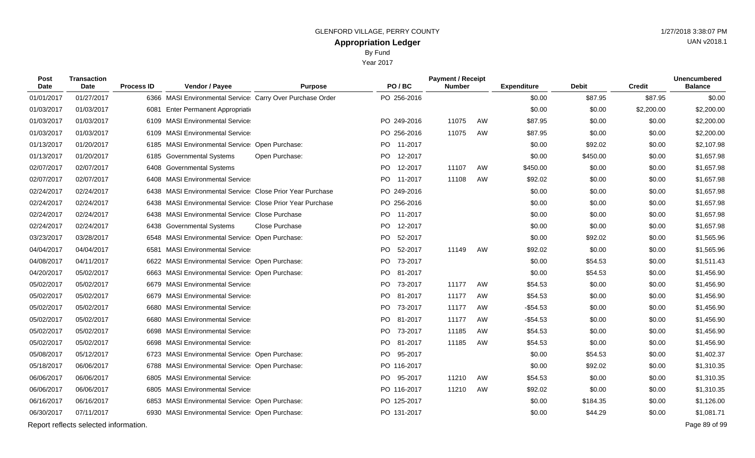Year 2017

| Post<br>Date | <b>Transaction</b><br><b>Date</b>     | <b>Process ID</b> | Vendor / Payee                                            | <b>Purpose</b>        | PO/BC          | <b>Payment / Receipt</b><br><b>Number</b> |    | <b>Expenditure</b> | <b>Debit</b> | <b>Credit</b> | <b>Unencumbered</b><br><b>Balance</b> |
|--------------|---------------------------------------|-------------------|-----------------------------------------------------------|-----------------------|----------------|-------------------------------------------|----|--------------------|--------------|---------------|---------------------------------------|
| 01/01/2017   | 01/27/2017                            |                   | 6366 MASI Environmental Service Carry Over Purchase Order |                       | PO 256-2016    |                                           |    | \$0.00             | \$87.95      | \$87.95       | \$0.00                                |
| 01/03/2017   | 01/03/2017                            |                   | 6081 Enter Permanent Appropriation                        |                       |                |                                           |    | \$0.00             | \$0.00       | \$2,200.00    | \$2,200.00                            |
| 01/03/2017   | 01/03/2017                            | 6109              | <b>MASI Environmental Service</b>                         |                       | PO 249-2016    | 11075                                     | AW | \$87.95            | \$0.00       | \$0.00        | \$2,200.00                            |
| 01/03/2017   | 01/03/2017                            |                   | 6109 MASI Environmental Service                           |                       | PO 256-2016    | 11075                                     | AW | \$87.95            | \$0.00       | \$0.00        | \$2,200.00                            |
| 01/13/2017   | 01/20/2017                            | 6185              | MASI Environmental Service Open Purchase:                 |                       | PO 11-2017     |                                           |    | \$0.00             | \$92.02      | \$0.00        | \$2,107.98                            |
| 01/13/2017   | 01/20/2017                            | 6185              | <b>Governmental Systems</b>                               | Open Purchase:        | PO 12-2017     |                                           |    | \$0.00             | \$450.00     | \$0.00        | \$1,657.98                            |
| 02/07/2017   | 02/07/2017                            | 6408              | <b>Governmental Systems</b>                               |                       | PO 12-2017     | 11107                                     | AW | \$450.00           | \$0.00       | \$0.00        | \$1,657.98                            |
| 02/07/2017   | 02/07/2017                            |                   | 6408 MASI Environmental Service                           |                       | PO 11-2017     | 11108                                     | AW | \$92.02            | \$0.00       | \$0.00        | \$1,657.98                            |
| 02/24/2017   | 02/24/2017                            |                   | 6438 MASI Environmental Service Close Prior Year Purchase |                       | PO 249-2016    |                                           |    | \$0.00             | \$0.00       | \$0.00        | \$1,657.98                            |
| 02/24/2017   | 02/24/2017                            |                   | 6438 MASI Environmental Service Close Prior Year Purchase |                       | PO 256-2016    |                                           |    | \$0.00             | \$0.00       | \$0.00        | \$1,657.98                            |
| 02/24/2017   | 02/24/2017                            |                   | 6438 MASI Environmental Service Close Purchase            |                       | PO 11-2017     |                                           |    | \$0.00             | \$0.00       | \$0.00        | \$1,657.98                            |
| 02/24/2017   | 02/24/2017                            |                   | 6438 Governmental Systems                                 | <b>Close Purchase</b> | PO<br>12-2017  |                                           |    | \$0.00             | \$0.00       | \$0.00        | \$1,657.98                            |
| 03/23/2017   | 03/28/2017                            |                   | 6548 MASI Environmental Service Open Purchase:            |                       | PO.<br>52-2017 |                                           |    | \$0.00             | \$92.02      | \$0.00        | \$1,565.96                            |
| 04/04/2017   | 04/04/2017                            | 6581              | <b>MASI Environmental Service</b>                         |                       | PO<br>52-2017  | 11149                                     | AW | \$92.02            | \$0.00       | \$0.00        | \$1,565.96                            |
| 04/08/2017   | 04/11/2017                            |                   | 6622 MASI Environmental Service: Open Purchase:           |                       | PO 73-2017     |                                           |    | \$0.00             | \$54.53      | \$0.00        | \$1,511.43                            |
| 04/20/2017   | 05/02/2017                            |                   | 6663 MASI Environmental Service: Open Purchase:           |                       | PO<br>81-2017  |                                           |    | \$0.00             | \$54.53      | \$0.00        | \$1,456.90                            |
| 05/02/2017   | 05/02/2017                            |                   | 6679 MASI Environmental Service                           |                       | PO 73-2017     | 11177                                     | AW | \$54.53            | \$0.00       | \$0.00        | \$1,456.90                            |
| 05/02/2017   | 05/02/2017                            |                   | 6679 MASI Environmental Service                           |                       | PO<br>81-2017  | 11177                                     | AW | \$54.53            | \$0.00       | \$0.00        | \$1,456.90                            |
| 05/02/2017   | 05/02/2017                            |                   | 6680 MASI Environmental Service                           |                       | PO 73-2017     | 11177                                     | AW | $-$54.53$          | \$0.00       | \$0.00        | \$1,456.90                            |
| 05/02/2017   | 05/02/2017                            |                   | 6680 MASI Environmental Service                           |                       | PO<br>81-2017  | 11177                                     | AW | $-$54.53$          | \$0.00       | \$0.00        | \$1,456.90                            |
| 05/02/2017   | 05/02/2017                            |                   | 6698 MASI Environmental Service                           |                       | PO.<br>73-2017 | 11185                                     | AW | \$54.53            | \$0.00       | \$0.00        | \$1,456.90                            |
| 05/02/2017   | 05/02/2017                            |                   | 6698 MASI Environmental Service                           |                       | PO 81-2017     | 11185                                     | AW | \$54.53            | \$0.00       | \$0.00        | \$1,456.90                            |
| 05/08/2017   | 05/12/2017                            |                   | 6723 MASI Environmental Service Open Purchase:            |                       | PO 95-2017     |                                           |    | \$0.00             | \$54.53      | \$0.00        | \$1,402.37                            |
| 05/18/2017   | 06/06/2017                            |                   | 6788 MASI Environmental Service: Open Purchase:           |                       | PO 116-2017    |                                           |    | \$0.00             | \$92.02      | \$0.00        | \$1,310.35                            |
| 06/06/2017   | 06/06/2017                            |                   | 6805 MASI Environmental Service                           |                       | PO 95-2017     | 11210                                     | AW | \$54.53            | \$0.00       | \$0.00        | \$1,310.35                            |
| 06/06/2017   | 06/06/2017                            |                   | 6805 MASI Environmental Service                           |                       | PO 116-2017    | 11210                                     | AW | \$92.02            | \$0.00       | \$0.00        | \$1,310.35                            |
| 06/16/2017   | 06/16/2017                            |                   | 6853 MASI Environmental Service Open Purchase:            |                       | PO 125-2017    |                                           |    | \$0.00             | \$184.35     | \$0.00        | \$1,126.00                            |
| 06/30/2017   | 07/11/2017                            |                   | 6930 MASI Environmental Service Open Purchase:            |                       | PO 131-2017    |                                           |    | \$0.00             | \$44.29      | \$0.00        | \$1,081.71                            |
|              | Report reflects selected information. |                   |                                                           |                       |                |                                           |    |                    |              |               | Page 89 of 99                         |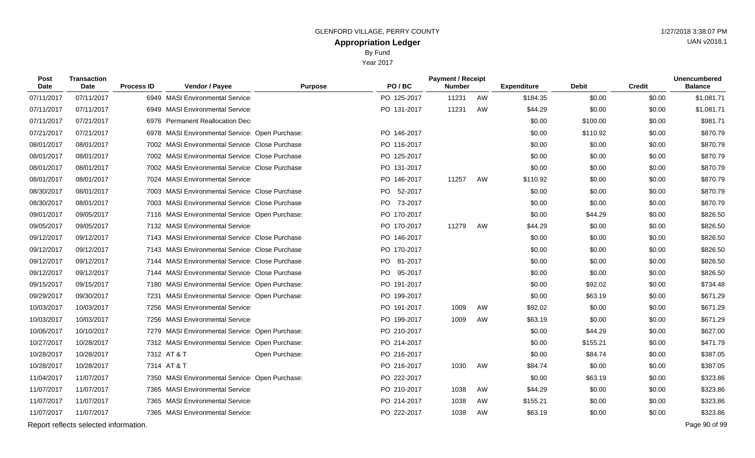Year 2017

| Post<br><b>Date</b> | <b>Transaction</b><br><b>Date</b>     | <b>Process ID</b> | Vendor / Payee                                   | <b>Purpose</b> | PO/BC       | <b>Payment / Receipt</b><br><b>Number</b> |    | <b>Expenditure</b> | <b>Debit</b> | <b>Credit</b> | <b>Unencumbered</b><br><b>Balance</b> |
|---------------------|---------------------------------------|-------------------|--------------------------------------------------|----------------|-------------|-------------------------------------------|----|--------------------|--------------|---------------|---------------------------------------|
| 07/11/2017          | 07/11/2017                            |                   | 6949 MASI Environmental Service                  |                | PO 125-2017 | 11231                                     | AW | \$184.35           | \$0.00       | \$0.00        | \$1,081.71                            |
| 07/11/2017          | 07/11/2017                            |                   | 6949 MASI Environmental Service                  |                | PO 131-2017 | 11231                                     | AW | \$44.29            | \$0.00       | \$0.00        | \$1,081.71                            |
| 07/11/2017          | 07/21/2017                            |                   | 6976 Permanent Reallocation Dec                  |                |             |                                           |    | \$0.00             | \$100.00     | \$0.00        | \$981.71                              |
| 07/21/2017          | 07/21/2017                            |                   | 6978 MASI Environmental Service: Open Purchase:  |                | PO 146-2017 |                                           |    | \$0.00             | \$110.92     | \$0.00        | \$870.79                              |
| 08/01/2017          | 08/01/2017                            |                   | 7002 MASI Environmental Service Close Purchase   |                | PO 116-2017 |                                           |    | \$0.00             | \$0.00       | \$0.00        | \$870.79                              |
| 08/01/2017          | 08/01/2017                            |                   | 7002 MASI Environmental Service Close Purchase   |                | PO 125-2017 |                                           |    | \$0.00             | \$0.00       | \$0.00        | \$870.79                              |
| 08/01/2017          | 08/01/2017                            |                   | 7002 MASI Environmental Service: Close Purchase  |                | PO 131-2017 |                                           |    | \$0.00             | \$0.00       | \$0.00        | \$870.79                              |
| 08/01/2017          | 08/01/2017                            |                   | 7024 MASI Environmental Service                  |                | PO 146-2017 | 11257                                     | AW | \$110.92           | \$0.00       | \$0.00        | \$870.79                              |
| 08/30/2017          | 08/01/2017                            |                   | 7003 MASI Environmental Service Close Purchase   |                | PO 52-2017  |                                           |    | \$0.00             | \$0.00       | \$0.00        | \$870.79                              |
| 08/30/2017          | 08/01/2017                            |                   | 7003 MASI Environmental Service Close Purchase   |                | PO 73-2017  |                                           |    | \$0.00             | \$0.00       | \$0.00        | \$870.79                              |
| 09/01/2017          | 09/05/2017                            |                   | 7116 MASI Environmental Service Open Purchase:   |                | PO 170-2017 |                                           |    | \$0.00             | \$44.29      | \$0.00        | \$826.50                              |
| 09/05/2017          | 09/05/2017                            |                   | 7132 MASI Environmental Service                  |                | PO 170-2017 | 11279                                     | AW | \$44.29            | \$0.00       | \$0.00        | \$826.50                              |
| 09/12/2017          | 09/12/2017                            |                   | 7143 MASI Environmental Service Close Purchase   |                | PO 146-2017 |                                           |    | \$0.00             | \$0.00       | \$0.00        | \$826.50                              |
| 09/12/2017          | 09/12/2017                            |                   | 7143 MASI Environmental Service Close Purchase   |                | PO 170-2017 |                                           |    | \$0.00             | \$0.00       | \$0.00        | \$826.50                              |
| 09/12/2017          | 09/12/2017                            |                   | 7144 MASI Environmental Service Close Purchase   |                | PO 81-2017  |                                           |    | \$0.00             | \$0.00       | \$0.00        | \$826.50                              |
| 09/12/2017          | 09/12/2017                            |                   | 7144 MASI Environmental Service Close Purchase   |                | PO 95-2017  |                                           |    | \$0.00             | \$0.00       | \$0.00        | \$826.50                              |
| 09/15/2017          | 09/15/2017                            |                   | 7180 MASI Environmental Service: Open Purchase:  |                | PO 191-2017 |                                           |    | \$0.00             | \$92.02      | \$0.00        | \$734.48                              |
| 09/29/2017          | 09/30/2017                            | 7231              | <b>MASI Environmental Service Open Purchase:</b> |                | PO 199-2017 |                                           |    | \$0.00             | \$63.19      | \$0.00        | \$671.29                              |
| 10/03/2017          | 10/03/2017                            |                   | 7256 MASI Environmental Service                  |                | PO 191-2017 | 1009                                      | AW | \$92.02            | \$0.00       | \$0.00        | \$671.29                              |
| 10/03/2017          | 10/03/2017                            |                   | 7256 MASI Environmental Service                  |                | PO 199-2017 | 1009                                      | AW | \$63.19            | \$0.00       | \$0.00        | \$671.29                              |
| 10/06/2017          | 10/10/2017                            |                   | 7279 MASI Environmental Service: Open Purchase:  |                | PO 210-2017 |                                           |    | \$0.00             | \$44.29      | \$0.00        | \$627.00                              |
| 10/27/2017          | 10/28/2017                            |                   | 7312 MASI Environmental Service Open Purchase:   |                | PO 214-2017 |                                           |    | \$0.00             | \$155.21     | \$0.00        | \$471.79                              |
| 10/28/2017          | 10/28/2017                            |                   | 7312 AT & T                                      | Open Purchase: | PO 216-2017 |                                           |    | \$0.00             | \$84.74      | \$0.00        | \$387.05                              |
| 10/28/2017          | 10/28/2017                            |                   | 7314 AT & T                                      |                | PO 216-2017 | 1030                                      | AW | \$84.74            | \$0.00       | \$0.00        | \$387.05                              |
| 11/04/2017          | 11/07/2017                            |                   | 7350 MASI Environmental Service: Open Purchase:  |                | PO 222-2017 |                                           |    | \$0.00             | \$63.19      | \$0.00        | \$323.86                              |
| 11/07/2017          | 11/07/2017                            |                   | 7365 MASI Environmental Service                  |                | PO 210-2017 | 1038                                      | AW | \$44.29            | \$0.00       | \$0.00        | \$323.86                              |
| 11/07/2017          | 11/07/2017                            |                   | 7365 MASI Environmental Service                  |                | PO 214-2017 | 1038                                      | AW | \$155.21           | \$0.00       | \$0.00        | \$323.86                              |
| 11/07/2017          | 11/07/2017                            |                   | 7365 MASI Environmental Service                  |                | PO 222-2017 | 1038                                      | AW | \$63.19            | \$0.00       | \$0.00        | \$323.86                              |
|                     | Report reflects selected information. |                   |                                                  |                |             |                                           |    |                    |              |               | Page 90 of 99                         |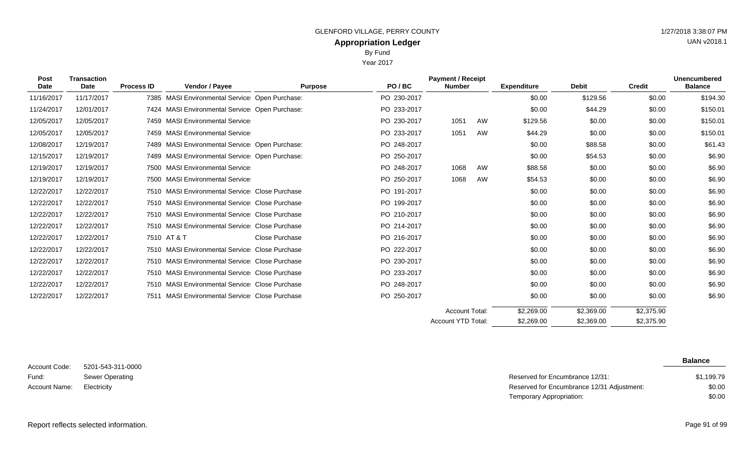Year 2017

| <b>Post</b><br><b>Date</b> | <b>Transaction</b><br><b>Date</b> | <b>Process ID</b> | Vendor / Payee                                   | <b>Purpose</b> | PO/BC       | <b>Payment / Receipt</b><br><b>Number</b> |    | <b>Expenditure</b> | <b>Debit</b> | <b>Credit</b> | <b>Unencumbered</b><br><b>Balance</b> |
|----------------------------|-----------------------------------|-------------------|--------------------------------------------------|----------------|-------------|-------------------------------------------|----|--------------------|--------------|---------------|---------------------------------------|
| 11/16/2017                 | 11/17/2017                        |                   | 7385 MASI Environmental Service: Open Purchase:  |                | PO 230-2017 |                                           |    | \$0.00             | \$129.56     | \$0.00        | \$194.30                              |
| 11/24/2017                 | 12/01/2017                        |                   | 7424 MASI Environmental Service: Open Purchase:  |                | PO 233-2017 |                                           |    | \$0.00             | \$44.29      | \$0.00        | \$150.01                              |
| 12/05/2017                 | 12/05/2017                        |                   | 7459 MASI Environmental Service                  |                | PO 230-2017 | 1051                                      | AW | \$129.56           | \$0.00       | \$0.00        | \$150.01                              |
| 12/05/2017                 | 12/05/2017                        |                   | 7459 MASI Environmental Service                  |                | PO 233-2017 | 1051                                      | AW | \$44.29            | \$0.00       | \$0.00        | \$150.01                              |
| 12/08/2017                 | 12/19/2017                        |                   | 7489 MASI Environmental Service: Open Purchase:  |                | PO 248-2017 |                                           |    | \$0.00             | \$88.58      | \$0.00        | \$61.43                               |
| 12/15/2017                 | 12/19/2017                        |                   | 7489 MASI Environmental Service: Open Purchase:  |                | PO 250-2017 |                                           |    | \$0.00             | \$54.53      | \$0.00        | \$6.90                                |
| 12/19/2017                 | 12/19/2017                        |                   | 7500 MASI Environmental Service                  |                | PO 248-2017 | 1068                                      | AW | \$88.58            | \$0.00       | \$0.00        | \$6.90                                |
| 12/19/2017                 | 12/19/2017                        |                   | 7500 MASI Environmental Service                  |                | PO 250-2017 | 1068                                      | AW | \$54.53            | \$0.00       | \$0.00        | \$6.90                                |
| 12/22/2017                 | 12/22/2017                        |                   | 7510 MASI Environmental Service Close Purchase   |                | PO 191-2017 |                                           |    | \$0.00             | \$0.00       | \$0.00        | \$6.90                                |
| 12/22/2017                 | 12/22/2017                        |                   | 7510 MASI Environmental Service Close Purchase   |                | PO 199-2017 |                                           |    | \$0.00             | \$0.00       | \$0.00        | \$6.90                                |
| 12/22/2017                 | 12/22/2017                        |                   | 7510 MASI Environmental Service Close Purchase   |                | PO 210-2017 |                                           |    | \$0.00             | \$0.00       | \$0.00        | \$6.90                                |
| 12/22/2017                 | 12/22/2017                        |                   | 7510 MASI Environmental Service Close Purchase   |                | PO 214-2017 |                                           |    | \$0.00             | \$0.00       | \$0.00        | \$6.90                                |
| 12/22/2017                 | 12/22/2017                        |                   | 7510 AT & T                                      | Close Purchase | PO 216-2017 |                                           |    | \$0.00             | \$0.00       | \$0.00        | \$6.90                                |
| 12/22/2017                 | 12/22/2017                        |                   | 7510 MASI Environmental Service Close Purchase   |                | PO 222-2017 |                                           |    | \$0.00             | \$0.00       | \$0.00        | \$6.90                                |
| 12/22/2017                 | 12/22/2017                        |                   | 7510 MASI Environmental Service Close Purchase   |                | PO 230-2017 |                                           |    | \$0.00             | \$0.00       | \$0.00        | \$6.90                                |
| 12/22/2017                 | 12/22/2017                        |                   | 7510 MASI Environmental Service Close Purchase   |                | PO 233-2017 |                                           |    | \$0.00             | \$0.00       | \$0.00        | \$6.90                                |
| 12/22/2017                 | 12/22/2017                        |                   | 7510 MASI Environmental Service Close Purchase   |                | PO 248-2017 |                                           |    | \$0.00             | \$0.00       | \$0.00        | \$6.90                                |
| 12/22/2017                 | 12/22/2017                        | 7511              | <b>MASI Environmental Service Close Purchase</b> |                | PO 250-2017 |                                           |    | \$0.00             | \$0.00       | \$0.00        | \$6.90                                |
|                            |                                   |                   |                                                  |                |             | <b>Account Total:</b>                     |    | \$2,269.00         | \$2,369.00   | \$2,375.90    |                                       |
|                            |                                   |                   |                                                  |                |             | <b>Account YTD Total:</b>                 |    | \$2,269.00         | \$2,369.00   | \$2,375.90    |                                       |

5201-543-311-0000 Sewer Operating Account Code: Fund: Account Name:

**Balance**

| Sewer Operating | Reserved for Encumbrance 12/31:            | \$1,199.79 |
|-----------------|--------------------------------------------|------------|
| Electricity     | Reserved for Encumbrance 12/31 Adjustment: | \$0.00     |
|                 | Temporary Appropriation:                   | \$0.00     |

### Report reflects selected information. Page 91 of 99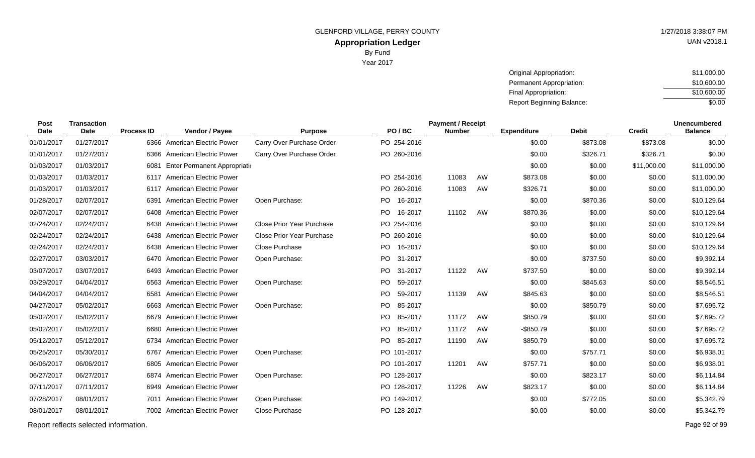UAN v2018.1

| Original Appropriation:   | \$11,000.00 |
|---------------------------|-------------|
| Permanent Appropriation:  | \$10,600.00 |
| Final Appropriation:      | \$10,600.00 |
| Report Beginning Balance: | \$0.00      |

| <b>Post</b><br>Date | <b>Transaction</b><br>Date | <b>Process ID</b> | Vendor / Payee                 | <b>Purpose</b>                   | PO/BC          | <b>Payment / Receipt</b><br><b>Number</b> |    | <b>Expenditure</b> | <b>Debit</b> | <b>Credit</b> | <b>Unencumbered</b><br><b>Balance</b> |
|---------------------|----------------------------|-------------------|--------------------------------|----------------------------------|----------------|-------------------------------------------|----|--------------------|--------------|---------------|---------------------------------------|
| 01/01/2017          | 01/27/2017                 |                   | 6366 American Electric Power   | Carry Over Purchase Order        | PO 254-2016    |                                           |    | \$0.00             | \$873.08     | \$873.08      | \$0.00                                |
| 01/01/2017          | 01/27/2017                 |                   | 6366 American Electric Power   | Carry Over Purchase Order        | PO 260-2016    |                                           |    | \$0.00             | \$326.71     | \$326.71      | \$0.00                                |
| 01/03/2017          | 01/03/2017                 | 6081              | Enter Permanent Appropriation  |                                  |                |                                           |    | \$0.00             | \$0.00       | \$11,000.00   | \$11,000.00                           |
| 01/03/2017          | 01/03/2017                 |                   | 6117 American Electric Power   |                                  | PO 254-2016    | 11083                                     | AW | \$873.08           | \$0.00       | \$0.00        | \$11,000.00                           |
| 01/03/2017          | 01/03/2017                 |                   | 6117 American Electric Power   |                                  | PO 260-2016    | 11083                                     | AW | \$326.71           | \$0.00       | \$0.00        | \$11,000.00                           |
| 01/28/2017          | 02/07/2017                 | 6391              | <b>American Electric Power</b> | Open Purchase:                   | PO 16-2017     |                                           |    | \$0.00             | \$870.36     | \$0.00        | \$10,129.64                           |
| 02/07/2017          | 02/07/2017                 |                   | 6408 American Electric Power   |                                  | PO 16-2017     | 11102                                     | AW | \$870.36           | \$0.00       | \$0.00        | \$10,129.64                           |
| 02/24/2017          | 02/24/2017                 |                   | 6438 American Electric Power   | Close Prior Year Purchase        | PO 254-2016    |                                           |    | \$0.00             | \$0.00       | \$0.00        | \$10,129.64                           |
| 02/24/2017          | 02/24/2017                 |                   | 6438 American Electric Power   | <b>Close Prior Year Purchase</b> | PO 260-2016    |                                           |    | \$0.00             | \$0.00       | \$0.00        | \$10,129.64                           |
| 02/24/2017          | 02/24/2017                 |                   | 6438 American Electric Power   | Close Purchase                   | PO.<br>16-2017 |                                           |    | \$0.00             | \$0.00       | \$0.00        | \$10,129.64                           |
| 02/27/2017          | 03/03/2017                 |                   | 6470 American Electric Power   | Open Purchase:                   | PO 31-2017     |                                           |    | \$0.00             | \$737.50     | \$0.00        | \$9,392.14                            |
| 03/07/2017          | 03/07/2017                 | 6493              | American Electric Power        |                                  | PO.<br>31-2017 | 11122                                     | AW | \$737.50           | \$0.00       | \$0.00        | \$9,392.14                            |
| 03/29/2017          | 04/04/2017                 |                   | 6563 American Electric Power   | Open Purchase:                   | 59-2017<br>PO. |                                           |    | \$0.00             | \$845.63     | \$0.00        | \$8,546.51                            |
| 04/04/2017          | 04/04/2017                 | 6581              | <b>American Electric Power</b> |                                  | 59-2017<br>PO. | 11139                                     | AW | \$845.63           | \$0.00       | \$0.00        | \$8,546.51                            |
| 04/27/2017          | 05/02/2017                 |                   | 6663 American Electric Power   | Open Purchase:                   | PO.<br>85-2017 |                                           |    | \$0.00             | \$850.79     | \$0.00        | \$7,695.72                            |
| 05/02/2017          | 05/02/2017                 |                   | 6679 American Electric Power   |                                  | PO.<br>85-2017 | 11172                                     | AW | \$850.79           | \$0.00       | \$0.00        | \$7,695.72                            |
| 05/02/2017          | 05/02/2017                 |                   | 6680 American Electric Power   |                                  | PO.<br>85-2017 | 11172                                     | AW | $-$ \$850.79       | \$0.00       | \$0.00        | \$7,695.72                            |
| 05/12/2017          | 05/12/2017                 |                   | 6734 American Electric Power   |                                  | PO 85-2017     | 11190                                     | AW | \$850.79           | \$0.00       | \$0.00        | \$7,695.72                            |
| 05/25/2017          | 05/30/2017                 |                   | 6767 American Electric Power   | Open Purchase:                   | PO 101-2017    |                                           |    | \$0.00             | \$757.71     | \$0.00        | \$6,938.01                            |
| 06/06/2017          | 06/06/2017                 |                   | 6805 American Electric Power   |                                  | PO 101-2017    | 11201                                     | AW | \$757.71           | \$0.00       | \$0.00        | \$6,938.01                            |
| 06/27/2017          | 06/27/2017                 |                   | 6874 American Electric Power   | Open Purchase:                   | PO 128-2017    |                                           |    | \$0.00             | \$823.17     | \$0.00        | \$6,114.84                            |
| 07/11/2017          | 07/11/2017                 |                   | 6949 American Electric Power   |                                  | PO 128-2017    | 11226                                     | AW | \$823.17           | \$0.00       | \$0.00        | \$6,114.84                            |
| 07/28/2017          | 08/01/2017                 |                   | 7011 American Electric Power   | Open Purchase:                   | PO 149-2017    |                                           |    | \$0.00             | \$772.05     | \$0.00        | \$5,342.79                            |
| 08/01/2017          | 08/01/2017                 |                   | 7002 American Electric Power   | Close Purchase                   | PO 128-2017    |                                           |    | \$0.00             | \$0.00       | \$0.00        | \$5,342.79                            |
|                     |                            |                   |                                |                                  |                |                                           |    |                    |              |               |                                       |

Report reflects selected information. Page 92 of 99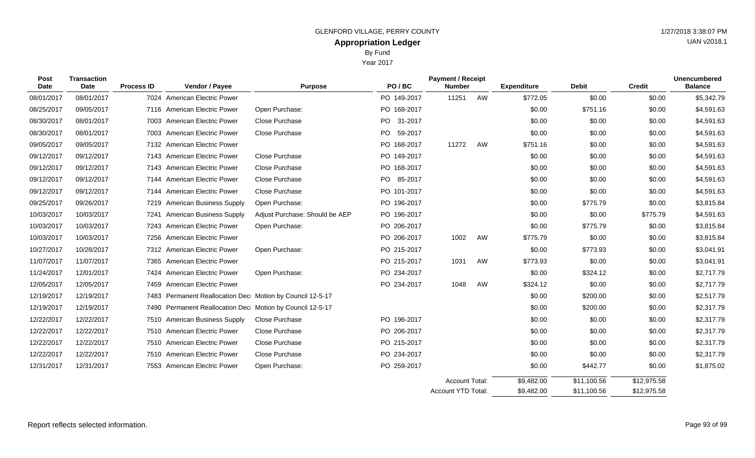Year 2017

| <b>Post</b><br><b>Date</b> | <b>Transaction</b><br>Date | <b>Process ID</b> | Vendor / Payee                                            | <b>Purpose</b>                 | PO/BC           | <b>Payment / Receipt</b><br><b>Number</b> |    | <b>Expenditure</b> | <b>Debit</b> | <b>Credit</b> | <b>Unencumbered</b><br><b>Balance</b> |
|----------------------------|----------------------------|-------------------|-----------------------------------------------------------|--------------------------------|-----------------|-------------------------------------------|----|--------------------|--------------|---------------|---------------------------------------|
| 08/01/2017                 | 08/01/2017                 |                   | 7024 American Electric Power                              |                                | PO 149-2017     | 11251                                     | AW | \$772.05           | \$0.00       | \$0.00        | \$5,342.79                            |
| 08/25/2017                 | 09/05/2017                 |                   | 7116 American Electric Power                              | Open Purchase:                 | PO 168-2017     |                                           |    | \$0.00             | \$751.16     | \$0.00        | \$4,591.63                            |
| 08/30/2017                 | 08/01/2017                 |                   | 7003 American Electric Power                              | Close Purchase                 | PO.<br>31-2017  |                                           |    | \$0.00             | \$0.00       | \$0.00        | \$4,591.63                            |
| 08/30/2017                 | 08/01/2017                 |                   | 7003 American Electric Power                              | Close Purchase                 | PO.<br>59-2017  |                                           |    | \$0.00             | \$0.00       | \$0.00        | \$4,591.63                            |
| 09/05/2017                 | 09/05/2017                 |                   | 7132 American Electric Power                              |                                | PO 168-2017     | 11272                                     | AW | \$751.16           | \$0.00       | \$0.00        | \$4,591.63                            |
| 09/12/2017                 | 09/12/2017                 |                   | 7143 American Electric Power                              | Close Purchase                 | PO 149-2017     |                                           |    | \$0.00             | \$0.00       | \$0.00        | \$4,591.63                            |
| 09/12/2017                 | 09/12/2017                 |                   | 7143 American Electric Power                              | Close Purchase                 | PO 168-2017     |                                           |    | \$0.00             | \$0.00       | \$0.00        | \$4,591.63                            |
| 09/12/2017                 | 09/12/2017                 | 7144              | <b>American Electric Power</b>                            | Close Purchase                 | PO -<br>85-2017 |                                           |    | \$0.00             | \$0.00       | \$0.00        | \$4,591.63                            |
| 09/12/2017                 | 09/12/2017                 |                   | 7144 American Electric Power                              | Close Purchase                 | PO 101-2017     |                                           |    | \$0.00             | \$0.00       | \$0.00        | \$4,591.63                            |
| 09/25/2017                 | 09/26/2017                 |                   | 7219 American Business Supply                             | Open Purchase:                 | PO 196-2017     |                                           |    | \$0.00             | \$775.79     | \$0.00        | \$3,815.84                            |
| 10/03/2017                 | 10/03/2017                 |                   | 7241 American Business Supply                             | Adjust Purchase: Should be AEP | PO 196-2017     |                                           |    | \$0.00             | \$0.00       | \$775.79      | \$4,591.63                            |
| 10/03/2017                 | 10/03/2017                 |                   | 7243 American Electric Power                              | Open Purchase:                 | PO 206-2017     |                                           |    | \$0.00             | \$775.79     | \$0.00        | \$3,815.84                            |
| 10/03/2017                 | 10/03/2017                 |                   | 7256 American Electric Power                              |                                | PO 206-2017     | 1002                                      | AW | \$775.79           | \$0.00       | \$0.00        | \$3,815.84                            |
| 10/27/2017                 | 10/28/2017                 |                   | 7312 American Electric Power                              | Open Purchase:                 | PO 215-2017     |                                           |    | \$0.00             | \$773.93     | \$0.00        | \$3,041.91                            |
| 11/07/2017                 | 11/07/2017                 |                   | 7365 American Electric Power                              |                                | PO 215-2017     | 1031                                      | AW | \$773.93           | \$0.00       | \$0.00        | \$3,041.91                            |
| 11/24/2017                 | 12/01/2017                 |                   | 7424 American Electric Power                              | Open Purchase:                 | PO 234-2017     |                                           |    | \$0.00             | \$324.12     | \$0.00        | \$2,717.79                            |
| 12/05/2017                 | 12/05/2017                 |                   | 7459 American Electric Power                              |                                | PO 234-2017     | 1048                                      | AW | \$324.12           | \$0.00       | \$0.00        | \$2,717.79                            |
| 12/19/2017                 | 12/19/2017                 |                   | 7483 Permanent Reallocation Dec Motion by Council 12-5-17 |                                |                 |                                           |    | \$0.00             | \$200.00     | \$0.00        | \$2,517.79                            |
| 12/19/2017                 | 12/19/2017                 |                   | 7490 Permanent Reallocation Dec Motion by Council 12-5-17 |                                |                 |                                           |    | \$0.00             | \$200.00     | \$0.00        | \$2,317.79                            |
| 12/22/2017                 | 12/22/2017                 |                   | 7510 American Business Supply                             | Close Purchase                 | PO 196-2017     |                                           |    | \$0.00             | \$0.00       | \$0.00        | \$2,317.79                            |
| 12/22/2017                 | 12/22/2017                 |                   | 7510 American Electric Power                              | Close Purchase                 | PO 206-2017     |                                           |    | \$0.00             | \$0.00       | \$0.00        | \$2,317.79                            |
| 12/22/2017                 | 12/22/2017                 |                   | 7510 American Electric Power                              | Close Purchase                 | PO 215-2017     |                                           |    | \$0.00             | \$0.00       | \$0.00        | \$2,317.79                            |
| 12/22/2017                 | 12/22/2017                 |                   | 7510 American Electric Power                              | Close Purchase                 | PO 234-2017     |                                           |    | \$0.00             | \$0.00       | \$0.00        | \$2,317.79                            |
| 12/31/2017                 | 12/31/2017                 |                   | 7553 American Electric Power                              | Open Purchase:                 | PO 259-2017     |                                           |    | \$0.00             | \$442.77     | \$0.00        | \$1,875.02                            |
|                            |                            |                   |                                                           |                                |                 | <b>Account Total:</b>                     |    | \$9,482.00         | \$11,100.56  | \$12,975.58   |                                       |
|                            |                            |                   |                                                           |                                |                 | Account YTD Total:                        |    | \$9,482.00         | \$11,100.56  | \$12,975.58   |                                       |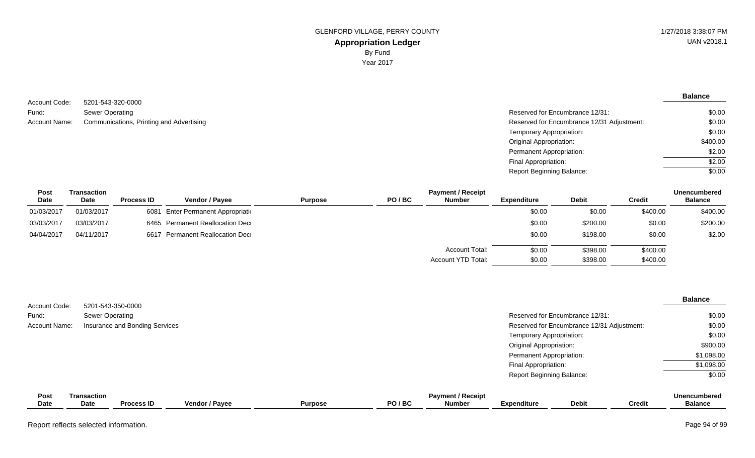**Balance**

5201-543-320-0000 Sewer Operating Account Name: Communications, Printing and Advertising Network Communications, Printing and Advertising Network Communications and Advertising Network Communications, Printing and Advertising Network Communications, Printi Account Code: Fund:

| Reserved for Encumbrance 12/31:            | \$0.00   |
|--------------------------------------------|----------|
| Reserved for Encumbrance 12/31 Adjustment: | \$0.00   |
| Temporary Appropriation:                   | \$0.00   |
| Original Appropriation:                    | \$400.00 |
| Permanent Appropriation:                   | \$2.00   |
| Final Appropriation:                       | \$2.00   |
| <b>Report Beginning Balance:</b>           | \$0.00   |

| Post<br><b>Date</b> | Transaction<br>Date | <b>Process ID</b> | <b>Vendor / Pavee</b>              | <b>Purpose</b> | PO/BC | <b>Payment / Receipt</b><br>Number | Expenditure | <b>Debit</b> | Credit   | <b>Unencumbered</b><br><b>Balance</b> |
|---------------------|---------------------|-------------------|------------------------------------|----------------|-------|------------------------------------|-------------|--------------|----------|---------------------------------------|
| 01/03/2017          | 01/03/2017          |                   | 6081 Enter Permanent Appropriation |                |       |                                    | \$0.00      | \$0.00       | \$400.00 | \$400.00                              |
| 03/03/2017          | 03/03/2017          |                   | 6465 Permanent Reallocation Dec    |                |       |                                    | \$0.00      | \$200.00     | \$0.00   | \$200.00                              |
| 04/04/2017          | 04/11/2017          |                   | 6617 Permanent Reallocation Dec    |                |       |                                    | \$0.00      | \$198.00     | \$0.00   | \$2.00                                |
|                     |                     |                   |                                    |                |       | <b>Account Total:</b>              | \$0.00      | \$398.00     | \$400.00 |                                       |
|                     |                     |                   |                                    |                |       | Account YTD Total:                 | \$0.00      | \$398.00     | \$400.00 |                                       |

| Account Code: |                            | 5201-543-350-0000              |                |                |       |                                           |                                  |                                            |               | <b>Balance</b>                        |
|---------------|----------------------------|--------------------------------|----------------|----------------|-------|-------------------------------------------|----------------------------------|--------------------------------------------|---------------|---------------------------------------|
| Fund:         | Sewer Operating            |                                |                |                |       |                                           |                                  | Reserved for Encumbrance 12/31:            |               | \$0.00                                |
| Account Name: |                            | Insurance and Bonding Services |                |                |       |                                           |                                  | Reserved for Encumbrance 12/31 Adjustment: |               | \$0.00                                |
|               |                            |                                |                |                |       |                                           | Temporary Appropriation:         |                                            |               | \$0.00                                |
|               |                            |                                |                |                |       |                                           | <b>Original Appropriation:</b>   |                                            |               | \$900.00                              |
|               |                            |                                |                |                |       |                                           | Permanent Appropriation:         |                                            |               | \$1,098.00                            |
|               |                            |                                |                |                |       |                                           | Final Appropriation:             |                                            |               | \$1,098.00                            |
|               |                            |                                |                |                |       |                                           | <b>Report Beginning Balance:</b> |                                            |               | \$0.00                                |
| Post<br>Date  | <b>Transaction</b><br>Date | <b>Process ID</b>              | Vendor / Payee | <b>Purpose</b> | PO/BC | <b>Payment / Receipt</b><br><b>Number</b> | <b>Expenditure</b>               | <b>Debit</b>                               | <b>Credit</b> | <b>Unencumbered</b><br><b>Balance</b> |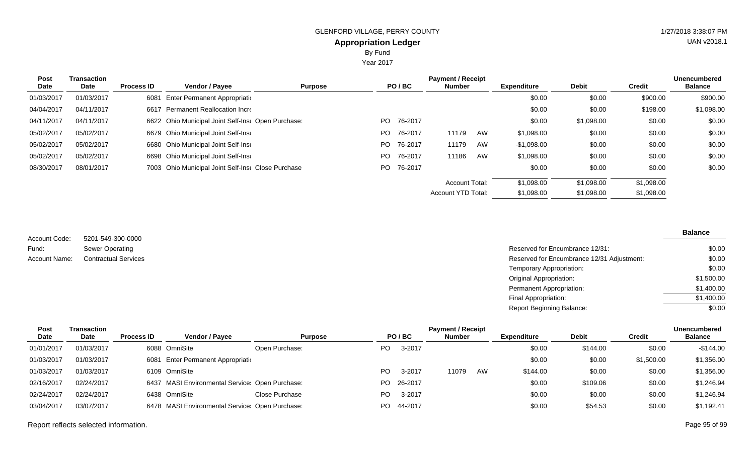Year 2017

| <b>Post</b><br>Date | Transaction<br>Date | <b>Process ID</b> | Vendor / Payee                                     | <b>Purpose</b> |     | PO/BC   | <b>Payment / Receipt</b><br><b>Number</b> |    | <b>Expenditure</b> | Debit      | Credit     | <b>Unencumbered</b><br><b>Balance</b> |
|---------------------|---------------------|-------------------|----------------------------------------------------|----------------|-----|---------|-------------------------------------------|----|--------------------|------------|------------|---------------------------------------|
| 01/03/2017          | 01/03/2017          |                   | 6081 Enter Permanent Appropriation                 |                |     |         |                                           |    | \$0.00             | \$0.00     | \$900.00   | \$900.00                              |
| 04/04/2017          | 04/11/2017          |                   | 6617 Permanent Reallocation Incre                  |                |     |         |                                           |    | \$0.00             | \$0.00     | \$198.00   | \$1,098.00                            |
| 04/11/2017          | 04/11/2017          |                   | 6622 Ohio Municipal Joint Self-Insi Open Purchase: |                | PO. | 76-2017 |                                           |    | \$0.00             | \$1,098.00 | \$0.00     | \$0.00                                |
| 05/02/2017          | 05/02/2017          |                   | 6679 Ohio Municipal Joint Self-Insi                |                | PO. | 76-2017 | 11179                                     | AW | \$1,098.00         | \$0.00     | \$0.00     | \$0.00                                |
| 05/02/2017          | 05/02/2017          |                   | 6680 Ohio Municipal Joint Self-Insi                |                | PO. | 76-2017 | 11179                                     | AW | -\$1,098.00        | \$0.00     | \$0.00     | \$0.00                                |
| 05/02/2017          | 05/02/2017          |                   | 6698 Ohio Municipal Joint Self-Insi                |                | PO. | 76-2017 | 11186                                     | AW | \$1,098.00         | \$0.00     | \$0.00     | \$0.00                                |
| 08/30/2017          | 08/01/2017          |                   | 7003 Ohio Municipal Joint Self-Insi Close Purchase |                | PO. | 76-2017 |                                           |    | \$0.00             | \$0.00     | \$0.00     | \$0.00                                |
|                     |                     |                   |                                                    |                |     |         | <b>Account Total:</b>                     |    | \$1,098.00         | \$1,098.00 | \$1,098.00 |                                       |

5201-549-300-0000 Sewer Operating Contractual Services Account Code: Fund: Account Name:

### **Balance**

| Reserved for Encumbrance 12/31:            | \$0.00     |
|--------------------------------------------|------------|
| Reserved for Encumbrance 12/31 Adjustment: | \$0.00     |
| Temporary Appropriation:                   | \$0.00     |
| Original Appropriation:                    | \$1,500.00 |
| Permanent Appropriation:                   | \$1,400.00 |
| Final Appropriation:                       | \$1,400.00 |
| Report Beginning Balance:                  | \$0.00     |

\$1,098.00

\$1,098.00

Account YTD Total:

\$1,098.00

| Post       | Transaction |                   |                                                 |                |      |         | <b>Payment / Receipt</b> |    |                    |              |            | <b>Unencumbered</b> |
|------------|-------------|-------------------|-------------------------------------------------|----------------|------|---------|--------------------------|----|--------------------|--------------|------------|---------------------|
| Date       | Date        | <b>Process ID</b> | <b>Vendor / Pavee</b>                           | <b>Purpose</b> |      | PO/BC   | <b>Number</b>            |    | <b>Expenditure</b> | <b>Debit</b> | Credit     | <b>Balance</b>      |
| 01/01/2017 | 01/03/2017  |                   | 6088 OmniSite                                   | Open Purchase: | PO   | 3-2017  |                          |    | \$0.00             | \$144.00     | \$0.00     | $-$144.00$          |
| 01/03/2017 | 01/03/2017  |                   | 6081 Enter Permanent Appropriation              |                |      |         |                          |    | \$0.00             | \$0.00       | \$1,500.00 | \$1,356.00          |
| 01/03/2017 | 01/03/2017  |                   | 6109 OmniSite                                   |                | PO.  | 3-2017  | 11079                    | AW | \$144.00           | \$0.00       | \$0.00     | \$1,356.00          |
| 02/16/2017 | 02/24/2017  |                   | 6437 MASI Environmental Service: Open Purchase: |                | PO . | 26-2017 |                          |    | \$0.00             | \$109.06     | \$0.00     | \$1,246.94          |
| 02/24/2017 | 02/24/2017  |                   | 6438 OmniSite                                   | Close Purchase | PO.  | 3-2017  |                          |    | \$0.00             | \$0.00       | \$0.00     | \$1,246.94          |
| 03/04/2017 | 03/07/2017  |                   | 6478 MASI Environmental Service Open Purchase:  |                | PO.  | 44-2017 |                          |    | \$0.00             | \$54.53      | \$0.00     | \$1,192.41          |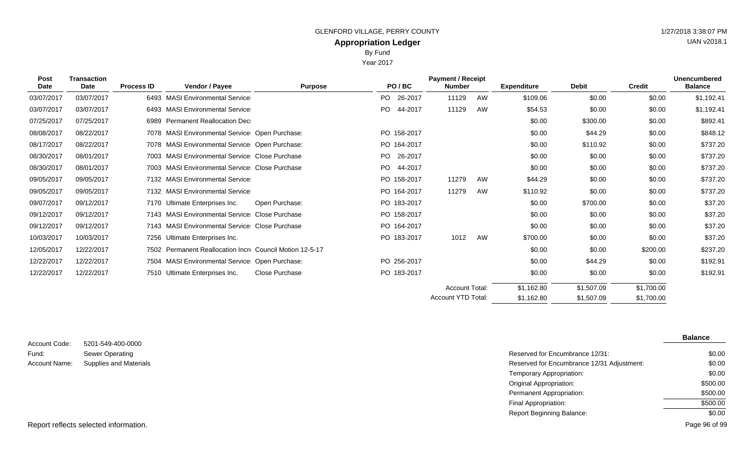Year 2017

| <b>Post</b><br><b>Date</b> | <b>Transaction</b><br>Date | <b>Process ID</b> | Vendor / Payee                                           | <b>Purpose</b> |      | PO/BC       | <b>Payment / Receipt</b><br><b>Number</b> |    | <b>Expenditure</b> | <b>Debit</b> | <b>Credit</b> | <b>Unencumbered</b><br><b>Balance</b> |
|----------------------------|----------------------------|-------------------|----------------------------------------------------------|----------------|------|-------------|-------------------------------------------|----|--------------------|--------------|---------------|---------------------------------------|
| 03/07/2017                 | 03/07/2017                 |                   | 6493 MASI Environmental Service                          |                | PO - | 26-2017     | 11129                                     | AW | \$109.06           | \$0.00       | \$0.00        | \$1,192.41                            |
| 03/07/2017                 | 03/07/2017                 |                   | 6493 MASI Environmental Service                          |                | PO.  | 44-2017     | 11129                                     | AW | \$54.53            | \$0.00       | \$0.00        | \$1,192.41                            |
| 07/25/2017                 | 07/25/2017                 |                   | 6989 Permanent Reallocation Dec                          |                |      |             |                                           |    | \$0.00             | \$300.00     | \$0.00        | \$892.41                              |
| 08/08/2017                 | 08/22/2017                 |                   | 7078 MASI Environmental Service Open Purchase:           |                |      | PO 158-2017 |                                           |    | \$0.00             | \$44.29      | \$0.00        | \$848.12                              |
| 08/17/2017                 | 08/22/2017                 |                   | 7078 MASI Environmental Service: Open Purchase:          |                |      | PO 164-2017 |                                           |    | \$0.00             | \$110.92     | \$0.00        | \$737.20                              |
| 08/30/2017                 | 08/01/2017                 |                   | 7003 MASI Environmental Service Close Purchase           |                | PO.  | 26-2017     |                                           |    | \$0.00             | \$0.00       | \$0.00        | \$737.20                              |
| 08/30/2017                 | 08/01/2017                 |                   | 7003 MASI Environmental Service Close Purchase           |                | PO.  | 44-2017     |                                           |    | \$0.00             | \$0.00       | \$0.00        | \$737.20                              |
| 09/05/2017                 | 09/05/2017                 |                   | 7132 MASI Environmental Service                          |                |      | PO 158-2017 | 11279                                     | AW | \$44.29            | \$0.00       | \$0.00        | \$737.20                              |
| 09/05/2017                 | 09/05/2017                 |                   | 7132 MASI Environmental Service                          |                |      | PO 164-2017 | 11279                                     | AW | \$110.92           | \$0.00       | \$0.00        | \$737.20                              |
| 09/07/2017                 | 09/12/2017                 |                   | 7170 Ultimate Enterprises Inc.                           | Open Purchase: |      | PO 183-2017 |                                           |    | \$0.00             | \$700.00     | \$0.00        | \$37.20                               |
| 09/12/2017                 | 09/12/2017                 |                   | 7143 MASI Environmental Service Close Purchase           |                |      | PO 158-2017 |                                           |    | \$0.00             | \$0.00       | \$0.00        | \$37.20                               |
| 09/12/2017                 | 09/12/2017                 |                   | 7143 MASI Environmental Service Close Purchase           |                |      | PO 164-2017 |                                           |    | \$0.00             | \$0.00       | \$0.00        | \$37.20                               |
| 10/03/2017                 | 10/03/2017                 |                   | 7256 Ultimate Enterprises Inc.                           |                |      | PO 183-2017 | 1012                                      | AW | \$700.00           | \$0.00       | \$0.00        | \$37.20                               |
| 12/05/2017                 | 12/22/2017                 |                   | 7502 Permanent Reallocation Incre Council Motion 12-5-17 |                |      |             |                                           |    | \$0.00             | \$0.00       | \$200.00      | \$237.20                              |
| 12/22/2017                 | 12/22/2017                 |                   | 7504 MASI Environmental Service: Open Purchase:          |                |      | PO 256-2017 |                                           |    | \$0.00             | \$44.29      | \$0.00        | \$192.91                              |
| 12/22/2017                 | 12/22/2017                 |                   | 7510 Ultimate Enterprises Inc.                           | Close Purchase |      | PO 183-2017 |                                           |    | \$0.00             | \$0.00       | \$0.00        | \$192.91                              |
|                            |                            |                   |                                                          |                |      |             | <b>Account Total:</b>                     |    | \$1,162.80         | \$1,507.09   | \$1,700.00    |                                       |

| Account Code: | 5201-549-400-0000      |
|---------------|------------------------|
| Fund:         | Sewer Operating        |
| Account Name: | Supplies and Materials |

|                               |                                            | <b>Balance</b> |
|-------------------------------|--------------------------------------------|----------------|
| 5201-549-400-0000             |                                            |                |
| Sewer Operating               | Reserved for Encumbrance 12/31:            | \$0.00         |
| <b>Supplies and Materials</b> | Reserved for Encumbrance 12/31 Adjustment: | \$0.00         |
|                               | Temporary Appropriation:                   | \$0.00         |
|                               | <b>Original Appropriation:</b>             | \$500.00       |
|                               | <b>Permanent Appropriation:</b>            | \$500.00       |
|                               | Final Appropriation:                       | \$500.00       |
|                               | <b>Report Beginning Balance:</b>           | \$0.00         |
|                               |                                            |                |

\$1,507.09

\$1,162.80

Account YTD Total:

\$1,700.00

UAN v2018.1

Report reflects selected information. Page 96 of 99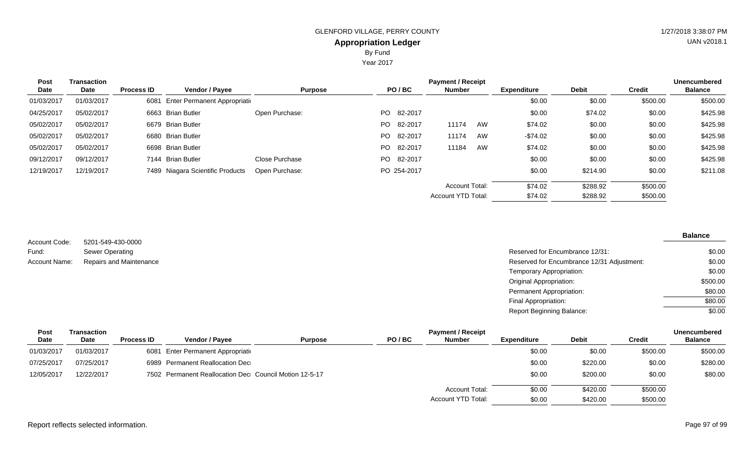Year 2017

| <b>Post</b> | <b>Transaction</b> |                   |                                        |                |      |             | <b>Payment / Receipt</b>  |    |                    |              |               | <b>Unencumbered</b> |
|-------------|--------------------|-------------------|----------------------------------------|----------------|------|-------------|---------------------------|----|--------------------|--------------|---------------|---------------------|
| Date        | Date               | <b>Process ID</b> | Vendor / Payee                         | <b>Purpose</b> |      | PO/BC       | <b>Number</b>             |    | <b>Expenditure</b> | <b>Debit</b> | <b>Credit</b> | <b>Balance</b>      |
| 01/03/2017  | 01/03/2017         | 6081              | <b>Enter Permanent Appropriational</b> |                |      |             |                           |    | \$0.00             | \$0.00       | \$500.00      | \$500.00            |
| 04/25/2017  | 05/02/2017         |                   | 6663 Brian Butler                      | Open Purchase: |      | PO 82-2017  |                           |    | \$0.00             | \$74.02      | \$0.00        | \$425.98            |
| 05/02/2017  | 05/02/2017         |                   | 6679 Brian Butler                      |                | PO.  | 82-2017     | 11174                     | AW | \$74.02            | \$0.00       | \$0.00        | \$425.98            |
| 05/02/2017  | 05/02/2017         |                   | 6680 Brian Butler                      |                |      | PO 82-2017  | 11174                     | AW | $-$74.02$          | \$0.00       | \$0.00        | \$425.98            |
| 05/02/2017  | 05/02/2017         |                   | 6698 Brian Butler                      |                | PO - | 82-2017     | 11184                     | AW | \$74.02            | \$0.00       | \$0.00        | \$425.98            |
| 09/12/2017  | 09/12/2017         |                   | 7144 Brian Butler                      | Close Purchase |      | PO 82-2017  |                           |    | \$0.00             | \$0.00       | \$0.00        | \$425.98            |
| 12/19/2017  | 12/19/2017         |                   | 7489 Niagara Scientific Products       | Open Purchase: |      | PO 254-2017 |                           |    | \$0.00             | \$214.90     | \$0.00        | \$211.08            |
|             |                    |                   |                                        |                |      |             | <b>Account Total:</b>     |    | \$74.02            | \$288.92     | \$500.00      |                     |
|             |                    |                   |                                        |                |      |             | <b>Account YTD Total:</b> |    | \$74.02            | \$288.92     | \$500.00      |                     |

| Account Code:        | 5201-549-430-0000              |
|----------------------|--------------------------------|
| Fund:                | <b>Sewer Operating</b>         |
| <b>Account Name:</b> | <b>Repairs and Maintenance</b> |

| Sewer Operating         | Reserved for Encumbrance 12/31:            | \$0.00   |
|-------------------------|--------------------------------------------|----------|
| Repairs and Maintenance | Reserved for Encumbrance 12/31 Adjustment: | \$0.00   |
|                         | Temporary Appropriation:                   | \$0.00   |
|                         | Original Appropriation:                    | \$500.00 |
|                         | Permanent Appropriation:                   | \$80.00  |
|                         | Final Appropriation:                       | \$80.00  |
|                         | <b>Report Beginning Balance:</b>           | \$0.00   |

| Post<br>Date | Transaction<br>Date | <b>Process ID</b> | <b>Vendor / Payee</b>                                  | <b>Purpose</b> | PO/BC | <b>Payment / Receipt</b><br><b>Number</b> | <b>Expenditure</b> | <b>Debit</b> | <b>Credit</b> | <b>Unencumbered</b><br><b>Balance</b> |
|--------------|---------------------|-------------------|--------------------------------------------------------|----------------|-------|-------------------------------------------|--------------------|--------------|---------------|---------------------------------------|
| 01/03/2017   | 01/03/2017          |                   | 6081 Enter Permanent Appropriation                     |                |       |                                           | \$0.00             | \$0.00       | \$500.00      | \$500.00                              |
| 07/25/2017   | 07/25/2017          |                   | 6989 Permanent Reallocation Dec                        |                |       |                                           | \$0.00             | \$220.00     | \$0.00        | \$280.00                              |
| 12/05/2017   | 12/22/2017          |                   | 7502 Permanent Reallocation Dec Council Motion 12-5-17 |                |       |                                           | \$0.00             | \$200.00     | \$0.00        | \$80.00                               |
|              |                     |                   |                                                        |                |       | Account Total:                            | \$0.00             | \$420.00     | \$500.00      |                                       |
|              |                     |                   |                                                        |                |       | <b>Account YTD Total:</b>                 | \$0.00             | \$420.00     | \$500.00      |                                       |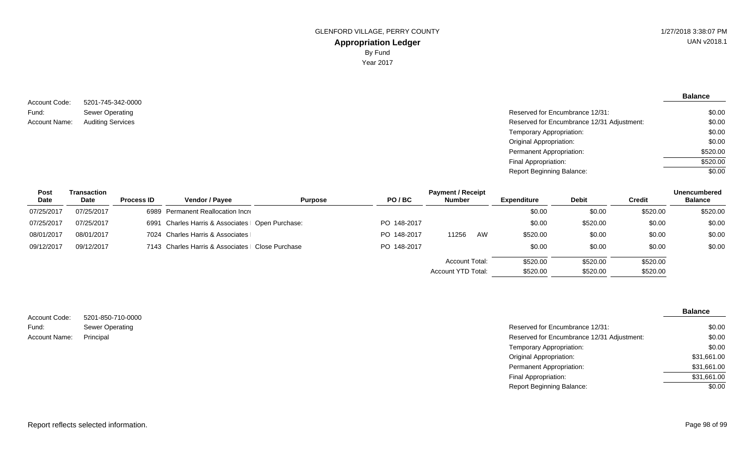5201-745-342-0000 Sewer Operating Account Code: Fund: Account Name: Auditing Services

**Balance**

| Sewer Operating          | Reserved for Encumbrance 12/31:            | \$0.00   |
|--------------------------|--------------------------------------------|----------|
| <b>Auditing Services</b> | Reserved for Encumbrance 12/31 Adjustment: | \$0.00   |
|                          | Temporary Appropriation:                   | \$0.00   |
|                          | Original Appropriation:                    | \$0.00   |
|                          | Permanent Appropriation:                   | \$520.00 |
|                          | Final Appropriation:                       | \$520.00 |
|                          | <b>Report Beginning Balance:</b>           | \$0.00   |
|                          |                                            |          |

| Post       | Transaction |                   | <b>Payment / Receipt</b>                          |                |             |                       |    |                    |              |               |                |
|------------|-------------|-------------------|---------------------------------------------------|----------------|-------------|-----------------------|----|--------------------|--------------|---------------|----------------|
| Date       | Date        | <b>Process ID</b> | <b>Vendor / Payee</b>                             | <b>Purpose</b> | PO/BC       | <b>Number</b>         |    | <b>Expenditure</b> | <b>Debit</b> | <b>Credit</b> | <b>Balance</b> |
| 07/25/2017 | 07/25/2017  |                   | 6989 Permanent Reallocation Incre                 |                |             |                       |    | \$0.00             | \$0.00       | \$520.00      | \$520.00       |
| 07/25/2017 | 07/25/2017  |                   | 6991 Charles Harris & Associates   Open Purchase: |                | PO 148-2017 |                       |    | \$0.00             | \$520.00     | \$0.00        | \$0.00         |
| 08/01/2017 | 08/01/2017  |                   | 7024 Charles Harris & Associates                  |                | PO 148-2017 | 11256                 | AW | \$520.00           | \$0.00       | \$0.00        | \$0.00         |
| 09/12/2017 | 09/12/2017  |                   | 7143 Charles Harris & Associates   Close Purchase |                | PO 148-2017 |                       |    | \$0.00             | \$0.00       | \$0.00        | \$0.00         |
|            |             |                   |                                                   |                |             | <b>Account Total:</b> |    | \$520.00           | \$520.00     | \$520.00      |                |
|            |             |                   |                                                   |                |             | Account YTD Total:    |    | \$520.00           | \$520.00     | \$520.00      |                |

| Account Code: | 5201-850-710-0000 |
|---------------|-------------------|
| Fund:         | Sewer Operating   |
| Account Name: | Principal         |

| Sewer Operating | Reserved for Encumbrance 12/31:            | \$0.00      |
|-----------------|--------------------------------------------|-------------|
| Principal       | Reserved for Encumbrance 12/31 Adjustment: | \$0.00      |
|                 | Temporary Appropriation:                   | \$0.00      |
|                 | Original Appropriation:                    | \$31,661.00 |
|                 | Permanent Appropriation:                   | \$31,661.00 |
|                 | Final Appropriation:                       | \$31,661.00 |
|                 | <b>Report Beginning Balance:</b>           | \$0.00      |